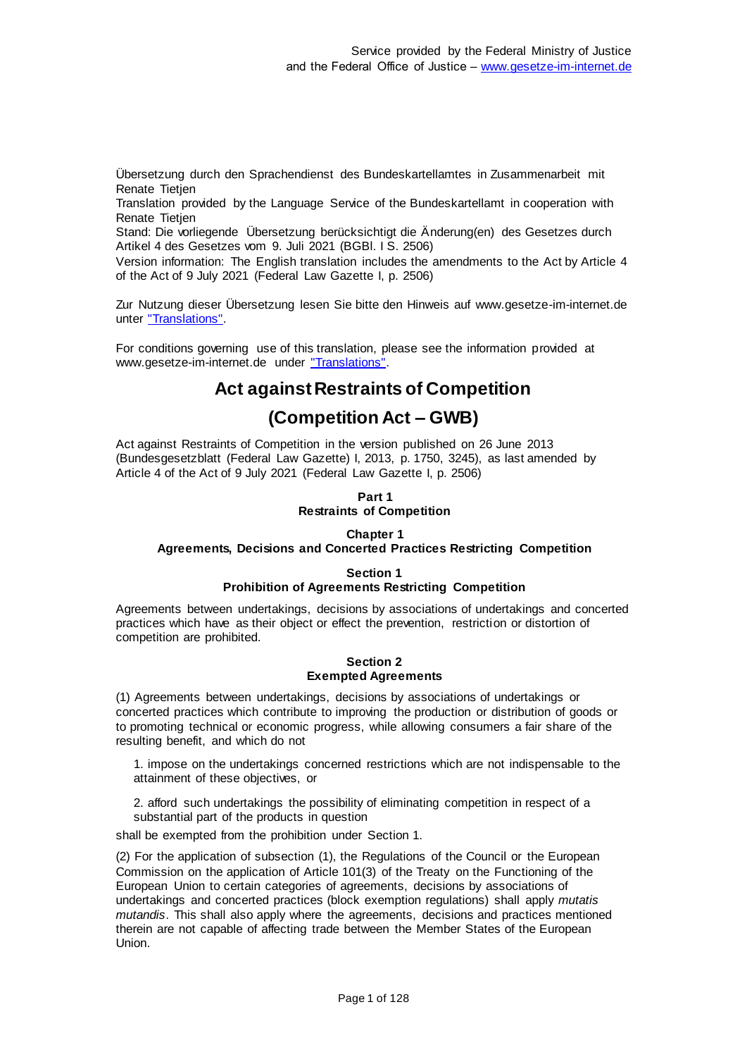Übersetzung durch den Sprachendienst des Bundeskartellamtes in Zusammenarbeit mit Renate Tietien

Translation provided by the Language Service of the Bundeskartellamt in cooperation with Renate Tietien

Stand: Die vorliegende Übersetzung berücksichtigt die Änderung(en) des Gesetzes durch Artikel 4 des Gesetzes vom 9. Juli 2021 (BGBl. I S. 2506)

Version information: The English translation includes the amendments to the Act by Article 4 of the Act of 9 July 2021 (Federal Law Gazette I, p. 2506)

Zur Nutzung dieser Übersetzung lesen Sie bitte den Hinweis auf www.gesetze-im-internet.de unter ["Translations".](https://www.gesetze-im-internet.de/Teilliste_translations.html)

For conditions governing use of this translation, please see the information provided at www.gesetze-im-internet.de under "Translations"

# **Act against Restraints of Competition**

# **(Competition Act – GWB)**

Act against Restraints of Competition in the version published on 26 June 2013 (Bundesgesetzblatt (Federal Law Gazette) I, 2013, p. 1750, 3245), as last amended by Article 4 of the Act of 9 July 2021 (Federal Law Gazette I, p. 2506)

## **Part 1 Restraints of Competition**

## **Chapter 1**

## **Agreements, Decisions and Concerted Practices Restricting Competition**

## **Section 1**

## **Prohibition of Agreements Restricting Competition**

Agreements between undertakings, decisions by associations of undertakings and concerted practices which have as their object or effect the prevention, restriction or distortion of competition are prohibited.

#### **Section 2 Exempted Agreements**

(1) Agreements between undertakings, decisions by associations of undertakings or concerted practices which contribute to improving the production or distribution of goods or to promoting technical or economic progress, while allowing consumers a fair share of the resulting benefit, and which do not

1. impose on the undertakings concerned restrictions which are not indispensable to the attainment of these objectives, or

2. afford such undertakings the possibility of eliminating competition in respect of a substantial part of the products in question

shall be exempted from the prohibition under Section 1.

(2) For the application of subsection (1), the Regulations of the Council or the European Commission on the application of Article 101(3) of the Treaty on the Functioning of the European Union to certain categories of agreements, decisions by associations of undertakings and concerted practices (block exemption regulations) shall apply *mutatis mutandis*. This shall also apply where the agreements, decisions and practices mentioned therein are not capable of affecting trade between the Member States of the European Union.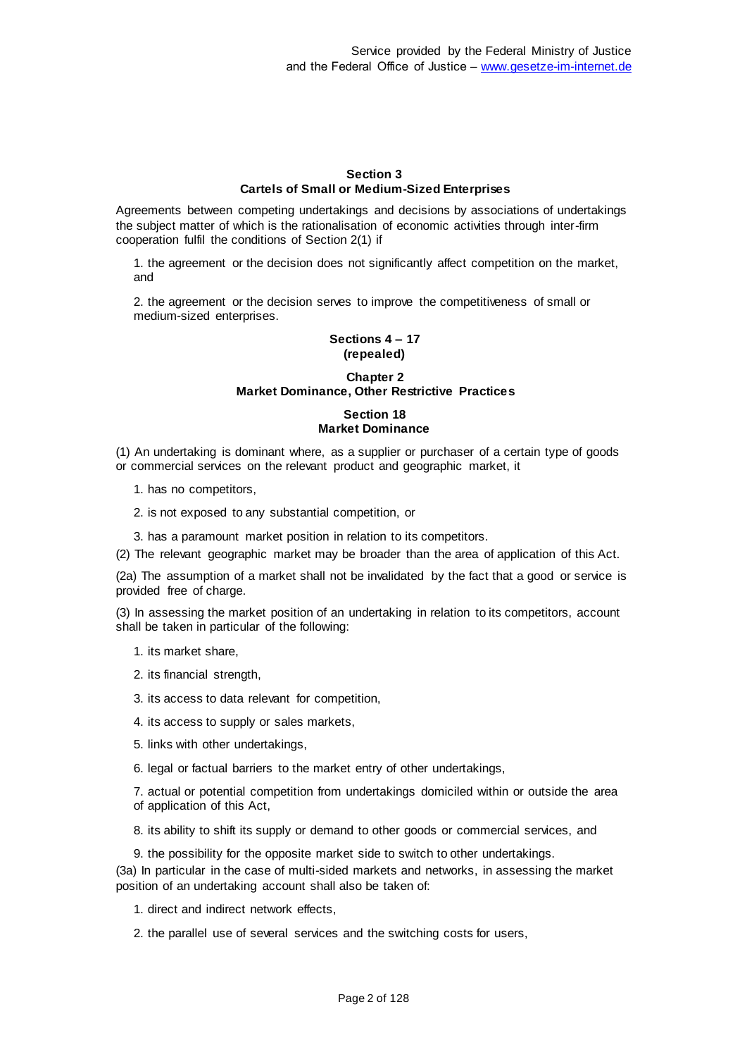#### **Section 3 Cartels of Small or Medium-Sized Enterprises**

Agreements between competing undertakings and decisions by associations of undertakings the subject matter of which is the rationalisation of economic activities through inter-firm cooperation fulfil the conditions of Section 2(1) if

1. the agreement or the decision does not significantly affect competition on the market, and

2. the agreement or the decision serves to improve the competitiveness of small or medium-sized enterprises.

## **Sections 4 – 17 (repealed)**

## **Chapter 2 Market Dominance, Other Restrictive Practices**

## **Section 18 Market Dominance**

(1) An undertaking is dominant where, as a supplier or purchaser of a certain type of goods or commercial services on the relevant product and geographic market, it

- 1. has no competitors,
- 2. is not exposed to any substantial competition, or
- 3. has a paramount market position in relation to its competitors.
- (2) The relevant geographic market may be broader than the area of application of this Act.

(2a) The assumption of a market shall not be invalidated by the fact that a good or service is provided free of charge.

(3) In assessing the market position of an undertaking in relation to its competitors, account shall be taken in particular of the following:

- 1. its market share,
- 2. its financial strength,
- 3. its access to data relevant for competition,
- 4. its access to supply or sales markets,
- 5. links with other undertakings,
- 6. legal or factual barriers to the market entry of other undertakings,

7. actual or potential competition from undertakings domiciled within or outside the area of application of this Act,

- 8. its ability to shift its supply or demand to other goods or commercial services, and
- 9. the possibility for the opposite market side to switch to other undertakings.

(3a) In particular in the case of multi-sided markets and networks, in assessing the market position of an undertaking account shall also be taken of:

- 1. direct and indirect network effects,
- 2. the parallel use of several services and the switching costs for users,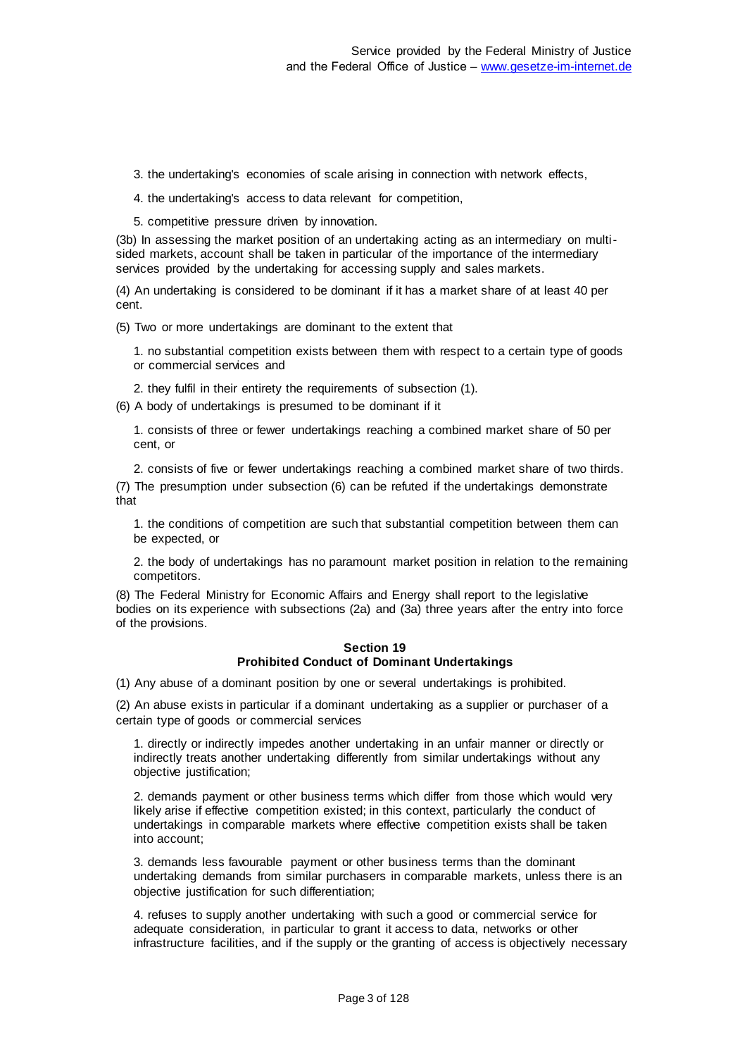3. the undertaking's economies of scale arising in connection with network effects,

4. the undertaking's access to data relevant for competition,

5. competitive pressure driven by innovation.

(3b) In assessing the market position of an undertaking acting as an intermediary on multisided markets, account shall be taken in particular of the importance of the intermediary services provided by the undertaking for accessing supply and sales markets.

(4) An undertaking is considered to be dominant if it has a market share of at least 40 per cent.

(5) Two or more undertakings are dominant to the extent that

1. no substantial competition exists between them with respect to a certain type of goods or commercial services and

2. they fulfil in their entirety the requirements of subsection (1).

(6) A body of undertakings is presumed to be dominant if it

1. consists of three or fewer undertakings reaching a combined market share of 50 per cent, or

2. consists of five or fewer undertakings reaching a combined market share of two thirds. (7) The presumption under subsection (6) can be refuted if the undertakings demonstrate that

1. the conditions of competition are such that substantial competition between them can be expected, or

2. the body of undertakings has no paramount market position in relation to the remaining competitors.

(8) The Federal Ministry for Economic Affairs and Energy shall report to the legislative bodies on its experience with subsections (2a) and (3a) three years after the entry into force of the provisions.

## **Section 19 Prohibited Conduct of Dominant Undertakings**

(1) Any abuse of a dominant position by one or several undertakings is prohibited.

(2) An abuse exists in particular if a dominant undertaking as a supplier or purchaser of a certain type of goods or commercial services

1. directly or indirectly impedes another undertaking in an unfair manner or directly or indirectly treats another undertaking differently from similar undertakings without any objective justification;

2. demands payment or other business terms which differ from those which would very likely arise if effective competition existed; in this context, particularly the conduct of undertakings in comparable markets where effective competition exists shall be taken into account;

3. demands less favourable payment or other business terms than the dominant undertaking demands from similar purchasers in comparable markets, unless there is an objective justification for such differentiation;

4. refuses to supply another undertaking with such a good or commercial service for adequate consideration, in particular to grant it access to data, networks or other infrastructure facilities, and if the supply or the granting of access is objectively necessary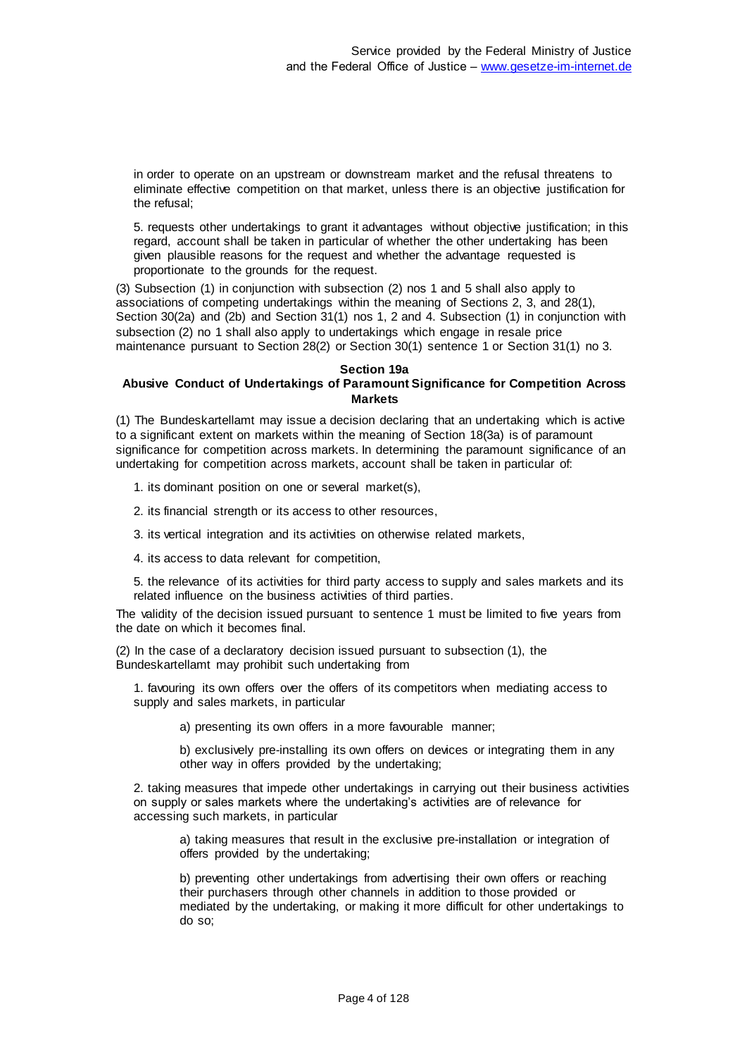in order to operate on an upstream or downstream market and the refusal threatens to eliminate effective competition on that market, unless there is an objective justification for the refusal;

5. requests other undertakings to grant it advantages without objective justification; in this regard, account shall be taken in particular of whether the other undertaking has been given plausible reasons for the request and whether the advantage requested is proportionate to the grounds for the request.

(3) Subsection (1) in conjunction with subsection (2) nos 1 and 5 shall also apply to associations of competing undertakings within the meaning of Sections 2, 3, and 28(1), Section 30(2a) and (2b) and Section 31(1) nos 1, 2 and 4. Subsection (1) in conjunction with subsection (2) no 1 shall also apply to undertakings which engage in resale price maintenance pursuant to Section 28(2) or Section 30(1) sentence 1 or Section 31(1) no 3.

#### **Section 19a**

## **Abusive Conduct of Undertakings of Paramount Significance for Competition Across Markets**

(1) The Bundeskartellamt may issue a decision declaring that an undertaking which is active to a significant extent on markets within the meaning of Section 18(3a) is of paramount significance for competition across markets. In determining the paramount significance of an undertaking for competition across markets, account shall be taken in particular of:

1. its dominant position on one or several market(s),

2. its financial strength or its access to other resources,

3. its vertical integration and its activities on otherwise related markets,

4. its access to data relevant for competition,

5. the relevance of its activities for third party access to supply and sales markets and its related influence on the business activities of third parties.

The validity of the decision issued pursuant to sentence 1 must be limited to five years from the date on which it becomes final.

(2) In the case of a declaratory decision issued pursuant to subsection (1), the Bundeskartellamt may prohibit such undertaking from

1. favouring its own offers over the offers of its competitors when mediating access to supply and sales markets, in particular

a) presenting its own offers in a more favourable manner;

b) exclusively pre-installing its own offers on devices or integrating them in any other way in offers provided by the undertaking;

2. taking measures that impede other undertakings in carrying out their business activities on supply or sales markets where the undertaking's activities are of relevance for accessing such markets, in particular

a) taking measures that result in the exclusive pre-installation or integration of offers provided by the undertaking;

b) preventing other undertakings from advertising their own offers or reaching their purchasers through other channels in addition to those provided or mediated by the undertaking, or making it more difficult for other undertakings to do so;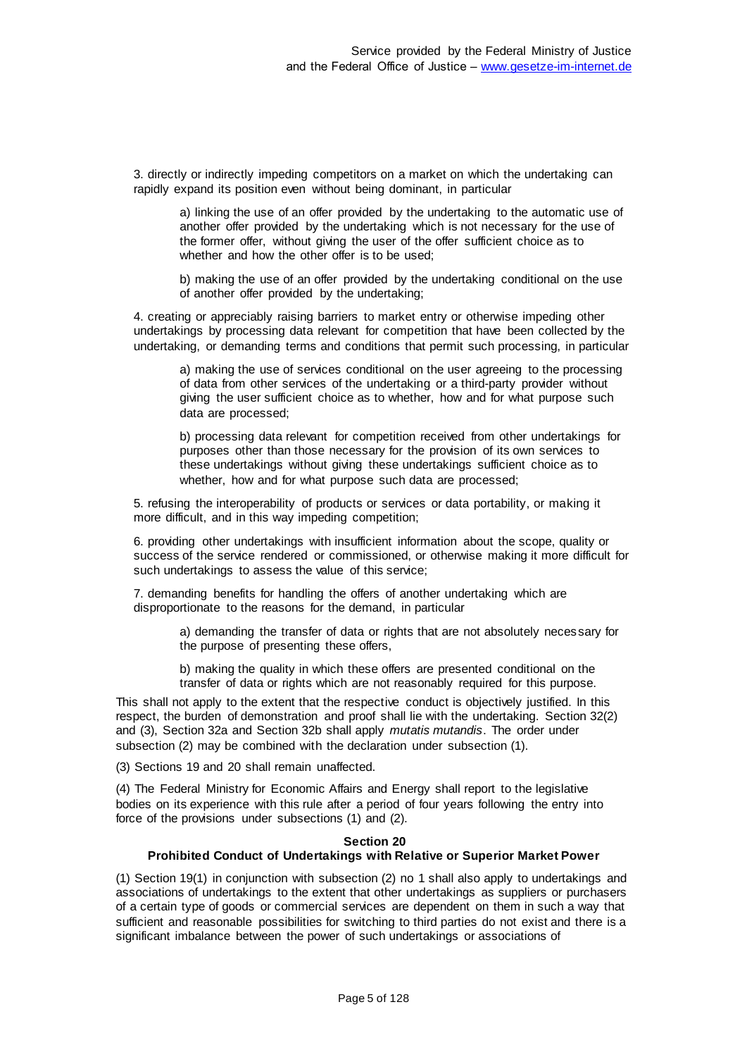3. directly or indirectly impeding competitors on a market on which the undertaking can rapidly expand its position even without being dominant, in particular

a) linking the use of an offer provided by the undertaking to the automatic use of another offer provided by the undertaking which is not necessary for the use of the former offer, without giving the user of the offer sufficient choice as to whether and how the other offer is to be used;

b) making the use of an offer provided by the undertaking conditional on the use of another offer provided by the undertaking;

4. creating or appreciably raising barriers to market entry or otherwise impeding other undertakings by processing data relevant for competition that have been collected by the undertaking, or demanding terms and conditions that permit such processing, in particular

a) making the use of services conditional on the user agreeing to the processing of data from other services of the undertaking or a third-party provider without giving the user sufficient choice as to whether, how and for what purpose such data are processed;

b) processing data relevant for competition received from other undertakings for purposes other than those necessary for the provision of its own services to these undertakings without giving these undertakings sufficient choice as to whether, how and for what purpose such data are processed:

5. refusing the interoperability of products or services or data portability, or making it more difficult, and in this way impeding competition;

6. providing other undertakings with insufficient information about the scope, quality or success of the service rendered or commissioned, or otherwise making it more difficult for such undertakings to assess the value of this service;

7. demanding benefits for handling the offers of another undertaking which are disproportionate to the reasons for the demand, in particular

> a) demanding the transfer of data or rights that are not absolutely necessary for the purpose of presenting these offers,

b) making the quality in which these offers are presented conditional on the transfer of data or rights which are not reasonably required for this purpose.

This shall not apply to the extent that the respective conduct is objectively justified. In this respect, the burden of demonstration and proof shall lie with the undertaking. Section 32(2) and (3), Section 32a and Section 32b shall apply *mutatis mutandis*. The order under subsection (2) may be combined with the declaration under subsection (1).

(3) Sections 19 and 20 shall remain unaffected.

(4) The Federal Ministry for Economic Affairs and Energy shall report to the legislative bodies on its experience with this rule after a period of four years following the entry into force of the provisions under subsections (1) and (2).

#### **Section 20 Prohibited Conduct of Undertakings with Relative or Superior Market Power**

(1) Section 19(1) in conjunction with subsection (2) no 1 shall also apply to undertakings and associations of undertakings to the extent that other undertakings as suppliers or purchasers of a certain type of goods or commercial services are dependent on them in such a way that sufficient and reasonable possibilities for switching to third parties do not exist and there is a significant imbalance between the power of such undertakings or associations of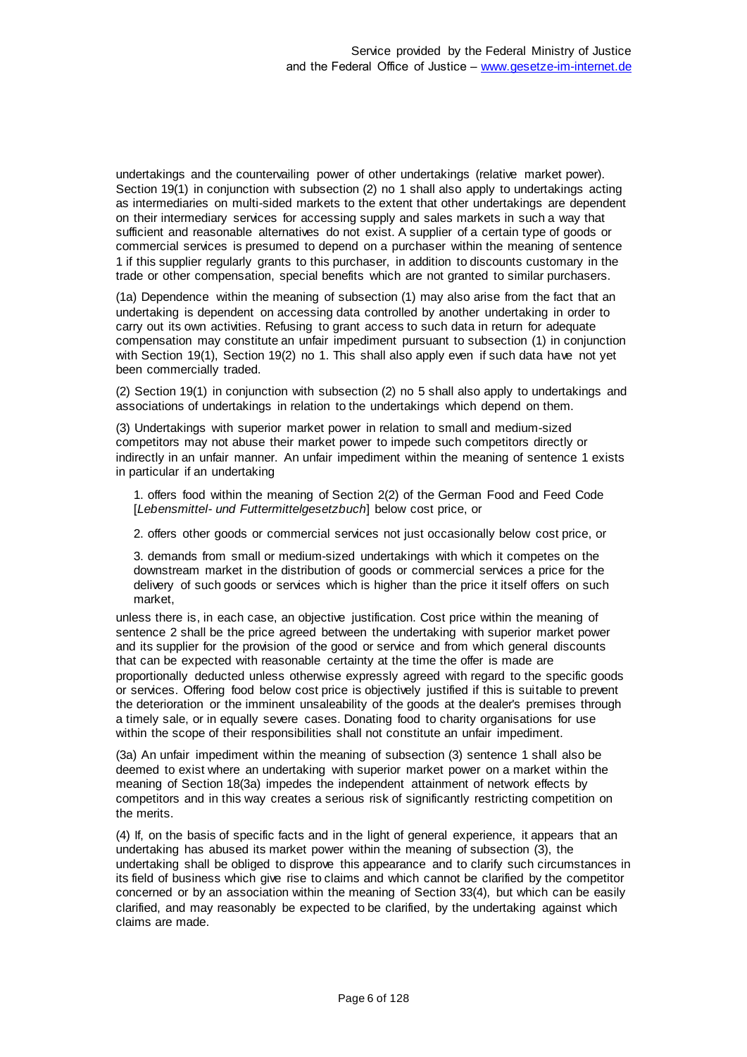undertakings and the countervailing power of other undertakings (relative market power). Section 19(1) in conjunction with subsection (2) no 1 shall also apply to undertakings acting as intermediaries on multi-sided markets to the extent that other undertakings are dependent on their intermediary services for accessing supply and sales markets in such a way that sufficient and reasonable alternatives do not exist. A supplier of a certain type of goods or commercial services is presumed to depend on a purchaser within the meaning of sentence 1 if this supplier regularly grants to this purchaser, in addition to discounts customary in the trade or other compensation, special benefits which are not granted to similar purchasers.

(1a) Dependence within the meaning of subsection (1) may also arise from the fact that an undertaking is dependent on accessing data controlled by another undertaking in order to carry out its own activities. Refusing to grant access to such data in return for adequate compensation may constitute an unfair impediment pursuant to subsection (1) in conjunction with Section 19(1), Section 19(2) no 1. This shall also apply even if such data have not yet been commercially traded.

(2) Section 19(1) in conjunction with subsection (2) no 5 shall also apply to undertakings and associations of undertakings in relation to the undertakings which depend on them.

(3) Undertakings with superior market power in relation to small and medium-sized competitors may not abuse their market power to impede such competitors directly or indirectly in an unfair manner. An unfair impediment within the meaning of sentence 1 exists in particular if an undertaking

1. offers food within the meaning of Section 2(2) of the German Food and Feed Code [*Lebensmittel- und Futtermittelgesetzbuch*] below cost price, or

2. offers other goods or commercial services not just occasionally below cost price, or

3. demands from small or medium-sized undertakings with which it competes on the downstream market in the distribution of goods or commercial services a price for the delivery of such goods or services which is higher than the price it itself offers on such market,

unless there is, in each case, an objective justification. Cost price within the meaning of sentence 2 shall be the price agreed between the undertaking with superior market power and its supplier for the provision of the good or service and from which general discounts that can be expected with reasonable certainty at the time the offer is made are proportionally deducted unless otherwise expressly agreed with regard to the specific goods or services. Offering food below cost price is objectively justified if this is suitable to prevent the deterioration or the imminent unsaleability of the goods at the dealer's premises through a timely sale, or in equally severe cases. Donating food to charity organisations for use within the scope of their responsibilities shall not constitute an unfair impediment.

(3a) An unfair impediment within the meaning of subsection (3) sentence 1 shall also be deemed to exist where an undertaking with superior market power on a market within the meaning of Section 18(3a) impedes the independent attainment of network effects by competitors and in this way creates a serious risk of significantly restricting competition on the merits.

(4) If, on the basis of specific facts and in the light of general experience, it appears that an undertaking has abused its market power within the meaning of subsection (3), the undertaking shall be obliged to disprove this appearance and to clarify such circumstances in its field of business which give rise to claims and which cannot be clarified by the competitor concerned or by an association within the meaning of Section 33(4), but which can be easily clarified, and may reasonably be expected to be clarified, by the undertaking against which claims are made.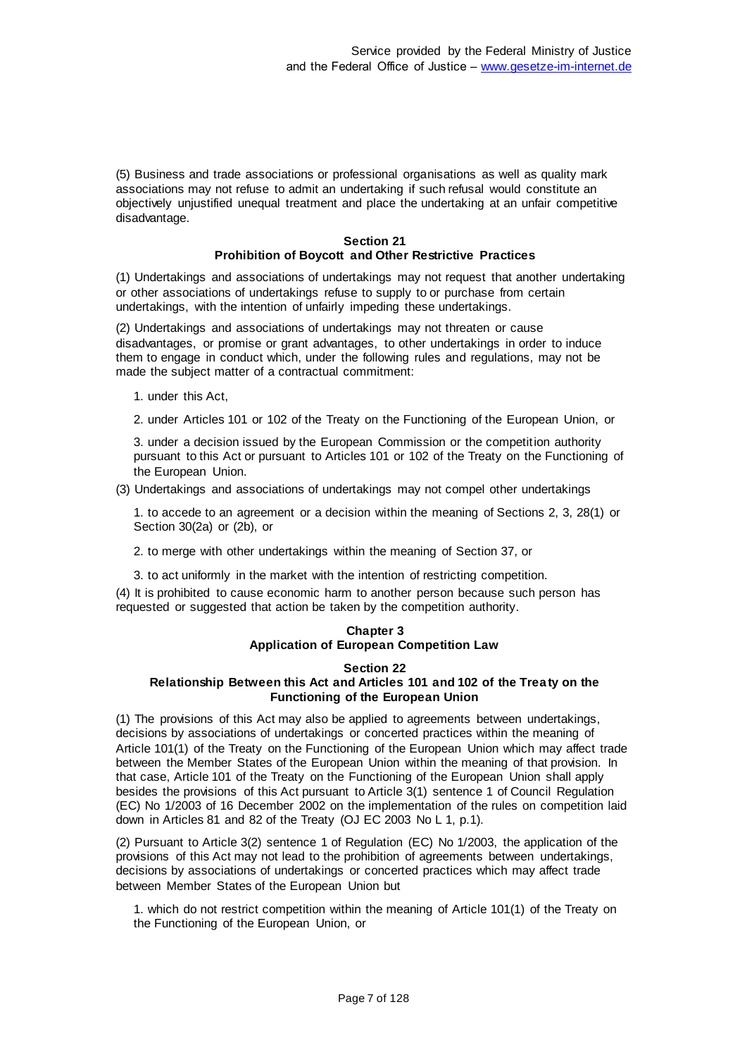(5) Business and trade associations or professional organisations as well as quality mark associations may not refuse to admit an undertaking if such refusal would constitute an objectively unjustified unequal treatment and place the undertaking at an unfair competitive disadvantage.

## **Section 21 Prohibition of Boycott and Other Restrictive Practices**

(1) Undertakings and associations of undertakings may not request that another undertaking or other associations of undertakings refuse to supply to or purchase from certain undertakings, with the intention of unfairly impeding these undertakings.

(2) Undertakings and associations of undertakings may not threaten or cause disadvantages, or promise or grant advantages, to other undertakings in order to induce them to engage in conduct which, under the following rules and regulations, may not be made the subject matter of a contractual commitment:

- 1. under this Act,
- 2. under Articles 101 or 102 of the Treaty on the Functioning of the European Union, or

3. under a decision issued by the European Commission or the competition authority pursuant to this Act or pursuant to Articles 101 or 102 of the Treaty on the Functioning of the European Union.

(3) Undertakings and associations of undertakings may not compel other undertakings

1. to accede to an agreement or a decision within the meaning of Sections 2, 3, 28(1) or Section 30(2a) or (2b), or

2. to merge with other undertakings within the meaning of Section 37, or

3. to act uniformly in the market with the intention of restricting competition.

(4) It is prohibited to cause economic harm to another person because such person has requested or suggested that action be taken by the competition authority.

## **Chapter 3 Application of European Competition Law**

#### **Section 22 Relationship Between this Act and Articles 101 and 102 of the Trea ty on the Functioning of the European Union**

(1) The provisions of this Act may also be applied to agreements between undertakings, decisions by associations of undertakings or concerted practices within the meaning of Article 101(1) of the Treaty on the Functioning of the European Union which may affect trade between the Member States of the European Union within the meaning of that provision. In that case, Article 101 of the Treaty on the Functioning of the European Union shall apply besides the provisions of this Act pursuant to Article 3(1) sentence 1 of Council Regulation (EC) No 1/2003 of 16 December 2002 on the implementation of the rules on competition laid down in Articles 81 and 82 of the Treaty (OJ EC 2003 No L 1, p.1).

(2) Pursuant to Article 3(2) sentence 1 of Regulation (EC) No 1/2003, the application of the provisions of this Act may not lead to the prohibition of agreements between undertakings, decisions by associations of undertakings or concerted practices which may affect trade between Member States of the European Union but

1. which do not restrict competition within the meaning of Article 101(1) of the Treaty on the Functioning of the European Union, or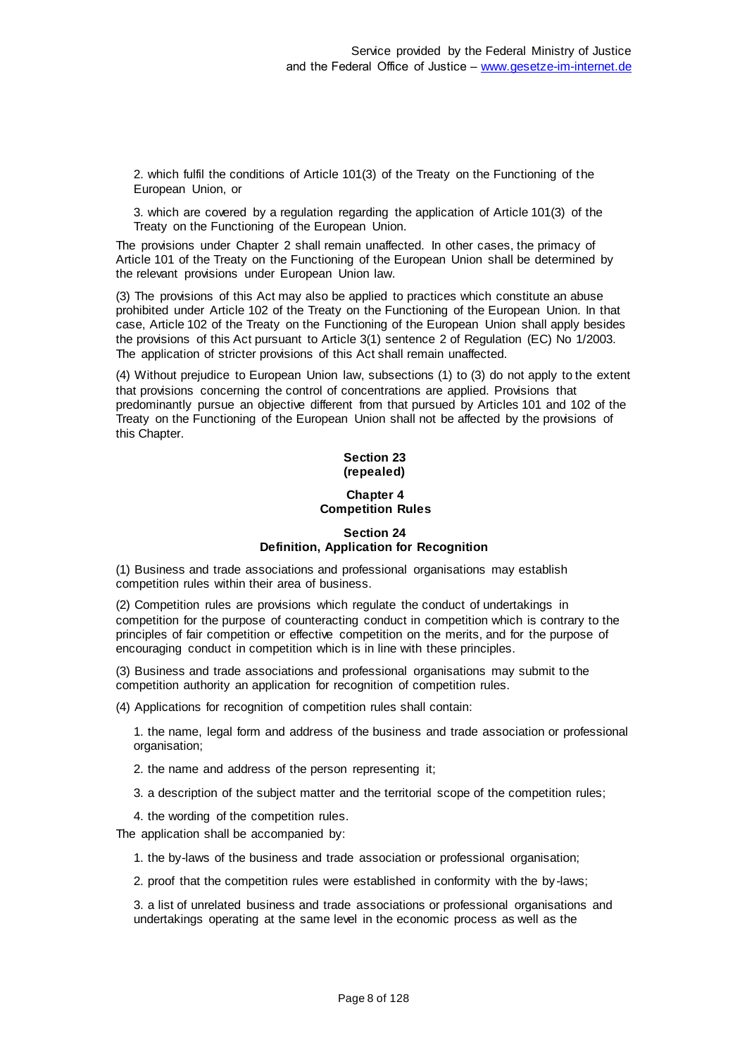2. which fulfil the conditions of Article 101(3) of the Treaty on the Functioning of the European Union, or

3. which are covered by a regulation regarding the application of Article 101(3) of the Treaty on the Functioning of the European Union.

The provisions under Chapter 2 shall remain unaffected. In other cases, the primacy of Article 101 of the Treaty on the Functioning of the European Union shall be determined by the relevant provisions under European Union law.

(3) The provisions of this Act may also be applied to practices which constitute an abuse prohibited under Article 102 of the Treaty on the Functioning of the European Union. In that case, Article 102 of the Treaty on the Functioning of the European Union shall apply besides the provisions of this Act pursuant to Article 3(1) sentence 2 of Regulation (EC) No 1/2003. The application of stricter provisions of this Act shall remain unaffected.

(4) Without prejudice to European Union law, subsections (1) to (3) do not apply to the extent that provisions concerning the control of concentrations are applied. Provisions that predominantly pursue an objective different from that pursued by Articles 101 and 102 of the Treaty on the Functioning of the European Union shall not be affected by the provisions of this Chapter.

## **Section 23 (repealed)**

## **Chapter 4 Competition Rules**

# **Section 24 Definition, Application for Recognition**

(1) Business and trade associations and professional organisations may establish competition rules within their area of business.

(2) Competition rules are provisions which regulate the conduct of undertakings in competition for the purpose of counteracting conduct in competition which is contrary to the principles of fair competition or effective competition on the merits, and for the purpose of encouraging conduct in competition which is in line with these principles.

(3) Business and trade associations and professional organisations may submit to the competition authority an application for recognition of competition rules.

(4) Applications for recognition of competition rules shall contain:

1. the name, legal form and address of the business and trade association or professional organisation;

2. the name and address of the person representing it;

3. a description of the subject matter and the territorial scope of the competition rules;

4. the wording of the competition rules.

The application shall be accompanied by:

1. the by-laws of the business and trade association or professional organisation;

2. proof that the competition rules were established in conformity with the by-laws;

3. a list of unrelated business and trade associations or professional organisations and undertakings operating at the same level in the economic process as well as the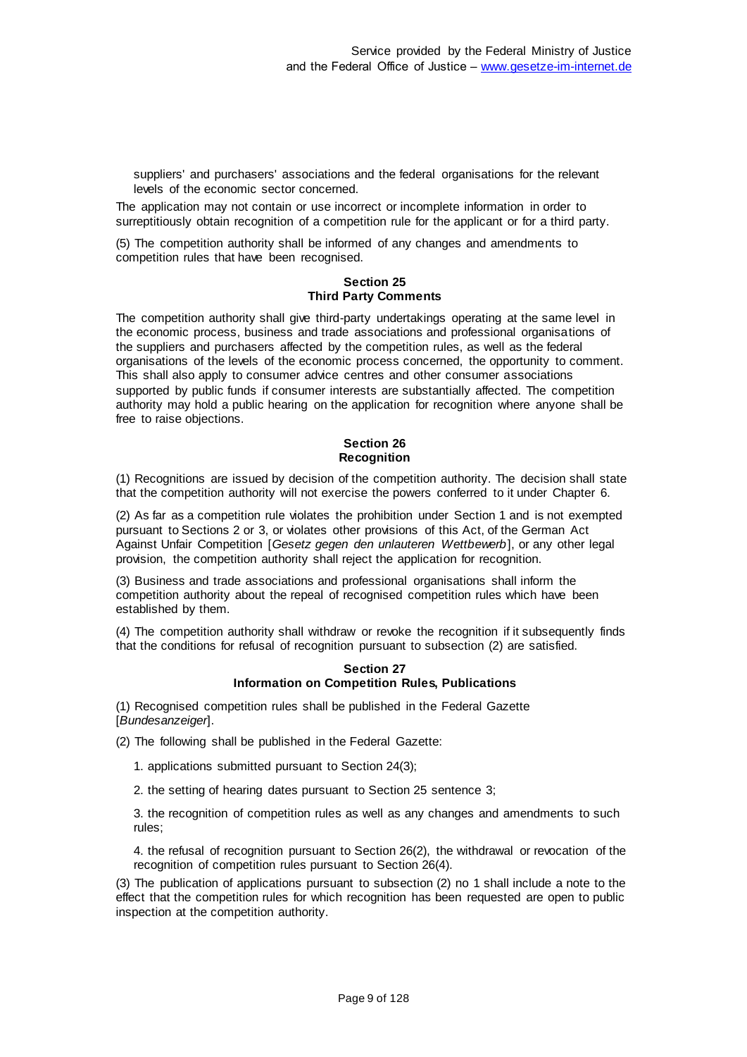suppliers' and purchasers' associations and the federal organisations for the relevant levels of the economic sector concerned.

The application may not contain or use incorrect or incomplete information in order to surreptitiously obtain recognition of a competition rule for the applicant or for a third party.

(5) The competition authority shall be informed of any changes and amendments to competition rules that have been recognised.

#### **Section 25 Third Party Comments**

The competition authority shall give third-party undertakings operating at the same level in the economic process, business and trade associations and professional organisations of the suppliers and purchasers affected by the competition rules, as well as the federal organisations of the levels of the economic process concerned, the opportunity to comment. This shall also apply to consumer advice centres and other consumer associations supported by public funds if consumer interests are substantially affected. The competition authority may hold a public hearing on the application for recognition where anyone shall be free to raise objections.

## **Section 26 Recognition**

(1) Recognitions are issued by decision of the competition authority. The decision shall state that the competition authority will not exercise the powers conferred to it under Chapter 6.

(2) As far as a competition rule violates the prohibition under Section 1 and is not exempted pursuant to Sections 2 or 3, or violates other provisions of this Act, of the German Act Against Unfair Competition [*Gesetz gegen den unlauteren Wettbewerb*], or any other legal provision, the competition authority shall reject the application for recognition.

(3) Business and trade associations and professional organisations shall inform the competition authority about the repeal of recognised competition rules which have been established by them.

(4) The competition authority shall withdraw or revoke the recognition if it subsequently finds that the conditions for refusal of recognition pursuant to subsection (2) are satisfied.

#### **Section 27 Information on Competition Rules, Publications**

(1) Recognised competition rules shall be published in the Federal Gazette [*Bundesanzeiger*].

(2) The following shall be published in the Federal Gazette:

- 1. applications submitted pursuant to Section 24(3);
- 2. the setting of hearing dates pursuant to Section 25 sentence 3;

3. the recognition of competition rules as well as any changes and amendments to such rules;

4. the refusal of recognition pursuant to Section 26(2), the withdrawal or revocation of the recognition of competition rules pursuant to Section 26(4).

(3) The publication of applications pursuant to subsection (2) no 1 shall include a note to the effect that the competition rules for which recognition has been requested are open to public inspection at the competition authority.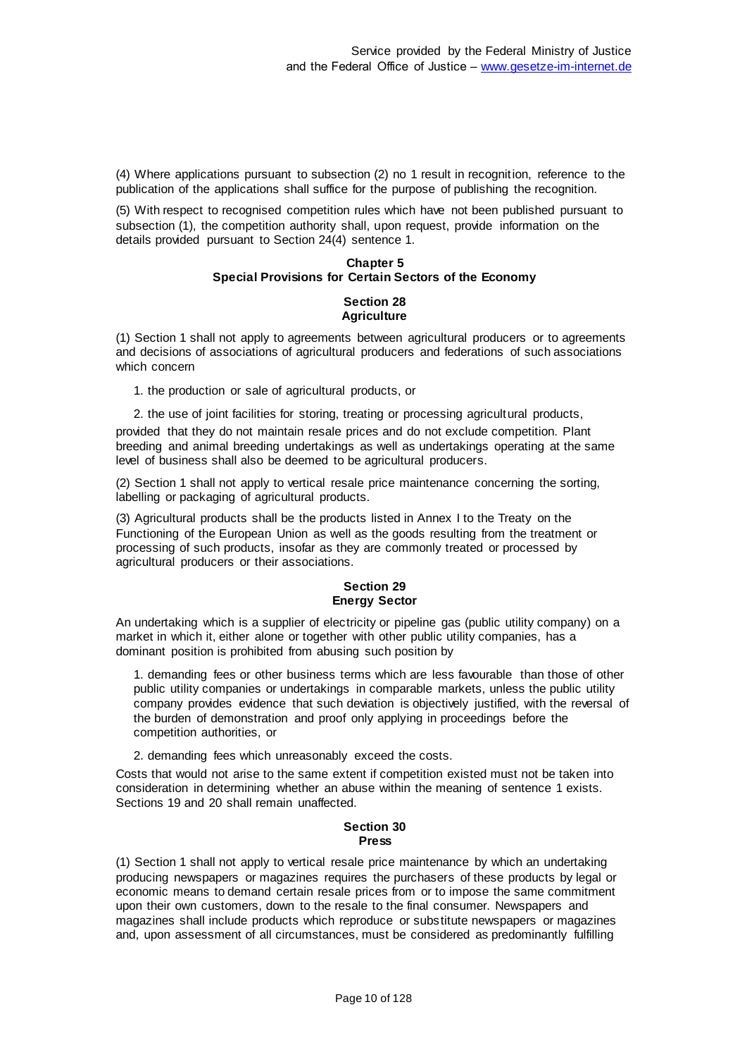(4) Where applications pursuant to subsection (2) no 1 result in recognition, reference to the publication of the applications shall suffice for the purpose of publishing the recognition.

(5) With respect to recognised competition rules which have not been published pursuant to subsection (1), the competition authority shall, upon request, provide information on the details provided pursuant to Section 24(4) sentence 1.

#### **Chapter 5 Special Provisions for Certain Sectors of the Economy**

## **Section 28 Agriculture**

(1) Section 1 shall not apply to agreements between agricultural producers or to agreements and decisions of associations of agricultural producers and federations of such associations which concern

1. the production or sale of agricultural products, or

2. the use of joint facilities for storing, treating or processing agricultural products,

provided that they do not maintain resale prices and do not exclude competition. Plant breeding and animal breeding undertakings as well as undertakings operating at the same level of business shall also be deemed to be agricultural producers.

(2) Section 1 shall not apply to vertical resale price maintenance concerning the sorting, labelling or packaging of agricultural products.

(3) Agricultural products shall be the products listed in Annex I to the Treaty on the Functioning of the European Union as well as the goods resulting from the treatment or processing of such products, insofar as they are commonly treated or processed by agricultural producers or their associations.

## **Section 29 Energy Sector**

An undertaking which is a supplier of electricity or pipeline gas (public utility company) on a market in which it, either alone or together with other public utility companies, has a dominant position is prohibited from abusing such position by

1. demanding fees or other business terms which are less favourable than those of other public utility companies or undertakings in comparable markets, unless the public utility company provides evidence that such deviation is objectively justified, with the reversal of the burden of demonstration and proof only applying in proceedings before the competition authorities, or

2. demanding fees which unreasonably exceed the costs.

Costs that would not arise to the same extent if competition existed must not be taken into consideration in determining whether an abuse within the meaning of sentence 1 exists. Sections 19 and 20 shall remain unaffected.

#### **Section 30 Press**

(1) Section 1 shall not apply to vertical resale price maintenance by which an undertaking producing newspapers or magazines requires the purchasers of these products by legal or economic means to demand certain resale prices from or to impose the same commitment upon their own customers, down to the resale to the final consumer. Newspapers and magazines shall include products which reproduce or substitute newspapers or magazines and, upon assessment of all circumstances, must be considered as predominantly fulfilling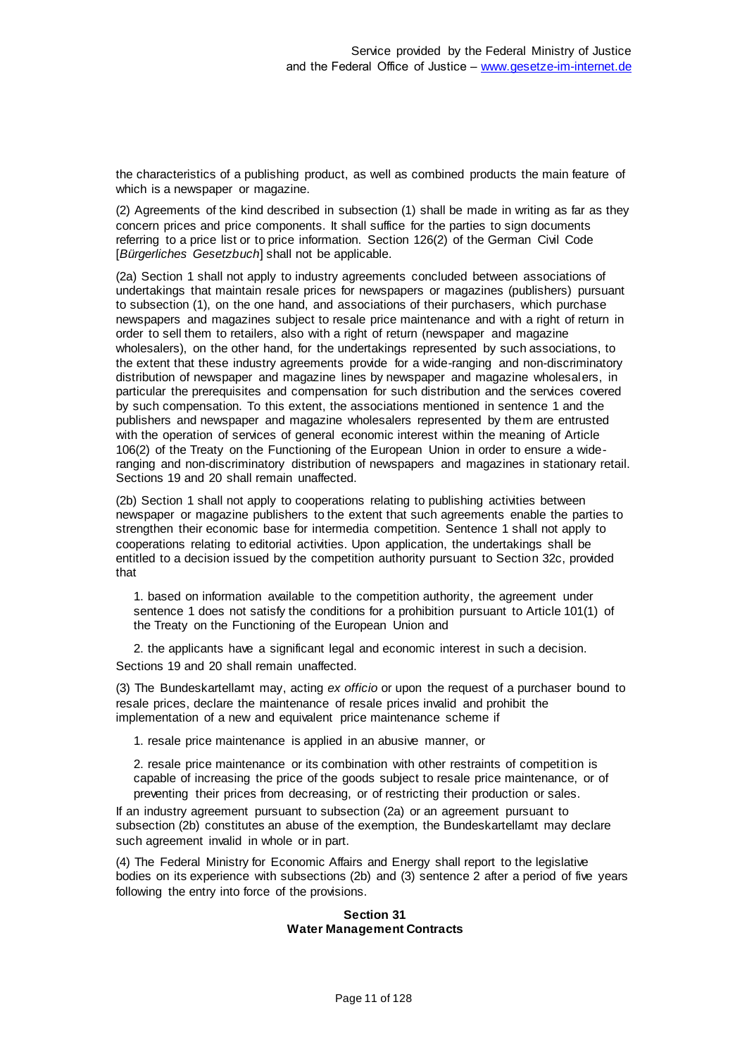the characteristics of a publishing product, as well as combined products the main feature of which is a newspaper or magazine.

(2) Agreements of the kind described in subsection (1) shall be made in writing as far as they concern prices and price components. It shall suffice for the parties to sign documents referring to a price list or to price information. Section 126(2) of the German Civil Code [Bürgerliches Gesetzbuch] shall not be applicable.

(2a) Section 1 shall not apply to industry agreements concluded between associations of undertakings that maintain resale prices for newspapers or magazines (publishers) pursuant to subsection (1), on the one hand, and associations of their purchasers, which purchase newspapers and magazines subject to resale price maintenance and with a right of return in order to sell them to retailers, also with a right of return (newspaper and magazine wholesalers), on the other hand, for the undertakings represented by such associations, to the extent that these industry agreements provide for a wide-ranging and non-discriminatory distribution of newspaper and magazine lines by newspaper and magazine wholesalers, in particular the prerequisites and compensation for such distribution and the services covered by such compensation. To this extent, the associations mentioned in sentence 1 and the publishers and newspaper and magazine wholesalers represented by them are entrusted with the operation of services of general economic interest within the meaning of Article 106(2) of the Treaty on the Functioning of the European Union in order to ensure a wideranging and non-discriminatory distribution of newspapers and magazines in stationary retail. Sections 19 and 20 shall remain unaffected.

(2b) Section 1 shall not apply to cooperations relating to publishing activities between newspaper or magazine publishers to the extent that such agreements enable the parties to strengthen their economic base for intermedia competition. Sentence 1 shall not apply to cooperations relating to editorial activities. Upon application, the undertakings shall be entitled to a decision issued by the competition authority pursuant to Section 32c, provided that

1. based on information available to the competition authority, the agreement under sentence 1 does not satisfy the conditions for a prohibition pursuant to Article 101(1) of the Treaty on the Functioning of the European Union and

2. the applicants have a significant legal and economic interest in such a decision. Sections 19 and 20 shall remain unaffected.

(3) The Bundeskartellamt may, acting *ex officio* or upon the request of a purchaser bound to resale prices, declare the maintenance of resale prices invalid and prohibit the implementation of a new and equivalent price maintenance scheme if

1. resale price maintenance is applied in an abusive manner, or

2. resale price maintenance or its combination with other restraints of competition is capable of increasing the price of the goods subject to resale price maintenance, or of preventing their prices from decreasing, or of restricting their production or sales.

If an industry agreement pursuant to subsection (2a) or an agreement pursuant to subsection (2b) constitutes an abuse of the exemption, the Bundeskartellamt may declare such agreement invalid in whole or in part.

(4) The Federal Ministry for Economic Affairs and Energy shall report to the legislative bodies on its experience with subsections (2b) and (3) sentence 2 after a period of five years following the entry into force of the provisions.

#### **Section 31 Water Management Contracts**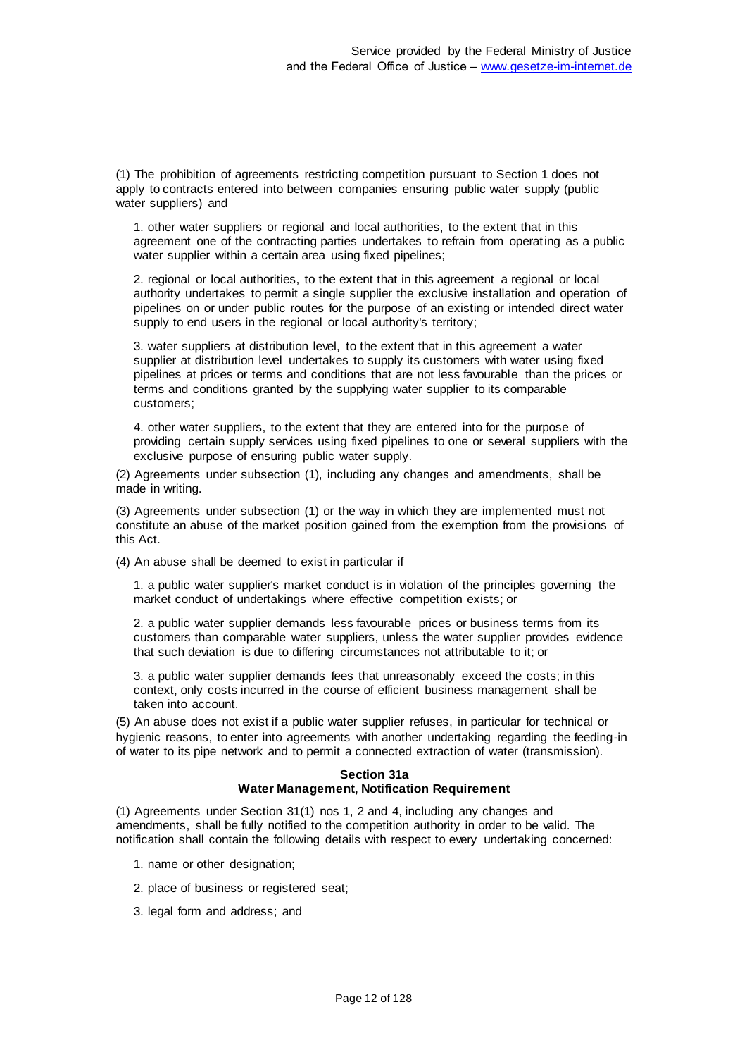(1) The prohibition of agreements restricting competition pursuant to Section 1 does not apply to contracts entered into between companies ensuring public water supply (public water suppliers) and

1. other water suppliers or regional and local authorities, to the extent that in this agreement one of the contracting parties undertakes to refrain from operating as a public water supplier within a certain area using fixed pipelines;

2. regional or local authorities, to the extent that in this agreement a regional or local authority undertakes to permit a single supplier the exclusive installation and operation of pipelines on or under public routes for the purpose of an existing or intended direct water supply to end users in the regional or local authority's territory;

3. water suppliers at distribution level, to the extent that in this agreement a water supplier at distribution level undertakes to supply its customers with water using fixed pipelines at prices or terms and conditions that are not less favourable than the prices or terms and conditions granted by the supplying water supplier to its comparable customers;

4. other water suppliers, to the extent that they are entered into for the purpose of providing certain supply services using fixed pipelines to one or several suppliers with the exclusive purpose of ensuring public water supply.

(2) Agreements under subsection (1), including any changes and amendments, shall be made in writing.

(3) Agreements under subsection (1) or the way in which they are implemented must not constitute an abuse of the market position gained from the exemption from the provisions of this Act.

(4) An abuse shall be deemed to exist in particular if

1. a public water supplier's market conduct is in violation of the principles governing the market conduct of undertakings where effective competition exists; or

2. a public water supplier demands less favourable prices or business terms from its customers than comparable water suppliers, unless the water supplier provides evidence that such deviation is due to differing circumstances not attributable to it; or

3. a public water supplier demands fees that unreasonably exceed the costs; in this context, only costs incurred in the course of efficient business management shall be taken into account.

(5) An abuse does not exist if a public water supplier refuses, in particular for technical or hygienic reasons, to enter into agreements with another undertaking regarding the feeding-in of water to its pipe network and to permit a connected extraction of water (transmission).

## **Section 31a Water Management, Notification Requirement**

(1) Agreements under Section 31(1) nos 1, 2 and 4, including any changes and amendments, shall be fully notified to the competition authority in order to be valid. The notification shall contain the following details with respect to every undertaking concerned:

- 1. name or other designation;
- 2. place of business or registered seat;
- 3. legal form and address; and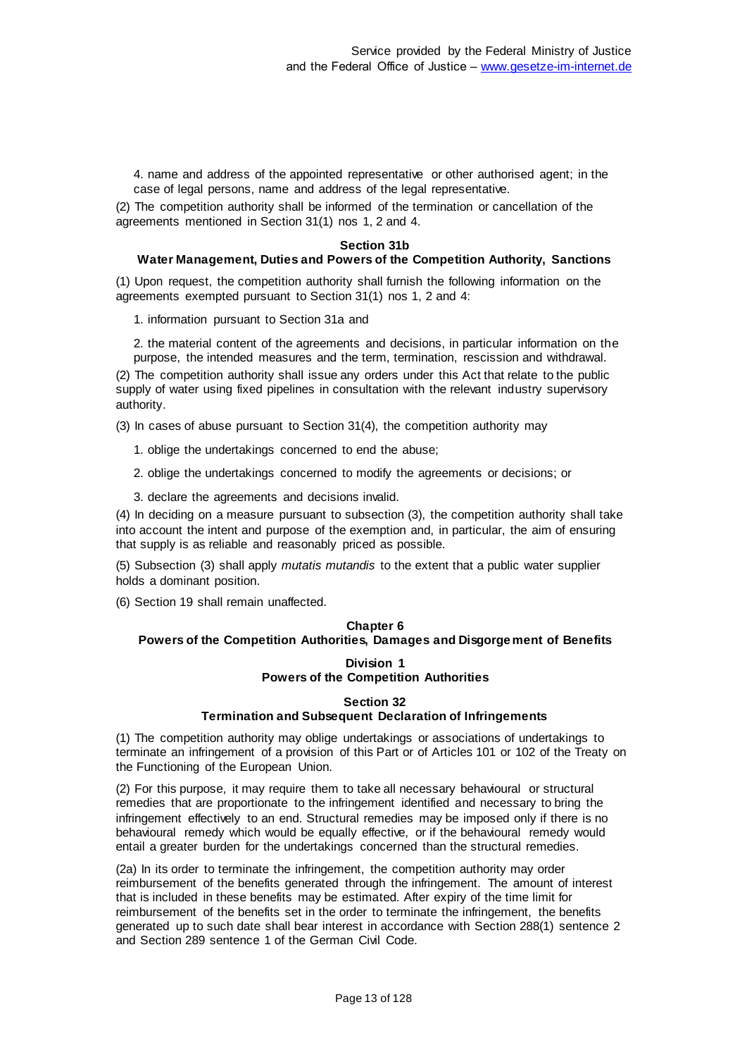4. name and address of the appointed representative or other authorised agent; in the case of legal persons, name and address of the legal representative.

(2) The competition authority shall be informed of the termination or cancellation of the agreements mentioned in Section 31(1) nos 1, 2 and 4.

#### **Section 31b**

## **Water Management, Duties and Powers of the Competition Authority, Sanctions**

(1) Upon request, the competition authority shall furnish the following information on the agreements exempted pursuant to Section 31(1) nos 1, 2 and 4:

1. information pursuant to Section 31a and

2. the material content of the agreements and decisions, in particular information on the purpose, the intended measures and the term, termination, rescission and withdrawal.

(2) The competition authority shall issue any orders under this Act that relate to the public supply of water using fixed pipelines in consultation with the relevant industry supervisory authority.

(3) In cases of abuse pursuant to Section 31(4), the competition authority may

- 1. oblige the undertakings concerned to end the abuse;
- 2. oblige the undertakings concerned to modify the agreements or decisions; or
- 3. declare the agreements and decisions invalid.

(4) In deciding on a measure pursuant to subsection (3), the competition authority shall take into account the intent and purpose of the exemption and, in particular, the aim of ensuring that supply is as reliable and reasonably priced as possible.

(5) Subsection (3) shall apply *mutatis mutandis* to the extent that a public water supplier holds a dominant position.

(6) Section 19 shall remain unaffected.

# **Chapter 6 Powers of the Competition Authorities, Damages and Disgorgement of Benefits**

## **Division 1 Powers of the Competition Authorities**

#### **Section 32**

## **Termination and Subsequent Declaration of Infringements**

(1) The competition authority may oblige undertakings or associations of undertakings to terminate an infringement of a provision of this Part or of Articles 101 or 102 of the Treaty on the Functioning of the European Union.

(2) For this purpose, it may require them to take all necessary behavioural or structural remedies that are proportionate to the infringement identified and necessary to bring the infringement effectively to an end. Structural remedies may be imposed only if there is no behavioural remedy which would be equally effective, or if the behavioural remedy would entail a greater burden for the undertakings concerned than the structural remedies.

(2a) In its order to terminate the infringement, the competition authority may order reimbursement of the benefits generated through the infringement. The amount of interest that is included in these benefits may be estimated. After expiry of the time limit for reimbursement of the benefits set in the order to terminate the infringement, the benefits generated up to such date shall bear interest in accordance with Section 288(1) sentence 2 and Section 289 sentence 1 of the German Civil Code.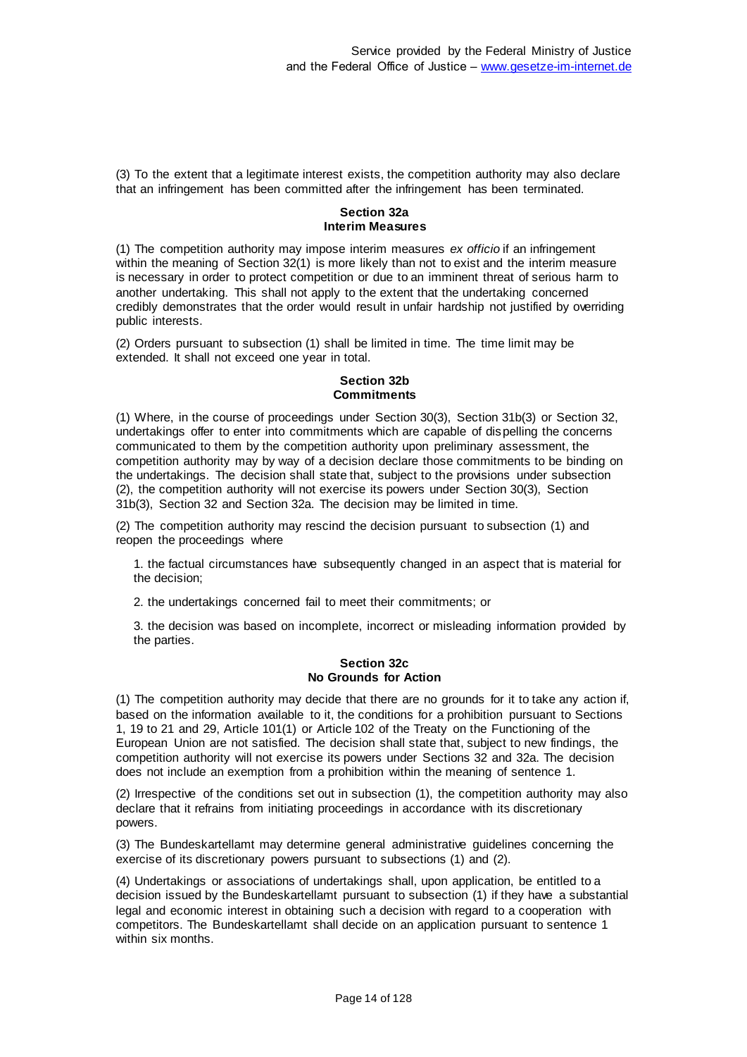(3) To the extent that a legitimate interest exists, the competition authority may also declare that an infringement has been committed after the infringement has been terminated.

## **Section 32a Interim Measures**

(1) The competition authority may impose interim measures *ex officio* if an infringement within the meaning of Section 32(1) is more likely than not to exist and the interim measure is necessary in order to protect competition or due to an imminent threat of serious harm to another undertaking. This shall not apply to the extent that the undertaking concerned credibly demonstrates that the order would result in unfair hardship not justified by overriding public interests.

(2) Orders pursuant to subsection (1) shall be limited in time. The time limit may be extended. It shall not exceed one year in total.

## **Section 32b Commitments**

(1) Where, in the course of proceedings under Section 30(3), Section 31b(3) or Section 32, undertakings offer to enter into commitments which are capable of dispelling the concerns communicated to them by the competition authority upon preliminary assessment, the competition authority may by way of a decision declare those commitments to be binding on the undertakings. The decision shall state that, subject to the provisions under subsection (2), the competition authority will not exercise its powers under Section 30(3), Section 31b(3), Section 32 and Section 32a. The decision may be limited in time.

(2) The competition authority may rescind the decision pursuant to subsection (1) and reopen the proceedings where

1. the factual circumstances have subsequently changed in an aspect that is material for the decision;

2. the undertakings concerned fail to meet their commitments; or

3. the decision was based on incomplete, incorrect or misleading information provided by the parties.

## **Section 32c No Grounds for Action**

(1) The competition authority may decide that there are no grounds for it to take any action if, based on the information available to it, the conditions for a prohibition pursuant to Sections 1, 19 to 21 and 29, Article 101(1) or Article 102 of the Treaty on the Functioning of the European Union are not satisfied. The decision shall state that, subject to new findings, the competition authority will not exercise its powers under Sections 32 and 32a. The decision does not include an exemption from a prohibition within the meaning of sentence 1.

(2) Irrespective of the conditions set out in subsection (1), the competition authority may also declare that it refrains from initiating proceedings in accordance with its discretionary powers.

(3) The Bundeskartellamt may determine general administrative guidelines concerning the exercise of its discretionary powers pursuant to subsections (1) and (2).

(4) Undertakings or associations of undertakings shall, upon application, be entitled to a decision issued by the Bundeskartellamt pursuant to subsection (1) if they have a substantial legal and economic interest in obtaining such a decision with regard to a cooperation with competitors. The Bundeskartellamt shall decide on an application pursuant to sentence 1 within six months.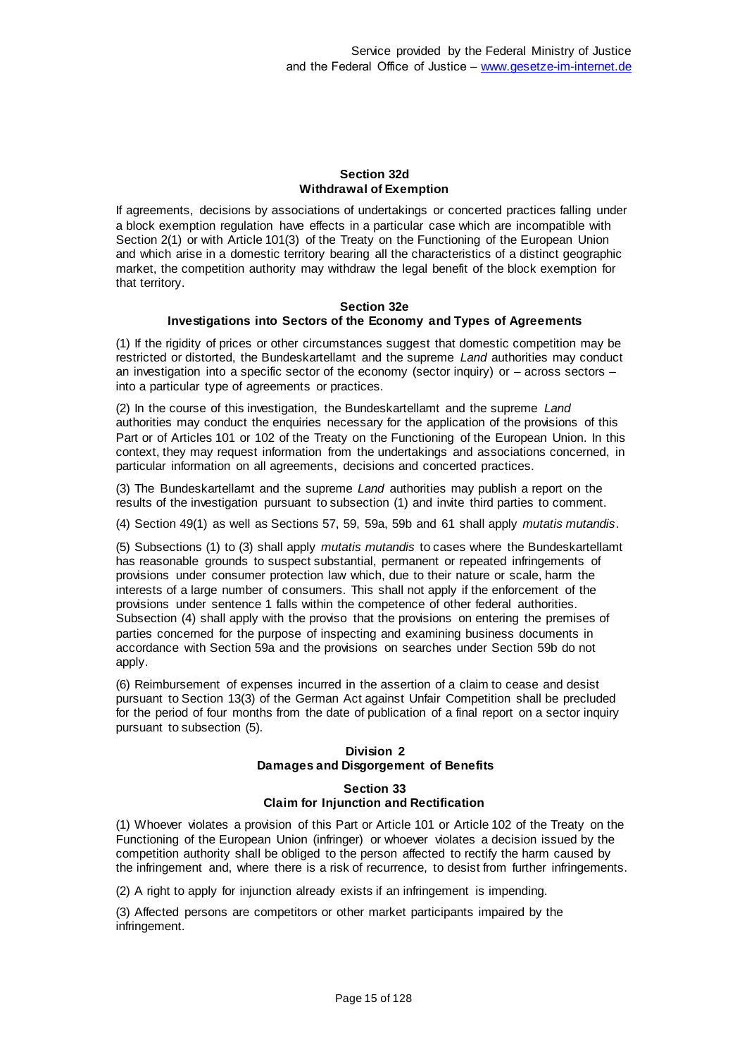## **Section 32d Withdrawal of Exemption**

If agreements, decisions by associations of undertakings or concerted practices falling under a block exemption regulation have effects in a particular case which are incompatible with Section 2(1) or with Article 101(3) of the Treaty on the Functioning of the European Union and which arise in a domestic territory bearing all the characteristics of a distinct geographic market, the competition authority may withdraw the legal benefit of the block exemption for that territory.

#### **Section 32e Investigations into Sectors of the Economy and Types of Agreements**

(1) If the rigidity of prices or other circumstances suggest that domestic competition may be restricted or distorted, the Bundeskartellamt and the supreme *Land* authorities may conduct an investigation into a specific sector of the economy (sector inquiry) or – across sectors – into a particular type of agreements or practices.

(2) In the course of this investigation, the Bundeskartellamt and the supreme *Land* authorities may conduct the enquiries necessary for the application of the provisions of this Part or of Articles 101 or 102 of the Treaty on the Functioning of the European Union. In this context, they may request information from the undertakings and associations concerned, in particular information on all agreements, decisions and concerted practices.

(3) The Bundeskartellamt and the supreme *Land* authorities may publish a report on the results of the investigation pursuant to subsection (1) and invite third parties to comment.

(4) Section 49(1) as well as Sections 57, 59, 59a, 59b and 61 shall apply *mutatis mutandis*.

(5) Subsections (1) to (3) shall apply *mutatis mutandis* to cases where the Bundeskartellamt has reasonable grounds to suspect substantial, permanent or repeated infringements of provisions under consumer protection law which, due to their nature or scale, harm the interests of a large number of consumers. This shall not apply if the enforcement of the provisions under sentence 1 falls within the competence of other federal authorities. Subsection (4) shall apply with the proviso that the provisions on entering the premises of parties concerned for the purpose of inspecting and examining business documents in accordance with Section 59a and the provisions on searches under Section 59b do not apply.

(6) Reimbursement of expenses incurred in the assertion of a claim to cease and desist pursuant to Section 13(3) of the German Act against Unfair Competition shall be precluded for the period of four months from the date of publication of a final report on a sector inquiry pursuant to subsection (5).

# **Division 2 Damages and Disgorgement of Benefits**

## **Section 33 Claim for Injunction and Rectification**

(1) Whoever violates a provision of this Part or Article 101 or Article 102 of the Treaty on the Functioning of the European Union (infringer) or whoever violates a decision issued by the competition authority shall be obliged to the person affected to rectify the harm caused by the infringement and, where there is a risk of recurrence, to desist from further infringements.

(2) A right to apply for injunction already exists if an infringement is impending.

(3) Affected persons are competitors or other market participants impaired by the infringement.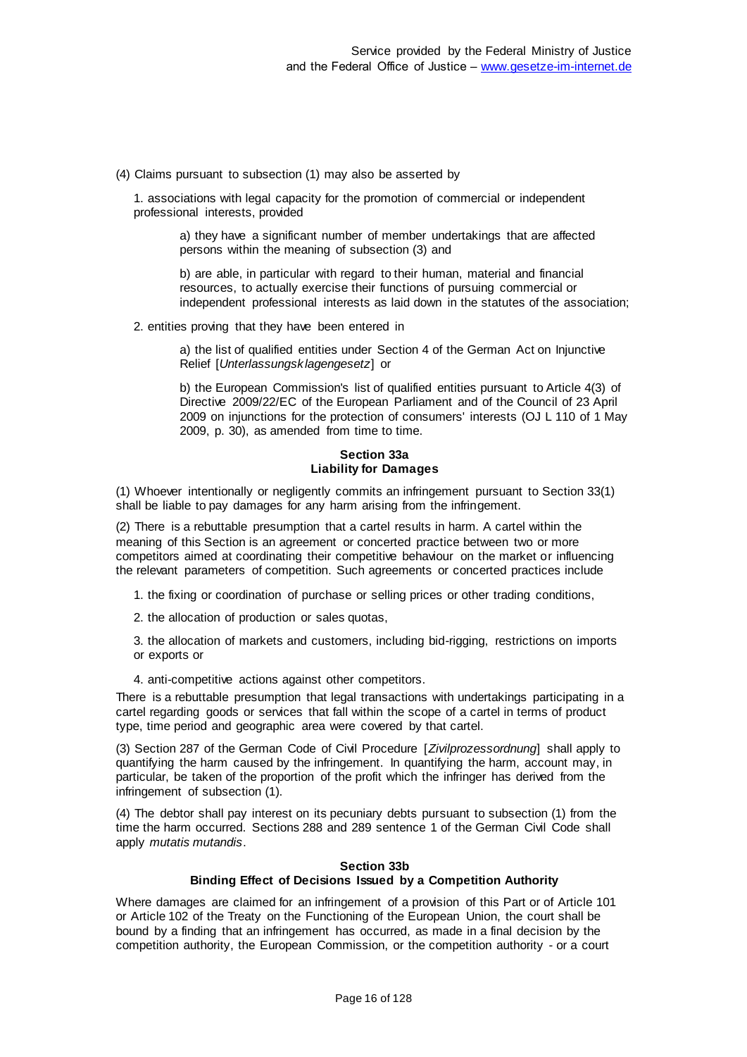(4) Claims pursuant to subsection (1) may also be asserted by

1. associations with legal capacity for the promotion of commercial or independent professional interests, provided

> a) they have a significant number of member undertakings that are affected persons within the meaning of subsection (3) and

b) are able, in particular with regard to their human, material and financial resources, to actually exercise their functions of pursuing commercial or independent professional interests as laid down in the statutes of the association;

2. entities proving that they have been entered in

a) the list of qualified entities under Section 4 of the German Act on Injunctive Relief [*Unterlassungsklagengesetz*] or

b) the European Commission's list of qualified entities pursuant to Article 4(3) of Directive 2009/22/EC of the European Parliament and of the Council of 23 April 2009 on injunctions for the protection of consumers' interests (OJ L 110 of 1 May 2009, p. 30), as amended from time to time.

#### **Section 33a Liability for Damages**

(1) Whoever intentionally or negligently commits an infringement pursuant to Section 33(1) shall be liable to pay damages for any harm arising from the infringement.

(2) There is a rebuttable presumption that a cartel results in harm. A cartel within the meaning of this Section is an agreement or concerted practice between two or more competitors aimed at coordinating their competitive behaviour on the market or influencing the relevant parameters of competition. Such agreements or concerted practices include

1. the fixing or coordination of purchase or selling prices or other trading conditions,

2. the allocation of production or sales quotas,

3. the allocation of markets and customers, including bid-rigging, restrictions on imports or exports or

4. anti-competitive actions against other competitors.

There is a rebuttable presumption that legal transactions with undertakings participating in a cartel regarding goods or services that fall within the scope of a cartel in terms of product type, time period and geographic area were covered by that cartel.

(3) Section 287 of the German Code of Civil Procedure [*Zivilprozessordnung*] shall apply to quantifying the harm caused by the infringement. In quantifying the harm, account may, in particular, be taken of the proportion of the profit which the infringer has derived from the infringement of subsection (1).

(4) The debtor shall pay interest on its pecuniary debts pursuant to subsection (1) from the time the harm occurred. Sections 288 and 289 sentence 1 of the German Civil Code shall apply *mutatis mutandis*.

#### **Section 33b Binding Effect of Decisions Issued by a Competition Authority**

Where damages are claimed for an infringement of a provision of this Part or of Article 101 or Article 102 of the Treaty on the Functioning of the European Union, the court shall be bound by a finding that an infringement has occurred, as made in a final decision by the competition authority, the European Commission, or the competition authority - or a court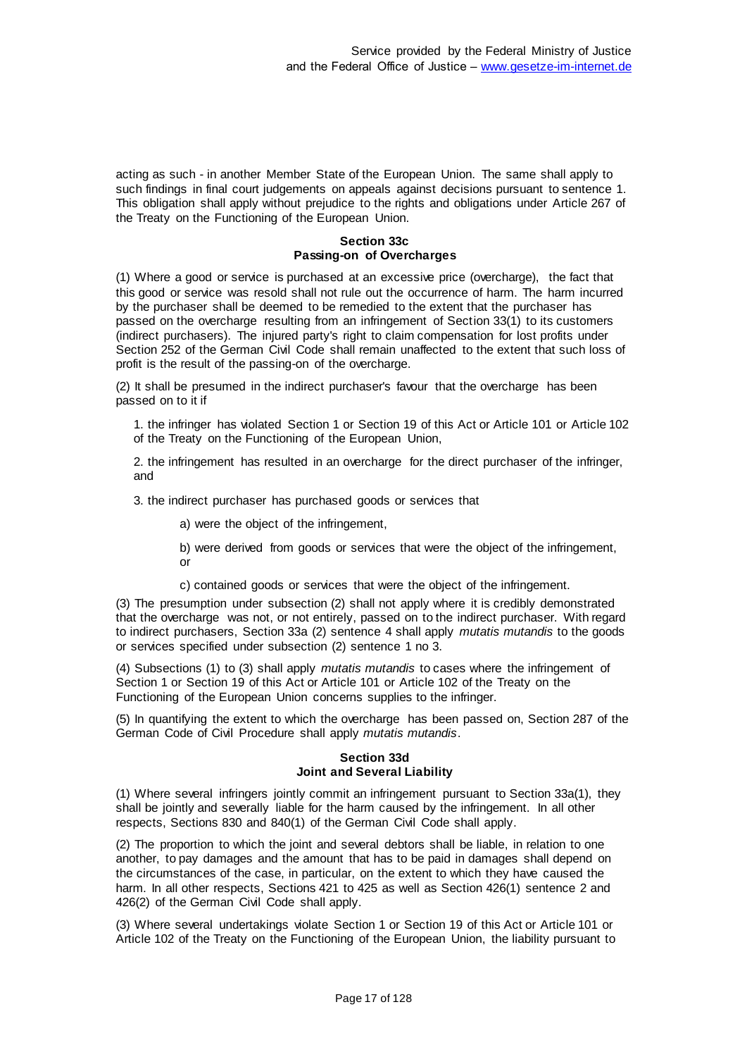acting as such - in another Member State of the European Union. The same shall apply to such findings in final court judgements on appeals against decisions pursuant to sentence 1. This obligation shall apply without prejudice to the rights and obligations under Article 267 of the Treaty on the Functioning of the European Union.

## **Section 33c Passing-on of Overcharges**

(1) Where a good or service is purchased at an excessive price (overcharge), the fact that this good or service was resold shall not rule out the occurrence of harm. The harm incurred by the purchaser shall be deemed to be remedied to the extent that the purchaser has passed on the overcharge resulting from an infringement of Section 33(1) to its customers (indirect purchasers). The injured party's right to claim compensation for lost profits under Section 252 of the German Civil Code shall remain unaffected to the extent that such loss of profit is the result of the passing-on of the overcharge.

(2) It shall be presumed in the indirect purchaser's favour that the overcharge has been passed on to it if

1. the infringer has violated Section 1 or Section 19 of this Act or Article 101 or Article 102 of the Treaty on the Functioning of the European Union,

2. the infringement has resulted in an overcharge for the direct purchaser of the infringer, and

3. the indirect purchaser has purchased goods or services that

a) were the object of the infringement,

b) were derived from goods or services that were the object of the infringement, or

c) contained goods or services that were the object of the infringement.

(3) The presumption under subsection (2) shall not apply where it is credibly demonstrated that the overcharge was not, or not entirely, passed on to the indirect purchaser. With regard to indirect purchasers, Section 33a (2) sentence 4 shall apply *mutatis mutandis* to the goods or services specified under subsection (2) sentence 1 no 3.

(4) Subsections (1) to (3) shall apply *mutatis mutandis* to cases where the infringement of Section 1 or Section 19 of this Act or Article 101 or Article 102 of the Treaty on the Functioning of the European Union concerns supplies to the infringer.

(5) In quantifying the extent to which the overcharge has been passed on, Section 287 of the German Code of Civil Procedure shall apply *mutatis mutandis*.

#### **Section 33d Joint and Several Liability**

(1) Where several infringers jointly commit an infringement pursuant to Section 33a(1), they shall be jointly and severally liable for the harm caused by the infringement. In all other respects, Sections 830 and 840(1) of the German Civil Code shall apply.

(2) The proportion to which the joint and several debtors shall be liable, in relation to one another, to pay damages and the amount that has to be paid in damages shall depend on the circumstances of the case, in particular, on the extent to which they have caused the harm. In all other respects, Sections 421 to 425 as well as Section 426(1) sentence 2 and 426(2) of the German Civil Code shall apply.

(3) Where several undertakings violate Section 1 or Section 19 of this Act or Article 101 or Article 102 of the Treaty on the Functioning of the European Union, the liability pursuant to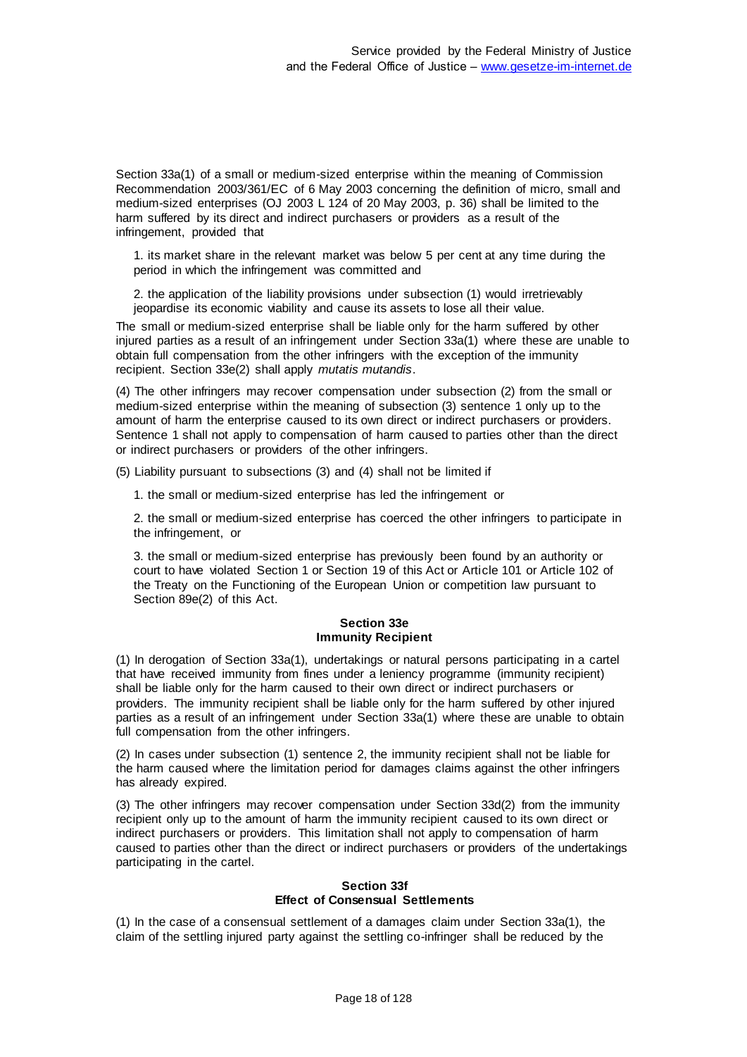Section 33a(1) of a small or medium-sized enterprise within the meaning of Commission Recommendation 2003/361/EC of 6 May 2003 concerning the definition of micro, small and medium-sized enterprises (OJ 2003 L 124 of 20 May 2003, p. 36) shall be limited to the harm suffered by its direct and indirect purchasers or providers as a result of the infringement, provided that

1. its market share in the relevant market was below 5 per cent at any time during the period in which the infringement was committed and

2. the application of the liability provisions under subsection (1) would irretrievably jeopardise its economic viability and cause its assets to lose all their value.

The small or medium-sized enterprise shall be liable only for the harm suffered by other injured parties as a result of an infringement under Section 33a(1) where these are unable to obtain full compensation from the other infringers with the exception of the immunity recipient. Section 33e(2) shall apply *mutatis mutandis*.

(4) The other infringers may recover compensation under subsection (2) from the small or medium-sized enterprise within the meaning of subsection (3) sentence 1 only up to the amount of harm the enterprise caused to its own direct or indirect purchasers or providers. Sentence 1 shall not apply to compensation of harm caused to parties other than the direct or indirect purchasers or providers of the other infringers.

(5) Liability pursuant to subsections (3) and (4) shall not be limited if

1. the small or medium-sized enterprise has led the infringement or

2. the small or medium-sized enterprise has coerced the other infringers to participate in the infringement, or

3. the small or medium-sized enterprise has previously been found by an authority or court to have violated Section 1 or Section 19 of this Act or Article 101 or Article 102 of the Treaty on the Functioning of the European Union or competition law pursuant to Section 89e(2) of this Act.

#### **Section 33e Immunity Recipient**

(1) In derogation of Section 33a(1), undertakings or natural persons participating in a cartel that have received immunity from fines under a leniency programme (immunity recipient) shall be liable only for the harm caused to their own direct or indirect purchasers or providers. The immunity recipient shall be liable only for the harm suffered by other injured parties as a result of an infringement under Section 33a(1) where these are unable to obtain full compensation from the other infringers.

(2) In cases under subsection (1) sentence 2, the immunity recipient shall not be liable for the harm caused where the limitation period for damages claims against the other infringers has already expired.

(3) The other infringers may recover compensation under Section 33d(2) from the immunity recipient only up to the amount of harm the immunity recipient caused to its own direct or indirect purchasers or providers. This limitation shall not apply to compensation of harm caused to parties other than the direct or indirect purchasers or providers of the undertakings participating in the cartel.

#### **Section 33f Effect of Consensual Settlements**

(1) In the case of a consensual settlement of a damages claim under Section 33a(1), the claim of the settling injured party against the settling co-infringer shall be reduced by the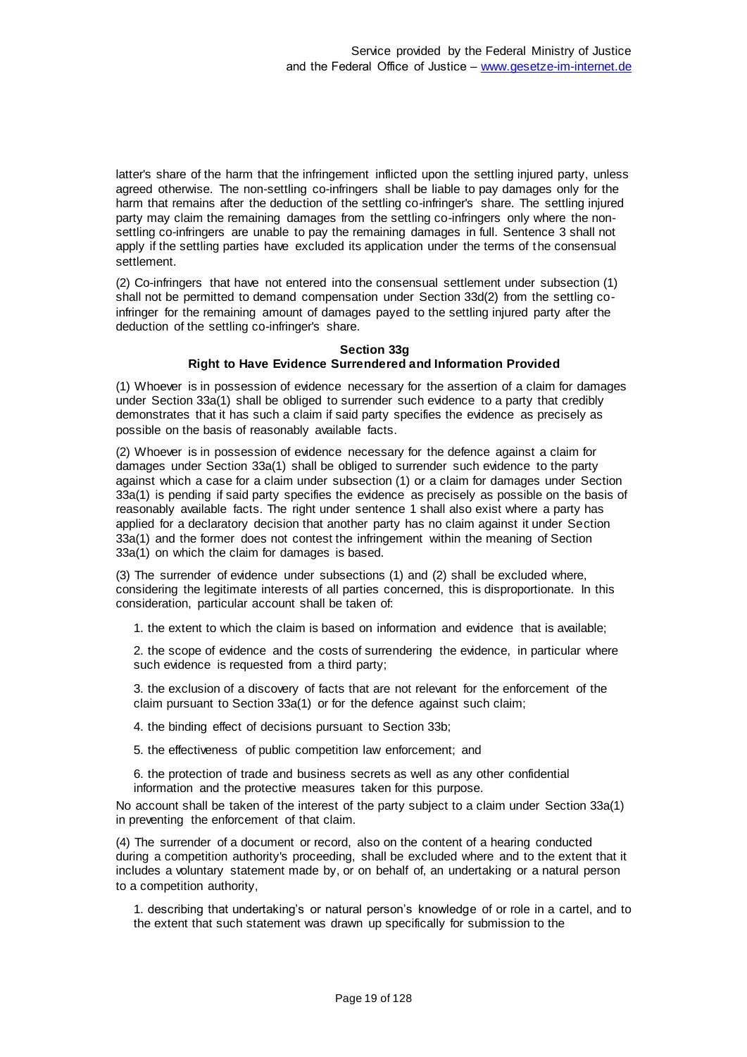latter's share of the harm that the infringement inflicted upon the settling injured party, unless agreed otherwise. The non-settling co-infringers shall be liable to pay damages only for the harm that remains after the deduction of the settling co-infringer's share. The settling injured party may claim the remaining damages from the settling co-infringers only where the nonsettling co-infringers are unable to pay the remaining damages in full. Sentence 3 shall not apply if the settling parties have excluded its application under the terms of the consensual settlement.

(2) Co-infringers that have not entered into the consensual settlement under subsection (1) shall not be permitted to demand compensation under Section 33d(2) from the settling coinfringer for the remaining amount of damages payed to the settling injured party after the deduction of the settling co-infringer's share.

## **Section 33g Right to Have Evidence Surrendered and Information Provided**

(1) Whoever is in possession of evidence necessary for the assertion of a claim for damages under Section 33a(1) shall be obliged to surrender such evidence to a party that credibly demonstrates that it has such a claim if said party specifies the evidence as precisely as possible on the basis of reasonably available facts.

(2) Whoever is in possession of evidence necessary for the defence against a claim for damages under Section 33a(1) shall be obliged to surrender such evidence to the party against which a case for a claim under subsection (1) or a claim for damages under Section 33a(1) is pending if said party specifies the evidence as precisely as possible on the basis of reasonably available facts. The right under sentence 1 shall also exist where a party has applied for a declaratory decision that another party has no claim against it under Section 33a(1) and the former does not contest the infringement within the meaning of Section 33a(1) on which the claim for damages is based.

(3) The surrender of evidence under subsections (1) and (2) shall be excluded where, considering the legitimate interests of all parties concerned, this is disproportionate. In this consideration, particular account shall be taken of:

1. the extent to which the claim is based on information and evidence that is available;

2. the scope of evidence and the costs of surrendering the evidence, in particular where such evidence is requested from a third party;

3. the exclusion of a discovery of facts that are not relevant for the enforcement of the claim pursuant to Section 33a(1) or for the defence against such claim;

4. the binding effect of decisions pursuant to Section 33b;

5. the effectiveness of public competition law enforcement; and

6. the protection of trade and business secrets as well as any other confidential information and the protective measures taken for this purpose.

No account shall be taken of the interest of the party subject to a claim under Section 33a(1) in preventing the enforcement of that claim.

(4) The surrender of a document or record, also on the content of a hearing conducted during a competition authority's proceeding, shall be excluded where and to the extent that it includes a voluntary statement made by, or on behalf of, an undertaking or a natural person to a competition authority,

1. describing that undertaking's or natural person's knowledge of or role in a cartel, and to the extent that such statement was drawn up specifically for submission to the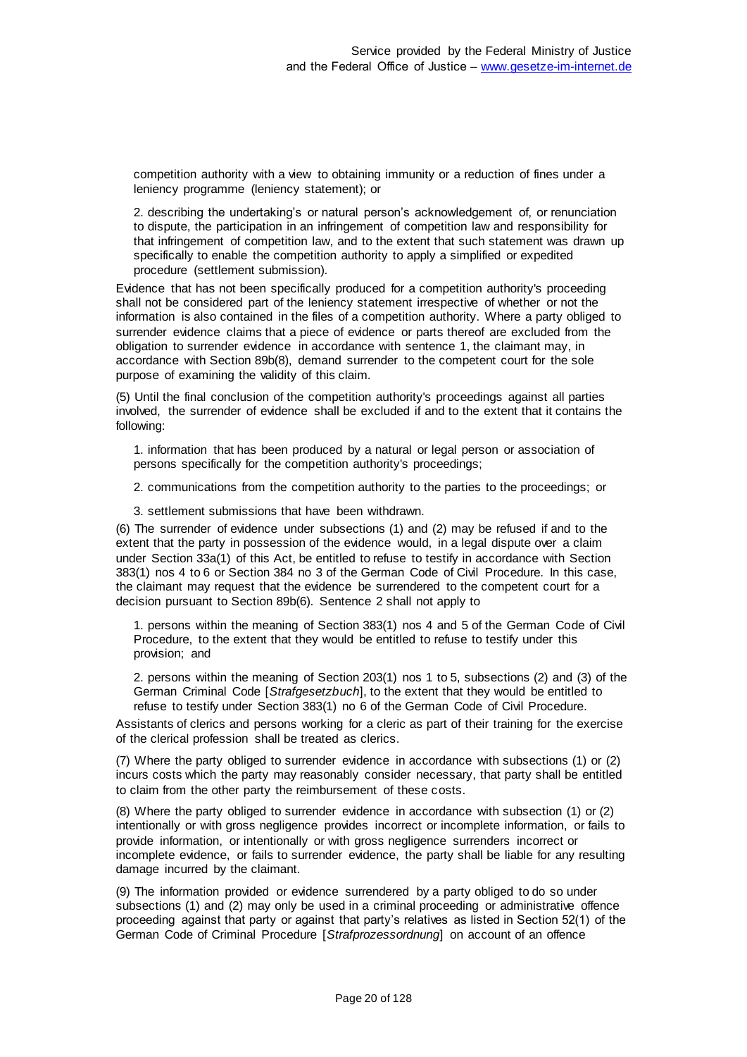competition authority with a view to obtaining immunity or a reduction of fines under a leniency programme (leniency statement); or

2. describing the undertaking's or natural person's acknowledgement of, or renunciation to dispute, the participation in an infringement of competition law and responsibility for that infringement of competition law, and to the extent that such statement was drawn up specifically to enable the competition authority to apply a simplified or expedited procedure (settlement submission).

Evidence that has not been specifically produced for a competition authority's proceeding shall not be considered part of the leniency statement irrespective of whether or not the information is also contained in the files of a competition authority. Where a party obliged to surrender evidence claims that a piece of evidence or parts thereof are excluded from the obligation to surrender evidence in accordance with sentence 1, the claimant may, in accordance with Section 89b(8), demand surrender to the competent court for the sole purpose of examining the validity of this claim.

(5) Until the final conclusion of the competition authority's proceedings against all parties involved, the surrender of evidence shall be excluded if and to the extent that it contains the following:

1. information that has been produced by a natural or legal person or association of persons specifically for the competition authority's proceedings;

2. communications from the competition authority to the parties to the proceedings; or

3. settlement submissions that have been withdrawn.

(6) The surrender of evidence under subsections (1) and (2) may be refused if and to the extent that the party in possession of the evidence would, in a legal dispute over a claim under Section 33a(1) of this Act, be entitled to refuse to testify in accordance with Section 383(1) nos 4 to 6 or Section 384 no 3 of the German Code of Civil Procedure. In this case, the claimant may request that the evidence be surrendered to the competent court for a decision pursuant to Section 89b(6). Sentence 2 shall not apply to

1. persons within the meaning of Section 383(1) nos 4 and 5 of the German Code of Civil Procedure, to the extent that they would be entitled to refuse to testify under this provision; and

2. persons within the meaning of Section 203(1) nos 1 to 5, subsections (2) and (3) of the German Criminal Code [*Strafgesetzbuch*], to the extent that they would be entitled to refuse to testify under Section 383(1) no 6 of the German Code of Civil Procedure.

Assistants of clerics and persons working for a cleric as part of their training for the exercise of the clerical profession shall be treated as clerics.

(7) Where the party obliged to surrender evidence in accordance with subsections (1) or (2) incurs costs which the party may reasonably consider necessary, that party shall be entitled to claim from the other party the reimbursement of these costs.

(8) Where the party obliged to surrender evidence in accordance with subsection (1) or (2) intentionally or with gross negligence provides incorrect or incomplete information, or fails to provide information, or intentionally or with gross negligence surrenders incorrect or incomplete evidence, or fails to surrender evidence, the party shall be liable for any resulting damage incurred by the claimant.

(9) The information provided or evidence surrendered by a party obliged to do so under subsections (1) and (2) may only be used in a criminal proceeding or administrative offence proceeding against that party or against that party's relatives as listed in Section 52(1) of the German Code of Criminal Procedure [*Strafprozessordnung*] on account of an offence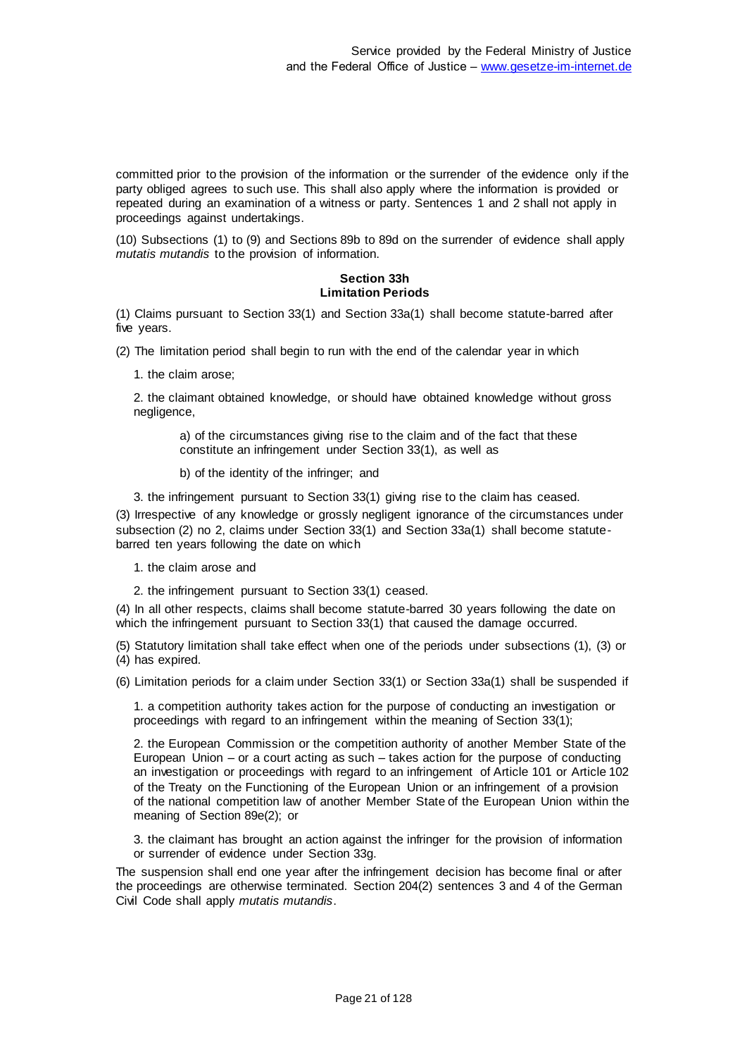committed prior to the provision of the information or the surrender of the evidence only if the party obliged agrees to such use. This shall also apply where the information is provided or repeated during an examination of a witness or party. Sentences 1 and 2 shall not apply in proceedings against undertakings.

(10) Subsections (1) to (9) and Sections 89b to 89d on the surrender of evidence shall apply *mutatis mutandis* to the provision of information.

## **Section 33h Limitation Periods**

(1) Claims pursuant to Section 33(1) and Section 33a(1) shall become statute-barred after five years.

(2) The limitation period shall begin to run with the end of the calendar year in which

1. the claim arose;

2. the claimant obtained knowledge, or should have obtained knowledge without gross negligence,

a) of the circumstances giving rise to the claim and of the fact that these constitute an infringement under Section 33(1), as well as

b) of the identity of the infringer; and

3. the infringement pursuant to Section 33(1) giving rise to the claim has ceased.

(3) Irrespective of any knowledge or grossly negligent ignorance of the circumstances under subsection (2) no 2, claims under Section 33(1) and Section 33a(1) shall become statutebarred ten years following the date on which

1. the claim arose and

2. the infringement pursuant to Section 33(1) ceased.

(4) In all other respects, claims shall become statute-barred 30 years following the date on which the infringement pursuant to Section 33(1) that caused the damage occurred.

(5) Statutory limitation shall take effect when one of the periods under subsections (1), (3) or (4) has expired.

(6) Limitation periods for a claim under Section 33(1) or Section 33a(1) shall be suspended if

1. a competition authority takes action for the purpose of conducting an investigation or proceedings with regard to an infringement within the meaning of Section 33(1);

2. the European Commission or the competition authority of another Member State of the European Union – or a court acting as such – takes action for the purpose of conducting an investigation or proceedings with regard to an infringement of Article 101 or Article 102 of the Treaty on the Functioning of the European Union or an infringement of a provision of the national competition law of another Member State of the European Union within the meaning of Section 89e(2); or

3. the claimant has brought an action against the infringer for the provision of information or surrender of evidence under Section 33g.

The suspension shall end one year after the infringement decision has become final or after the proceedings are otherwise terminated. Section 204(2) sentences 3 and 4 of the German Civil Code shall apply *mutatis mutandis*.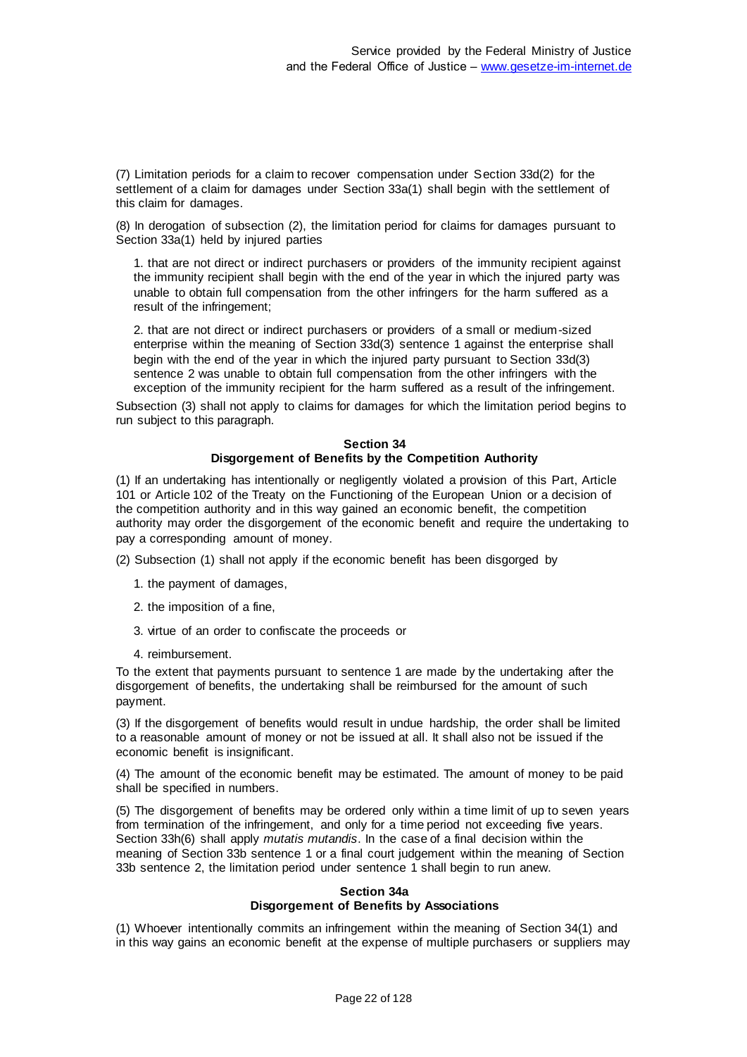(7) Limitation periods for a claim to recover compensation under Section 33d(2) for the settlement of a claim for damages under Section 33a(1) shall begin with the settlement of this claim for damages.

(8) In derogation of subsection (2), the limitation period for claims for damages pursuant to Section 33a(1) held by injured parties

1. that are not direct or indirect purchasers or providers of the immunity recipient against the immunity recipient shall begin with the end of the year in which the injured party was unable to obtain full compensation from the other infringers for the harm suffered as a result of the infringement;

2. that are not direct or indirect purchasers or providers of a small or medium-sized enterprise within the meaning of Section 33d(3) sentence 1 against the enterprise shall begin with the end of the year in which the injured party pursuant to Section 33d(3) sentence 2 was unable to obtain full compensation from the other infringers with the exception of the immunity recipient for the harm suffered as a result of the infringement.

Subsection (3) shall not apply to claims for damages for which the limitation period begins to run subject to this paragraph.

#### **Section 34 Disgorgement of Benefits by the Competition Authority**

(1) If an undertaking has intentionally or negligently violated a provision of this Part, Article 101 or Article 102 of the Treaty on the Functioning of the European Union or a decision of the competition authority and in this way gained an economic benefit, the competition authority may order the disgorgement of the economic benefit and require the undertaking to pay a corresponding amount of money.

(2) Subsection (1) shall not apply if the economic benefit has been disgorged by

- 1. the payment of damages,
- 2. the imposition of a fine,
- 3. virtue of an order to confiscate the proceeds or
- 4. reimbursement.

To the extent that payments pursuant to sentence 1 are made by the undertaking after the disgorgement of benefits, the undertaking shall be reimbursed for the amount of such payment.

(3) If the disgorgement of benefits would result in undue hardship, the order shall be limited to a reasonable amount of money or not be issued at all. It shall also not be issued if the economic benefit is insignificant.

(4) The amount of the economic benefit may be estimated. The amount of money to be paid shall be specified in numbers.

(5) The disgorgement of benefits may be ordered only within a time limit of up to seven years from termination of the infringement, and only for a time period not exceeding five years. Section 33h(6) shall apply *mutatis mutandis*. In the case of a final decision within the meaning of Section 33b sentence 1 or a final court judgement within the meaning of Section 33b sentence 2, the limitation period under sentence 1 shall begin to run anew.

#### **Section 34a Disgorgement of Benefits by Associations**

(1) Whoever intentionally commits an infringement within the meaning of Section 34(1) and in this way gains an economic benefit at the expense of multiple purchasers or suppliers may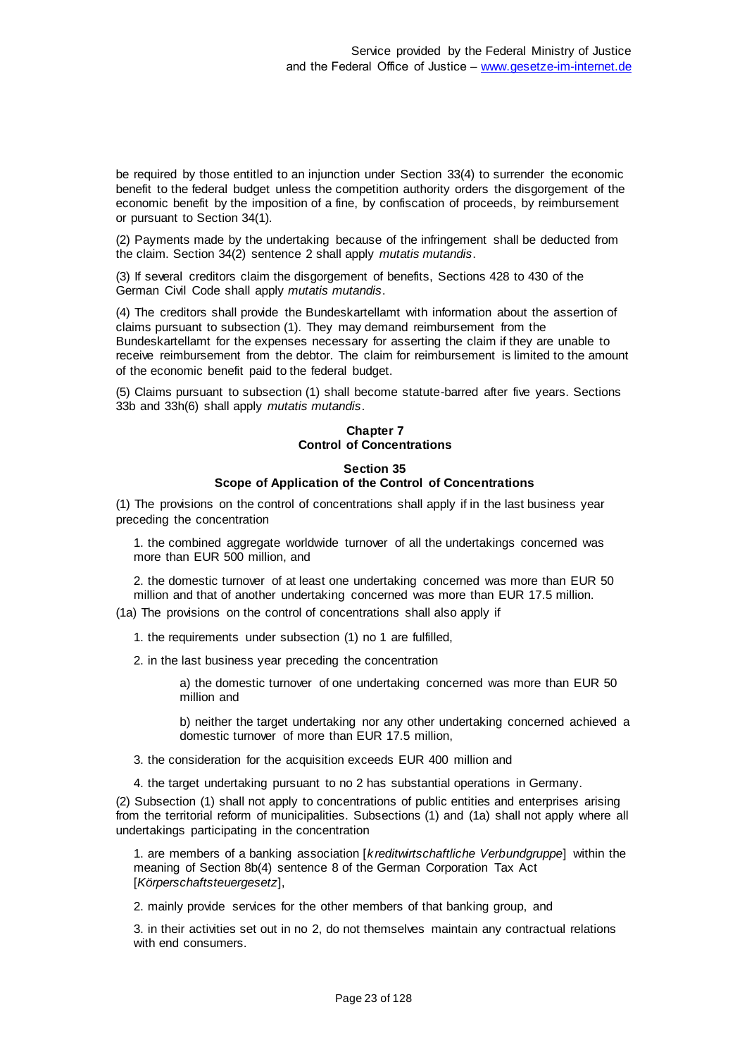be required by those entitled to an injunction under Section 33(4) to surrender the economic benefit to the federal budget unless the competition authority orders the disgorgement of the economic benefit by the imposition of a fine, by confiscation of proceeds, by reimbursement or pursuant to Section 34(1).

(2) Payments made by the undertaking because of the infringement shall be deducted from the claim. Section 34(2) sentence 2 shall apply *mutatis mutandis*.

(3) If several creditors claim the disgorgement of benefits, Sections 428 to 430 of the German Civil Code shall apply *mutatis mutandis*.

(4) The creditors shall provide the Bundeskartellamt with information about the assertion of claims pursuant to subsection (1). They may demand reimbursement from the Bundeskartellamt for the expenses necessary for asserting the claim if they are unable to receive reimbursement from the debtor. The claim for reimbursement is limited to the amount of the economic benefit paid to the federal budget.

(5) Claims pursuant to subsection (1) shall become statute-barred after five years. Sections 33b and 33h(6) shall apply *mutatis mutandis*.

#### **Chapter 7 Control of Concentrations**

# **Section 35 Scope of Application of the Control of Concentrations**

(1) The provisions on the control of concentrations shall apply if in the last business year preceding the concentration

1. the combined aggregate worldwide turnover of all the undertakings concerned was more than EUR 500 million, and

2. the domestic turnover of at least one undertaking concerned was more than EUR 50 million and that of another undertaking concerned was more than EUR 17.5 million.

(1a) The provisions on the control of concentrations shall also apply if

1. the requirements under subsection (1) no 1 are fulfilled,

2. in the last business year preceding the concentration

a) the domestic turnover of one undertaking concerned was more than EUR 50 million and

b) neither the target undertaking nor any other undertaking concerned achieved a domestic turnover of more than EUR 17.5 million,

3. the consideration for the acquisition exceeds EUR 400 million and

4. the target undertaking pursuant to no 2 has substantial operations in Germany.

(2) Subsection (1) shall not apply to concentrations of public entities and enterprises arising from the territorial reform of municipalities. Subsections (1) and (1a) shall not apply where all undertakings participating in the concentration

1. are members of a banking association [*kreditwirtschaftliche Verbundgruppe*] within the meaning of Section 8b(4) sentence 8 of the German Corporation Tax Act [*Körperschaftsteuergesetz*],

2. mainly provide services for the other members of that banking group, and

3. in their activities set out in no 2, do not themselves maintain any contractual relations with end consumers.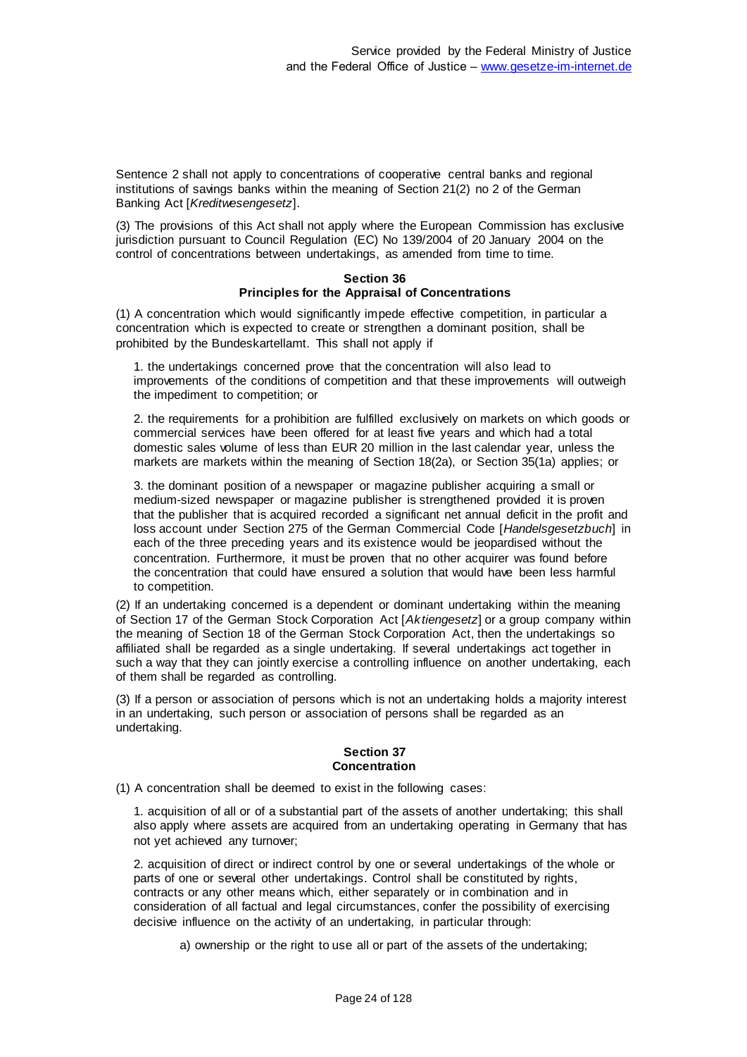Sentence 2 shall not apply to concentrations of cooperative central banks and regional institutions of savings banks within the meaning of Section 21(2) no 2 of the German Banking Act [*Kreditwesengesetz*].

(3) The provisions of this Act shall not apply where the European Commission has exclusive jurisdiction pursuant to Council Regulation (EC) No 139/2004 of 20 January 2004 on the control of concentrations between undertakings, as amended from time to time.

#### **Section 36 Principles for the Appraisal of Concentrations**

(1) A concentration which would significantly impede effective competition, in particular a concentration which is expected to create or strengthen a dominant position, shall be prohibited by the Bundeskartellamt. This shall not apply if

1. the undertakings concerned prove that the concentration will also lead to improvements of the conditions of competition and that these improvements will outweigh the impediment to competition; or

2. the requirements for a prohibition are fulfilled exclusively on markets on which goods or commercial services have been offered for at least five years and which had a total domestic sales volume of less than EUR 20 million in the last calendar year, unless the markets are markets within the meaning of Section 18(2a), or Section 35(1a) applies; or

3. the dominant position of a newspaper or magazine publisher acquiring a small or medium-sized newspaper or magazine publisher is strengthened provided it is proven that the publisher that is acquired recorded a significant net annual deficit in the profit and loss account under Section 275 of the German Commercial Code [*Handelsgesetzbuch*] in each of the three preceding years and its existence would be jeopardised without the concentration. Furthermore, it must be proven that no other acquirer was found before the concentration that could have ensured a solution that would have been less harmful to competition.

(2) If an undertaking concerned is a dependent or dominant undertaking within the meaning of Section 17 of the German Stock Corporation Act [*Aktiengesetz*] or a group company within the meaning of Section 18 of the German Stock Corporation Act, then the undertakings so affiliated shall be regarded as a single undertaking. If several undertakings act together in such a way that they can jointly exercise a controlling influence on another undertaking, each of them shall be regarded as controlling.

(3) If a person or association of persons which is not an undertaking holds a majority interest in an undertaking, such person or association of persons shall be regarded as an undertaking.

## **Section 37 Concentration**

(1) A concentration shall be deemed to exist in the following cases:

1. acquisition of all or of a substantial part of the assets of another undertaking; this shall also apply where assets are acquired from an undertaking operating in Germany that has not yet achieved any turnover;

2. acquisition of direct or indirect control by one or several undertakings of the whole or parts of one or several other undertakings. Control shall be constituted by rights, contracts or any other means which, either separately or in combination and in consideration of all factual and legal circumstances, confer the possibility of exercising decisive influence on the activity of an undertaking, in particular through:

a) ownership or the right to use all or part of the assets of the undertaking;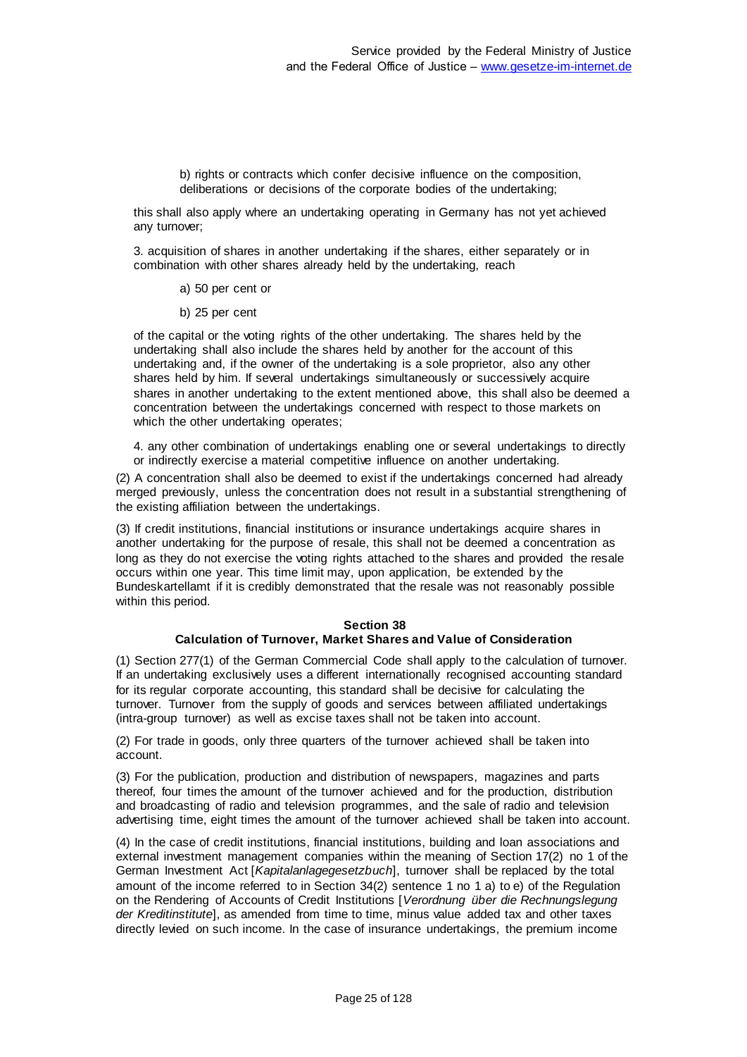b) rights or contracts which confer decisive influence on the composition, deliberations or decisions of the corporate bodies of the undertaking;

this shall also apply where an undertaking operating in Germany has not yet achieved any turnover;

3. acquisition of shares in another undertaking if the shares, either separately or in combination with other shares already held by the undertaking, reach

a) 50 per cent or

b) 25 per cent

of the capital or the voting rights of the other undertaking. The shares held by the undertaking shall also include the shares held by another for the account of this undertaking and, if the owner of the undertaking is a sole proprietor, also any other shares held by him. If several undertakings simultaneously or successively acquire shares in another undertaking to the extent mentioned above, this shall also be deemed a concentration between the undertakings concerned with respect to those markets on which the other undertaking operates;

4. any other combination of undertakings enabling one or several undertakings to directly or indirectly exercise a material competitive influence on another undertaking.

(2) A concentration shall also be deemed to exist if the undertakings concerned had already merged previously, unless the concentration does not result in a substantial strengthening of the existing affiliation between the undertakings.

(3) If credit institutions, financial institutions or insurance undertakings acquire shares in another undertaking for the purpose of resale, this shall not be deemed a concentration as long as they do not exercise the voting rights attached to the shares and provided the resale occurs within one year. This time limit may, upon application, be extended by the Bundeskartellamt if it is credibly demonstrated that the resale was not reasonably possible within this period.

#### **Section 38**

## **Calculation of Turnover, Market Shares and Value of Consideration**

(1) Section 277(1) of the German Commercial Code shall apply to the calculation of turnover. If an undertaking exclusively uses a different internationally recognised accounting standard for its regular corporate accounting, this standard shall be decisive for calculating the turnover. Turnover from the supply of goods and services between affiliated undertakings (intra-group turnover) as well as excise taxes shall not be taken into account.

(2) For trade in goods, only three quarters of the turnover achieved shall be taken into account.

(3) For the publication, production and distribution of newspapers, magazines and parts thereof, four times the amount of the turnover achieved and for the production, distribution and broadcasting of radio and television programmes, and the sale of radio and television advertising time, eight times the amount of the turnover achieved shall be taken into account.

(4) In the case of credit institutions, financial institutions, building and loan associations and external investment management companies within the meaning of Section 17(2) no 1 of the German Investment Act [*Kapitalanlagegesetzbuch*], turnover shall be replaced by the total amount of the income referred to in Section 34(2) sentence 1 no 1 a) to e) of the Regulation on the Rendering of Accounts of Credit Institutions [*Verordnung über die Rechnungslegung der Kreditinstitute*], as amended from time to time, minus value added tax and other taxes directly levied on such income. In the case of insurance undertakings, the premium income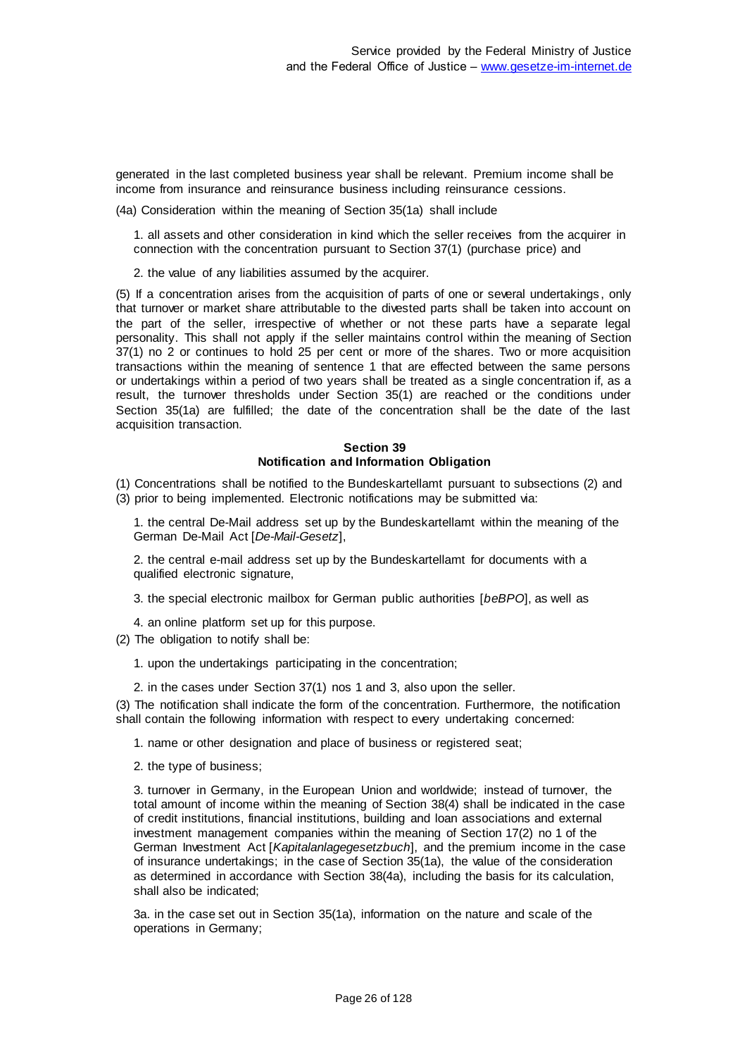generated in the last completed business year shall be relevant. Premium income shall be income from insurance and reinsurance business including reinsurance cessions.

(4a) Consideration within the meaning of Section 35(1a) shall include

1. all assets and other consideration in kind which the seller receives from the acquirer in connection with the concentration pursuant to Section 37(1) (purchase price) and

2. the value of any liabilities assumed by the acquirer.

(5) If a concentration arises from the acquisition of parts of one or several undertakings , only that turnover or market share attributable to the divested parts shall be taken into account on the part of the seller, irrespective of whether or not these parts have a separate legal personality. This shall not apply if the seller maintains control within the meaning of Section 37(1) no 2 or continues to hold 25 per cent or more of the shares. Two or more acquisition transactions within the meaning of sentence 1 that are effected between the same persons or undertakings within a period of two years shall be treated as a single concentration if, as a result, the turnover thresholds under Section 35(1) are reached or the conditions under Section 35(1a) are fulfilled; the date of the concentration shall be the date of the last acquisition transaction.

#### **Section 39 Notification and Information Obligation**

(1) Concentrations shall be notified to the Bundeskartellamt pursuant to subsections (2) and (3) prior to being implemented. Electronic notifications may be submitted via:

1. the central De-Mail address set up by the Bundeskartellamt within the meaning of the German De-Mail Act [*De-Mail-Gesetz*],

2. the central e-mail address set up by the Bundeskartellamt for documents with a qualified electronic signature,

3. the special electronic mailbox for German public authorities [*beBPO*], as well as

4. an online platform set up for this purpose.

(2) The obligation to notify shall be:

1. upon the undertakings participating in the concentration;

2. in the cases under Section 37(1) nos 1 and 3, also upon the seller.

(3) The notification shall indicate the form of the concentration. Furthermore, the notification shall contain the following information with respect to every undertaking concerned:

1. name or other designation and place of business or registered seat;

2. the type of business;

3. turnover in Germany, in the European Union and worldwide; instead of turnover, the total amount of income within the meaning of Section 38(4) shall be indicated in the case of credit institutions, financial institutions, building and loan associations and external investment management companies within the meaning of Section 17(2) no 1 of the German Investment Act [*Kapitalanlagegesetzbuch*], and the premium income in the case of insurance undertakings; in the case of Section 35(1a), the value of the consideration as determined in accordance with Section 38(4a), including the basis for its calculation, shall also be indicated;

3a. in the case set out in Section 35(1a), information on the nature and scale of the operations in Germany;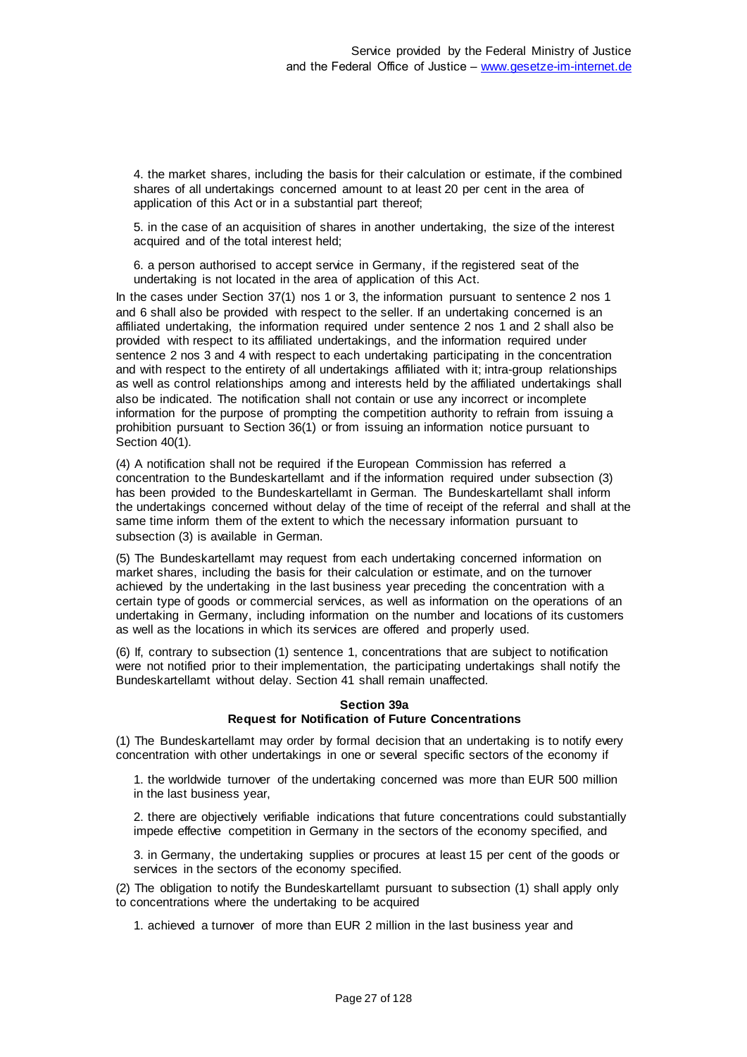4. the market shares, including the basis for their calculation or estimate, if the combined shares of all undertakings concerned amount to at least 20 per cent in the area of application of this Act or in a substantial part thereof;

5. in the case of an acquisition of shares in another undertaking, the size of the interest acquired and of the total interest held;

6. a person authorised to accept service in Germany, if the registered seat of the undertaking is not located in the area of application of this Act.

In the cases under Section 37(1) nos 1 or 3, the information pursuant to sentence 2 nos 1 and 6 shall also be provided with respect to the seller. If an undertaking concerned is an affiliated undertaking, the information required under sentence 2 nos 1 and 2 shall also be provided with respect to its affiliated undertakings, and the information required under sentence 2 nos 3 and 4 with respect to each undertaking participating in the concentration and with respect to the entirety of all undertakings affiliated with it; intra-group relationships as well as control relationships among and interests held by the affiliated undertakings shall also be indicated. The notification shall not contain or use any incorrect or incomplete information for the purpose of prompting the competition authority to refrain from issuing a prohibition pursuant to Section 36(1) or from issuing an information notice pursuant to Section 40(1).

(4) A notification shall not be required if the European Commission has referred a concentration to the Bundeskartellamt and if the information required under subsection (3) has been provided to the Bundeskartellamt in German. The Bundeskartellamt shall inform the undertakings concerned without delay of the time of receipt of the referral and shall at the same time inform them of the extent to which the necessary information pursuant to subsection (3) is available in German.

(5) The Bundeskartellamt may request from each undertaking concerned information on market shares, including the basis for their calculation or estimate, and on the turnover achieved by the undertaking in the last business year preceding the concentration with a certain type of goods or commercial services, as well as information on the operations of an undertaking in Germany, including information on the number and locations of its customers as well as the locations in which its services are offered and properly used.

(6) If, contrary to subsection (1) sentence 1, concentrations that are subject to notification were not notified prior to their implementation, the participating undertakings shall notify the Bundeskartellamt without delay. Section 41 shall remain unaffected.

## **Section 39a Request for Notification of Future Concentrations**

(1) The Bundeskartellamt may order by formal decision that an undertaking is to notify every concentration with other undertakings in one or several specific sectors of the economy if

1. the worldwide turnover of the undertaking concerned was more than EUR 500 million in the last business year,

2. there are objectively verifiable indications that future concentrations could substantially impede effective competition in Germany in the sectors of the economy specified, and

3. in Germany, the undertaking supplies or procures at least 15 per cent of the goods or services in the sectors of the economy specified.

(2) The obligation to notify the Bundeskartellamt pursuant to subsection (1) shall apply only to concentrations where the undertaking to be acquired

1. achieved a turnover of more than EUR 2 million in the last business year and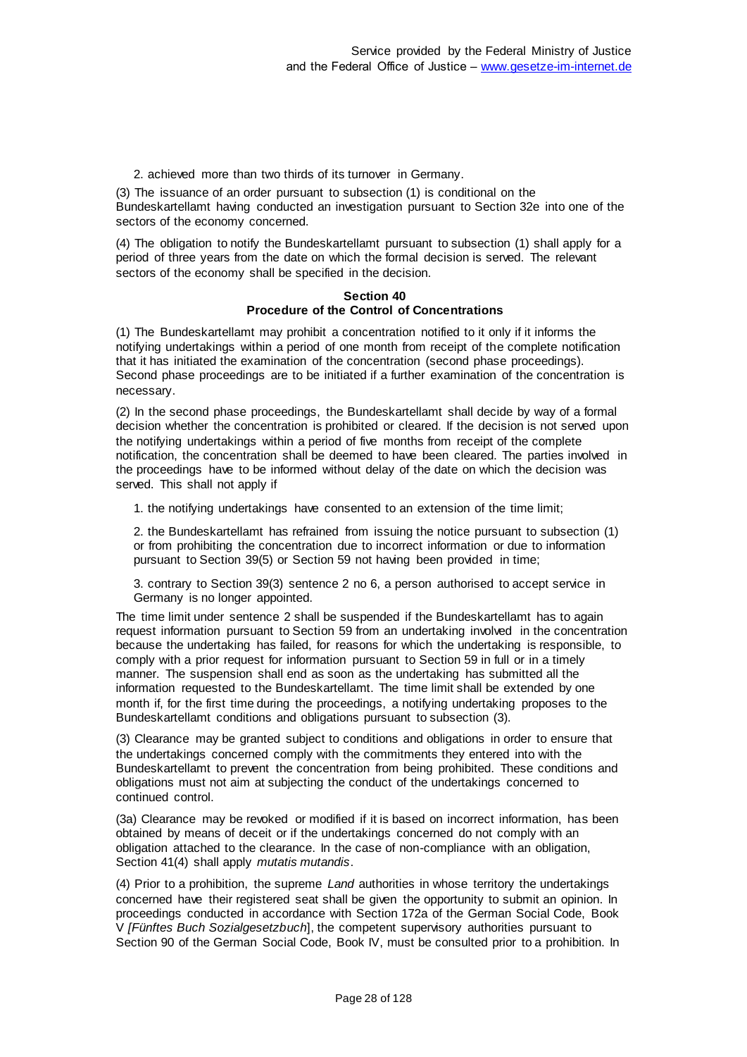2. achieved more than two thirds of its turnover in Germany.

(3) The issuance of an order pursuant to subsection (1) is conditional on the Bundeskartellamt having conducted an investigation pursuant to Section 32e into one of the sectors of the economy concerned.

(4) The obligation to notify the Bundeskartellamt pursuant to subsection (1) shall apply for a period of three years from the date on which the formal decision is served. The relevant sectors of the economy shall be specified in the decision.

## **Section 40 Procedure of the Control of Concentrations**

(1) The Bundeskartellamt may prohibit a concentration notified to it only if it informs the notifying undertakings within a period of one month from receipt of the complete notification that it has initiated the examination of the concentration (second phase proceedings). Second phase proceedings are to be initiated if a further examination of the concentration is necessary.

(2) In the second phase proceedings, the Bundeskartellamt shall decide by way of a formal decision whether the concentration is prohibited or cleared. If the decision is not served upon the notifying undertakings within a period of five months from receipt of the complete notification, the concentration shall be deemed to have been cleared. The parties involved in the proceedings have to be informed without delay of the date on which the decision was served. This shall not apply if

1. the notifying undertakings have consented to an extension of the time limit;

2. the Bundeskartellamt has refrained from issuing the notice pursuant to subsection (1) or from prohibiting the concentration due to incorrect information or due to information pursuant to Section 39(5) or Section 59 not having been provided in time;

3. contrary to Section 39(3) sentence 2 no 6, a person authorised to accept service in Germany is no longer appointed.

The time limit under sentence 2 shall be suspended if the Bundeskartellamt has to again request information pursuant to Section 59 from an undertaking involved in the concentration because the undertaking has failed, for reasons for which the undertaking is responsible, to comply with a prior request for information pursuant to Section 59 in full or in a timely manner. The suspension shall end as soon as the undertaking has submitted all the information requested to the Bundeskartellamt. The time limit shall be extended by one month if, for the first time during the proceedings, a notifying undertaking proposes to the Bundeskartellamt conditions and obligations pursuant to subsection (3).

(3) Clearance may be granted subject to conditions and obligations in order to ensure that the undertakings concerned comply with the commitments they entered into with the Bundeskartellamt to prevent the concentration from being prohibited. These conditions and obligations must not aim at subjecting the conduct of the undertakings concerned to continued control.

(3a) Clearance may be revoked or modified if it is based on incorrect information, has been obtained by means of deceit or if the undertakings concerned do not comply with an obligation attached to the clearance. In the case of non-compliance with an obligation, Section 41(4) shall apply *mutatis mutandis*.

(4) Prior to a prohibition, the supreme *Land* authorities in whose territory the undertakings concerned have their registered seat shall be given the opportunity to submit an opinion. In proceedings conducted in accordance with Section 172a of the German Social Code, Book V *[Fünftes Buch Sozialgesetzbuch*], the competent supervisory authorities pursuant to Section 90 of the German Social Code, Book IV, must be consulted prior to a prohibition. In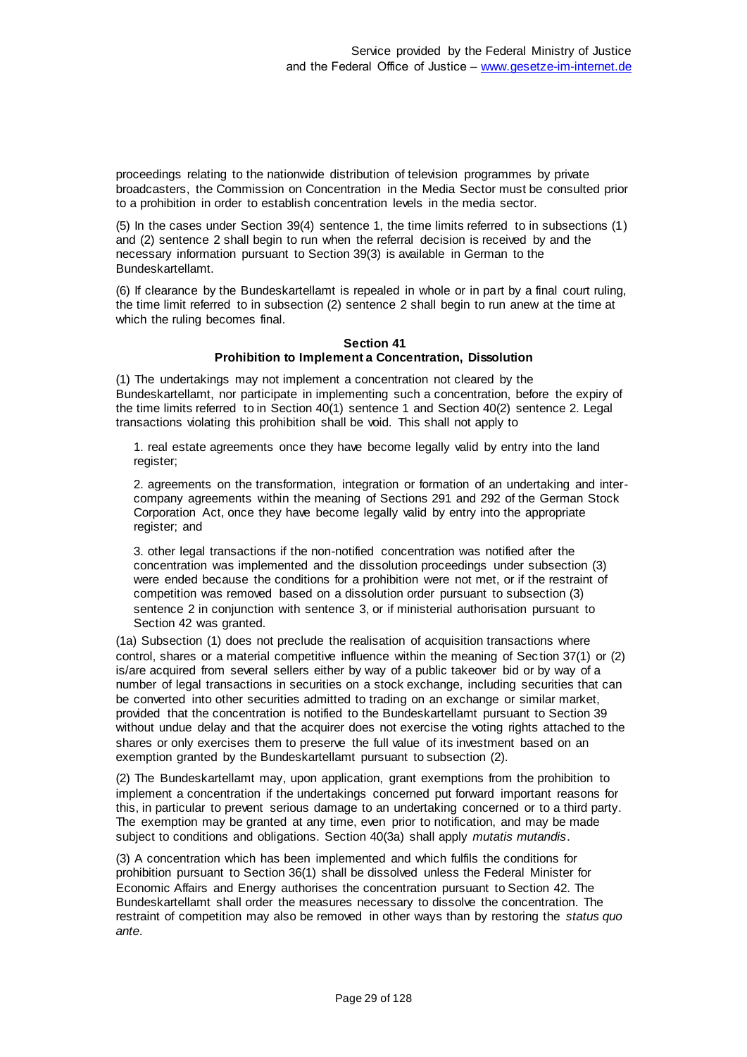proceedings relating to the nationwide distribution of television programmes by private broadcasters, the Commission on Concentration in the Media Sector must be consulted prior to a prohibition in order to establish concentration levels in the media sector.

(5) In the cases under Section 39(4) sentence 1, the time limits referred to in subsections (1) and (2) sentence 2 shall begin to run when the referral decision is received by and the necessary information pursuant to Section 39(3) is available in German to the Bundeskartellamt.

(6) If clearance by the Bundeskartellamt is repealed in whole or in part by a final court ruling, the time limit referred to in subsection (2) sentence 2 shall begin to run anew at the time at which the ruling becomes final.

#### **Section 41 Prohibition to Implement a Concentration, Dissolution**

(1) The undertakings may not implement a concentration not cleared by the Bundeskartellamt, nor participate in implementing such a concentration, before the expiry of the time limits referred to in Section 40(1) sentence 1 and Section 40(2) sentence 2. Legal transactions violating this prohibition shall be void. This shall not apply to

1. real estate agreements once they have become legally valid by entry into the land register;

2. agreements on the transformation, integration or formation of an undertaking and intercompany agreements within the meaning of Sections 291 and 292 of the German Stock Corporation Act, once they have become legally valid by entry into the appropriate register; and

3. other legal transactions if the non-notified concentration was notified after the concentration was implemented and the dissolution proceedings under subsection (3) were ended because the conditions for a prohibition were not met, or if the restraint of competition was removed based on a dissolution order pursuant to subsection (3) sentence 2 in conjunction with sentence 3, or if ministerial authorisation pursuant to Section 42 was granted.

(1a) Subsection (1) does not preclude the realisation of acquisition transactions where control, shares or a material competitive influence within the meaning of Section 37(1) or (2) is/are acquired from several sellers either by way of a public takeover bid or by way of a number of legal transactions in securities on a stock exchange, including securities that can be converted into other securities admitted to trading on an exchange or similar market, provided that the concentration is notified to the Bundeskartellamt pursuant to Section 39 without undue delay and that the acquirer does not exercise the voting rights attached to the shares or only exercises them to preserve the full value of its investment based on an exemption granted by the Bundeskartellamt pursuant to subsection (2).

(2) The Bundeskartellamt may, upon application, grant exemptions from the prohibition to implement a concentration if the undertakings concerned put forward important reasons for this, in particular to prevent serious damage to an undertaking concerned or to a third party. The exemption may be granted at any time, even prior to notification, and may be made subject to conditions and obligations. Section 40(3a) shall apply *mutatis mutandis*.

(3) A concentration which has been implemented and which fulfils the conditions for prohibition pursuant to Section 36(1) shall be dissolved unless the Federal Minister for Economic Affairs and Energy authorises the concentration pursuant to Section 42. The Bundeskartellamt shall order the measures necessary to dissolve the concentration. The restraint of competition may also be removed in other ways than by restoring the *status quo ante*.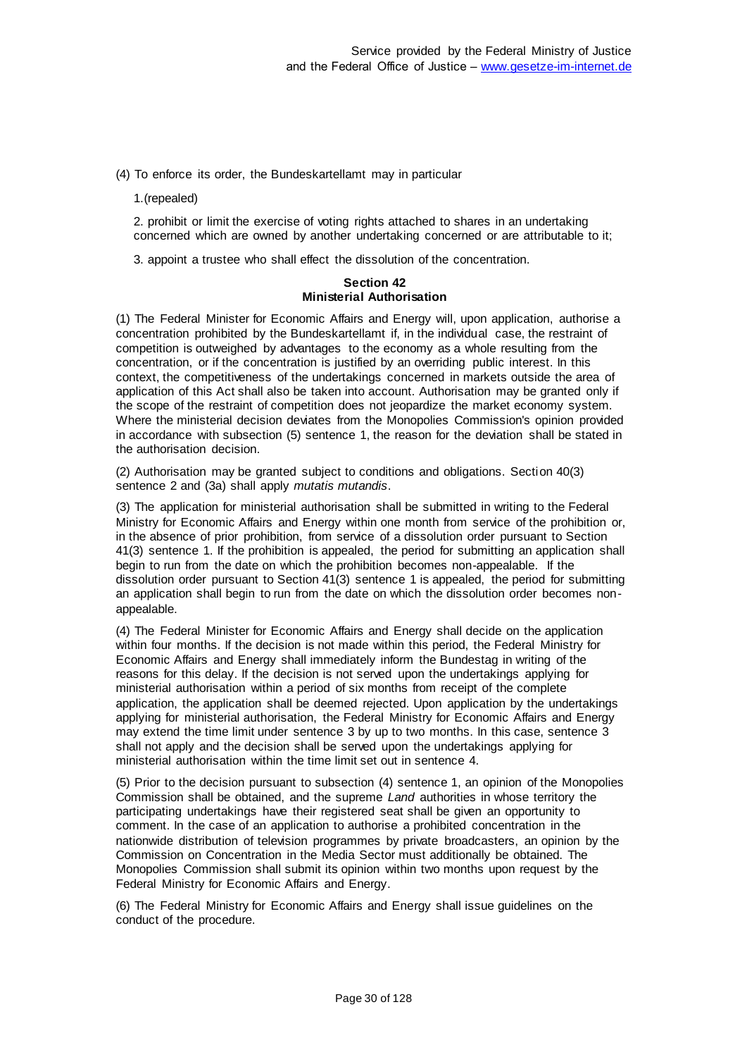(4) To enforce its order, the Bundeskartellamt may in particular

1.(repealed)

2. prohibit or limit the exercise of voting rights attached to shares in an undertaking concerned which are owned by another undertaking concerned or are attributable to it;

3. appoint a trustee who shall effect the dissolution of the concentration.

## **Section 42 Ministerial Authorisation**

(1) The Federal Minister for Economic Affairs and Energy will, upon application, authorise a concentration prohibited by the Bundeskartellamt if, in the individual case, the restraint of competition is outweighed by advantages to the economy as a whole resulting from the concentration, or if the concentration is justified by an overriding public interest. In this context, the competitiveness of the undertakings concerned in markets outside the area of application of this Act shall also be taken into account. Authorisation may be granted only if the scope of the restraint of competition does not jeopardize the market economy system. Where the ministerial decision deviates from the Monopolies Commission's opinion provided in accordance with subsection (5) sentence 1, the reason for the deviation shall be stated in the authorisation decision.

(2) Authorisation may be granted subject to conditions and obligations. Section 40(3) sentence 2 and (3a) shall apply *mutatis mutandis*.

(3) The application for ministerial authorisation shall be submitted in writing to the Federal Ministry for Economic Affairs and Energy within one month from service of the prohibition or, in the absence of prior prohibition, from service of a dissolution order pursuant to Section 41(3) sentence 1. If the prohibition is appealed, the period for submitting an application shall begin to run from the date on which the prohibition becomes non-appealable. If the dissolution order pursuant to Section 41(3) sentence 1 is appealed, the period for submitting an application shall begin to run from the date on which the dissolution order becomes nonappealable.

(4) The Federal Minister for Economic Affairs and Energy shall decide on the application within four months. If the decision is not made within this period, the Federal Ministry for Economic Affairs and Energy shall immediately inform the Bundestag in writing of the reasons for this delay. If the decision is not served upon the undertakings applying for ministerial authorisation within a period of six months from receipt of the complete application, the application shall be deemed rejected. Upon application by the undertakings applying for ministerial authorisation, the Federal Ministry for Economic Affairs and Energy may extend the time limit under sentence 3 by up to two months. In this case, sentence 3 shall not apply and the decision shall be served upon the undertakings applying for ministerial authorisation within the time limit set out in sentence 4.

(5) Prior to the decision pursuant to subsection (4) sentence 1, an opinion of the Monopolies Commission shall be obtained, and the supreme *Land* authorities in whose territory the participating undertakings have their registered seat shall be given an opportunity to comment. In the case of an application to authorise a prohibited concentration in the nationwide distribution of television programmes by private broadcasters, an opinion by the Commission on Concentration in the Media Sector must additionally be obtained. The Monopolies Commission shall submit its opinion within two months upon request by the Federal Ministry for Economic Affairs and Energy.

(6) The Federal Ministry for Economic Affairs and Energy shall issue guidelines on the conduct of the procedure.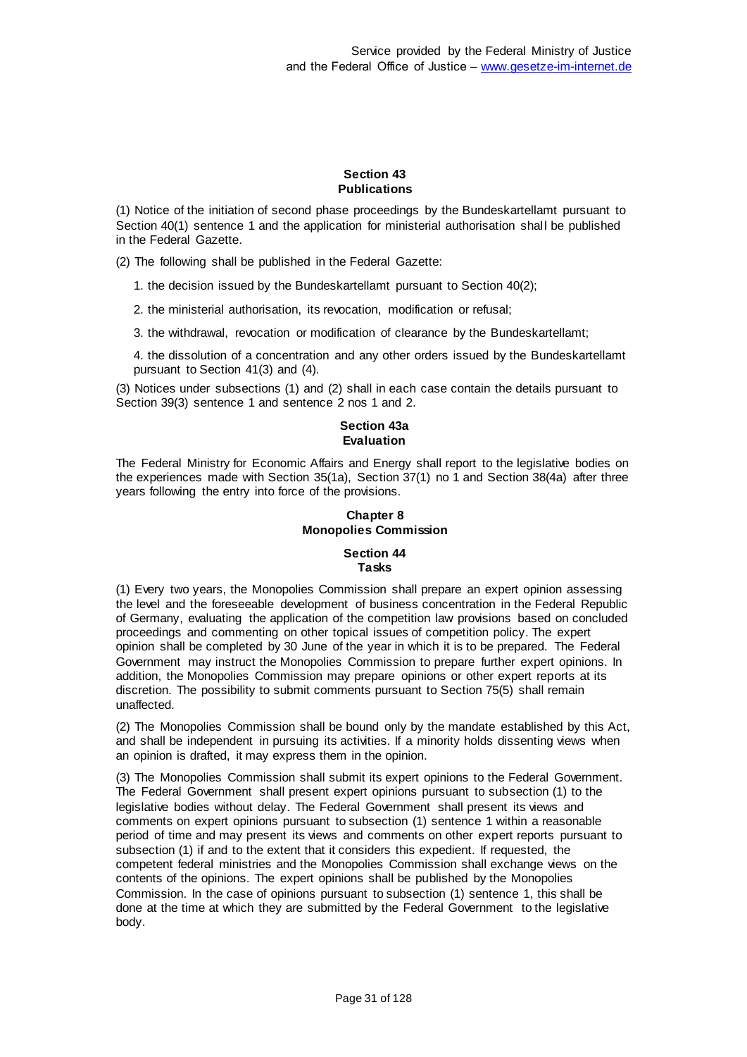#### **Section 43 Publications**

(1) Notice of the initiation of second phase proceedings by the Bundeskartellamt pursuant to Section 40(1) sentence 1 and the application for ministerial authorisation shall be published in the Federal Gazette.

(2) The following shall be published in the Federal Gazette:

1. the decision issued by the Bundeskartellamt pursuant to Section 40(2);

2. the ministerial authorisation, its revocation, modification or refusal;

3. the withdrawal, revocation or modification of clearance by the Bundeskartellamt;

4. the dissolution of a concentration and any other orders issued by the Bundeskartellamt pursuant to Section 41(3) and (4).

(3) Notices under subsections (1) and (2) shall in each case contain the details pursuant to Section 39(3) sentence 1 and sentence 2 nos 1 and 2.

## **Section 43a Evaluation**

The Federal Ministry for Economic Affairs and Energy shall report to the legislative bodies on the experiences made with Section 35(1a), Section 37(1) no 1 and Section 38(4a) after three years following the entry into force of the provisions.

# **Chapter 8 Monopolies Commission**

#### **Section 44 Tasks**

(1) Every two years, the Monopolies Commission shall prepare an expert opinion assessing the level and the foreseeable development of business concentration in the Federal Republic of Germany, evaluating the application of the competition law provisions based on concluded proceedings and commenting on other topical issues of competition policy. The expert opinion shall be completed by 30 June of the year in which it is to be prepared. The Federal Government may instruct the Monopolies Commission to prepare further expert opinions. In addition, the Monopolies Commission may prepare opinions or other expert reports at its discretion. The possibility to submit comments pursuant to Section 75(5) shall remain unaffected.

(2) The Monopolies Commission shall be bound only by the mandate established by this Act, and shall be independent in pursuing its activities. If a minority holds dissenting views when an opinion is drafted, it may express them in the opinion.

(3) The Monopolies Commission shall submit its expert opinions to the Federal Government. The Federal Government shall present expert opinions pursuant to subsection (1) to the legislative bodies without delay. The Federal Government shall present its views and comments on expert opinions pursuant to subsection (1) sentence 1 within a reasonable period of time and may present its views and comments on other expert reports pursuant to subsection (1) if and to the extent that it considers this expedient. If requested, the competent federal ministries and the Monopolies Commission shall exchange views on the contents of the opinions. The expert opinions shall be published by the Monopolies Commission. In the case of opinions pursuant to subsection (1) sentence 1, this shall be done at the time at which they are submitted by the Federal Government to the legislative body.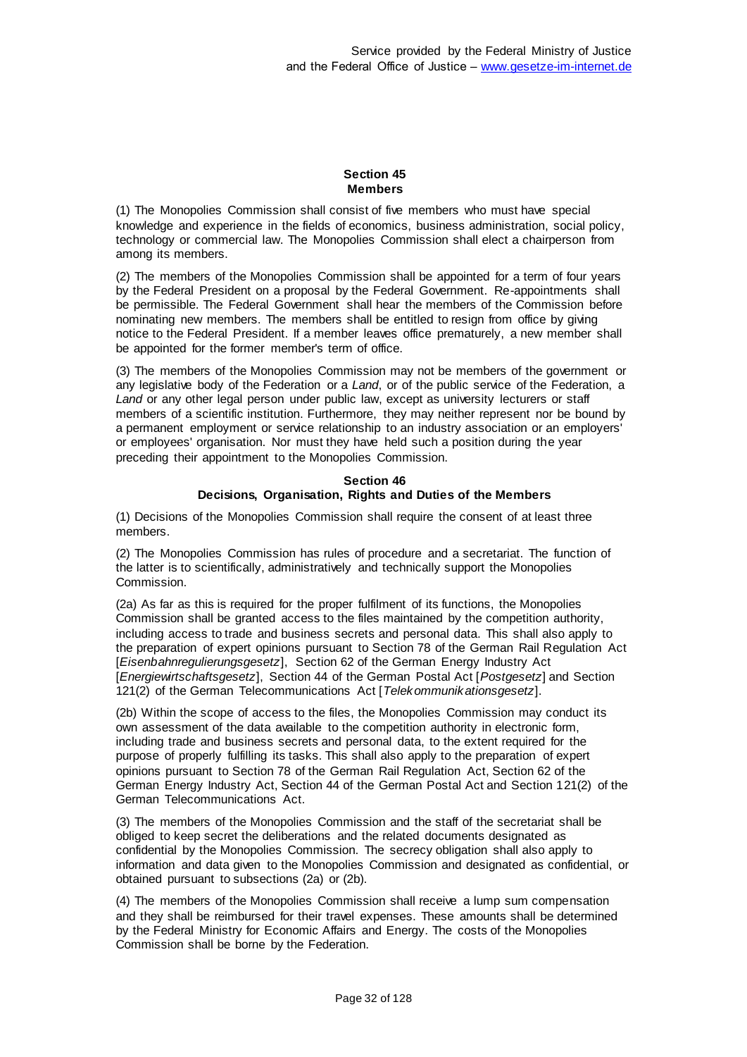## **Section 45 Members**

(1) The Monopolies Commission shall consist of five members who must have special knowledge and experience in the fields of economics, business administration, social policy, technology or commercial law. The Monopolies Commission shall elect a chairperson from among its members.

(2) The members of the Monopolies Commission shall be appointed for a term of four years by the Federal President on a proposal by the Federal Government. Re-appointments shall be permissible. The Federal Government shall hear the members of the Commission before nominating new members. The members shall be entitled to resign from office by giving notice to the Federal President. If a member leaves office prematurely, a new member shall be appointed for the former member's term of office.

(3) The members of the Monopolies Commission may not be members of the government or any legislative body of the Federation or a *Land*, or of the public service of the Federation, a *Land* or any other legal person under public law, except as university lecturers or staff members of a scientific institution. Furthermore, they may neither represent nor be bound by a permanent employment or service relationship to an industry association or an employers' or employees' organisation. Nor must they have held such a position during the year preceding their appointment to the Monopolies Commission.

#### **Section 46 Decisions, Organisation, Rights and Duties of the Members**

(1) Decisions of the Monopolies Commission shall require the consent of at least three members.

(2) The Monopolies Commission has rules of procedure and a secretariat. The function of the latter is to scientifically, administratively and technically support the Monopolies Commission.

(2a) As far as this is required for the proper fulfilment of its functions, the Monopolies Commission shall be granted access to the files maintained by the competition authority, including access to trade and business secrets and personal data. This shall also apply to the preparation of expert opinions pursuant to Section 78 of the German Rail Regulation Act [*Eisenbahnregulierungsgesetz*], Section 62 of the German Energy Industry Act [*Energiewirtschaftsgesetz*], Section 44 of the German Postal Act [*Postgesetz*] and Section 121(2) of the German Telecommunications Act [*Telekommunikationsgesetz*].

(2b) Within the scope of access to the files, the Monopolies Commission may conduct its own assessment of the data available to the competition authority in electronic form, including trade and business secrets and personal data, to the extent required for the purpose of properly fulfilling its tasks. This shall also apply to the preparation of expert opinions pursuant to Section 78 of the German Rail Regulation Act, Section 62 of the German Energy Industry Act, Section 44 of the German Postal Act and Section 121(2) of the German Telecommunications Act.

(3) The members of the Monopolies Commission and the staff of the secretariat shall be obliged to keep secret the deliberations and the related documents designated as confidential by the Monopolies Commission. The secrecy obligation shall also apply to information and data given to the Monopolies Commission and designated as confidential, or obtained pursuant to subsections (2a) or (2b).

(4) The members of the Monopolies Commission shall receive a lump sum compensation and they shall be reimbursed for their travel expenses. These amounts shall be determined by the Federal Ministry for Economic Affairs and Energy. The costs of the Monopolies Commission shall be borne by the Federation.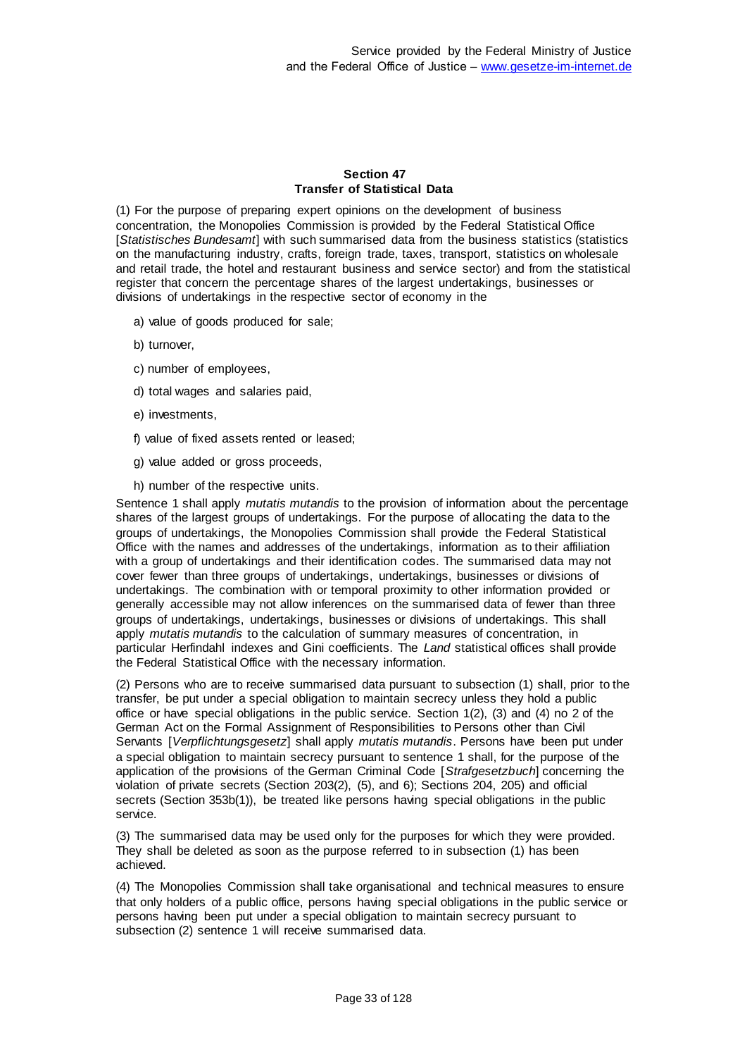## **Section 47 Transfer of Statistical Data**

(1) For the purpose of preparing expert opinions on the development of business concentration, the Monopolies Commission is provided by the Federal Statistical Office [*Statistisches Bundesamt*] with such summarised data from the business statistics (statistics on the manufacturing industry, crafts, foreign trade, taxes, transport, statistics on wholesale and retail trade, the hotel and restaurant business and service sector) and from the statistical register that concern the percentage shares of the largest undertakings, businesses or divisions of undertakings in the respective sector of economy in the

- a) value of goods produced for sale;
- b) turnover,
- c) number of employees,
- d) total wages and salaries paid,
- e) investments,
- f) value of fixed assets rented or leased;
- g) value added or gross proceeds,
- h) number of the respective units.

Sentence 1 shall apply *mutatis mutandis* to the provision of information about the percentage shares of the largest groups of undertakings. For the purpose of allocating the data to the groups of undertakings, the Monopolies Commission shall provide the Federal Statistical Office with the names and addresses of the undertakings, information as to their affiliation with a group of undertakings and their identification codes. The summarised data may not cover fewer than three groups of undertakings, undertakings, businesses or divisions of undertakings. The combination with or temporal proximity to other information provided or generally accessible may not allow inferences on the summarised data of fewer than three groups of undertakings, undertakings, businesses or divisions of undertakings. This shall apply *mutatis mutandis* to the calculation of summary measures of concentration, in particular Herfindahl indexes and Gini coefficients. The *Land* statistical offices shall provide the Federal Statistical Office with the necessary information.

(2) Persons who are to receive summarised data pursuant to subsection (1) shall, prior to the transfer, be put under a special obligation to maintain secrecy unless they hold a public office or have special obligations in the public service. Section 1(2), (3) and (4) no 2 of the German Act on the Formal Assignment of Responsibilities to Persons other than Civil Servants [*Verpflichtungsgesetz*] shall apply *mutatis mutandis*. Persons have been put under a special obligation to maintain secrecy pursuant to sentence 1 shall, for the purpose of the application of the provisions of the German Criminal Code [*Strafgesetzbuch*] concerning the violation of private secrets (Section 203(2), (5), and 6); Sections 204, 205) and official secrets (Section 353b(1)), be treated like persons having special obligations in the public service.

(3) The summarised data may be used only for the purposes for which they were provided. They shall be deleted as soon as the purpose referred to in subsection (1) has been achieved.

(4) The Monopolies Commission shall take organisational and technical measures to ensure that only holders of a public office, persons having special obligations in the public service or persons having been put under a special obligation to maintain secrecy pursuant to subsection (2) sentence 1 will receive summarised data.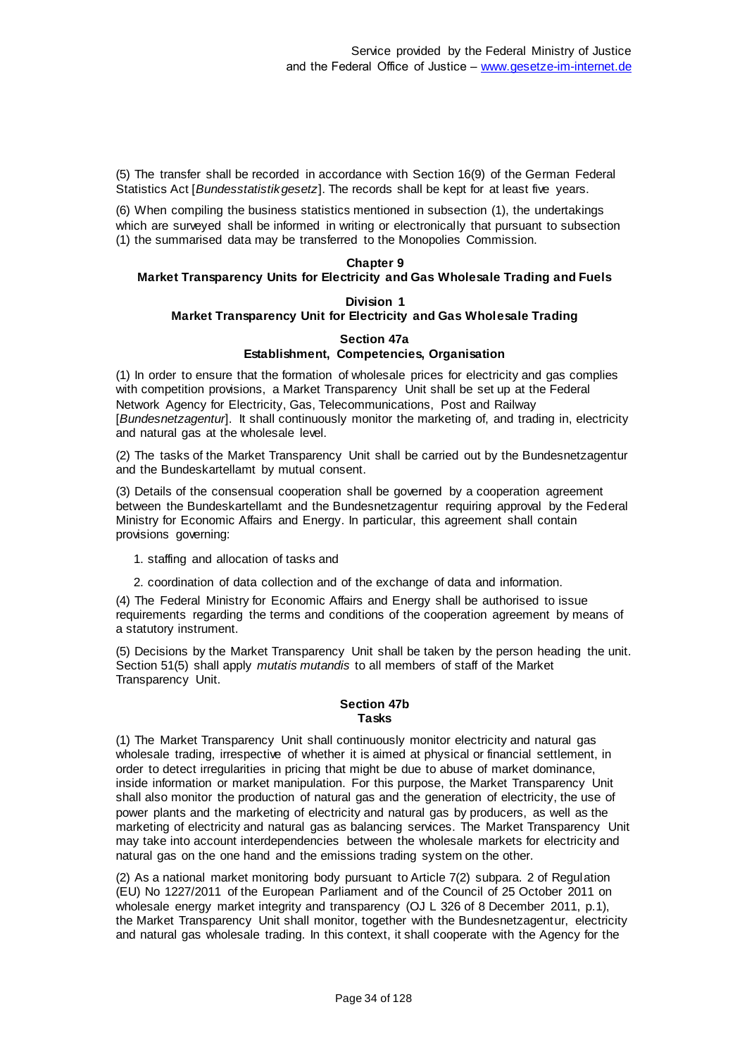(5) The transfer shall be recorded in accordance with Section 16(9) of the German Federal Statistics Act [*Bundesstatistikgesetz*]. The records shall be kept for at least five years.

(6) When compiling the business statistics mentioned in subsection (1), the undertakings which are surveyed shall be informed in writing or electronically that pursuant to subsection (1) the summarised data may be transferred to the Monopolies Commission.

# **Chapter 9**

# **Market Transparency Units for Electricity and Gas Wholesale Trading and Fuels**

## **Division 1 Market Transparency Unit for Electricity and Gas Wholesale Trading**

#### **Section 47a Establishment, Competencies, Organisation**

(1) In order to ensure that the formation of wholesale prices for electricity and gas complies with competition provisions, a Market Transparency Unit shall be set up at the Federal Network Agency for Electricity, Gas, Telecommunications, Post and Railway [*Bundesnetzagentur*]. It shall continuously monitor the marketing of, and trading in, electricity and natural gas at the wholesale level.

(2) The tasks of the Market Transparency Unit shall be carried out by the Bundesnetzagentur and the Bundeskartellamt by mutual consent.

(3) Details of the consensual cooperation shall be governed by a cooperation agreement between the Bundeskartellamt and the Bundesnetzagentur requiring approval by the Federal Ministry for Economic Affairs and Energy. In particular, this agreement shall contain provisions governing:

- 1. staffing and allocation of tasks and
- 2. coordination of data collection and of the exchange of data and information.

(4) The Federal Ministry for Economic Affairs and Energy shall be authorised to issue requirements regarding the terms and conditions of the cooperation agreement by means of a statutory instrument.

(5) Decisions by the Market Transparency Unit shall be taken by the person heading the unit. Section 51(5) shall apply *mutatis mutandis* to all members of staff of the Market Transparency Unit.

#### **Section 47b Tasks**

(1) The Market Transparency Unit shall continuously monitor electricity and natural gas wholesale trading, irrespective of whether it is aimed at physical or financial settlement, in order to detect irregularities in pricing that might be due to abuse of market dominance, inside information or market manipulation. For this purpose, the Market Transparency Unit shall also monitor the production of natural gas and the generation of electricity, the use of power plants and the marketing of electricity and natural gas by producers, as well as the marketing of electricity and natural gas as balancing services. The Market Transparency Unit may take into account interdependencies between the wholesale markets for electricity and natural gas on the one hand and the emissions trading system on the other.

(2) As a national market monitoring body pursuant to Article 7(2) subpara. 2 of Regulation (EU) No 1227/2011 of the European Parliament and of the Council of 25 October 2011 on wholesale energy market integrity and transparency (OJ L 326 of 8 December 2011, p.1), the Market Transparency Unit shall monitor, together with the Bundesnetzagentur, electricity and natural gas wholesale trading. In this context, it shall cooperate with the Agency for the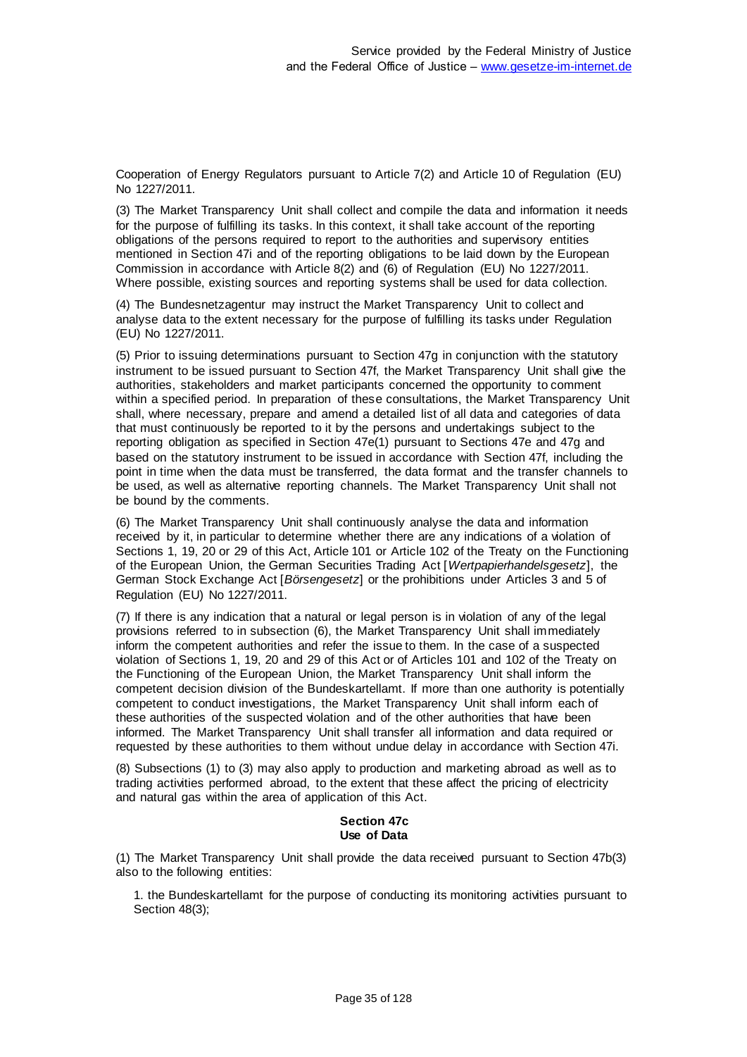Cooperation of Energy Regulators pursuant to Article 7(2) and Article 10 of Regulation (EU) No 1227/2011.

(3) The Market Transparency Unit shall collect and compile the data and information it needs for the purpose of fulfilling its tasks. In this context, it shall take account of the reporting obligations of the persons required to report to the authorities and supervisory entities mentioned in Section 47i and of the reporting obligations to be laid down by the European Commission in accordance with Article 8(2) and (6) of Regulation (EU) No 1227/2011. Where possible, existing sources and reporting systems shall be used for data collection.

(4) The Bundesnetzagentur may instruct the Market Transparency Unit to collect and analyse data to the extent necessary for the purpose of fulfilling its tasks under Regulation (EU) No 1227/2011.

(5) Prior to issuing determinations pursuant to Section 47g in conjunction with the statutory instrument to be issued pursuant to Section 47f, the Market Transparency Unit shall give the authorities, stakeholders and market participants concerned the opportunity to comment within a specified period. In preparation of these consultations, the Market Transparency Unit shall, where necessary, prepare and amend a detailed list of all data and categories of data that must continuously be reported to it by the persons and undertakings subject to the reporting obligation as specified in Section 47e(1) pursuant to Sections 47e and 47g and based on the statutory instrument to be issued in accordance with Section 47f, including the point in time when the data must be transferred, the data format and the transfer channels to be used, as well as alternative reporting channels. The Market Transparency Unit shall not be bound by the comments.

(6) The Market Transparency Unit shall continuously analyse the data and information received by it, in particular to determine whether there are any indications of a violation of Sections 1, 19, 20 or 29 of this Act, Article 101 or Article 102 of the Treaty on the Functioning of the European Union, the German Securities Trading Act [*Wertpapierhandelsgesetz*], the German Stock Exchange Act [*Börsengesetz*] or the prohibitions under Articles 3 and 5 of Regulation (EU) No 1227/2011.

(7) If there is any indication that a natural or legal person is in violation of any of the legal provisions referred to in subsection (6), the Market Transparency Unit shall immediately inform the competent authorities and refer the issue to them. In the case of a suspected violation of Sections 1, 19, 20 and 29 of this Act or of Articles 101 and 102 of the Treaty on the Functioning of the European Union, the Market Transparency Unit shall inform the competent decision division of the Bundeskartellamt. If more than one authority is potentially competent to conduct investigations, the Market Transparency Unit shall inform each of these authorities of the suspected violation and of the other authorities that have been informed. The Market Transparency Unit shall transfer all information and data required or requested by these authorities to them without undue delay in accordance with Section 47i.

(8) Subsections (1) to (3) may also apply to production and marketing abroad as well as to trading activities performed abroad, to the extent that these affect the pricing of electricity and natural gas within the area of application of this Act.

## **Section 47c Use of Data**

(1) The Market Transparency Unit shall provide the data received pursuant to Section 47b(3) also to the following entities:

1. the Bundeskartellamt for the purpose of conducting its monitoring activities pursuant to Section 48(3);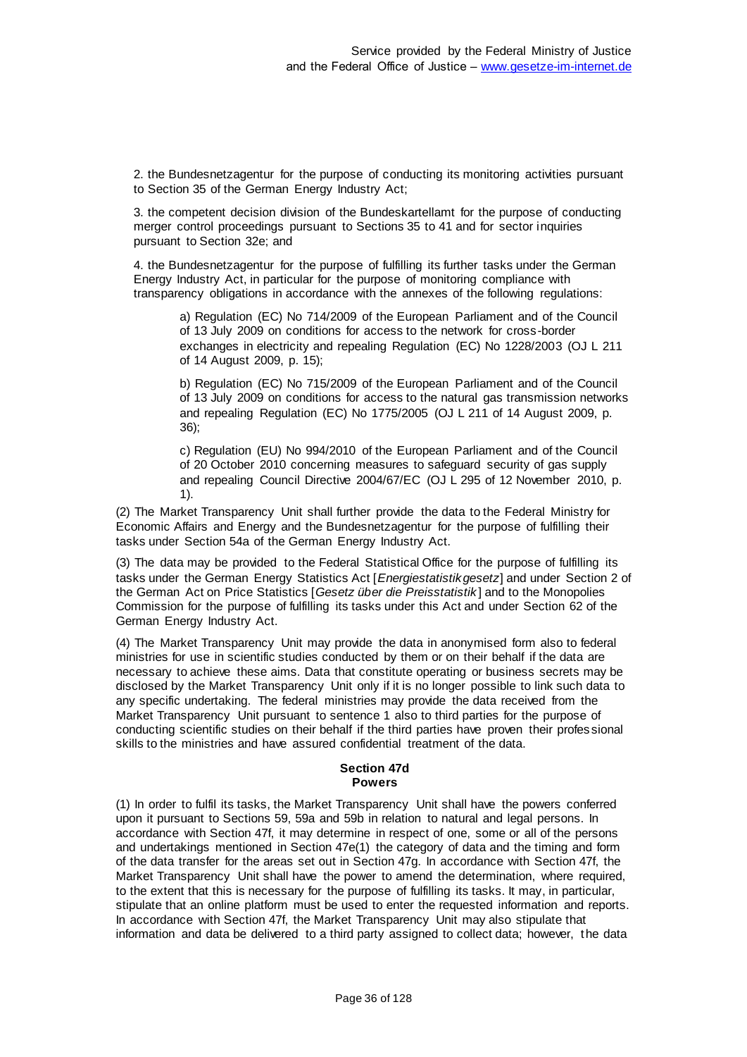2. the Bundesnetzagentur for the purpose of conducting its monitoring activities pursuant to Section 35 of the German Energy Industry Act;

3. the competent decision division of the Bundeskartellamt for the purpose of conducting merger control proceedings pursuant to Sections 35 to 41 and for sector inquiries pursuant to Section 32e; and

4. the Bundesnetzagentur for the purpose of fulfilling its further tasks under the German Energy Industry Act, in particular for the purpose of monitoring compliance with transparency obligations in accordance with the annexes of the following regulations:

a) Regulation (EC) No 714/2009 of the European Parliament and of the Council of 13 July 2009 on conditions for access to the network for cross-border exchanges in electricity and repealing Regulation (EC) No 1228/2003 (OJ L 211 of 14 August 2009, p. 15);

b) Regulation (EC) No 715/2009 of the European Parliament and of the Council of 13 July 2009 on conditions for access to the natural gas transmission networks and repealing Regulation (EC) No 1775/2005 (OJ L 211 of 14 August 2009, p. 36);

c) Regulation (EU) No 994/2010 of the European Parliament and of the Council of 20 October 2010 concerning measures to safeguard security of gas supply and repealing Council Directive 2004/67/EC (OJ L 295 of 12 November 2010, p. 1).

(2) The Market Transparency Unit shall further provide the data to the Federal Ministry for Economic Affairs and Energy and the Bundesnetzagentur for the purpose of fulfilling their tasks under Section 54a of the German Energy Industry Act.

(3) The data may be provided to the Federal Statistical Office for the purpose of fulfilling its tasks under the German Energy Statistics Act [*Energiestatistikgesetz*] and under Section 2 of the German Act on Price Statistics [*Gesetz über die Preisstatistik* ] and to the Monopolies Commission for the purpose of fulfilling its tasks under this Act and under Section 62 of the German Energy Industry Act.

(4) The Market Transparency Unit may provide the data in anonymised form also to federal ministries for use in scientific studies conducted by them or on their behalf if the data are necessary to achieve these aims. Data that constitute operating or business secrets may be disclosed by the Market Transparency Unit only if it is no longer possible to link such data to any specific undertaking. The federal ministries may provide the data received from the Market Transparency Unit pursuant to sentence 1 also to third parties for the purpose of conducting scientific studies on their behalf if the third parties have proven their profes sional skills to the ministries and have assured confidential treatment of the data.

## **Section 47d Powers**

(1) In order to fulfil its tasks, the Market Transparency Unit shall have the powers conferred upon it pursuant to Sections 59, 59a and 59b in relation to natural and legal persons. In accordance with Section 47f, it may determine in respect of one, some or all of the persons and undertakings mentioned in Section 47e(1) the category of data and the timing and form of the data transfer for the areas set out in Section 47g. In accordance with Section 47f, the Market Transparency Unit shall have the power to amend the determination, where required, to the extent that this is necessary for the purpose of fulfilling its tasks. It may, in particular, stipulate that an online platform must be used to enter the requested information and reports. In accordance with Section 47f, the Market Transparency Unit may also stipulate that information and data be delivered to a third party assigned to collect data; however, the data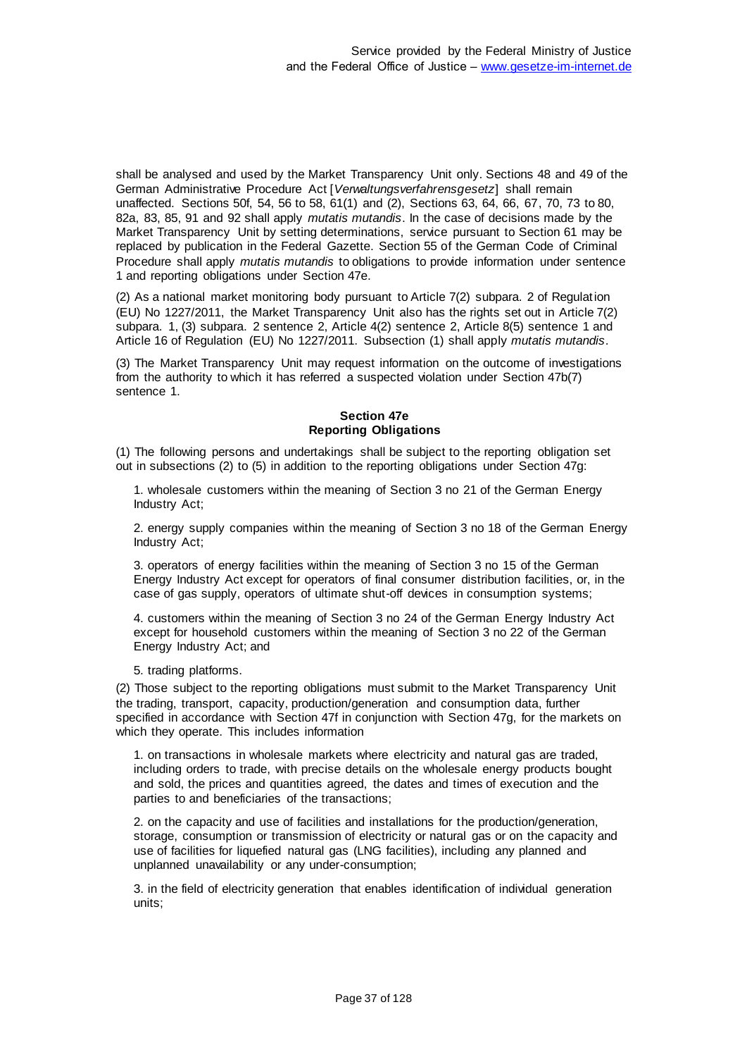shall be analysed and used by the Market Transparency Unit only. Sections 48 and 49 of the German Administrative Procedure Act [*Verwaltungsverfahrensgesetz*] shall remain unaffected. Sections 50f, 54, 56 to 58, 61(1) and (2), Sections 63, 64, 66, 67, 70, 73 to 80, 82a, 83, 85, 91 and 92 shall apply *mutatis mutandis*. In the case of decisions made by the Market Transparency Unit by setting determinations, service pursuant to Section 61 may be replaced by publication in the Federal Gazette. Section 55 of the German Code of Criminal Procedure shall apply *mutatis mutandis* to obligations to provide information under sentence 1 and reporting obligations under Section 47e.

(2) As a national market monitoring body pursuant to Article 7(2) subpara. 2 of Regulation (EU) No 1227/2011, the Market Transparency Unit also has the rights set out in Article 7(2) subpara. 1, (3) subpara. 2 sentence 2, Article 4(2) sentence 2, Article 8(5) sentence 1 and Article 16 of Regulation (EU) No 1227/2011. Subsection (1) shall apply *mutatis mutandis*.

(3) The Market Transparency Unit may request information on the outcome of investigations from the authority to which it has referred a suspected violation under Section 47b(7) sentence 1.

# **Section 47e Reporting Obligations**

(1) The following persons and undertakings shall be subject to the reporting obligation set out in subsections (2) to (5) in addition to the reporting obligations under Section 47g:

1. wholesale customers within the meaning of Section 3 no 21 of the German Energy Industry Act;

2. energy supply companies within the meaning of Section 3 no 18 of the German Energy Industry Act;

3. operators of energy facilities within the meaning of Section 3 no 15 of the German Energy Industry Act except for operators of final consumer distribution facilities, or, in the case of gas supply, operators of ultimate shut-off devices in consumption systems;

4. customers within the meaning of Section 3 no 24 of the German Energy Industry Act except for household customers within the meaning of Section 3 no 22 of the German Energy Industry Act; and

5. trading platforms.

(2) Those subject to the reporting obligations must submit to the Market Transparency Unit the trading, transport, capacity, production/generation and consumption data, further specified in accordance with Section 47f in conjunction with Section 47g, for the markets on which they operate. This includes information

1. on transactions in wholesale markets where electricity and natural gas are traded, including orders to trade, with precise details on the wholesale energy products bought and sold, the prices and quantities agreed, the dates and times of execution and the parties to and beneficiaries of the transactions;

2. on the capacity and use of facilities and installations for the production/generation, storage, consumption or transmission of electricity or natural gas or on the capacity and use of facilities for liquefied natural gas (LNG facilities), including any planned and unplanned unavailability or any under-consumption;

3. in the field of electricity generation that enables identification of individual generation units;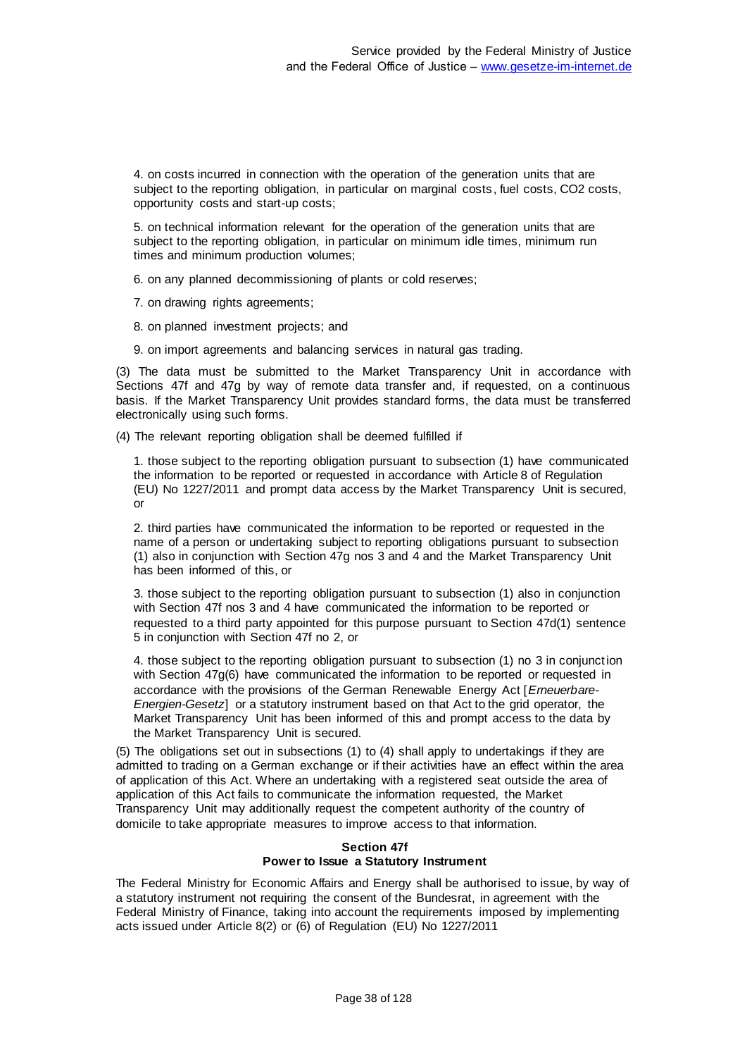4. on costs incurred in connection with the operation of the generation units that are subject to the reporting obligation, in particular on marginal costs, fuel costs, CO2 costs, opportunity costs and start-up costs;

5. on technical information relevant for the operation of the generation units that are subject to the reporting obligation, in particular on minimum idle times, minimum run times and minimum production volumes;

6. on any planned decommissioning of plants or cold reserves;

7. on drawing rights agreements;

8. on planned investment projects; and

9. on import agreements and balancing services in natural gas trading.

(3) The data must be submitted to the Market Transparency Unit in accordance with Sections 47f and 47g by way of remote data transfer and, if requested, on a continuous basis. If the Market Transparency Unit provides standard forms, the data must be transferred electronically using such forms.

(4) The relevant reporting obligation shall be deemed fulfilled if

1. those subject to the reporting obligation pursuant to subsection (1) have communicated the information to be reported or requested in accordance with Article 8 of Regulation (EU) No 1227/2011 and prompt data access by the Market Transparency Unit is secured, or

2. third parties have communicated the information to be reported or requested in the name of a person or undertaking subject to reporting obligations pursuant to subsection (1) also in conjunction with Section 47g nos 3 and 4 and the Market Transparency Unit has been informed of this, or

3. those subject to the reporting obligation pursuant to subsection (1) also in conjunction with Section 47f nos 3 and 4 have communicated the information to be reported or requested to a third party appointed for this purpose pursuant to Section 47d(1) sentence 5 in conjunction with Section 47f no 2, or

4. those subject to the reporting obligation pursuant to subsection (1) no 3 in conjunction with Section 47g(6) have communicated the information to be reported or requested in accordance with the provisions of the German Renewable Energy Act [*Erneuerbare-Energien-Gesetz*] or a statutory instrument based on that Act to the grid operator, the Market Transparency Unit has been informed of this and prompt access to the data by the Market Transparency Unit is secured.

(5) The obligations set out in subsections (1) to (4) shall apply to undertakings if they are admitted to trading on a German exchange or if their activities have an effect within the area of application of this Act. Where an undertaking with a registered seat outside the area of application of this Act fails to communicate the information requested, the Market Transparency Unit may additionally request the competent authority of the country of domicile to take appropriate measures to improve access to that information.

### **Section 47f Power to Issue a Statutory Instrument**

The Federal Ministry for Economic Affairs and Energy shall be authorised to issue, by way of a statutory instrument not requiring the consent of the Bundesrat, in agreement with the Federal Ministry of Finance, taking into account the requirements imposed by implementing acts issued under Article 8(2) or (6) of Regulation (EU) No 1227/2011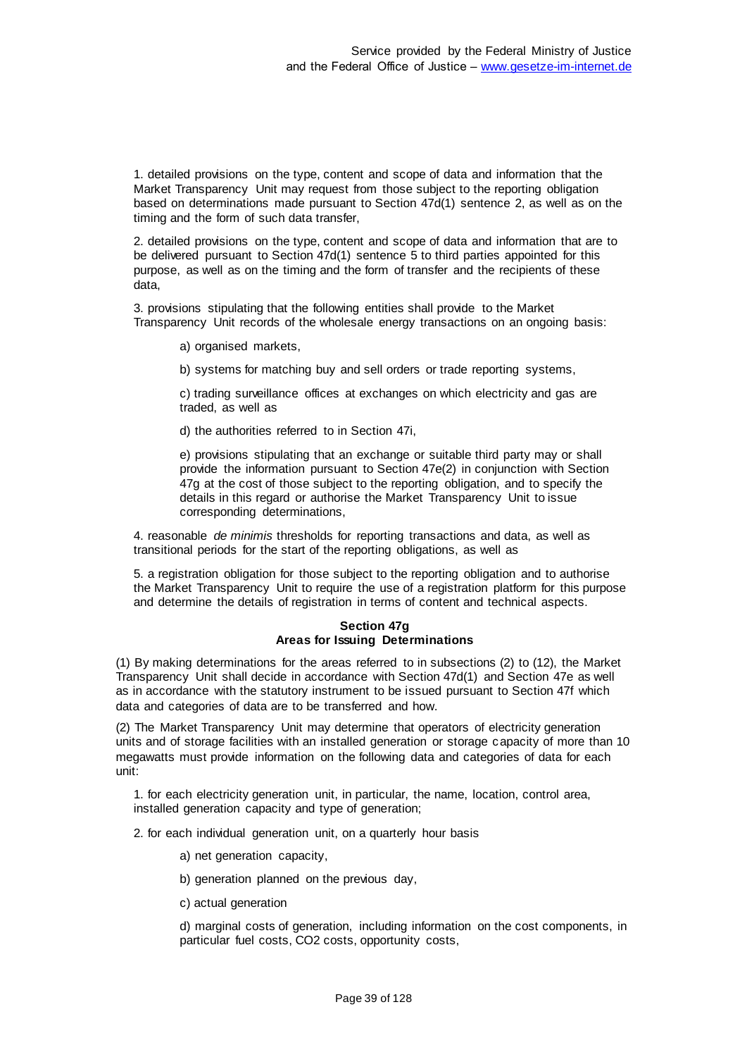1. detailed provisions on the type, content and scope of data and information that the Market Transparency Unit may request from those subject to the reporting obligation based on determinations made pursuant to Section 47d(1) sentence 2, as well as on the timing and the form of such data transfer,

2. detailed provisions on the type, content and scope of data and information that are to be delivered pursuant to Section 47d(1) sentence 5 to third parties appointed for this purpose, as well as on the timing and the form of transfer and the recipients of these data,

3. provisions stipulating that the following entities shall provide to the Market Transparency Unit records of the wholesale energy transactions on an ongoing basis:

a) organised markets,

b) systems for matching buy and sell orders or trade reporting systems,

c) trading surveillance offices at exchanges on which electricity and gas are traded, as well as

d) the authorities referred to in Section 47i,

e) provisions stipulating that an exchange or suitable third party may or shall provide the information pursuant to Section 47e(2) in conjunction with Section 47g at the cost of those subject to the reporting obligation, and to specify the details in this regard or authorise the Market Transparency Unit to issue corresponding determinations,

4. reasonable *de minimis* thresholds for reporting transactions and data, as well as transitional periods for the start of the reporting obligations, as well as

5. a registration obligation for those subject to the reporting obligation and to authorise the Market Transparency Unit to require the use of a registration platform for this purpose and determine the details of registration in terms of content and technical aspects.

### **Section 47g Areas for Issuing Determinations**

(1) By making determinations for the areas referred to in subsections (2) to (12), the Market Transparency Unit shall decide in accordance with Section 47d(1) and Section 47e as well as in accordance with the statutory instrument to be issued pursuant to Section 47f which data and categories of data are to be transferred and how.

(2) The Market Transparency Unit may determine that operators of electricity generation units and of storage facilities with an installed generation or storage capacity of more than 10 megawatts must provide information on the following data and categories of data for each unit:

1. for each electricity generation unit, in particular, the name, location, control area, installed generation capacity and type of generation;

2. for each individual generation unit, on a quarterly hour basis

- a) net generation capacity,
- b) generation planned on the previous day,
- c) actual generation

d) marginal costs of generation, including information on the cost components, in particular fuel costs, CO2 costs, opportunity costs,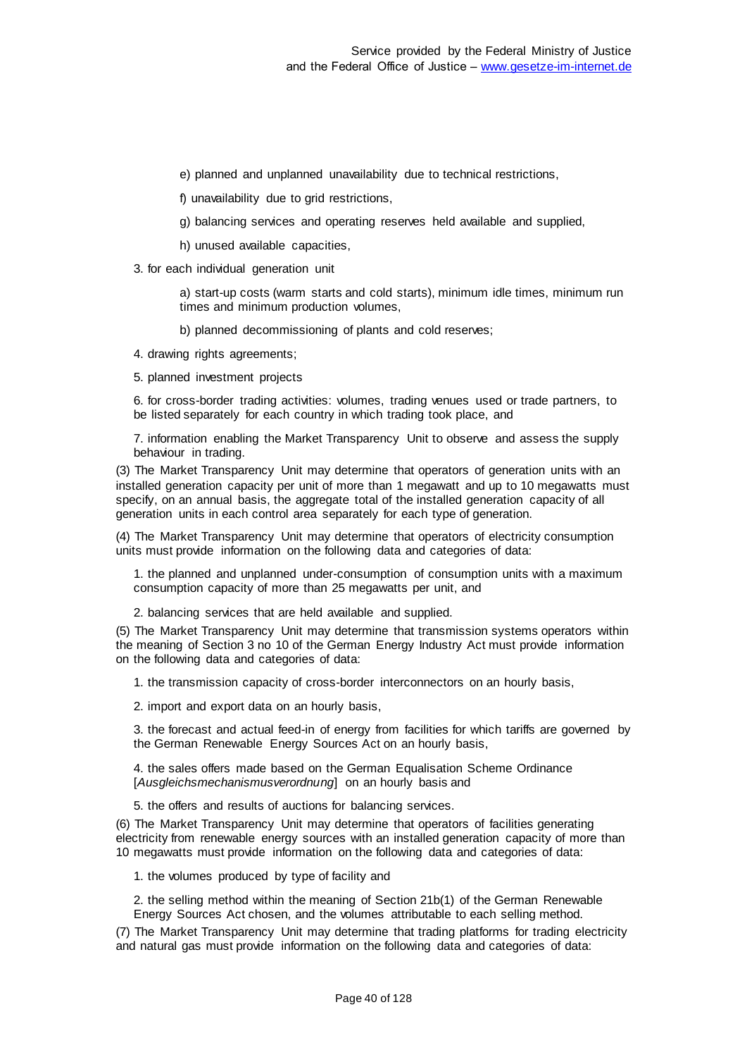- e) planned and unplanned unavailability due to technical restrictions,
- f) unavailability due to grid restrictions,
- g) balancing services and operating reserves held available and supplied,
- h) unused available capacities,
- 3. for each individual generation unit

a) start-up costs (warm starts and cold starts), minimum idle times, minimum run times and minimum production volumes,

b) planned decommissioning of plants and cold reserves;

4. drawing rights agreements;

5. planned investment projects

6. for cross-border trading activities: volumes, trading venues used or trade partners, to be listed separately for each country in which trading took place, and

7. information enabling the Market Transparency Unit to observe and assess the supply behaviour in trading.

(3) The Market Transparency Unit may determine that operators of generation units with an installed generation capacity per unit of more than 1 megawatt and up to 10 megawatts must specify, on an annual basis, the aggregate total of the installed generation capacity of all generation units in each control area separately for each type of generation.

(4) The Market Transparency Unit may determine that operators of electricity consumption units must provide information on the following data and categories of data:

1. the planned and unplanned under-consumption of consumption units with a maximum consumption capacity of more than 25 megawatts per unit, and

2. balancing services that are held available and supplied.

(5) The Market Transparency Unit may determine that transmission systems operators within the meaning of Section 3 no 10 of the German Energy Industry Act must provide information on the following data and categories of data:

1. the transmission capacity of cross-border interconnectors on an hourly basis,

2. import and export data on an hourly basis,

3. the forecast and actual feed-in of energy from facilities for which tariffs are governed by the German Renewable Energy Sources Act on an hourly basis,

4. the sales offers made based on the German Equalisation Scheme Ordinance [*Ausgleichsmechanismusverordnung*] on an hourly basis and

5. the offers and results of auctions for balancing services.

(6) The Market Transparency Unit may determine that operators of facilities generating electricity from renewable energy sources with an installed generation capacity of more than 10 megawatts must provide information on the following data and categories of data:

1. the volumes produced by type of facility and

2. the selling method within the meaning of Section 21b(1) of the German Renewable Energy Sources Act chosen, and the volumes attributable to each selling method.

(7) The Market Transparency Unit may determine that trading platforms for trading electricity and natural gas must provide information on the following data and categories of data: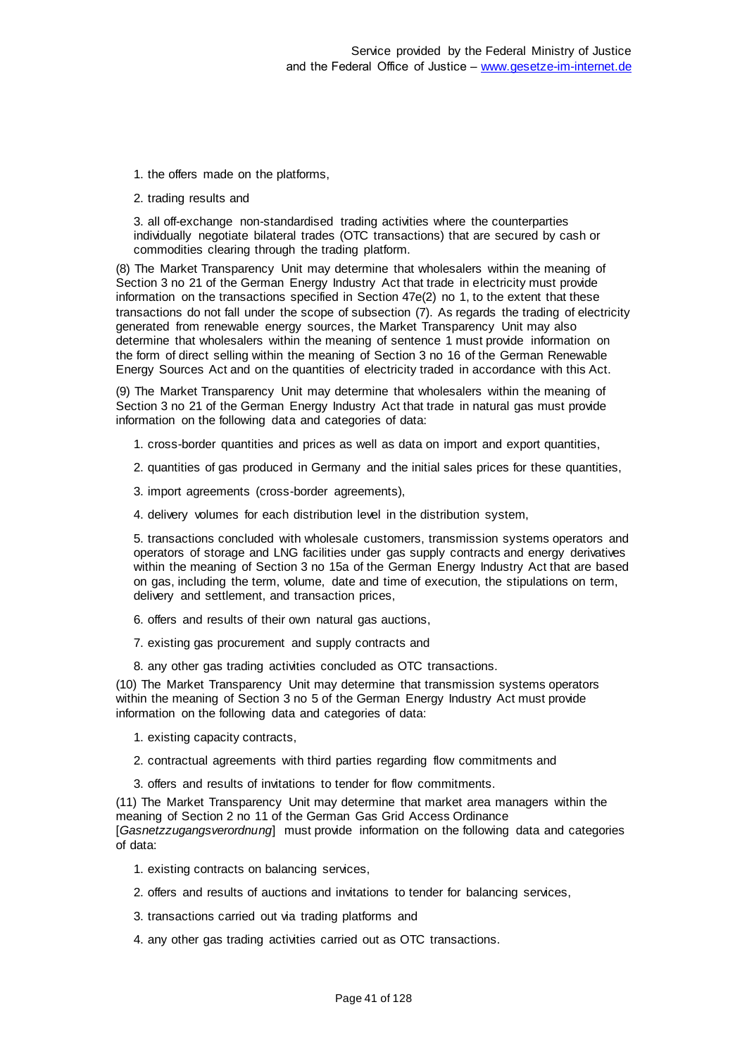1. the offers made on the platforms,

2. trading results and

3. all off-exchange non-standardised trading activities where the counterparties individually negotiate bilateral trades (OTC transactions) that are secured by cash or commodities clearing through the trading platform.

(8) The Market Transparency Unit may determine that wholesalers within the meaning of Section 3 no 21 of the German Energy Industry Act that trade in electricity must provide information on the transactions specified in Section 47e(2) no 1, to the extent that these transactions do not fall under the scope of subsection (7). As regards the trading of electricity generated from renewable energy sources, the Market Transparency Unit may also determine that wholesalers within the meaning of sentence 1 must provide information on the form of direct selling within the meaning of Section 3 no 16 of the German Renewable Energy Sources Act and on the quantities of electricity traded in accordance with this Act.

(9) The Market Transparency Unit may determine that wholesalers within the meaning of Section 3 no 21 of the German Energy Industry Act that trade in natural gas must provide information on the following data and categories of data:

- 1. cross-border quantities and prices as well as data on import and export quantities,
- 2. quantities of gas produced in Germany and the initial sales prices for these quantities,
- 3. import agreements (cross-border agreements),
- 4. delivery volumes for each distribution level in the distribution system,

5. transactions concluded with wholesale customers, transmission systems operators and operators of storage and LNG facilities under gas supply contracts and energy derivatives within the meaning of Section 3 no 15a of the German Energy Industry Act that are based on gas, including the term, volume, date and time of execution, the stipulations on term, delivery and settlement, and transaction prices,

- 6. offers and results of their own natural gas auctions,
- 7. existing gas procurement and supply contracts and
- 8. any other gas trading activities concluded as OTC transactions.

(10) The Market Transparency Unit may determine that transmission systems operators within the meaning of Section 3 no 5 of the German Energy Industry Act must provide information on the following data and categories of data:

- 1. existing capacity contracts,
- 2. contractual agreements with third parties regarding flow commitments and
- 3. offers and results of invitations to tender for flow commitments.

(11) The Market Transparency Unit may determine that market area managers within the meaning of Section 2 no 11 of the German Gas Grid Access Ordinance [*Gasnetzzugangsverordnung*] must provide information on the following data and categories of data:

- 1. existing contracts on balancing services,
- 2. offers and results of auctions and invitations to tender for balancing services,
- 3. transactions carried out via trading platforms and
- 4. any other gas trading activities carried out as OTC transactions.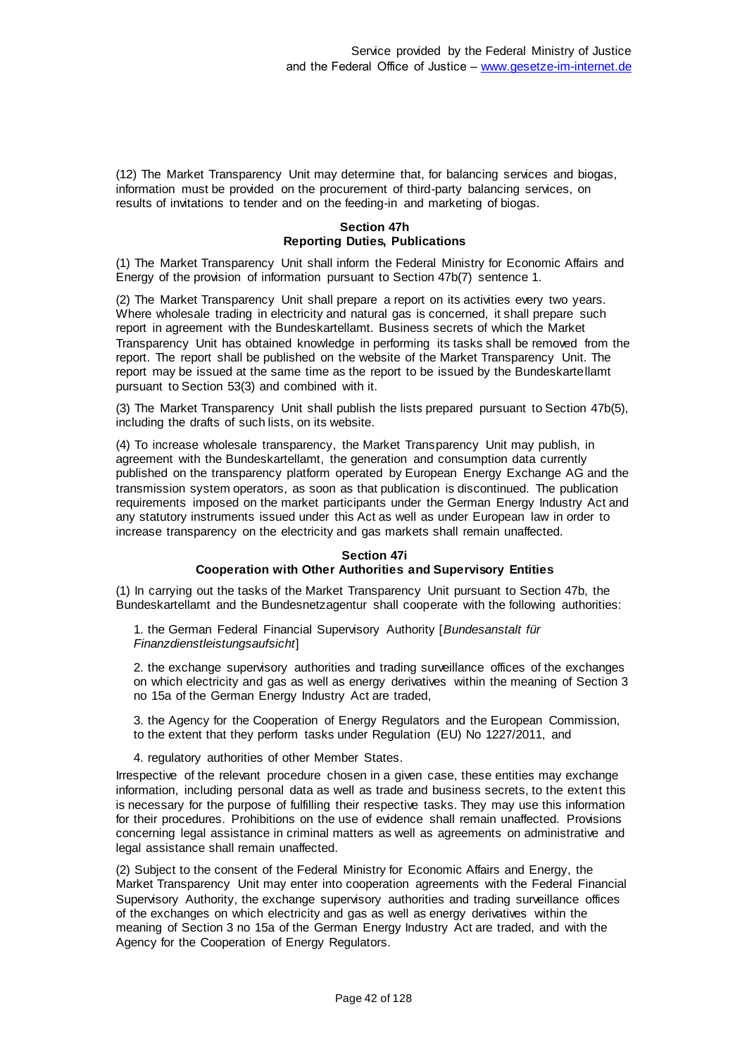(12) The Market Transparency Unit may determine that, for balancing services and biogas, information must be provided on the procurement of third-party balancing services, on results of invitations to tender and on the feeding-in and marketing of biogas.

### **Section 47h Reporting Duties, Publications**

(1) The Market Transparency Unit shall inform the Federal Ministry for Economic Affairs and Energy of the provision of information pursuant to Section 47b(7) sentence 1.

(2) The Market Transparency Unit shall prepare a report on its activities every two years. Where wholesale trading in electricity and natural gas is concerned, it shall prepare such report in agreement with the Bundeskartellamt. Business secrets of which the Market Transparency Unit has obtained knowledge in performing its tasks shall be removed from the report. The report shall be published on the website of the Market Transparency Unit. The report may be issued at the same time as the report to be issued by the Bundeskartellamt pursuant to Section 53(3) and combined with it.

(3) The Market Transparency Unit shall publish the lists prepared pursuant to Section 47b(5), including the drafts of such lists, on its website.

(4) To increase wholesale transparency, the Market Transparency Unit may publish, in agreement with the Bundeskartellamt, the generation and consumption data currently published on the transparency platform operated by European Energy Exchange AG and the transmission system operators, as soon as that publication is discontinued. The publication requirements imposed on the market participants under the German Energy Industry Act and any statutory instruments issued under this Act as well as under European law in order to increase transparency on the electricity and gas markets shall remain unaffected.

# **Section 47i**

## **Cooperation with Other Authorities and Supervisory Entities**

(1) In carrying out the tasks of the Market Transparency Unit pursuant to Section 47b, the Bundeskartellamt and the Bundesnetzagentur shall cooperate with the following authorities:

1. the German Federal Financial Supervisory Authority [*Bundesanstalt für Finanzdienstleistungsaufsicht*]

2. the exchange supervisory authorities and trading surveillance offices of the exchanges on which electricity and gas as well as energy derivatives within the meaning of Section 3 no 15a of the German Energy Industry Act are traded,

3. the Agency for the Cooperation of Energy Regulators and the European Commission, to the extent that they perform tasks under Regulation (EU) No 1227/2011, and

4. regulatory authorities of other Member States.

Irrespective of the relevant procedure chosen in a given case, these entities may exchange information, including personal data as well as trade and business secrets, to the extent this is necessary for the purpose of fulfilling their respective tasks. They may use this information for their procedures. Prohibitions on the use of evidence shall remain unaffected. Provisions concerning legal assistance in criminal matters as well as agreements on administrative and legal assistance shall remain unaffected.

(2) Subject to the consent of the Federal Ministry for Economic Affairs and Energy, the Market Transparency Unit may enter into cooperation agreements with the Federal Financial Supervisory Authority, the exchange supervisory authorities and trading surveillance offices of the exchanges on which electricity and gas as well as energy derivatives within the meaning of Section 3 no 15a of the German Energy Industry Act are traded, and with the Agency for the Cooperation of Energy Regulators.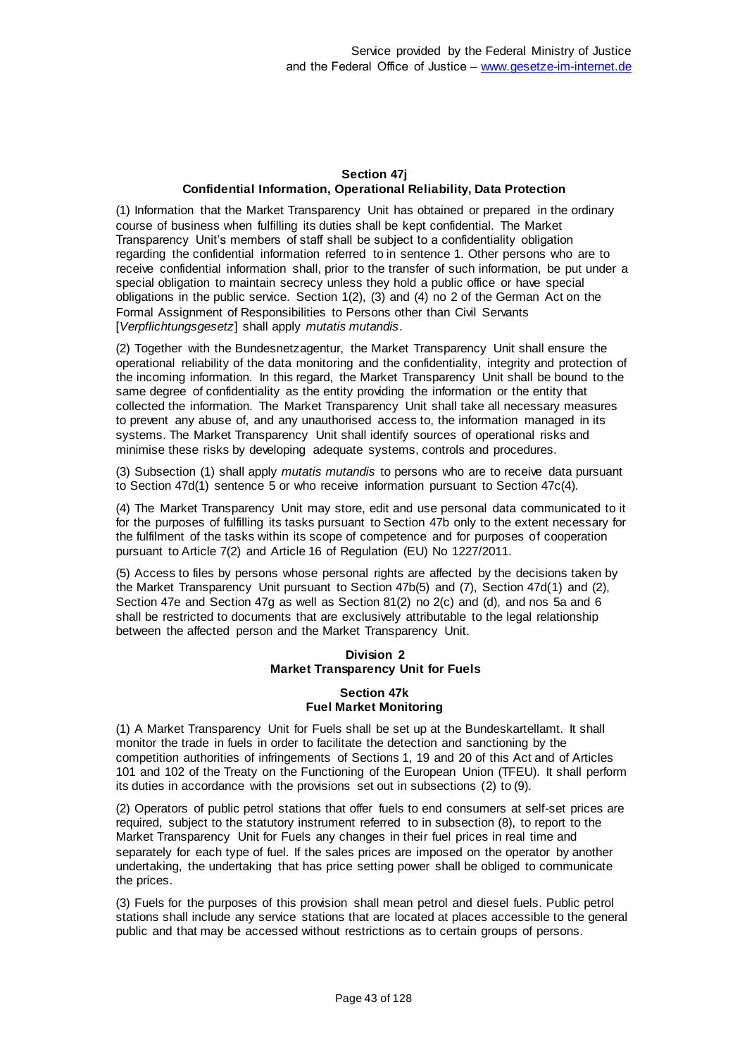# **Section 47j Confidential Information, Operational Reliability, Data Protection**

(1) Information that the Market Transparency Unit has obtained or prepared in the ordinary course of business when fulfilling its duties shall be kept confidential. The Market Transparency Unit's members of staff shall be subject to a confidentiality obligation regarding the confidential information referred to in sentence 1. Other persons who are to receive confidential information shall, prior to the transfer of such information, be put under a special obligation to maintain secrecy unless they hold a public office or have special obligations in the public service. Section 1(2), (3) and (4) no 2 of the German Act on the Formal Assignment of Responsibilities to Persons other than Civil Servants [*Verpflichtungsgesetz*] shall apply *mutatis mutandis*.

(2) Together with the Bundesnetzagentur, the Market Transparency Unit shall ensure the operational reliability of the data monitoring and the confidentiality, integrity and protection of the incoming information. In this regard, the Market Transparency Unit shall be bound to the same degree of confidentiality as the entity providing the information or the entity that collected the information. The Market Transparency Unit shall take all necessary measures to prevent any abuse of, and any unauthorised access to, the information managed in its systems. The Market Transparency Unit shall identify sources of operational risks and minimise these risks by developing adequate systems, controls and procedures.

(3) Subsection (1) shall apply *mutatis mutandis* to persons who are to receive data pursuant to Section 47d(1) sentence 5 or who receive information pursuant to Section 47c(4).

(4) The Market Transparency Unit may store, edit and use personal data communicated to it for the purposes of fulfilling its tasks pursuant to Section 47b only to the extent necessary for the fulfilment of the tasks within its scope of competence and for purposes of cooperation pursuant to Article 7(2) and Article 16 of Regulation (EU) No 1227/2011.

(5) Access to files by persons whose personal rights are affected by the decisions taken by the Market Transparency Unit pursuant to Section 47b(5) and (7), Section 47d(1) and (2), Section 47e and Section 47g as well as Section 81(2) no 2(c) and (d), and nos 5a and 6 shall be restricted to documents that are exclusively attributable to the legal relationship between the affected person and the Market Transparency Unit.

# **Division 2 Market Transparency Unit for Fuels**

# **Section 47k Fuel Market Monitoring**

(1) A Market Transparency Unit for Fuels shall be set up at the Bundeskartellamt. It shall monitor the trade in fuels in order to facilitate the detection and sanctioning by the competition authorities of infringements of Sections 1, 19 and 20 of this Act and of Articles 101 and 102 of the Treaty on the Functioning of the European Union (TFEU). It shall perform its duties in accordance with the provisions set out in subsections (2) to (9).

(2) Operators of public petrol stations that offer fuels to end consumers at self-set prices are required, subject to the statutory instrument referred to in subsection (8), to report to the Market Transparency Unit for Fuels any changes in their fuel prices in real time and separately for each type of fuel. If the sales prices are imposed on the operator by another undertaking, the undertaking that has price setting power shall be obliged to communicate the prices.

(3) Fuels for the purposes of this provision shall mean petrol and diesel fuels. Public petrol stations shall include any service stations that are located at places accessible to the general public and that may be accessed without restrictions as to certain groups of persons.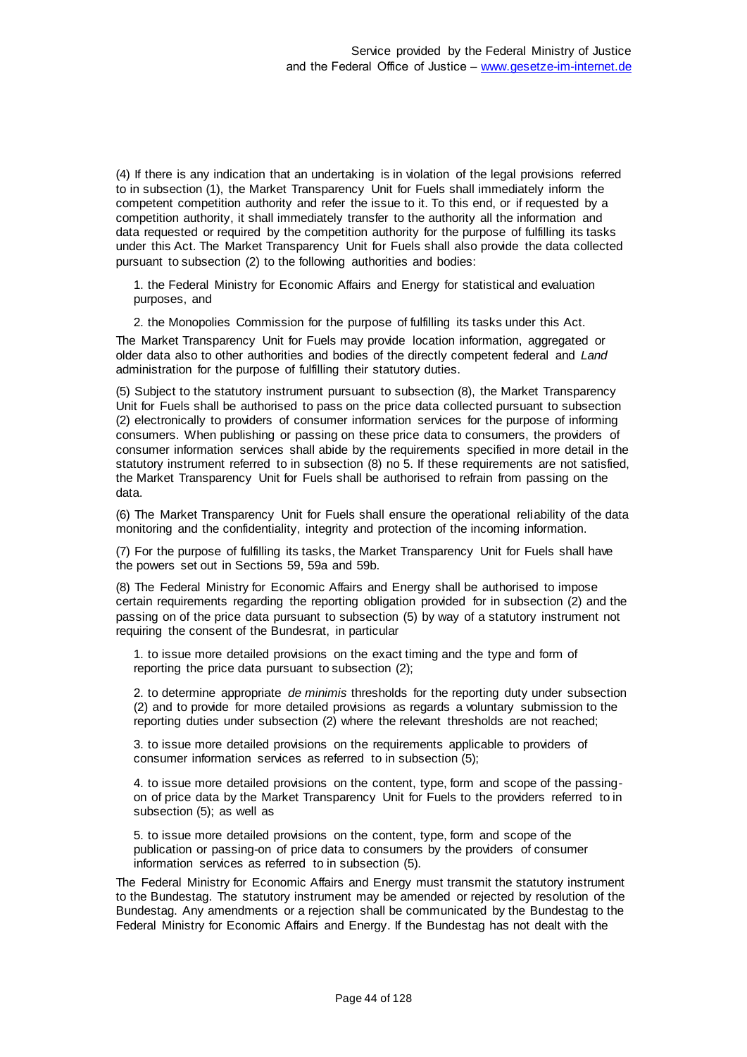(4) If there is any indication that an undertaking is in violation of the legal provisions referred to in subsection (1), the Market Transparency Unit for Fuels shall immediately inform the competent competition authority and refer the issue to it. To this end, or if requested by a competition authority, it shall immediately transfer to the authority all the information and data requested or required by the competition authority for the purpose of fulfilling its tasks under this Act. The Market Transparency Unit for Fuels shall also provide the data collected pursuant to subsection (2) to the following authorities and bodies:

1. the Federal Ministry for Economic Affairs and Energy for statistical and evaluation purposes, and

2. the Monopolies Commission for the purpose of fulfilling its tasks under this Act.

The Market Transparency Unit for Fuels may provide location information, aggregated or older data also to other authorities and bodies of the directly competent federal and *Land* administration for the purpose of fulfilling their statutory duties.

(5) Subject to the statutory instrument pursuant to subsection (8), the Market Transparency Unit for Fuels shall be authorised to pass on the price data collected pursuant to subsection (2) electronically to providers of consumer information services for the purpose of informing consumers. When publishing or passing on these price data to consumers, the providers of consumer information services shall abide by the requirements specified in more detail in the statutory instrument referred to in subsection (8) no 5. If these requirements are not satisfied, the Market Transparency Unit for Fuels shall be authorised to refrain from passing on the data.

(6) The Market Transparency Unit for Fuels shall ensure the operational reliability of the data monitoring and the confidentiality, integrity and protection of the incoming information.

(7) For the purpose of fulfilling its tasks, the Market Transparency Unit for Fuels shall have the powers set out in Sections 59, 59a and 59b.

(8) The Federal Ministry for Economic Affairs and Energy shall be authorised to impose certain requirements regarding the reporting obligation provided for in subsection (2) and the passing on of the price data pursuant to subsection (5) by way of a statutory instrument not requiring the consent of the Bundesrat, in particular

1. to issue more detailed provisions on the exact timing and the type and form of reporting the price data pursuant to subsection (2);

2. to determine appropriate *de minimis* thresholds for the reporting duty under subsection (2) and to provide for more detailed provisions as regards a voluntary submission to the reporting duties under subsection (2) where the relevant thresholds are not reached;

3. to issue more detailed provisions on the requirements applicable to providers of consumer information services as referred to in subsection (5);

4. to issue more detailed provisions on the content, type, form and scope of the passingon of price data by the Market Transparency Unit for Fuels to the providers referred to in subsection (5); as well as

5. to issue more detailed provisions on the content, type, form and scope of the publication or passing-on of price data to consumers by the providers of consumer information services as referred to in subsection (5).

The Federal Ministry for Economic Affairs and Energy must transmit the statutory instrument to the Bundestag. The statutory instrument may be amended or rejected by resolution of the Bundestag. Any amendments or a rejection shall be communicated by the Bundestag to the Federal Ministry for Economic Affairs and Energy. If the Bundestag has not dealt with the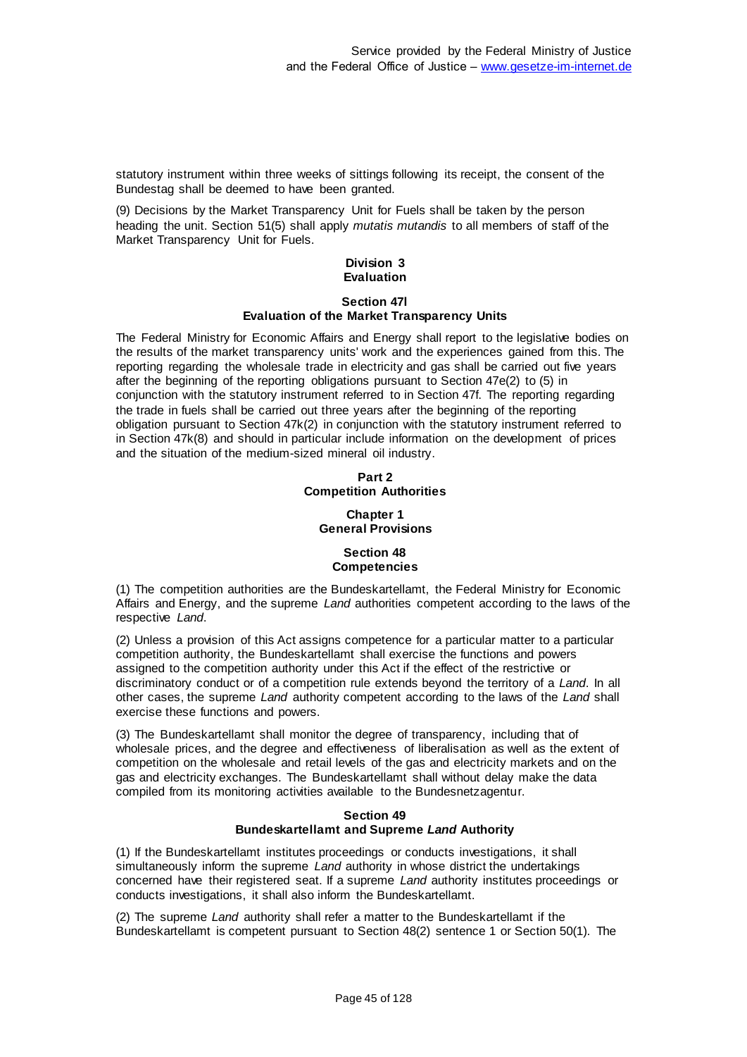statutory instrument within three weeks of sittings following its receipt, the consent of the Bundestag shall be deemed to have been granted.

(9) Decisions by the Market Transparency Unit for Fuels shall be taken by the person heading the unit. Section 51(5) shall apply *mutatis mutandis* to all members of staff of the Market Transparency Unit for Fuels.

### **Division 3 Evaluation**

### **Section 47l**

## **Evaluation of the Market Transparency Units**

The Federal Ministry for Economic Affairs and Energy shall report to the legislative bodies on the results of the market transparency units' work and the experiences gained from this. The reporting regarding the wholesale trade in electricity and gas shall be carried out five years after the beginning of the reporting obligations pursuant to Section 47e(2) to (5) in conjunction with the statutory instrument referred to in Section 47f. The reporting regarding the trade in fuels shall be carried out three years after the beginning of the reporting obligation pursuant to Section 47k(2) in conjunction with the statutory instrument referred to in Section 47k(8) and should in particular include information on the development of prices and the situation of the medium-sized mineral oil industry.

# **Part 2 Competition Authorities**

# **Chapter 1 General Provisions**

# **Section 48 Competencies**

(1) The competition authorities are the Bundeskartellamt, the Federal Ministry for Economic Affairs and Energy, and the supreme *Land* authorities competent according to the laws of the respective *Land*.

(2) Unless a provision of this Act assigns competence for a particular matter to a particular competition authority, the Bundeskartellamt shall exercise the functions and powers assigned to the competition authority under this Act if the effect of the restrictive or discriminatory conduct or of a competition rule extends beyond the territory of a *Land*. In all other cases, the supreme *Land* authority competent according to the laws of the *Land* shall exercise these functions and powers.

(3) The Bundeskartellamt shall monitor the degree of transparency, including that of wholesale prices, and the degree and effectiveness of liberalisation as well as the extent of competition on the wholesale and retail levels of the gas and electricity markets and on the gas and electricity exchanges. The Bundeskartellamt shall without delay make the data compiled from its monitoring activities available to the Bundesnetzagentur.

## **Section 49 Bundeskartellamt and Supreme** *Land* **Authority**

(1) If the Bundeskartellamt institutes proceedings or conducts investigations, it shall simultaneously inform the supreme *Land* authority in whose district the undertakings concerned have their registered seat. If a supreme *Land* authority institutes proceedings or conducts investigations, it shall also inform the Bundeskartellamt.

(2) The supreme *Land* authority shall refer a matter to the Bundeskartellamt if the Bundeskartellamt is competent pursuant to Section 48(2) sentence 1 or Section 50(1). The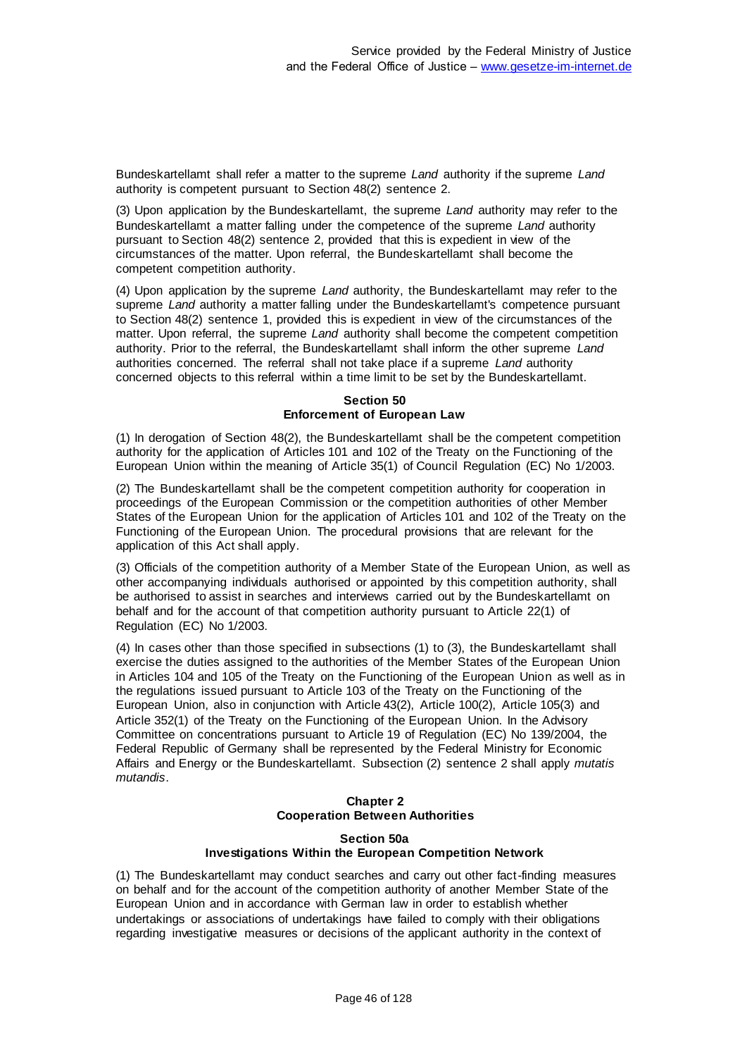Bundeskartellamt shall refer a matter to the supreme *Land* authority if the supreme *Land* authority is competent pursuant to Section 48(2) sentence 2.

(3) Upon application by the Bundeskartellamt, the supreme *Land* authority may refer to the Bundeskartellamt a matter falling under the competence of the supreme *Land* authority pursuant to Section 48(2) sentence 2, provided that this is expedient in view of the circumstances of the matter. Upon referral, the Bundeskartellamt shall become the competent competition authority.

(4) Upon application by the supreme *Land* authority, the Bundeskartellamt may refer to the supreme *Land* authority a matter falling under the Bundeskartellamt's competence pursuant to Section 48(2) sentence 1, provided this is expedient in view of the circumstances of the matter. Upon referral, the supreme *Land* authority shall become the competent competition authority. Prior to the referral, the Bundeskartellamt shall inform the other supreme *Land* authorities concerned. The referral shall not take place if a supreme *Land* authority concerned objects to this referral within a time limit to be set by the Bundeskartellamt.

# **Section 50 Enforcement of European Law**

(1) In derogation of Section 48(2), the Bundeskartellamt shall be the competent competition authority for the application of Articles 101 and 102 of the Treaty on the Functioning of the European Union within the meaning of Article 35(1) of Council Regulation (EC) No 1/2003.

(2) The Bundeskartellamt shall be the competent competition authority for cooperation in proceedings of the European Commission or the competition authorities of other Member States of the European Union for the application of Articles 101 and 102 of the Treaty on the Functioning of the European Union. The procedural provisions that are relevant for the application of this Act shall apply.

(3) Officials of the competition authority of a Member State of the European Union, as well as other accompanying individuals authorised or appointed by this competition authority, shall be authorised to assist in searches and interviews carried out by the Bundeskartellamt on behalf and for the account of that competition authority pursuant to Article 22(1) of Regulation (EC) No 1/2003.

(4) In cases other than those specified in subsections (1) to (3), the Bundeskartellamt shall exercise the duties assigned to the authorities of the Member States of the European Union in Articles 104 and 105 of the Treaty on the Functioning of the European Union as well as in the regulations issued pursuant to Article 103 of the Treaty on the Functioning of the European Union, also in conjunction with Article 43(2), Article 100(2), Article 105(3) and Article 352(1) of the Treaty on the Functioning of the European Union. In the Advisory Committee on concentrations pursuant to Article 19 of Regulation (EC) No 139/2004, the Federal Republic of Germany shall be represented by the Federal Ministry for Economic Affairs and Energy or the Bundeskartellamt. Subsection (2) sentence 2 shall apply *mutatis mutandis*.

# **Chapter 2 Cooperation Between Authorities**

# **Section 50a Investigations Within the European Competition Network**

(1) The Bundeskartellamt may conduct searches and carry out other fact-finding measures on behalf and for the account of the competition authority of another Member State of the European Union and in accordance with German law in order to establish whether undertakings or associations of undertakings have failed to comply with their obligations regarding investigative measures or decisions of the applicant authority in the context of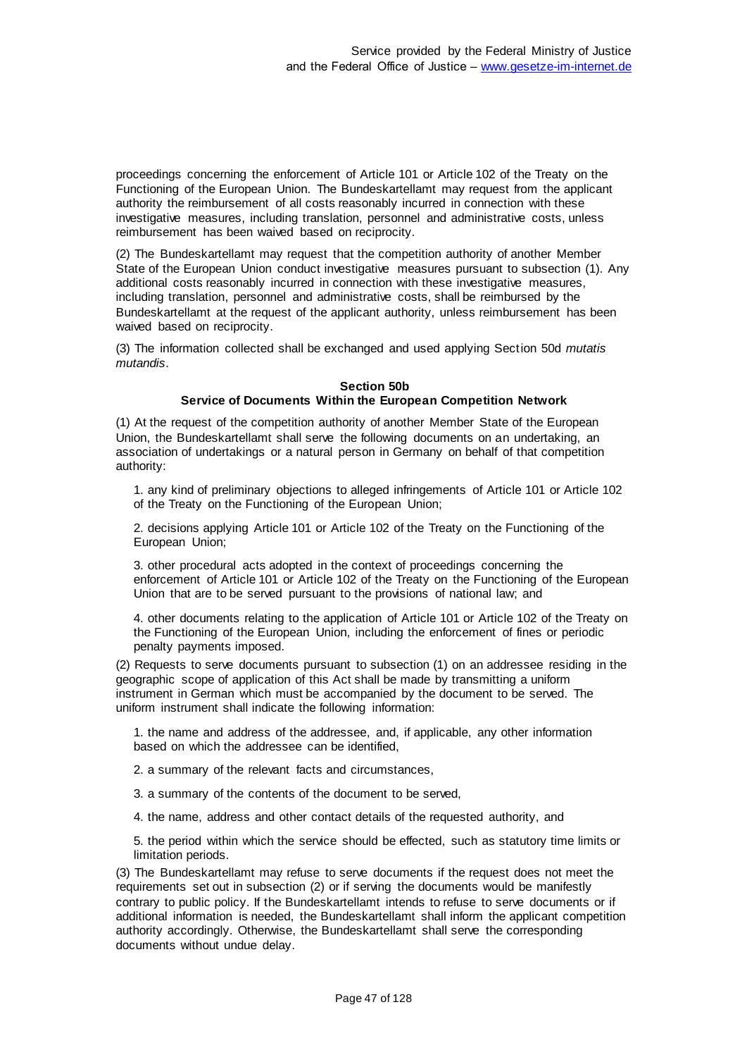proceedings concerning the enforcement of Article 101 or Article 102 of the Treaty on the Functioning of the European Union. The Bundeskartellamt may request from the applicant authority the reimbursement of all costs reasonably incurred in connection with these investigative measures, including translation, personnel and administrative costs, unless reimbursement has been waived based on reciprocity.

(2) The Bundeskartellamt may request that the competition authority of another Member State of the European Union conduct investigative measures pursuant to subsection (1). Any additional costs reasonably incurred in connection with these investigative measures, including translation, personnel and administrative costs, shall be reimbursed by the Bundeskartellamt at the request of the applicant authority, unless reimbursement has been waived based on reciprocity.

(3) The information collected shall be exchanged and used applying Section 50d *mutatis mutandis*.

## **Section 50b**

## **Service of Documents Within the European Competition Network**

(1) At the request of the competition authority of another Member State of the European Union, the Bundeskartellamt shall serve the following documents on an undertaking, an association of undertakings or a natural person in Germany on behalf of that competition authority:

1. any kind of preliminary objections to alleged infringements of Article 101 or Article 102 of the Treaty on the Functioning of the European Union;

2. decisions applying Article 101 or Article 102 of the Treaty on the Functioning of the European Union;

3. other procedural acts adopted in the context of proceedings concerning the enforcement of Article 101 or Article 102 of the Treaty on the Functioning of the European Union that are to be served pursuant to the provisions of national law; and

4. other documents relating to the application of Article 101 or Article 102 of the Treaty on the Functioning of the European Union, including the enforcement of fines or periodic penalty payments imposed.

(2) Requests to serve documents pursuant to subsection (1) on an addressee residing in the geographic scope of application of this Act shall be made by transmitting a uniform instrument in German which must be accompanied by the document to be served. The uniform instrument shall indicate the following information:

1. the name and address of the addressee, and, if applicable, any other information based on which the addressee can be identified,

2. a summary of the relevant facts and circumstances,

3. a summary of the contents of the document to be served,

4. the name, address and other contact details of the requested authority, and

5. the period within which the service should be effected, such as statutory time limits or limitation periods.

(3) The Bundeskartellamt may refuse to serve documents if the request does not meet the requirements set out in subsection (2) or if serving the documents would be manifestly contrary to public policy. If the Bundeskartellamt intends to refuse to serve documents or if additional information is needed, the Bundeskartellamt shall inform the applicant competition authority accordingly. Otherwise, the Bundeskartellamt shall serve the corresponding documents without undue delay.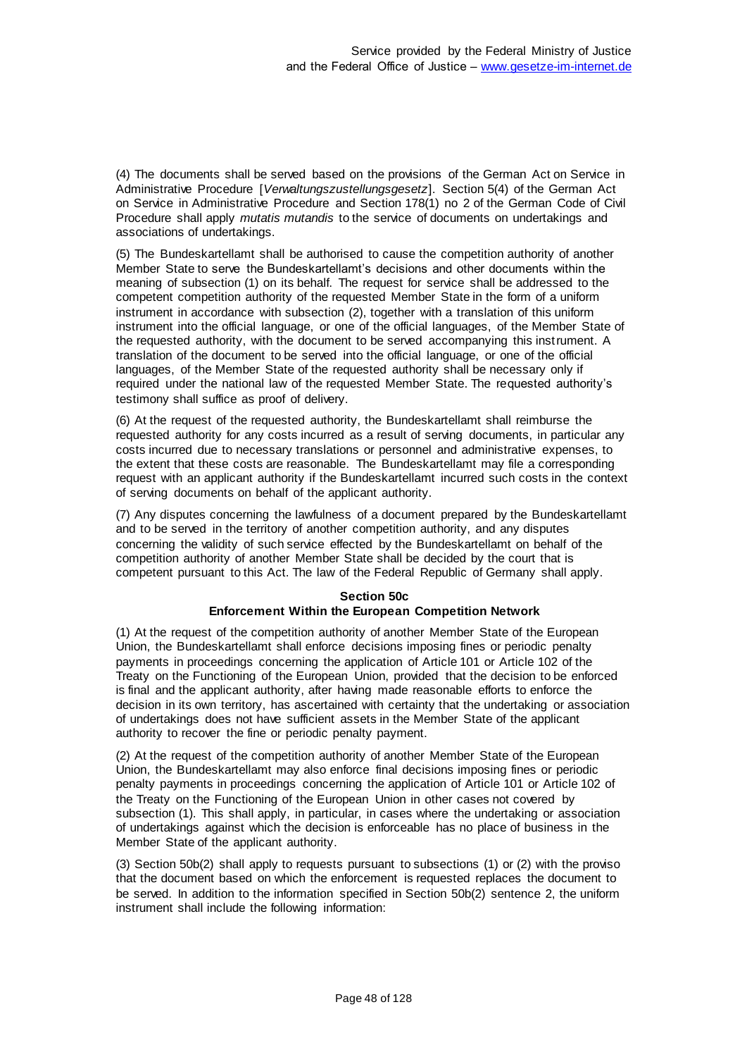(4) The documents shall be served based on the provisions of the German Act on Service in Administrative Procedure [*Verwaltungszustellungsgesetz*]. Section 5(4) of the German Act on Service in Administrative Procedure and Section 178(1) no 2 of the German Code of Civil Procedure shall apply *mutatis mutandis* to the service of documents on undertakings and associations of undertakings.

(5) The Bundeskartellamt shall be authorised to cause the competition authority of another Member State to serve the Bundeskartellamt's decisions and other documents within the meaning of subsection (1) on its behalf. The request for service shall be addressed to the competent competition authority of the requested Member State in the form of a uniform instrument in accordance with subsection (2), together with a translation of this uniform instrument into the official language, or one of the official languages, of the Member State of the requested authority, with the document to be served accompanying this instrument. A translation of the document to be served into the official language, or one of the official languages, of the Member State of the requested authority shall be necessary only if required under the national law of the requested Member State. The requested authority's testimony shall suffice as proof of delivery.

(6) At the request of the requested authority, the Bundeskartellamt shall reimburse the requested authority for any costs incurred as a result of serving documents, in particular any costs incurred due to necessary translations or personnel and administrative expenses, to the extent that these costs are reasonable. The Bundeskartellamt may file a corresponding request with an applicant authority if the Bundeskartellamt incurred such costs in the context of serving documents on behalf of the applicant authority.

(7) Any disputes concerning the lawfulness of a document prepared by the Bundeskartellamt and to be served in the territory of another competition authority, and any disputes concerning the validity of such service effected by the Bundeskartellamt on behalf of the competition authority of another Member State shall be decided by the court that is competent pursuant to this Act. The law of the Federal Republic of Germany shall apply.

# **Section 50c Enforcement Within the European Competition Network**

(1) At the request of the competition authority of another Member State of the European Union, the Bundeskartellamt shall enforce decisions imposing fines or periodic penalty payments in proceedings concerning the application of Article 101 or Article 102 of the Treaty on the Functioning of the European Union, provided that the decision to be enforced is final and the applicant authority, after having made reasonable efforts to enforce the decision in its own territory, has ascertained with certainty that the undertaking or association of undertakings does not have sufficient assets in the Member State of the applicant authority to recover the fine or periodic penalty payment.

(2) At the request of the competition authority of another Member State of the European Union, the Bundeskartellamt may also enforce final decisions imposing fines or periodic penalty payments in proceedings concerning the application of Article 101 or Article 102 of the Treaty on the Functioning of the European Union in other cases not covered by subsection (1). This shall apply, in particular, in cases where the undertaking or association of undertakings against which the decision is enforceable has no place of business in the Member State of the applicant authority.

(3) Section 50b(2) shall apply to requests pursuant to subsections (1) or (2) with the proviso that the document based on which the enforcement is requested replaces the document to be served. In addition to the information specified in Section 50b(2) sentence 2, the uniform instrument shall include the following information: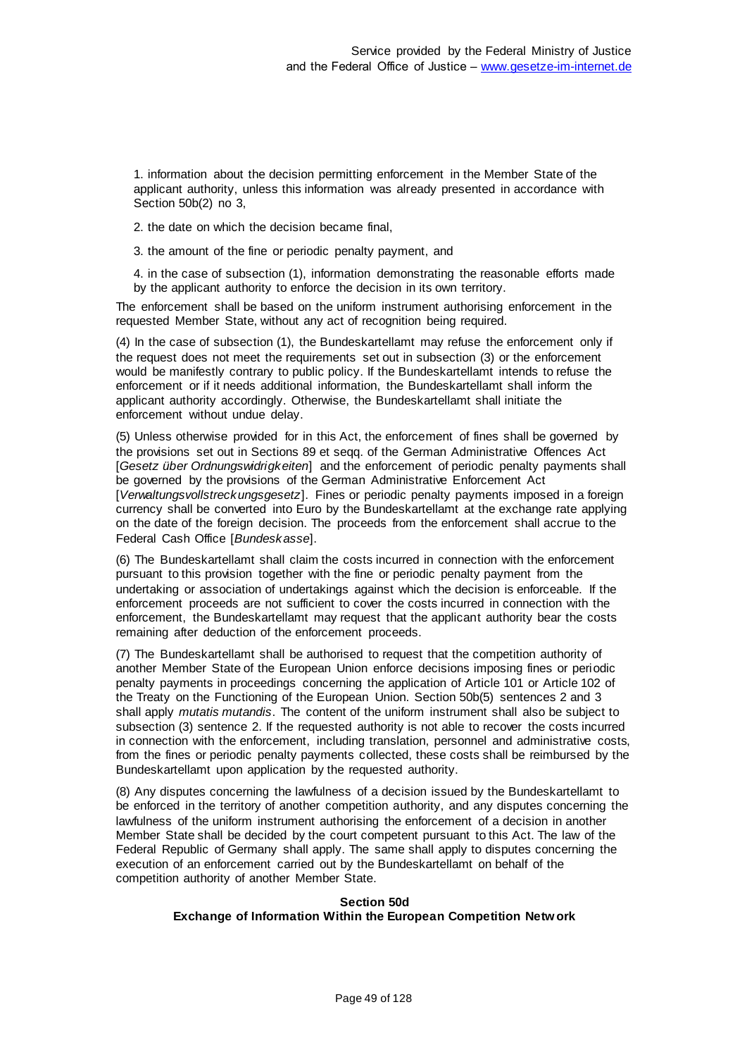1. information about the decision permitting enforcement in the Member State of the applicant authority, unless this information was already presented in accordance with Section 50b(2) no 3,

2. the date on which the decision became final,

3. the amount of the fine or periodic penalty payment, and

4. in the case of subsection (1), information demonstrating the reasonable efforts made by the applicant authority to enforce the decision in its own territory.

The enforcement shall be based on the uniform instrument authorising enforcement in the requested Member State, without any act of recognition being required.

(4) In the case of subsection (1), the Bundeskartellamt may refuse the enforcement only if the request does not meet the requirements set out in subsection (3) or the enforcement would be manifestly contrary to public policy. If the Bundeskartellamt intends to refuse the enforcement or if it needs additional information, the Bundeskartellamt shall inform the applicant authority accordingly. Otherwise, the Bundeskartellamt shall initiate the enforcement without undue delay.

(5) Unless otherwise provided for in this Act, the enforcement of fines shall be governed by the provisions set out in Sections 89 et seqq. of the German Administrative Offences Act [*Gesetz über Ordnungswidrigkeiten*] and the enforcement of periodic penalty payments shall be governed by the provisions of the German Administrative Enforcement Act [*Verwaltungsvollstreckungsgesetz*]. Fines or periodic penalty payments imposed in a foreign currency shall be converted into Euro by the Bundeskartellamt at the exchange rate applying on the date of the foreign decision. The proceeds from the enforcement shall accrue to the Federal Cash Office [*Bundeskasse*].

(6) The Bundeskartellamt shall claim the costs incurred in connection with the enforcement pursuant to this provision together with the fine or periodic penalty payment from the undertaking or association of undertakings against which the decision is enforceable. If the enforcement proceeds are not sufficient to cover the costs incurred in connection with the enforcement, the Bundeskartellamt may request that the applicant authority bear the costs remaining after deduction of the enforcement proceeds.

(7) The Bundeskartellamt shall be authorised to request that the competition authority of another Member State of the European Union enforce decisions imposing fines or periodic penalty payments in proceedings concerning the application of Article 101 or Article 102 of the Treaty on the Functioning of the European Union. Section 50b(5) sentences 2 and 3 shall apply *mutatis mutandis*. The content of the uniform instrument shall also be subject to subsection (3) sentence 2. If the requested authority is not able to recover the costs incurred in connection with the enforcement, including translation, personnel and administrative costs, from the fines or periodic penalty payments collected, these costs shall be reimbursed by the Bundeskartellamt upon application by the requested authority.

(8) Any disputes concerning the lawfulness of a decision issued by the Bundeskartellamt to be enforced in the territory of another competition authority, and any disputes concerning the lawfulness of the uniform instrument authorising the enforcement of a decision in another Member State shall be decided by the court competent pursuant to this Act. The law of the Federal Republic of Germany shall apply. The same shall apply to disputes concerning the execution of an enforcement carried out by the Bundeskartellamt on behalf of the competition authority of another Member State.

# **Section 50d Exchange of Information Within the European Competition Network**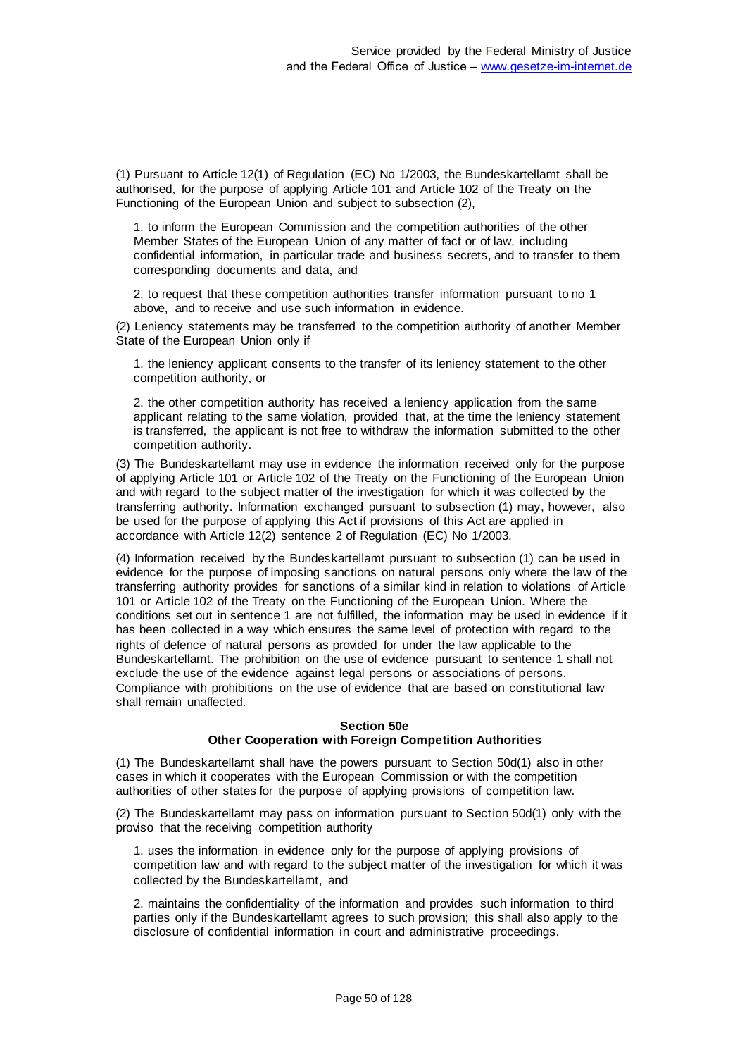(1) Pursuant to Article 12(1) of Regulation (EC) No 1/2003, the Bundeskartellamt shall be authorised, for the purpose of applying Article 101 and Article 102 of the Treaty on the Functioning of the European Union and subject to subsection (2),

1. to inform the European Commission and the competition authorities of the other Member States of the European Union of any matter of fact or of law, including confidential information, in particular trade and business secrets, and to transfer to them corresponding documents and data, and

2. to request that these competition authorities transfer information pursuant to no 1 above, and to receive and use such information in evidence.

(2) Leniency statements may be transferred to the competition authority of another Member State of the European Union only if

1. the leniency applicant consents to the transfer of its leniency statement to the other competition authority, or

2. the other competition authority has received a leniency application from the same applicant relating to the same violation, provided that, at the time the leniency statement is transferred, the applicant is not free to withdraw the information submitted to the other competition authority.

(3) The Bundeskartellamt may use in evidence the information received only for the purpose of applying Article 101 or Article 102 of the Treaty on the Functioning of the European Union and with regard to the subject matter of the investigation for which it was collected by the transferring authority. Information exchanged pursuant to subsection (1) may, however, also be used for the purpose of applying this Act if provisions of this Act are applied in accordance with Article 12(2) sentence 2 of Regulation (EC) No 1/2003.

(4) Information received by the Bundeskartellamt pursuant to subsection (1) can be used in evidence for the purpose of imposing sanctions on natural persons only where the law of the transferring authority provides for sanctions of a similar kind in relation to violations of Article 101 or Article 102 of the Treaty on the Functioning of the European Union. Where the conditions set out in sentence 1 are not fulfilled, the information may be used in evidence if it has been collected in a way which ensures the same level of protection with regard to the rights of defence of natural persons as provided for under the law applicable to the Bundeskartellamt. The prohibition on the use of evidence pursuant to sentence 1 shall not exclude the use of the evidence against legal persons or associations of persons. Compliance with prohibitions on the use of evidence that are based on constitutional law shall remain unaffected.

### **Section 50e Other Cooperation with Foreign Competition Authorities**

(1) The Bundeskartellamt shall have the powers pursuant to Section 50d(1) also in other cases in which it cooperates with the European Commission or with the competition authorities of other states for the purpose of applying provisions of competition law.

(2) The Bundeskartellamt may pass on information pursuant to Section 50d(1) only with the proviso that the receiving competition authority

1. uses the information in evidence only for the purpose of applying provisions of competition law and with regard to the subject matter of the investigation for which it was collected by the Bundeskartellamt, and

2. maintains the confidentiality of the information and provides such information to third parties only if the Bundeskartellamt agrees to such provision; this shall also apply to the disclosure of confidential information in court and administrative proceedings.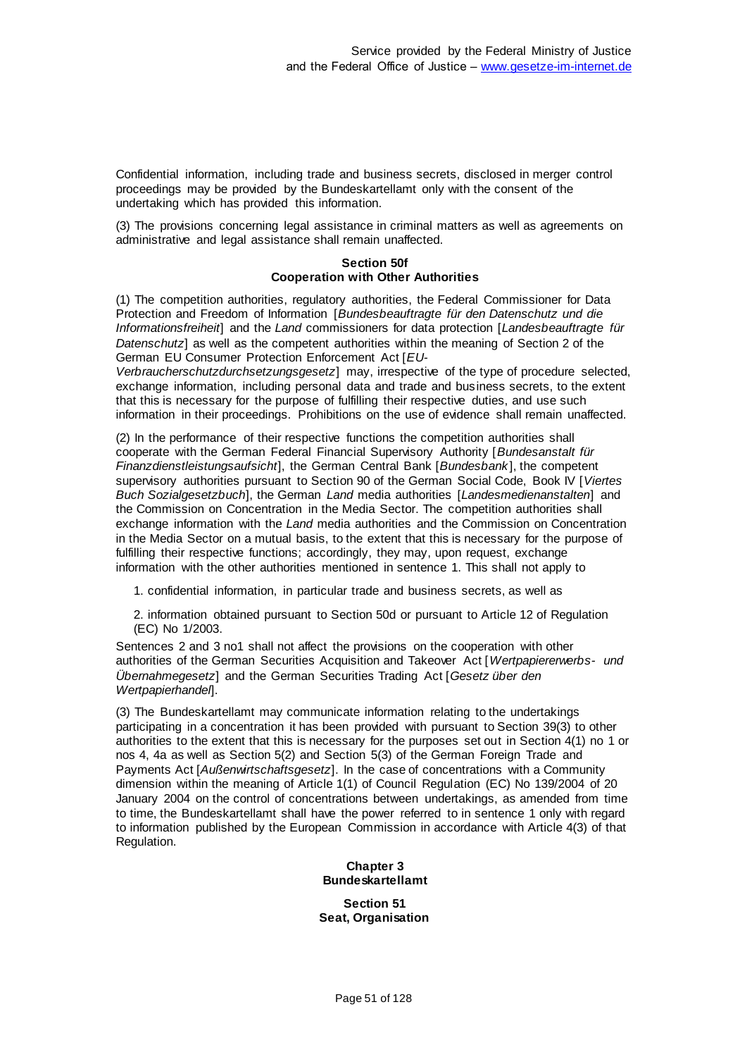Confidential information, including trade and business secrets, disclosed in merger control proceedings may be provided by the Bundeskartellamt only with the consent of the undertaking which has provided this information.

(3) The provisions concerning legal assistance in criminal matters as well as agreements on administrative and legal assistance shall remain unaffected.

### **Section 50f Cooperation with Other Authorities**

(1) The competition authorities, regulatory authorities, the Federal Commissioner for Data Protection and Freedom of Information [*Bundesbeauftragte für den Datenschutz und die Informationsfreiheit*] and the *Land* commissioners for data protection [*Landesbeauftragte für Datenschutz*] as well as the competent authorities within the meaning of Section 2 of the German EU Consumer Protection Enforcement Act [*EU-*

*Verbraucherschutzdurchsetzungsgesetz*] may, irrespective of the type of procedure selected, exchange information, including personal data and trade and business secrets, to the extent that this is necessary for the purpose of fulfilling their respective duties, and use such information in their proceedings. Prohibitions on the use of evidence shall remain unaffected.

(2) In the performance of their respective functions the competition authorities shall cooperate with the German Federal Financial Supervisory Authority [*Bundesanstalt für Finanzdienstleistungsaufsicht*], the German Central Bank [*Bundesbank* ], the competent supervisory authorities pursuant to Section 90 of the German Social Code, Book IV [*Viertes Buch Sozialgesetzbuch*], the German *Land* media authorities [*Landesmedienanstalten*] and the Commission on Concentration in the Media Sector. The competition authorities shall exchange information with the *Land* media authorities and the Commission on Concentration in the Media Sector on a mutual basis, to the extent that this is necessary for the purpose of fulfilling their respective functions; accordingly, they may, upon request, exchange information with the other authorities mentioned in sentence 1. This shall not apply to

1. confidential information, in particular trade and business secrets, as well as

2. information obtained pursuant to Section 50d or pursuant to Article 12 of Regulation (EC) No 1/2003.

Sentences 2 and 3 no1 shall not affect the provisions on the cooperation with other authorities of the German Securities Acquisition and Takeover Act [*Wertpapiererwerbs- und Übernahmegesetz*] and the German Securities Trading Act [*Gesetz über den Wertpapierhandel*].

(3) The Bundeskartellamt may communicate information relating to the undertakings participating in a concentration it has been provided with pursuant to Section 39(3) to other authorities to the extent that this is necessary for the purposes set out in Section 4(1) no 1 or nos 4, 4a as well as Section 5(2) and Section 5(3) of the German Foreign Trade and Payments Act [*Außenwirtschaftsgesetz*]. In the case of concentrations with a Community dimension within the meaning of Article 1(1) of Council Regulation (EC) No 139/2004 of 20 January 2004 on the control of concentrations between undertakings, as amended from time to time, the Bundeskartellamt shall have the power referred to in sentence 1 only with regard to information published by the European Commission in accordance with Article 4(3) of that Regulation.

> **Chapter 3 Bundeskartellamt**

**Section 51 Seat, Organisation**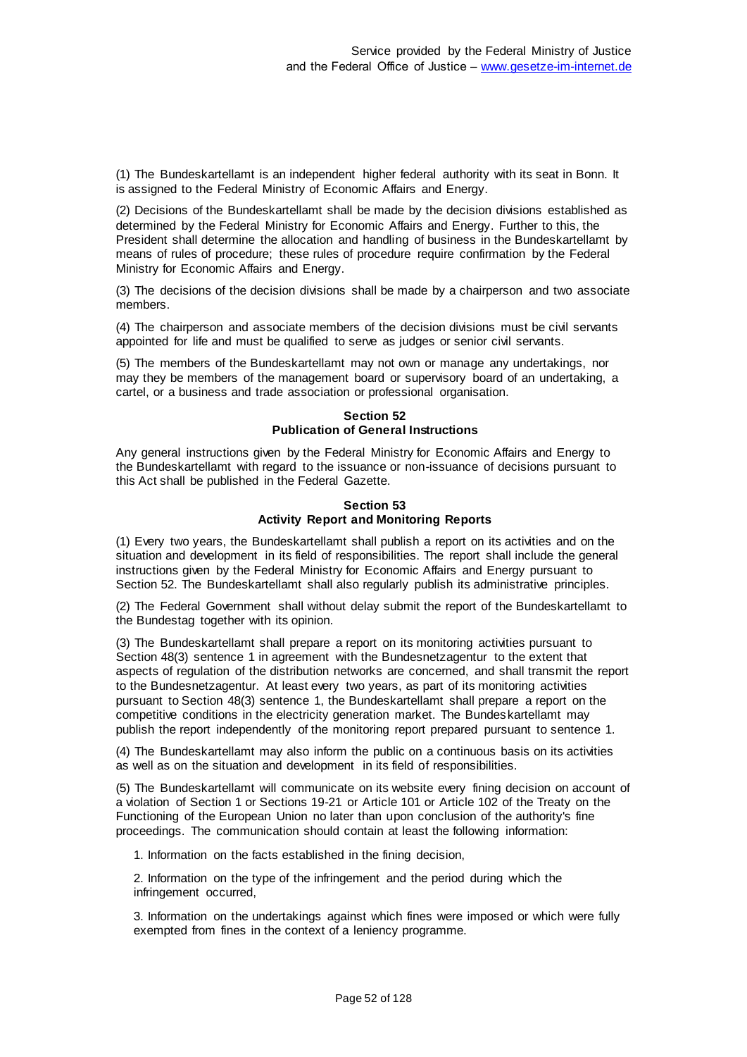(1) The Bundeskartellamt is an independent higher federal authority with its seat in Bonn. It is assigned to the Federal Ministry of Economic Affairs and Energy.

(2) Decisions of the Bundeskartellamt shall be made by the decision divisions established as determined by the Federal Ministry for Economic Affairs and Energy. Further to this, the President shall determine the allocation and handling of business in the Bundeskartellamt by means of rules of procedure; these rules of procedure require confirmation by the Federal Ministry for Economic Affairs and Energy.

(3) The decisions of the decision divisions shall be made by a chairperson and two associate members.

(4) The chairperson and associate members of the decision divisions must be civil servants appointed for life and must be qualified to serve as judges or senior civil servants.

(5) The members of the Bundeskartellamt may not own or manage any undertakings, nor may they be members of the management board or supervisory board of an undertaking, a cartel, or a business and trade association or professional organisation.

> **Section 52 Publication of General Instructions**

Any general instructions given by the Federal Ministry for Economic Affairs and Energy to the Bundeskartellamt with regard to the issuance or non-issuance of decisions pursuant to this Act shall be published in the Federal Gazette.

## **Section 53 Activity Report and Monitoring Reports**

(1) Every two years, the Bundeskartellamt shall publish a report on its activities and on the situation and development in its field of responsibilities. The report shall include the general instructions given by the Federal Ministry for Economic Affairs and Energy pursuant to Section 52. The Bundeskartellamt shall also regularly publish its administrative principles.

(2) The Federal Government shall without delay submit the report of the Bundeskartellamt to the Bundestag together with its opinion.

(3) The Bundeskartellamt shall prepare a report on its monitoring activities pursuant to Section 48(3) sentence 1 in agreement with the Bundesnetzagentur to the extent that aspects of regulation of the distribution networks are concerned, and shall transmit the report to the Bundesnetzagentur. At least every two years, as part of its monitoring activities pursuant to Section 48(3) sentence 1, the Bundeskartellamt shall prepare a report on the competitive conditions in the electricity generation market. The Bundeskartellamt may publish the report independently of the monitoring report prepared pursuant to sentence 1.

(4) The Bundeskartellamt may also inform the public on a continuous basis on its activities as well as on the situation and development in its field of responsibilities.

(5) The Bundeskartellamt will communicate on its website every fining decision on account of a violation of Section 1 or Sections 19-21 or Article 101 or Article 102 of the Treaty on the Functioning of the European Union no later than upon conclusion of the authority's fine proceedings. The communication should contain at least the following information:

1. Information on the facts established in the fining decision,

2. Information on the type of the infringement and the period during which the infringement occurred,

3. Information on the undertakings against which fines were imposed or which were fully exempted from fines in the context of a leniency programme.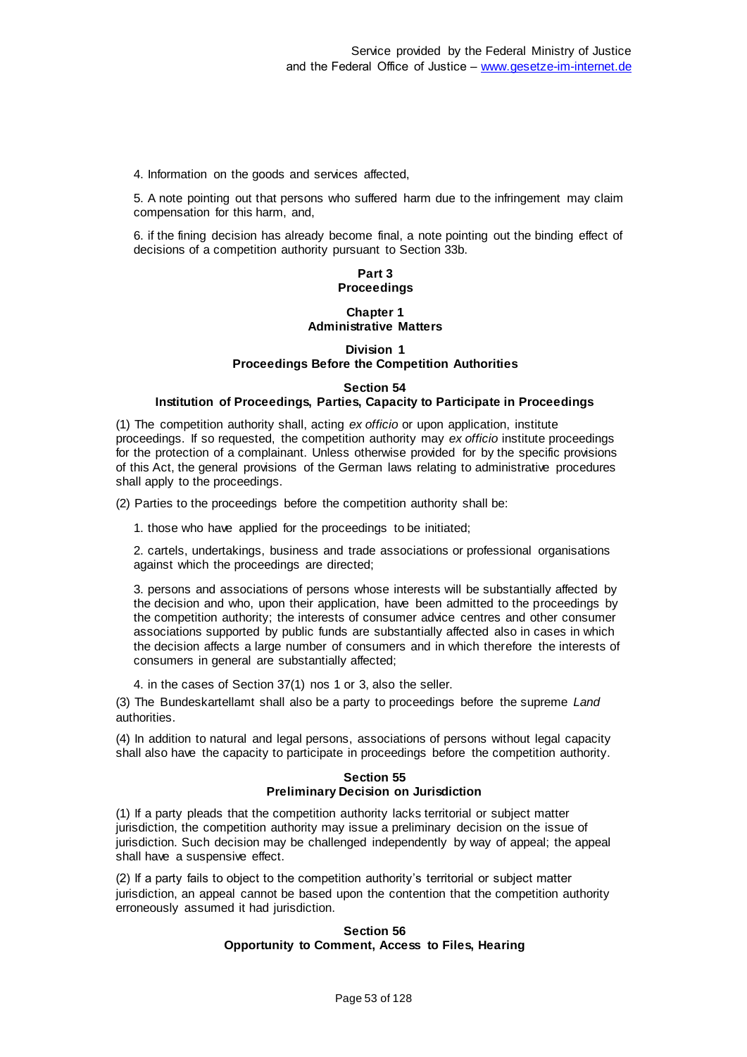4. Information on the goods and services affected,

5. A note pointing out that persons who suffered harm due to the infringement may claim compensation for this harm, and,

6. if the fining decision has already become final, a note pointing out the binding effect of decisions of a competition authority pursuant to Section 33b.

# **Part 3 Proceedings**

## **Chapter 1 Administrative Matters**

## **Division 1 Proceedings Before the Competition Authorities**

## **Section 54**

### **Institution of Proceedings, Parties, Capacity to Participate in Proceedings**

(1) The competition authority shall, acting *ex officio* or upon application, institute proceedings. If so requested, the competition authority may *ex officio* institute proceedings for the protection of a complainant. Unless otherwise provided for by the specific provisions of this Act, the general provisions of the German laws relating to administrative procedures shall apply to the proceedings.

(2) Parties to the proceedings before the competition authority shall be:

1. those who have applied for the proceedings to be initiated;

2. cartels, undertakings, business and trade associations or professional organisations against which the proceedings are directed;

3. persons and associations of persons whose interests will be substantially affected by the decision and who, upon their application, have been admitted to the proceedings by the competition authority; the interests of consumer advice centres and other consumer associations supported by public funds are substantially affected also in cases in which the decision affects a large number of consumers and in which therefore the interests of consumers in general are substantially affected;

4. in the cases of Section 37(1) nos 1 or 3, also the seller.

(3) The Bundeskartellamt shall also be a party to proceedings before the supreme *Land* authorities.

(4) In addition to natural and legal persons, associations of persons without legal capacity shall also have the capacity to participate in proceedings before the competition authority.

### **Section 55 Preliminary Decision on Jurisdiction**

(1) If a party pleads that the competition authority lacks territorial or subject matter jurisdiction, the competition authority may issue a preliminary decision on the issue of jurisdiction. Such decision may be challenged independently by way of appeal; the appeal shall have a suspensive effect.

(2) If a party fails to object to the competition authority's territorial or subject matter jurisdiction, an appeal cannot be based upon the contention that the competition authority erroneously assumed it had jurisdiction.

## **Section 56 Opportunity to Comment, Access to Files, Hearing**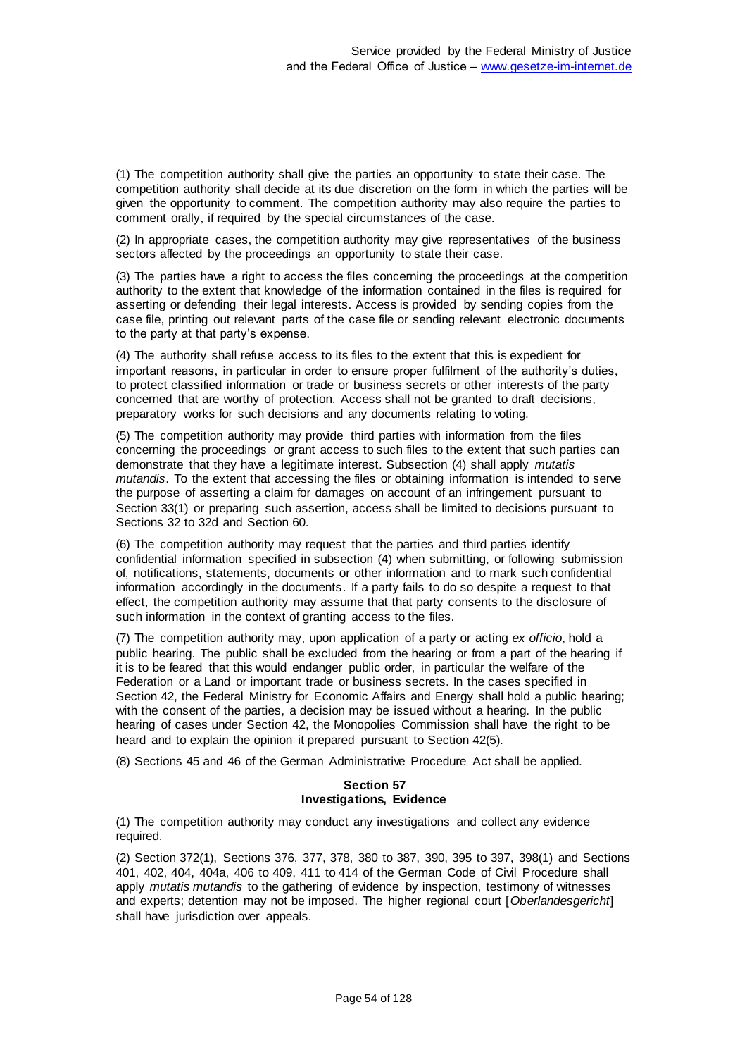(1) The competition authority shall give the parties an opportunity to state their case. The competition authority shall decide at its due discretion on the form in which the parties will be given the opportunity to comment. The competition authority may also require the parties to comment orally, if required by the special circumstances of the case.

(2) In appropriate cases, the competition authority may give representatives of the business sectors affected by the proceedings an opportunity to state their case.

(3) The parties have a right to access the files concerning the proceedings at the competition authority to the extent that knowledge of the information contained in the files is required for asserting or defending their legal interests. Access is provided by sending copies from the case file, printing out relevant parts of the case file or sending relevant electronic documents to the party at that party's expense.

(4) The authority shall refuse access to its files to the extent that this is expedient for important reasons, in particular in order to ensure proper fulfilment of the authority's duties, to protect classified information or trade or business secrets or other interests of the party concerned that are worthy of protection. Access shall not be granted to draft decisions, preparatory works for such decisions and any documents relating to voting.

(5) The competition authority may provide third parties with information from the files concerning the proceedings or grant access to such files to the extent that such parties can demonstrate that they have a legitimate interest. Subsection (4) shall apply *mutatis mutandis*. To the extent that accessing the files or obtaining information is intended to serve the purpose of asserting a claim for damages on account of an infringement pursuant to Section 33(1) or preparing such assertion, access shall be limited to decisions pursuant to Sections 32 to 32d and Section 60.

(6) The competition authority may request that the parties and third parties identify confidential information specified in subsection (4) when submitting, or following submission of, notifications, statements, documents or other information and to mark such confidential information accordingly in the documents. If a party fails to do so despite a request to that effect, the competition authority may assume that that party consents to the disclosure of such information in the context of granting access to the files.

(7) The competition authority may, upon application of a party or acting *ex officio*, hold a public hearing. The public shall be excluded from the hearing or from a part of the hearing if it is to be feared that this would endanger public order, in particular the welfare of the Federation or a Land or important trade or business secrets. In the cases specified in Section 42, the Federal Ministry for Economic Affairs and Energy shall hold a public hearing; with the consent of the parties, a decision may be issued without a hearing. In the public hearing of cases under Section 42, the Monopolies Commission shall have the right to be heard and to explain the opinion it prepared pursuant to Section 42(5).

(8) Sections 45 and 46 of the German Administrative Procedure Act shall be applied.

### **Section 57 Investigations, Evidence**

(1) The competition authority may conduct any investigations and collect any evidence required.

(2) Section 372(1), Sections 376, 377, 378, 380 to 387, 390, 395 to 397, 398(1) and Sections 401, 402, 404, 404a, 406 to 409, 411 to 414 of the German Code of Civil Procedure shall apply *mutatis mutandis* to the gathering of evidence by inspection, testimony of witnesses and experts; detention may not be imposed. The higher regional court [*Oberlandesgericht*] shall have jurisdiction over appeals.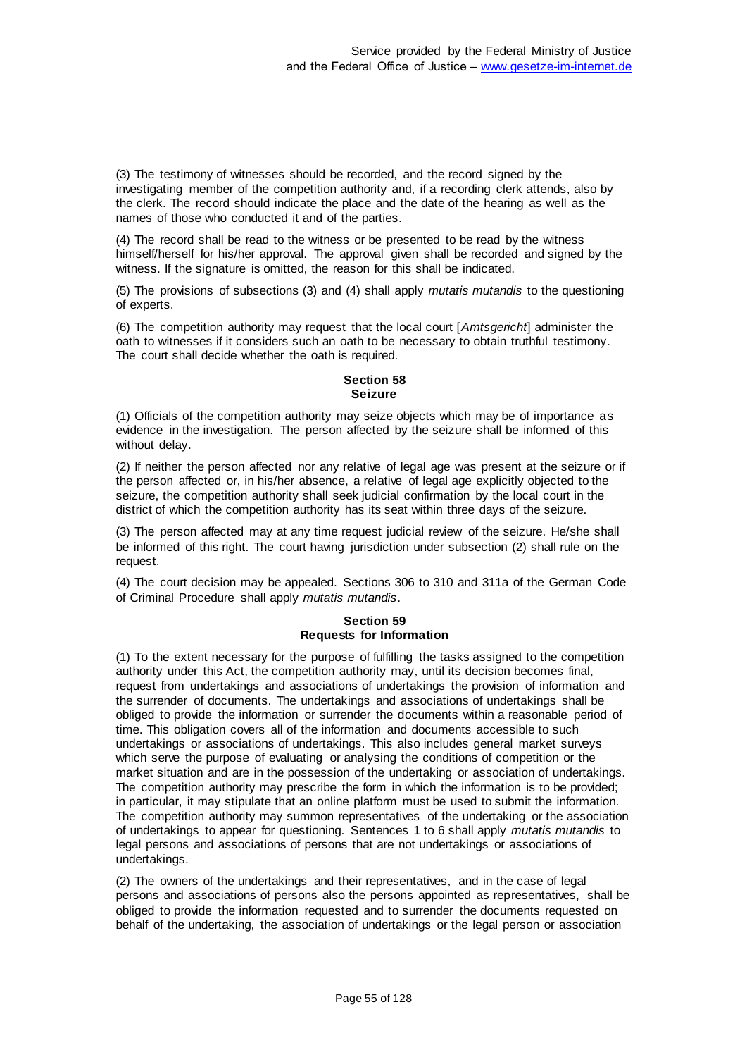(3) The testimony of witnesses should be recorded, and the record signed by the investigating member of the competition authority and, if a recording clerk attends, also by the clerk. The record should indicate the place and the date of the hearing as well as the names of those who conducted it and of the parties.

(4) The record shall be read to the witness or be presented to be read by the witness himself/herself for his/her approval. The approval given shall be recorded and signed by the witness. If the signature is omitted, the reason for this shall be indicated.

(5) The provisions of subsections (3) and (4) shall apply *mutatis mutandis* to the questioning of experts.

(6) The competition authority may request that the local court [*Amtsgericht*] administer the oath to witnesses if it considers such an oath to be necessary to obtain truthful testimony. The court shall decide whether the oath is required.

## **Section 58 Seizure**

(1) Officials of the competition authority may seize objects which may be of importance as evidence in the investigation. The person affected by the seizure shall be informed of this without delay.

(2) If neither the person affected nor any relative of legal age was present at the seizure or if the person affected or, in his/her absence, a relative of legal age explicitly objected to the seizure, the competition authority shall seek judicial confirmation by the local court in the district of which the competition authority has its seat within three days of the seizure.

(3) The person affected may at any time request judicial review of the seizure. He/she shall be informed of this right. The court having jurisdiction under subsection (2) shall rule on the request.

(4) The court decision may be appealed. Sections 306 to 310 and 311a of the German Code of Criminal Procedure shall apply *mutatis mutandis*.

# **Section 59 Requests for Information**

(1) To the extent necessary for the purpose of fulfilling the tasks assigned to the competition authority under this Act, the competition authority may, until its decision becomes final, request from undertakings and associations of undertakings the provision of information and the surrender of documents. The undertakings and associations of undertakings shall be obliged to provide the information or surrender the documents within a reasonable period of time. This obligation covers all of the information and documents accessible to such undertakings or associations of undertakings. This also includes general market surveys which serve the purpose of evaluating or analysing the conditions of competition or the market situation and are in the possession of the undertaking or association of undertakings. The competition authority may prescribe the form in which the information is to be provided; in particular, it may stipulate that an online platform must be used to submit the information. The competition authority may summon representatives of the undertaking or the association of undertakings to appear for questioning. Sentences 1 to 6 shall apply *mutatis mutandis* to legal persons and associations of persons that are not undertakings or associations of undertakings.

(2) The owners of the undertakings and their representatives, and in the case of legal persons and associations of persons also the persons appointed as representatives, shall be obliged to provide the information requested and to surrender the documents requested on behalf of the undertaking, the association of undertakings or the legal person or association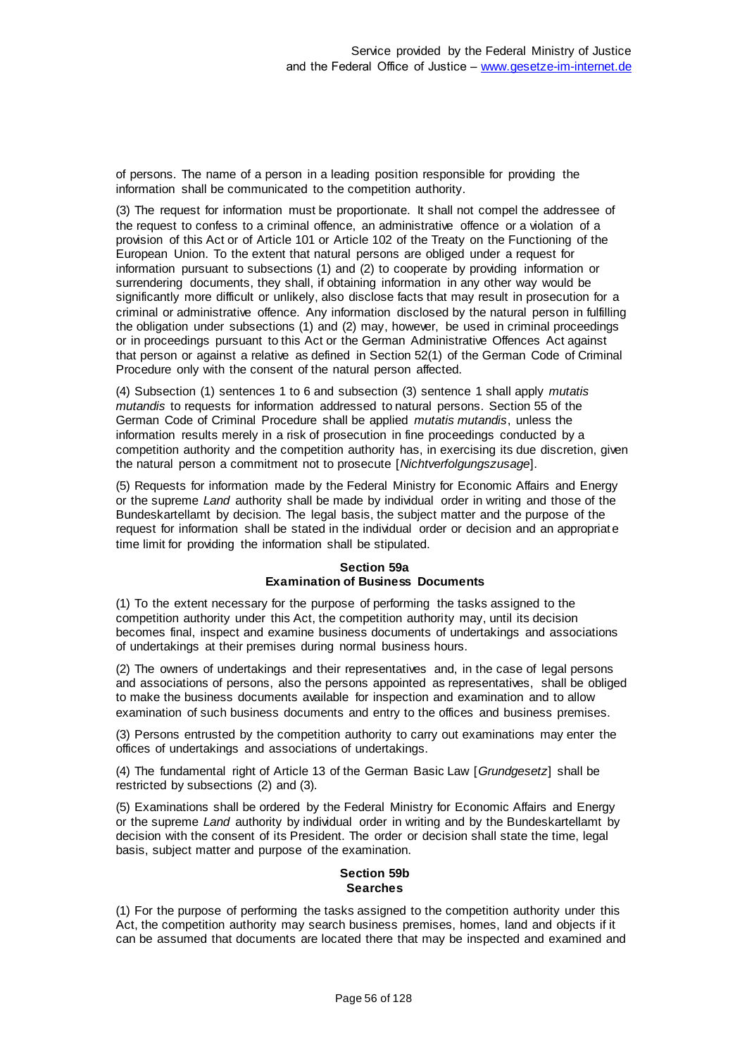of persons. The name of a person in a leading position responsible for providing the information shall be communicated to the competition authority.

(3) The request for information must be proportionate. It shall not compel the addressee of the request to confess to a criminal offence, an administrative offence or a violation of a provision of this Act or of Article 101 or Article 102 of the Treaty on the Functioning of the European Union. To the extent that natural persons are obliged under a request for information pursuant to subsections (1) and (2) to cooperate by providing information or surrendering documents, they shall, if obtaining information in any other way would be significantly more difficult or unlikely, also disclose facts that may result in prosecution for a criminal or administrative offence. Any information disclosed by the natural person in fulfilling the obligation under subsections (1) and (2) may, however, be used in criminal proceedings or in proceedings pursuant to this Act or the German Administrative Offences Act against that person or against a relative as defined in Section 52(1) of the German Code of Criminal Procedure only with the consent of the natural person affected.

(4) Subsection (1) sentences 1 to 6 and subsection (3) sentence 1 shall apply *mutatis mutandis* to requests for information addressed to natural persons. Section 55 of the German Code of Criminal Procedure shall be applied *mutatis mutandis*, unless the information results merely in a risk of prosecution in fine proceedings conducted by a competition authority and the competition authority has, in exercising its due discretion, given the natural person a commitment not to prosecute [*Nichtverfolgungszusage*].

(5) Requests for information made by the Federal Ministry for Economic Affairs and Energy or the supreme *Land* authority shall be made by individual order in writing and those of the Bundeskartellamt by decision. The legal basis, the subject matter and the purpose of the request for information shall be stated in the individual order or decision and an appropriate time limit for providing the information shall be stipulated.

### **Section 59a Examination of Business Documents**

(1) To the extent necessary for the purpose of performing the tasks assigned to the competition authority under this Act, the competition authority may, until its decision becomes final, inspect and examine business documents of undertakings and associations of undertakings at their premises during normal business hours.

(2) The owners of undertakings and their representatives and, in the case of legal persons and associations of persons, also the persons appointed as representatives, shall be obliged to make the business documents available for inspection and examination and to allow examination of such business documents and entry to the offices and business premises.

(3) Persons entrusted by the competition authority to carry out examinations may enter the offices of undertakings and associations of undertakings.

(4) The fundamental right of Article 13 of the German Basic Law [*Grundgesetz*] shall be restricted by subsections (2) and (3).

(5) Examinations shall be ordered by the Federal Ministry for Economic Affairs and Energy or the supreme *Land* authority by individual order in writing and by the Bundeskartellamt by decision with the consent of its President. The order or decision shall state the time, legal basis, subject matter and purpose of the examination.

# **Section 59b Searches**

(1) For the purpose of performing the tasks assigned to the competition authority under this Act, the competition authority may search business premises, homes, land and objects if it can be assumed that documents are located there that may be inspected and examined and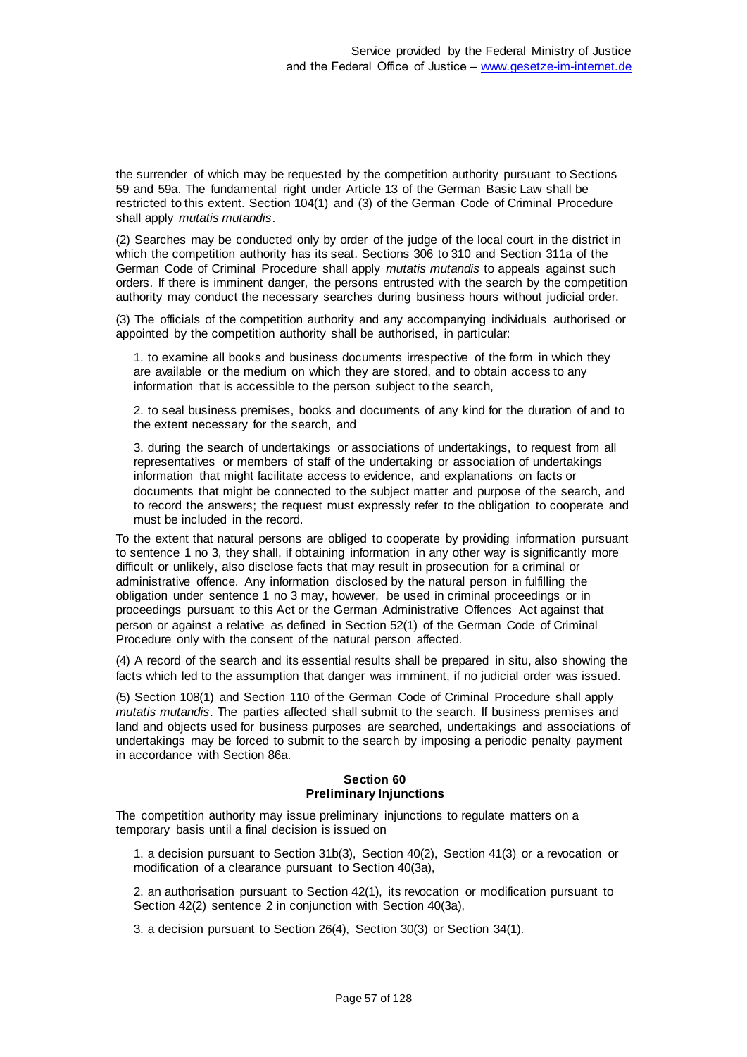the surrender of which may be requested by the competition authority pursuant to Sections 59 and 59a. The fundamental right under Article 13 of the German Basic Law shall be restricted to this extent. Section 104(1) and (3) of the German Code of Criminal Procedure shall apply *mutatis mutandis*.

(2) Searches may be conducted only by order of the judge of the local court in the district in which the competition authority has its seat. Sections 306 to 310 and Section 311a of the German Code of Criminal Procedure shall apply *mutatis mutandis* to appeals against such orders. If there is imminent danger, the persons entrusted with the search by the competition authority may conduct the necessary searches during business hours without judicial order.

(3) The officials of the competition authority and any accompanying individuals authorised or appointed by the competition authority shall be authorised, in particular:

1. to examine all books and business documents irrespective of the form in which they are available or the medium on which they are stored, and to obtain access to any information that is accessible to the person subject to the search,

2. to seal business premises, books and documents of any kind for the duration of and to the extent necessary for the search, and

3. during the search of undertakings or associations of undertakings, to request from all representatives or members of staff of the undertaking or association of undertakings information that might facilitate access to evidence, and explanations on facts or documents that might be connected to the subject matter and purpose of the search, and to record the answers; the request must expressly refer to the obligation to cooperate and must be included in the record.

To the extent that natural persons are obliged to cooperate by providing information pursuant to sentence 1 no 3, they shall, if obtaining information in any other way is significantly more difficult or unlikely, also disclose facts that may result in prosecution for a criminal or administrative offence. Any information disclosed by the natural person in fulfilling the obligation under sentence 1 no 3 may, however, be used in criminal proceedings or in proceedings pursuant to this Act or the German Administrative Offences Act against that person or against a relative as defined in Section 52(1) of the German Code of Criminal Procedure only with the consent of the natural person affected.

(4) A record of the search and its essential results shall be prepared in situ, also showing the facts which led to the assumption that danger was imminent, if no judicial order was issued.

(5) Section 108(1) and Section 110 of the German Code of Criminal Procedure shall apply *mutatis mutandis*. The parties affected shall submit to the search. If business premises and land and objects used for business purposes are searched, undertakings and associations of undertakings may be forced to submit to the search by imposing a periodic penalty payment in accordance with Section 86a.

### **Section 60 Preliminary Injunctions**

The competition authority may issue preliminary injunctions to regulate matters on a temporary basis until a final decision is issued on

1. a decision pursuant to Section 31b(3), Section 40(2), Section 41(3) or a revocation or modification of a clearance pursuant to Section 40(3a),

2. an authorisation pursuant to Section 42(1), its revocation or modification pursuant to Section 42(2) sentence 2 in conjunction with Section 40(3a),

3. a decision pursuant to Section 26(4), Section 30(3) or Section 34(1).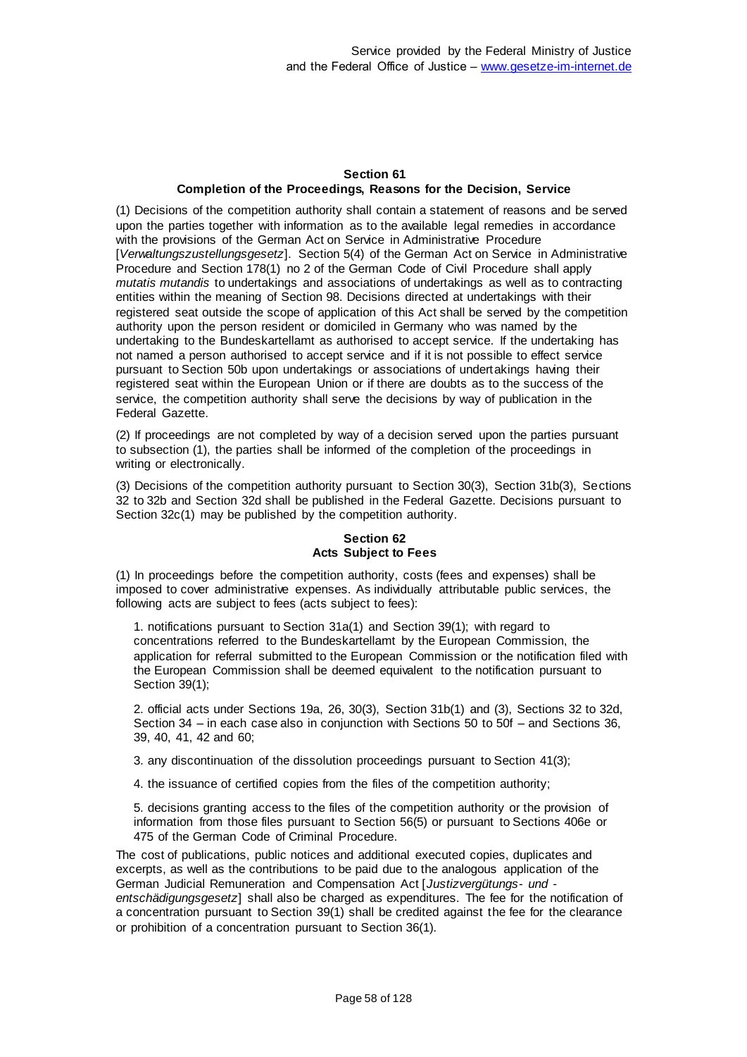## **Section 61 Completion of the Proceedings, Reasons for the Decision, Service**

(1) Decisions of the competition authority shall contain a statement of reasons and be served upon the parties together with information as to the available legal remedies in accordance with the provisions of the German Act on Service in Administrative Procedure [*Verwaltungszustellungsgesetz*]. Section 5(4) of the German Act on Service in Administrative Procedure and Section 178(1) no 2 of the German Code of Civil Procedure shall apply *mutatis mutandis* to undertakings and associations of undertakings as well as to contracting entities within the meaning of Section 98. Decisions directed at undertakings with their registered seat outside the scope of application of this Act shall be served by the competition authority upon the person resident or domiciled in Germany who was named by the undertaking to the Bundeskartellamt as authorised to accept service. If the undertaking has not named a person authorised to accept service and if it is not possible to effect service pursuant to Section 50b upon undertakings or associations of undertakings having their registered seat within the European Union or if there are doubts as to the success of the service, the competition authority shall serve the decisions by way of publication in the Federal Gazette.

(2) If proceedings are not completed by way of a decision served upon the parties pursuant to subsection (1), the parties shall be informed of the completion of the proceedings in writing or electronically.

(3) Decisions of the competition authority pursuant to Section 30(3), Section 31b(3), Sections 32 to 32b and Section 32d shall be published in the Federal Gazette. Decisions pursuant to Section 32c(1) may be published by the competition authority.

# **Section 62 Acts Subject to Fees**

(1) In proceedings before the competition authority, costs (fees and expenses) shall be imposed to cover administrative expenses. As individually attributable public services, the following acts are subject to fees (acts subject to fees):

1. notifications pursuant to Section 31a(1) and Section 39(1); with regard to concentrations referred to the Bundeskartellamt by the European Commission, the application for referral submitted to the European Commission or the notification filed with the European Commission shall be deemed equivalent to the notification pursuant to Section 39(1);

2. official acts under Sections 19a, 26, 30(3), Section 31b(1) and (3), Sections 32 to 32d, Section 34 – in each case also in conjunction with Sections 50 to 50f – and Sections 36, 39, 40, 41, 42 and 60;

3. any discontinuation of the dissolution proceedings pursuant to Section 41(3);

4. the issuance of certified copies from the files of the competition authority;

5. decisions granting access to the files of the competition authority or the provision of information from those files pursuant to Section 56(5) or pursuant to Sections 406e or 475 of the German Code of Criminal Procedure.

The cost of publications, public notices and additional executed copies, duplicates and excerpts, as well as the contributions to be paid due to the analogous application of the German Judicial Remuneration and Compensation Act [*Justizvergütungs- und -*

*entschädigungsgesetz*] shall also be charged as expenditures. The fee for the notification of a concentration pursuant to Section 39(1) shall be credited against the fee for the clearance or prohibition of a concentration pursuant to Section 36(1).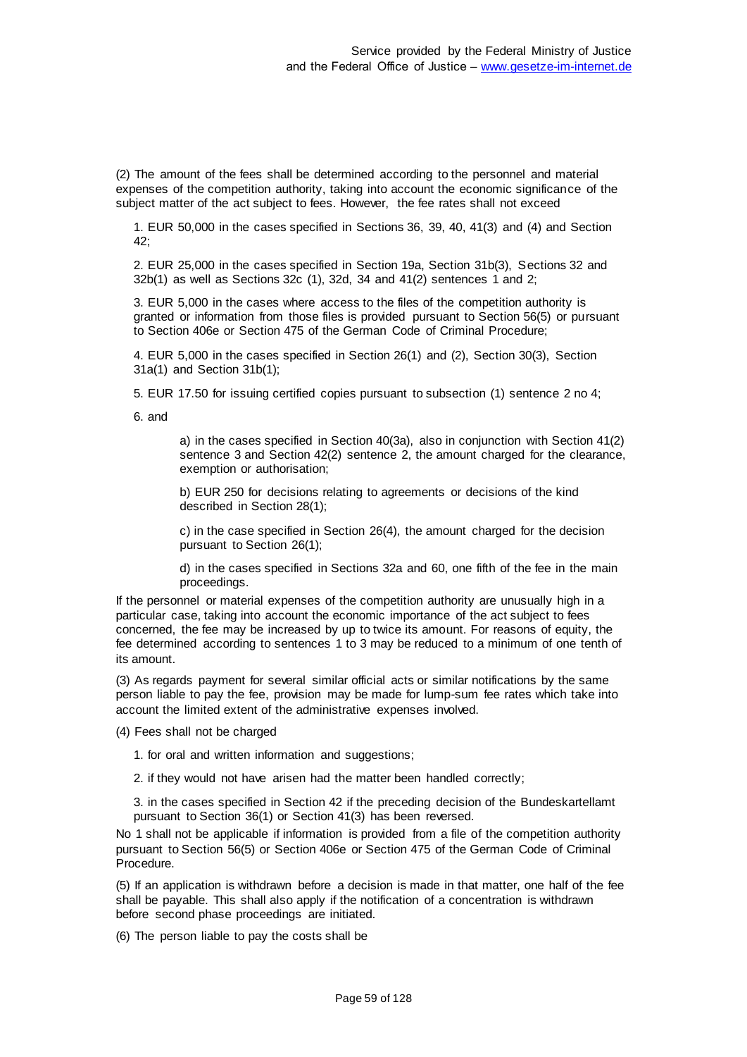(2) The amount of the fees shall be determined according to the personnel and material expenses of the competition authority, taking into account the economic significance of the subject matter of the act subject to fees. However, the fee rates shall not exceed

1. EUR 50,000 in the cases specified in Sections 36, 39, 40, 41(3) and (4) and Section 42;

2. EUR 25,000 in the cases specified in Section 19a, Section 31b(3), Sections 32 and 32b(1) as well as Sections 32c (1), 32d, 34 and 41(2) sentences 1 and 2;

3. EUR 5,000 in the cases where access to the files of the competition authority is granted or information from those files is provided pursuant to Section 56(5) or pursuant to Section 406e or Section 475 of the German Code of Criminal Procedure;

4. EUR 5,000 in the cases specified in Section 26(1) and (2), Section 30(3), Section 31a(1) and Section 31b(1);

5. EUR 17.50 for issuing certified copies pursuant to subsection (1) sentence 2 no 4;

6. and

a) in the cases specified in Section 40(3a), also in conjunction with Section 41(2) sentence 3 and Section 42(2) sentence 2, the amount charged for the clearance, exemption or authorisation;

b) EUR 250 for decisions relating to agreements or decisions of the kind described in Section 28(1);

c) in the case specified in Section 26(4), the amount charged for the decision pursuant to Section 26(1);

d) in the cases specified in Sections 32a and 60, one fifth of the fee in the main proceedings.

If the personnel or material expenses of the competition authority are unusually high in a particular case, taking into account the economic importance of the act subject to fees concerned, the fee may be increased by up to twice its amount. For reasons of equity, the fee determined according to sentences 1 to 3 may be reduced to a minimum of one tenth of its amount.

(3) As regards payment for several similar official acts or similar notifications by the same person liable to pay the fee, provision may be made for lump-sum fee rates which take into account the limited extent of the administrative expenses involved.

(4) Fees shall not be charged

- 1. for oral and written information and suggestions;
- 2. if they would not have arisen had the matter been handled correctly;

3. in the cases specified in Section 42 if the preceding decision of the Bundeskartellamt pursuant to Section 36(1) or Section 41(3) has been reversed.

No 1 shall not be applicable if information is provided from a file of the competition authority pursuant to Section 56(5) or Section 406e or Section 475 of the German Code of Criminal Procedure.

(5) If an application is withdrawn before a decision is made in that matter, one half of the fee shall be payable. This shall also apply if the notification of a concentration is withdrawn before second phase proceedings are initiated.

(6) The person liable to pay the costs shall be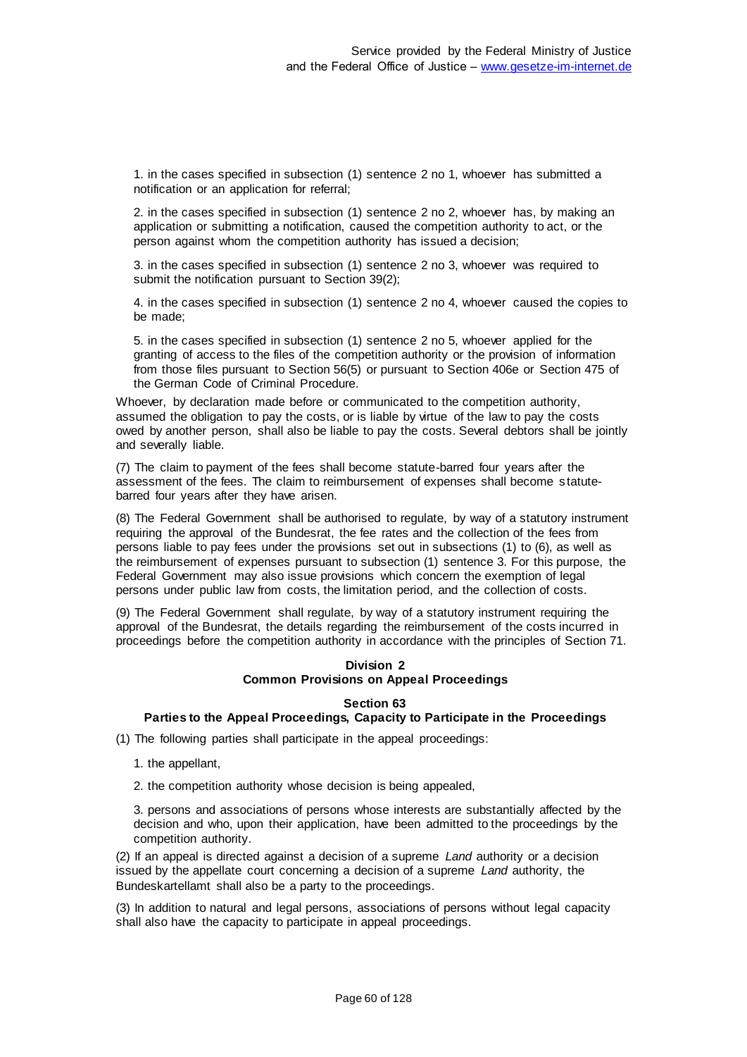1. in the cases specified in subsection (1) sentence 2 no 1, whoever has submitted a notification or an application for referral;

2. in the cases specified in subsection (1) sentence 2 no 2, whoever has, by making an application or submitting a notification, caused the competition authority to act, or the person against whom the competition authority has issued a decision;

3. in the cases specified in subsection (1) sentence 2 no 3, whoever was required to submit the notification pursuant to Section 39(2);

4. in the cases specified in subsection (1) sentence 2 no 4, whoever caused the copies to be made;

5. in the cases specified in subsection (1) sentence 2 no 5, whoever applied for the granting of access to the files of the competition authority or the provision of information from those files pursuant to Section 56(5) or pursuant to Section 406e or Section 475 of the German Code of Criminal Procedure.

Whoever, by declaration made before or communicated to the competition authority, assumed the obligation to pay the costs, or is liable by virtue of the law to pay the costs owed by another person, shall also be liable to pay the costs. Several debtors shall be jointly and severally liable.

(7) The claim to payment of the fees shall become statute-barred four years after the assessment of the fees. The claim to reimbursement of expenses shall become s tatutebarred four years after they have arisen.

(8) The Federal Government shall be authorised to regulate, by way of a statutory instrument requiring the approval of the Bundesrat, the fee rates and the collection of the fees from persons liable to pay fees under the provisions set out in subsections (1) to (6), as well as the reimbursement of expenses pursuant to subsection (1) sentence 3. For this purpose, the Federal Government may also issue provisions which concern the exemption of legal persons under public law from costs, the limitation period, and the collection of costs.

(9) The Federal Government shall regulate, by way of a statutory instrument requiring the approval of the Bundesrat, the details regarding the reimbursement of the costs incurred in proceedings before the competition authority in accordance with the principles of Section 71.

## **Division 2 Common Provisions on Appeal Proceedings**

#### **Section 63**

# **Parties to the Appeal Proceedings, Capacity to Participate in the Proceedings**

(1) The following parties shall participate in the appeal proceedings:

- 1. the appellant,
- 2. the competition authority whose decision is being appealed,

3. persons and associations of persons whose interests are substantially affected by the decision and who, upon their application, have been admitted to the proceedings by the competition authority.

(2) If an appeal is directed against a decision of a supreme *Land* authority or a decision issued by the appellate court concerning a decision of a supreme *Land* authority, the Bundeskartellamt shall also be a party to the proceedings.

(3) In addition to natural and legal persons, associations of persons without legal capacity shall also have the capacity to participate in appeal proceedings.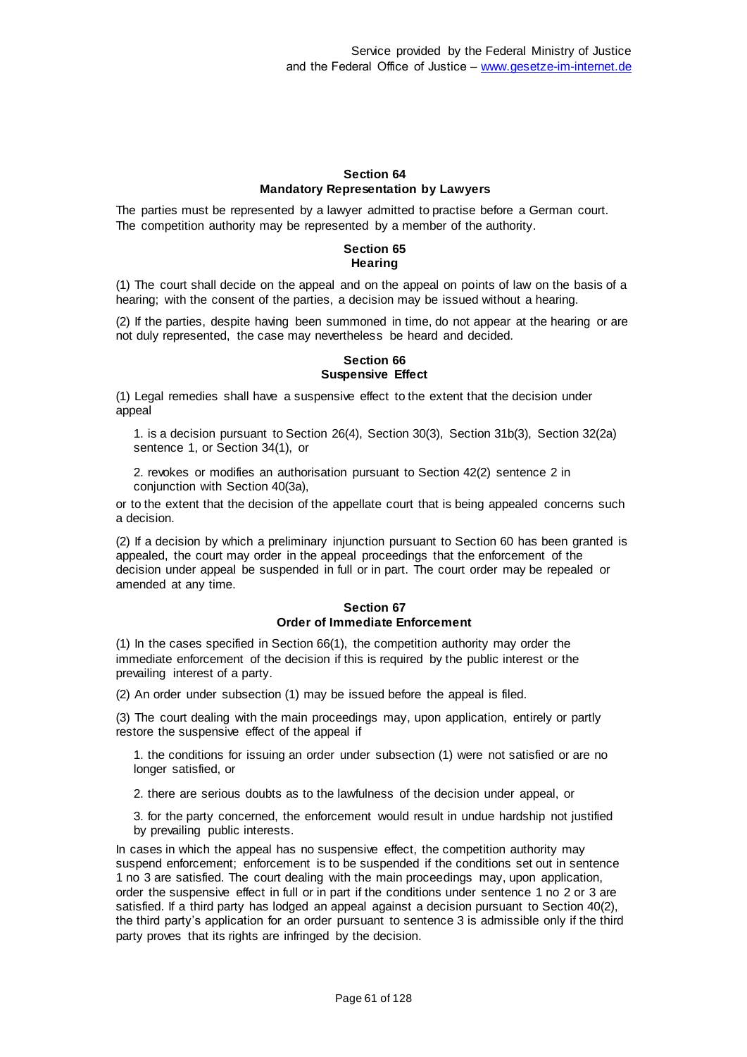## **Section 64 Mandatory Representation by Lawyers**

The parties must be represented by a lawyer admitted to practise before a German court. The competition authority may be represented by a member of the authority.

## **Section 65 Hearing**

(1) The court shall decide on the appeal and on the appeal on points of law on the basis of a hearing; with the consent of the parties, a decision may be issued without a hearing.

(2) If the parties, despite having been summoned in time, do not appear at the hearing or are not duly represented, the case may nevertheless be heard and decided.

# **Section 66 Suspensive Effect**

(1) Legal remedies shall have a suspensive effect to the extent that the decision under appeal

1. is a decision pursuant to Section 26(4), Section 30(3), Section 31b(3), Section 32(2a) sentence 1, or Section 34(1), or

2. revokes or modifies an authorisation pursuant to Section 42(2) sentence 2 in conjunction with Section 40(3a),

or to the extent that the decision of the appellate court that is being appealed concerns such a decision.

(2) If a decision by which a preliminary injunction pursuant to Section 60 has been granted is appealed, the court may order in the appeal proceedings that the enforcement of the decision under appeal be suspended in full or in part. The court order may be repealed or amended at any time.

### **Section 67 Order of Immediate Enforcement**

(1) In the cases specified in Section 66(1), the competition authority may order the immediate enforcement of the decision if this is required by the public interest or the prevailing interest of a party.

(2) An order under subsection (1) may be issued before the appeal is filed.

(3) The court dealing with the main proceedings may, upon application, entirely or partly restore the suspensive effect of the appeal if

1. the conditions for issuing an order under subsection (1) were not satisfied or are no longer satisfied, or

2. there are serious doubts as to the lawfulness of the decision under appeal, or

3. for the party concerned, the enforcement would result in undue hardship not justified by prevailing public interests.

In cases in which the appeal has no suspensive effect, the competition authority may suspend enforcement; enforcement is to be suspended if the conditions set out in sentence 1 no 3 are satisfied. The court dealing with the main proceedings may, upon application, order the suspensive effect in full or in part if the conditions under sentence 1 no 2 or 3 are satisfied. If a third party has lodged an appeal against a decision pursuant to Section 40(2), the third party's application for an order pursuant to sentence 3 is admissible only if the third party proves that its rights are infringed by the decision.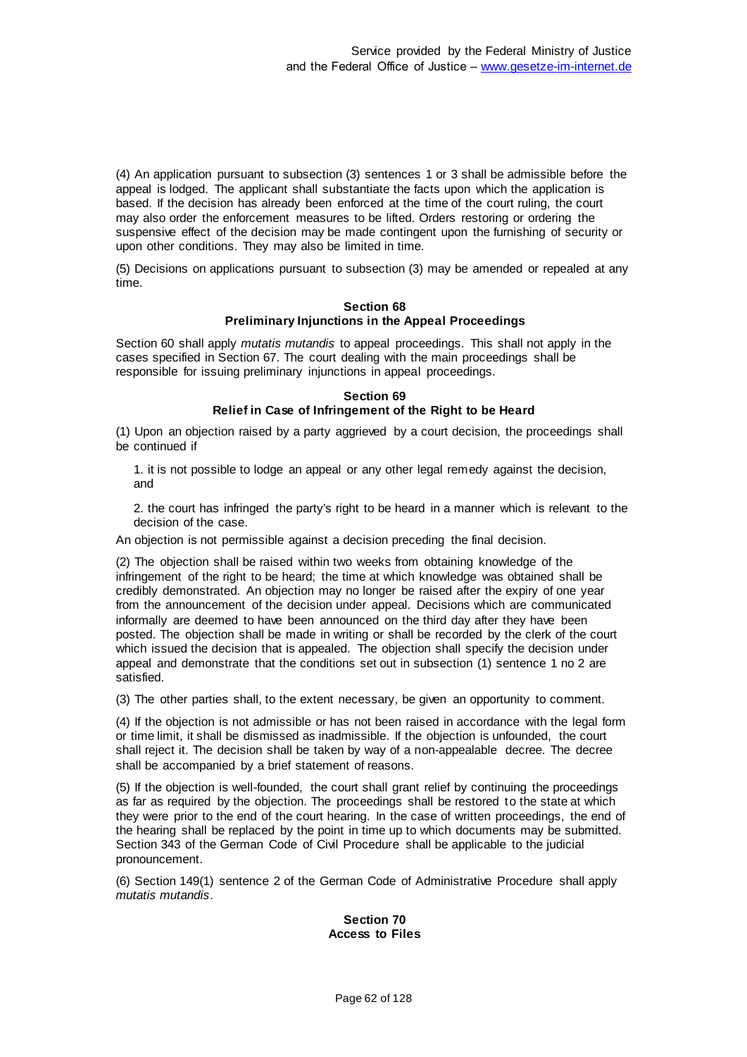(4) An application pursuant to subsection (3) sentences 1 or 3 shall be admissible before the appeal is lodged. The applicant shall substantiate the facts upon which the application is based. If the decision has already been enforced at the time of the court ruling, the court may also order the enforcement measures to be lifted. Orders restoring or ordering the suspensive effect of the decision may be made contingent upon the furnishing of security or upon other conditions. They may also be limited in time.

(5) Decisions on applications pursuant to subsection (3) may be amended or repealed at any time.

#### **Section 68 Preliminary Injunctions in the Appeal Proceedings**

Section 60 shall apply *mutatis mutandis* to appeal proceedings. This shall not apply in the cases specified in Section 67. The court dealing with the main proceedings shall be responsible for issuing preliminary injunctions in appeal proceedings.

## **Section 69 Relief in Case of Infringement of the Right to be Heard**

(1) Upon an objection raised by a party aggrieved by a court decision, the proceedings shall be continued if

1. it is not possible to lodge an appeal or any other legal remedy against the decision, and

2. the court has infringed the party's right to be heard in a manner which is relevant to the decision of the case.

An objection is not permissible against a decision preceding the final decision.

(2) The objection shall be raised within two weeks from obtaining knowledge of the infringement of the right to be heard; the time at which knowledge was obtained shall be credibly demonstrated. An objection may no longer be raised after the expiry of one year from the announcement of the decision under appeal. Decisions which are communicated informally are deemed to have been announced on the third day after they have been posted. The objection shall be made in writing or shall be recorded by the clerk of the court which issued the decision that is appealed. The objection shall specify the decision under appeal and demonstrate that the conditions set out in subsection (1) sentence 1 no 2 are satisfied.

(3) The other parties shall, to the extent necessary, be given an opportunity to comment.

(4) If the objection is not admissible or has not been raised in accordance with the legal form or time limit, it shall be dismissed as inadmissible. If the objection is unfounded, the court shall reject it. The decision shall be taken by way of a non-appealable decree. The decree shall be accompanied by a brief statement of reasons.

(5) If the objection is well-founded, the court shall grant relief by continuing the proceedings as far as required by the objection. The proceedings shall be restored to the state at which they were prior to the end of the court hearing. In the case of written proceedings, the end of the hearing shall be replaced by the point in time up to which documents may be submitted. Section 343 of the German Code of Civil Procedure shall be applicable to the judicial pronouncement.

(6) Section 149(1) sentence 2 of the German Code of Administrative Procedure shall apply *mutatis mutandis*.

### **Section 70 Access to Files**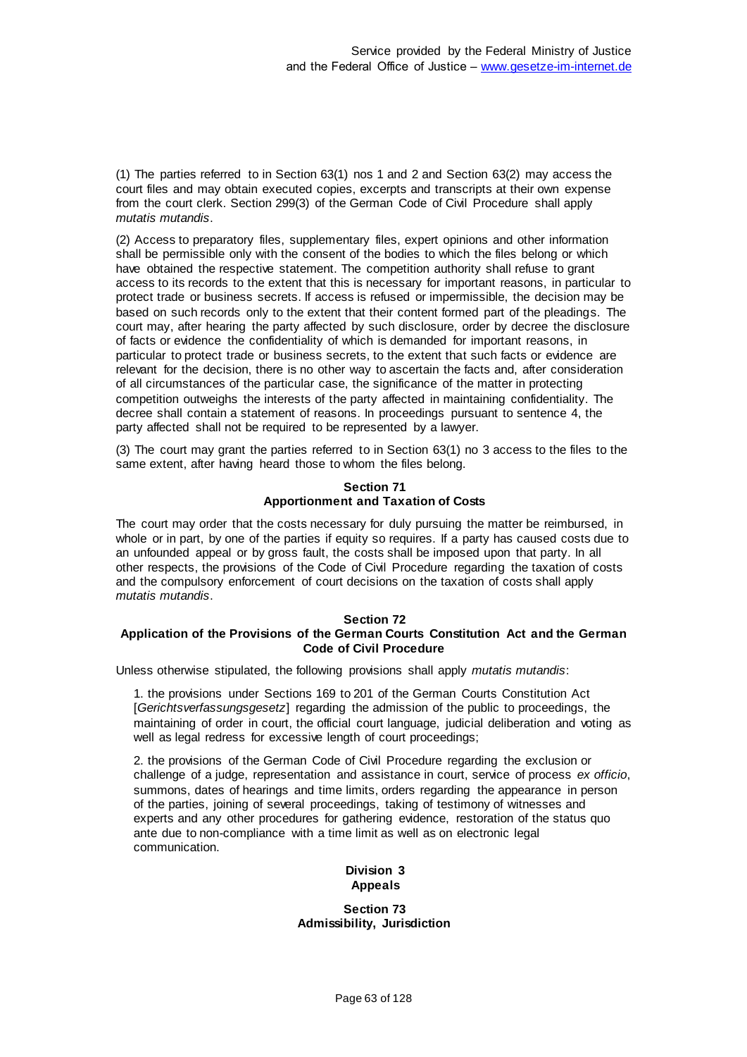(1) The parties referred to in Section 63(1) nos 1 and 2 and Section 63(2) may access the court files and may obtain executed copies, excerpts and transcripts at their own expense from the court clerk. Section 299(3) of the German Code of Civil Procedure shall apply *mutatis mutandis*.

(2) Access to preparatory files, supplementary files, expert opinions and other information shall be permissible only with the consent of the bodies to which the files belong or which have obtained the respective statement. The competition authority shall refuse to grant access to its records to the extent that this is necessary for important reasons, in particular to protect trade or business secrets. If access is refused or impermissible, the decision may be based on such records only to the extent that their content formed part of the pleadings. The court may, after hearing the party affected by such disclosure, order by decree the disclosure of facts or evidence the confidentiality of which is demanded for important reasons, in particular to protect trade or business secrets, to the extent that such facts or evidence are relevant for the decision, there is no other way to ascertain the facts and, after consideration of all circumstances of the particular case, the significance of the matter in protecting competition outweighs the interests of the party affected in maintaining confidentiality. The decree shall contain a statement of reasons. In proceedings pursuant to sentence 4, the party affected shall not be required to be represented by a lawyer.

(3) The court may grant the parties referred to in Section 63(1) no 3 access to the files to the same extent, after having heard those to whom the files belong.

## **Section 71 Apportionment and Taxation of Costs**

The court may order that the costs necessary for duly pursuing the matter be reimbursed, in whole or in part, by one of the parties if equity so requires. If a party has caused costs due to an unfounded appeal or by gross fault, the costs shall be imposed upon that party. In all other respects, the provisions of the Code of Civil Procedure regarding the taxation of costs and the compulsory enforcement of court decisions on the taxation of costs shall apply *mutatis mutandis*.

## **Section 72**

# **Application of the Provisions of the German Courts Constitution Act and the German Code of Civil Procedure**

Unless otherwise stipulated, the following provisions shall apply *mutatis mutandis*:

1. the provisions under Sections 169 to 201 of the German Courts Constitution Act [*Gerichtsverfassungsgesetz*] regarding the admission of the public to proceedings, the maintaining of order in court, the official court language, judicial deliberation and voting as well as legal redress for excessive length of court proceedings;

2. the provisions of the German Code of Civil Procedure regarding the exclusion or challenge of a judge, representation and assistance in court, service of process *ex officio*, summons, dates of hearings and time limits, orders regarding the appearance in person of the parties, joining of several proceedings, taking of testimony of witnesses and experts and any other procedures for gathering evidence, restoration of the status quo ante due to non-compliance with a time limit as well as on electronic legal communication.

# **Division 3 Appeals**

#### **Section 73 Admissibility, Jurisdiction**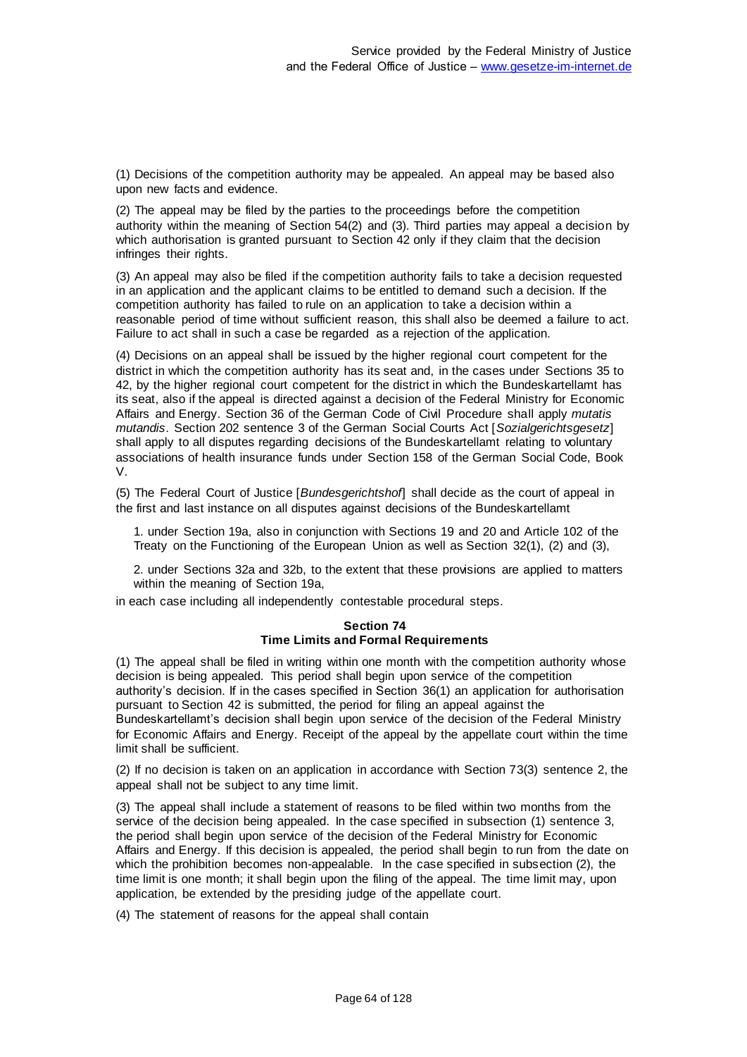(1) Decisions of the competition authority may be appealed. An appeal may be based also upon new facts and evidence.

(2) The appeal may be filed by the parties to the proceedings before the competition authority within the meaning of Section 54(2) and (3). Third parties may appeal a decision by which authorisation is granted pursuant to Section 42 only if they claim that the decision infringes their rights.

(3) An appeal may also be filed if the competition authority fails to take a decision requested in an application and the applicant claims to be entitled to demand such a decision. If the competition authority has failed to rule on an application to take a decision within a reasonable period of time without sufficient reason, this shall also be deemed a failure to act. Failure to act shall in such a case be regarded as a rejection of the application.

(4) Decisions on an appeal shall be issued by the higher regional court competent for the district in which the competition authority has its seat and, in the cases under Sections 35 to 42, by the higher regional court competent for the district in which the Bundeskartellamt has its seat, also if the appeal is directed against a decision of the Federal Ministry for Economic Affairs and Energy. Section 36 of the German Code of Civil Procedure shall apply *mutatis mutandis*. Section 202 sentence 3 of the German Social Courts Act [*Sozialgerichtsgesetz*] shall apply to all disputes regarding decisions of the Bundeskartellamt relating to voluntary associations of health insurance funds under Section 158 of the German Social Code, Book V.

(5) The Federal Court of Justice [*Bundesgerichtshof*] shall decide as the court of appeal in the first and last instance on all disputes against decisions of the Bundeskartellamt

1. under Section 19a, also in conjunction with Sections 19 and 20 and Article 102 of the Treaty on the Functioning of the European Union as well as Section 32(1), (2) and (3),

2. under Sections 32a and 32b, to the extent that these provisions are applied to matters within the meaning of Section 19a,

in each case including all independently contestable procedural steps.

#### **Section 74 Time Limits and Formal Requirements**

(1) The appeal shall be filed in writing within one month with the competition authority whose decision is being appealed. This period shall begin upon service of the competition authority's decision. If in the cases specified in Section 36(1) an application for authorisation pursuant to Section 42 is submitted, the period for filing an appeal against the Bundeskartellamt's decision shall begin upon service of the decision of the Federal Ministry for Economic Affairs and Energy. Receipt of the appeal by the appellate court within the time limit shall be sufficient.

(2) If no decision is taken on an application in accordance with Section 73(3) sentence 2, the appeal shall not be subject to any time limit.

(3) The appeal shall include a statement of reasons to be filed within two months from the service of the decision being appealed. In the case specified in subsection (1) sentence 3, the period shall begin upon service of the decision of the Federal Ministry for Economic Affairs and Energy. If this decision is appealed, the period shall begin to run from the date on which the prohibition becomes non-appealable. In the case specified in subsection (2), the time limit is one month; it shall begin upon the filing of the appeal. The time limit may, upon application, be extended by the presiding judge of the appellate court.

(4) The statement of reasons for the appeal shall contain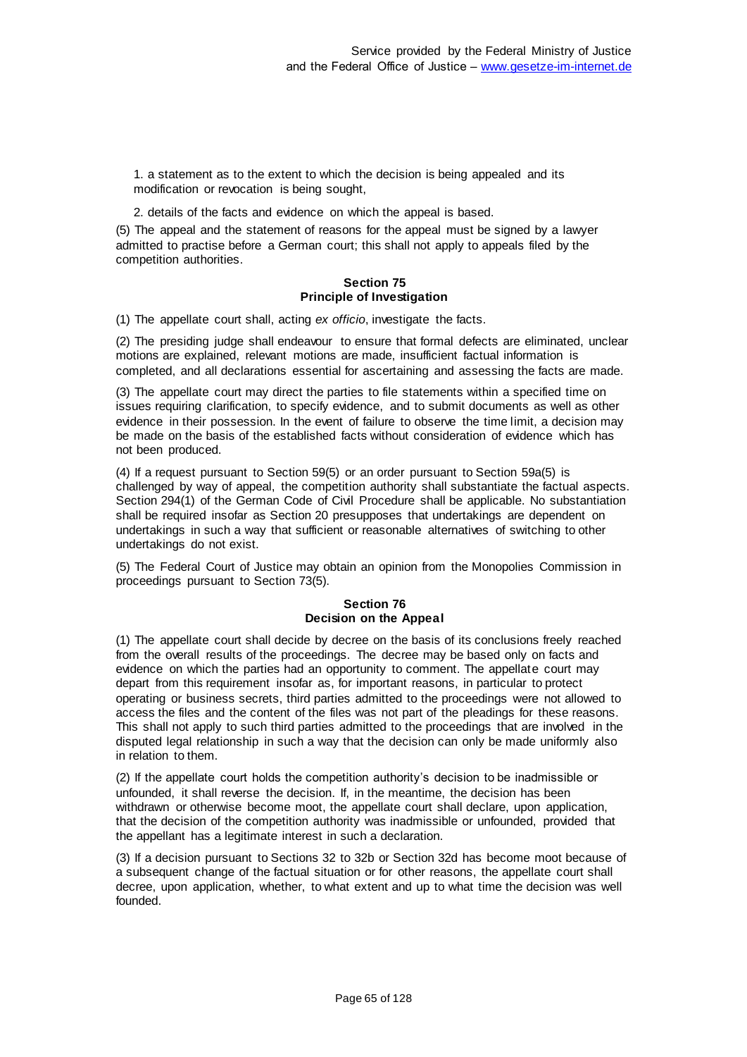1. a statement as to the extent to which the decision is being appealed and its modification or revocation is being sought,

2. details of the facts and evidence on which the appeal is based.

(5) The appeal and the statement of reasons for the appeal must be signed by a lawyer admitted to practise before a German court; this shall not apply to appeals filed by the competition authorities.

## **Section 75 Principle of Investigation**

(1) The appellate court shall, acting *ex officio*, investigate the facts.

(2) The presiding judge shall endeavour to ensure that formal defects are eliminated, unclear motions are explained, relevant motions are made, insufficient factual information is completed, and all declarations essential for ascertaining and assessing the facts are made.

(3) The appellate court may direct the parties to file statements within a specified time on issues requiring clarification, to specify evidence, and to submit documents as well as other evidence in their possession. In the event of failure to observe the time limit, a decision may be made on the basis of the established facts without consideration of evidence which has not been produced.

(4) If a request pursuant to Section 59(5) or an order pursuant to Section 59a(5) is challenged by way of appeal, the competition authority shall substantiate the factual aspects. Section 294(1) of the German Code of Civil Procedure shall be applicable. No substantiation shall be required insofar as Section 20 presupposes that undertakings are dependent on undertakings in such a way that sufficient or reasonable alternatives of switching to other undertakings do not exist.

(5) The Federal Court of Justice may obtain an opinion from the Monopolies Commission in proceedings pursuant to Section 73(5).

## **Section 76 Decision on the Appeal**

(1) The appellate court shall decide by decree on the basis of its conclusions freely reached from the overall results of the proceedings. The decree may be based only on facts and evidence on which the parties had an opportunity to comment. The appellate court may depart from this requirement insofar as, for important reasons, in particular to protect operating or business secrets, third parties admitted to the proceedings were not allowed to access the files and the content of the files was not part of the pleadings for these reasons. This shall not apply to such third parties admitted to the proceedings that are involved in the disputed legal relationship in such a way that the decision can only be made uniformly also in relation to them.

(2) If the appellate court holds the competition authority's decision to be inadmissible or unfounded, it shall reverse the decision. If, in the meantime, the decision has been withdrawn or otherwise become moot, the appellate court shall declare, upon application, that the decision of the competition authority was inadmissible or unfounded, provided that the appellant has a legitimate interest in such a declaration.

(3) If a decision pursuant to Sections 32 to 32b or Section 32d has become moot because of a subsequent change of the factual situation or for other reasons, the appellate court shall decree, upon application, whether, to what extent and up to what time the decision was well founded.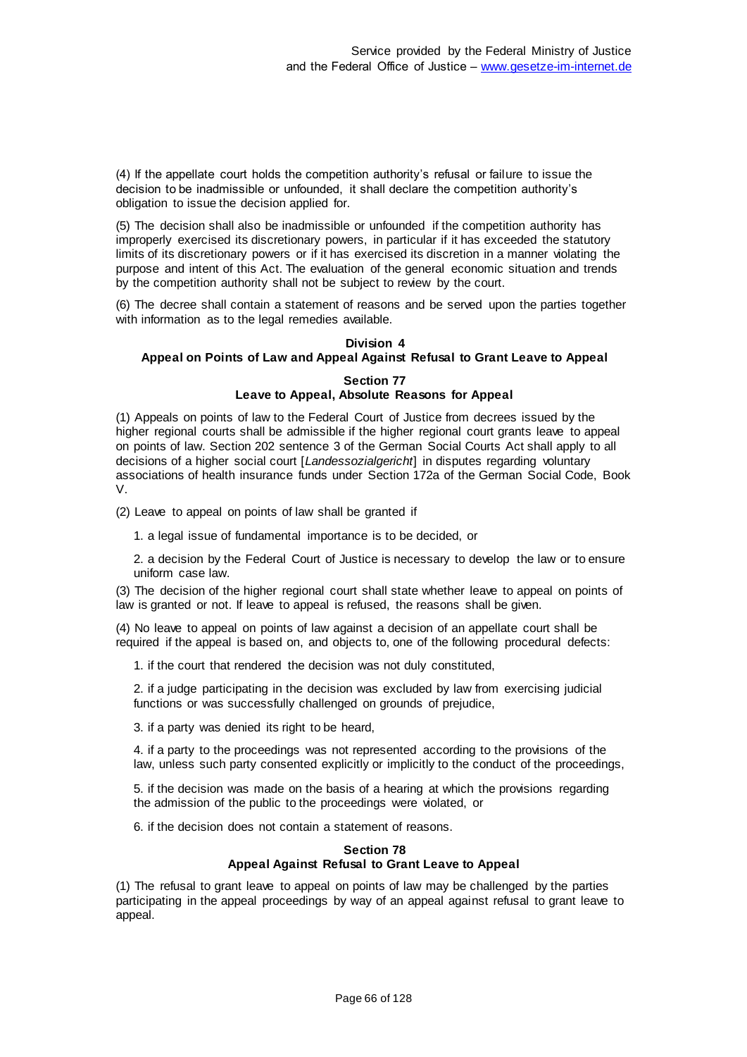(4) If the appellate court holds the competition authority's refusal or failure to issue the decision to be inadmissible or unfounded, it shall declare the competition authority's obligation to issue the decision applied for.

(5) The decision shall also be inadmissible or unfounded if the competition authority has improperly exercised its discretionary powers, in particular if it has exceeded the statutory limits of its discretionary powers or if it has exercised its discretion in a manner violating the purpose and intent of this Act. The evaluation of the general economic situation and trends by the competition authority shall not be subject to review by the court.

(6) The decree shall contain a statement of reasons and be served upon the parties together with information as to the legal remedies available.

## **Division 4 Appeal on Points of Law and Appeal Against Refusal to Grant Leave to Appeal**

## **Section 77 Leave to Appeal, Absolute Reasons for Appeal**

(1) Appeals on points of law to the Federal Court of Justice from decrees issued by the higher regional courts shall be admissible if the higher regional court grants leave to appeal on points of law. Section 202 sentence 3 of the German Social Courts Act shall apply to all decisions of a higher social court [*Landessozialgericht*] in disputes regarding voluntary associations of health insurance funds under Section 172a of the German Social Code, Book V.

(2) Leave to appeal on points of law shall be granted if

1. a legal issue of fundamental importance is to be decided, or

2. a decision by the Federal Court of Justice is necessary to develop the law or to ensure uniform case law.

(3) The decision of the higher regional court shall state whether leave to appeal on points of law is granted or not. If leave to appeal is refused, the reasons shall be given.

(4) No leave to appeal on points of law against a decision of an appellate court shall be required if the appeal is based on, and objects to, one of the following procedural defects:

1. if the court that rendered the decision was not duly constituted,

2. if a judge participating in the decision was excluded by law from exercising judicial functions or was successfully challenged on grounds of prejudice,

3. if a party was denied its right to be heard,

4. if a party to the proceedings was not represented according to the provisions of the law, unless such party consented explicitly or implicitly to the conduct of the proceedings,

5. if the decision was made on the basis of a hearing at which the provisions regarding the admission of the public to the proceedings were violated, or

6. if the decision does not contain a statement of reasons.

## **Section 78 Appeal Against Refusal to Grant Leave to Appeal**

(1) The refusal to grant leave to appeal on points of law may be challenged by the parties participating in the appeal proceedings by way of an appeal against refusal to grant leave to appeal.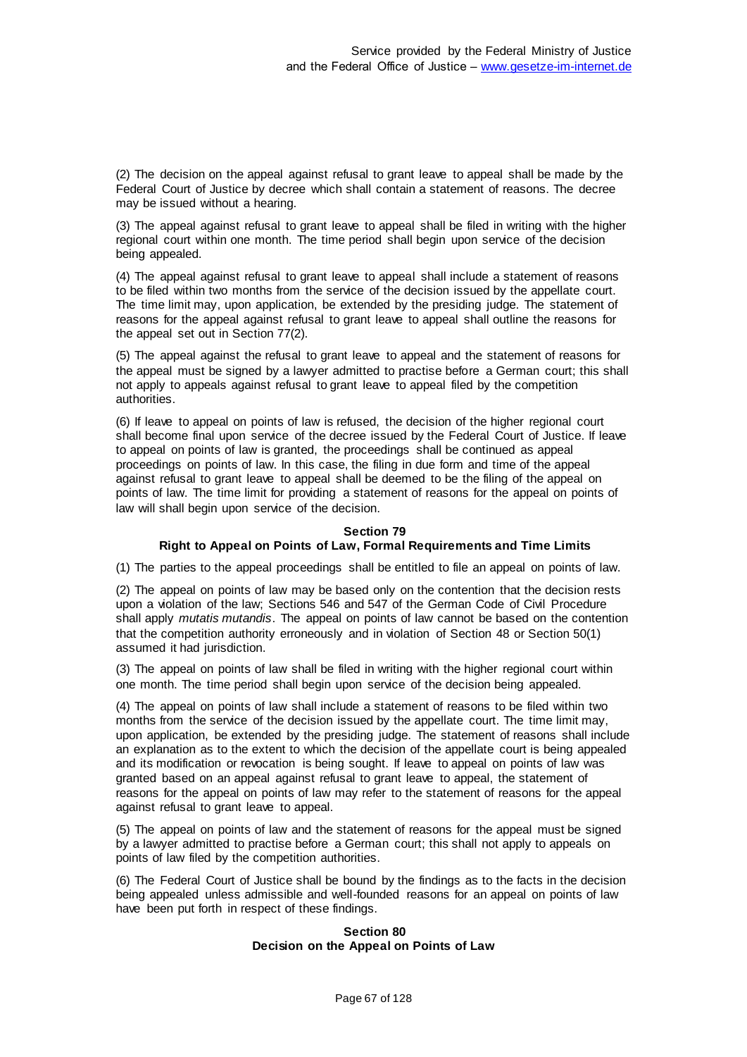(2) The decision on the appeal against refusal to grant leave to appeal shall be made by the Federal Court of Justice by decree which shall contain a statement of reasons. The decree may be issued without a hearing.

(3) The appeal against refusal to grant leave to appeal shall be filed in writing with the higher regional court within one month. The time period shall begin upon service of the decision being appealed.

(4) The appeal against refusal to grant leave to appeal shall include a statement of reasons to be filed within two months from the service of the decision issued by the appellate court. The time limit may, upon application, be extended by the presiding judge. The statement of reasons for the appeal against refusal to grant leave to appeal shall outline the reasons for the appeal set out in Section 77(2).

(5) The appeal against the refusal to grant leave to appeal and the statement of reasons for the appeal must be signed by a lawyer admitted to practise before a German court; this shall not apply to appeals against refusal to grant leave to appeal filed by the competition authorities.

(6) If leave to appeal on points of law is refused, the decision of the higher regional court shall become final upon service of the decree issued by the Federal Court of Justice. If leave to appeal on points of law is granted, the proceedings shall be continued as appeal proceedings on points of law. In this case, the filing in due form and time of the appeal against refusal to grant leave to appeal shall be deemed to be the filing of the appeal on points of law. The time limit for providing a statement of reasons for the appeal on points of law will shall begin upon service of the decision.

### **Section 79**

## **Right to Appeal on Points of Law, Formal Requirements and Time Limits**

(1) The parties to the appeal proceedings shall be entitled to file an appeal on points of law.

(2) The appeal on points of law may be based only on the contention that the decision rests upon a violation of the law; Sections 546 and 547 of the German Code of Civil Procedure shall apply *mutatis mutandis*. The appeal on points of law cannot be based on the contention that the competition authority erroneously and in violation of Section 48 or Section 50(1) assumed it had jurisdiction.

(3) The appeal on points of law shall be filed in writing with the higher regional court within one month. The time period shall begin upon service of the decision being appealed.

(4) The appeal on points of law shall include a statement of reasons to be filed within two months from the service of the decision issued by the appellate court. The time limit may, upon application, be extended by the presiding judge. The statement of reasons shall include an explanation as to the extent to which the decision of the appellate court is being appealed and its modification or revocation is being sought. If leave to appeal on points of law was granted based on an appeal against refusal to grant leave to appeal, the statement of reasons for the appeal on points of law may refer to the statement of reasons for the appeal against refusal to grant leave to appeal.

(5) The appeal on points of law and the statement of reasons for the appeal must be signed by a lawyer admitted to practise before a German court; this shall not apply to appeals on points of law filed by the competition authorities.

(6) The Federal Court of Justice shall be bound by the findings as to the facts in the decision being appealed unless admissible and well-founded reasons for an appeal on points of law have been put forth in respect of these findings.

### **Section 80 Decision on the Appeal on Points of Law**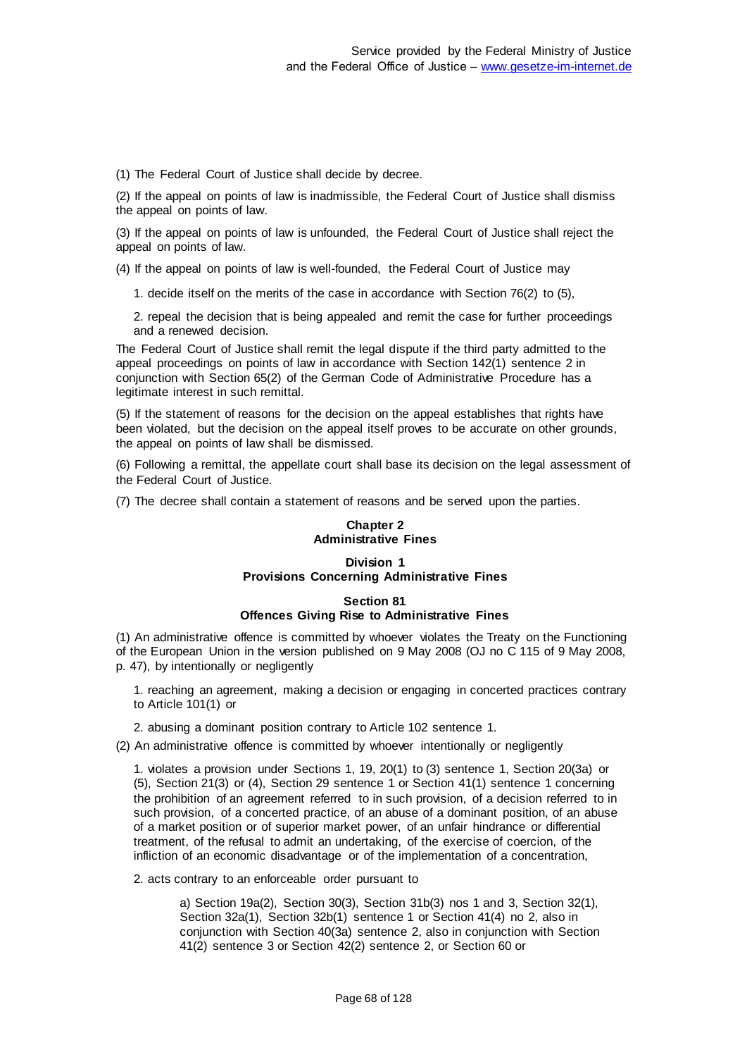(1) The Federal Court of Justice shall decide by decree.

(2) If the appeal on points of law is inadmissible, the Federal Court of Justice shall dismiss the appeal on points of law.

(3) If the appeal on points of law is unfounded, the Federal Court of Justice shall reject the appeal on points of law.

(4) If the appeal on points of law is well-founded, the Federal Court of Justice may

1. decide itself on the merits of the case in accordance with Section 76(2) to (5),

2. repeal the decision that is being appealed and remit the case for further proceedings and a renewed decision.

The Federal Court of Justice shall remit the legal dispute if the third party admitted to the appeal proceedings on points of law in accordance with Section 142(1) sentence 2 in conjunction with Section 65(2) of the German Code of Administrative Procedure has a legitimate interest in such remittal.

(5) If the statement of reasons for the decision on the appeal establishes that rights have been violated, but the decision on the appeal itself proves to be accurate on other grounds, the appeal on points of law shall be dismissed.

(6) Following a remittal, the appellate court shall base its decision on the legal assessment of the Federal Court of Justice.

(7) The decree shall contain a statement of reasons and be served upon the parties.

## **Chapter 2 Administrative Fines**

# **Division 1 Provisions Concerning Administrative Fines**

## **Section 81 Offences Giving Rise to Administrative Fines**

(1) An administrative offence is committed by whoever violates the Treaty on the Functioning of the European Union in the version published on 9 May 2008 (OJ no C 115 of 9 May 2008, p. 47), by intentionally or negligently

1. reaching an agreement, making a decision or engaging in concerted practices contrary to Article 101(1) or

2. abusing a dominant position contrary to Article 102 sentence 1.

(2) An administrative offence is committed by whoever intentionally or negligently

1. violates a provision under Sections 1, 19, 20(1) to (3) sentence 1, Section 20(3a) or (5), Section 21(3) or (4), Section 29 sentence 1 or Section 41(1) sentence 1 concerning the prohibition of an agreement referred to in such provision, of a decision referred to in such provision, of a concerted practice, of an abuse of a dominant position, of an abuse of a market position or of superior market power, of an unfair hindrance or differential treatment, of the refusal to admit an undertaking, of the exercise of coercion, of the infliction of an economic disadvantage or of the implementation of a concentration,

2. acts contrary to an enforceable order pursuant to

a) Section 19a(2), Section 30(3), Section 31b(3) nos 1 and 3, Section 32(1), Section 32a(1), Section 32b(1) sentence 1 or Section 41(4) no 2, also in conjunction with Section 40(3a) sentence 2, also in conjunction with Section 41(2) sentence 3 or Section 42(2) sentence 2, or Section 60 or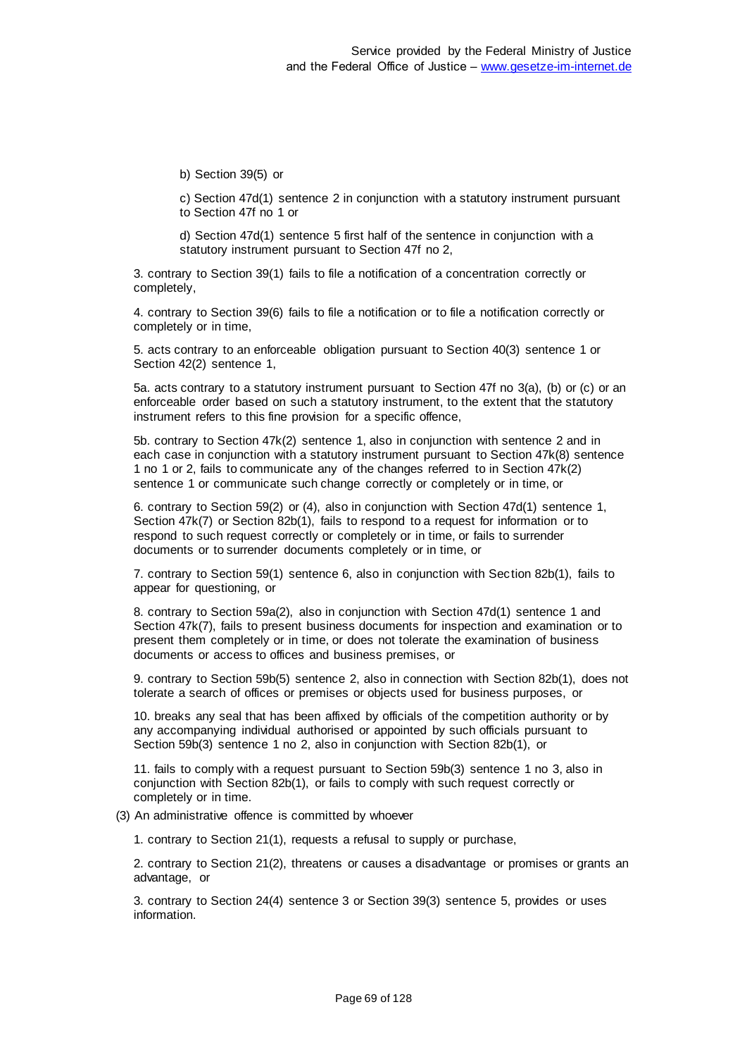b) Section 39(5) or

c) Section 47d(1) sentence 2 in conjunction with a statutory instrument pursuant to Section 47f no 1 or

d) Section 47d(1) sentence 5 first half of the sentence in conjunction with a statutory instrument pursuant to Section 47f no 2,

3. contrary to Section 39(1) fails to file a notification of a concentration correctly or completely,

4. contrary to Section 39(6) fails to file a notification or to file a notification correctly or completely or in time,

5. acts contrary to an enforceable obligation pursuant to Section 40(3) sentence 1 or Section 42(2) sentence 1,

5a. acts contrary to a statutory instrument pursuant to Section 47f no 3(a), (b) or (c) or an enforceable order based on such a statutory instrument, to the extent that the statutory instrument refers to this fine provision for a specific offence,

5b. contrary to Section 47k(2) sentence 1, also in conjunction with sentence 2 and in each case in conjunction with a statutory instrument pursuant to Section 47k(8) sentence 1 no 1 or 2, fails to communicate any of the changes referred to in Section 47k(2) sentence 1 or communicate such change correctly or completely or in time, or

6. contrary to Section 59(2) or (4), also in conjunction with Section 47d(1) sentence 1, Section 47k(7) or Section 82b(1), fails to respond to a request for information or to respond to such request correctly or completely or in time, or fails to surrender documents or to surrender documents completely or in time, or

7. contrary to Section 59(1) sentence 6, also in conjunction with Section 82b(1), fails to appear for questioning, or

8. contrary to Section 59a(2), also in conjunction with Section 47d(1) sentence 1 and Section 47k(7), fails to present business documents for inspection and examination or to present them completely or in time, or does not tolerate the examination of business documents or access to offices and business premises, or

9. contrary to Section 59b(5) sentence 2, also in connection with Section 82b(1), does not tolerate a search of offices or premises or objects used for business purposes, or

10. breaks any seal that has been affixed by officials of the competition authority or by any accompanying individual authorised or appointed by such officials pursuant to Section 59b(3) sentence 1 no 2, also in conjunction with Section 82b(1), or

11. fails to comply with a request pursuant to Section 59b(3) sentence 1 no 3, also in conjunction with Section 82b(1), or fails to comply with such request correctly or completely or in time.

(3) An administrative offence is committed by whoever

1. contrary to Section 21(1), requests a refusal to supply or purchase,

2. contrary to Section 21(2), threatens or causes a disadvantage or promises or grants an advantage, or

3. contrary to Section 24(4) sentence 3 or Section 39(3) sentence 5, provides or uses information.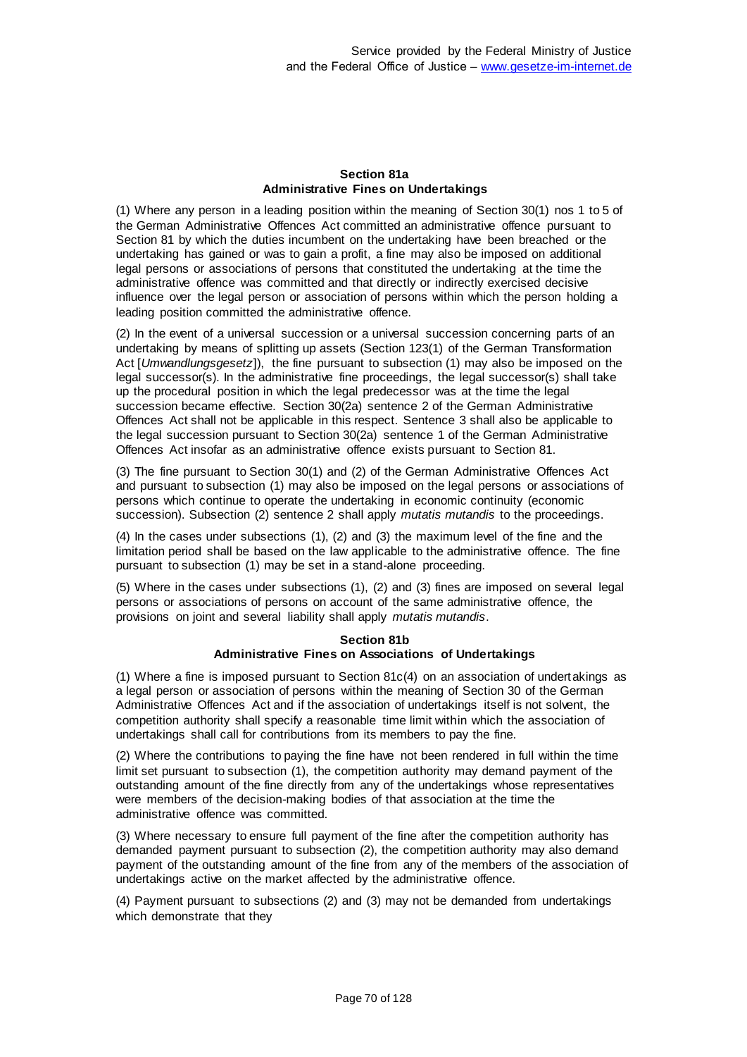# **Section 81a Administrative Fines on Undertakings**

(1) Where any person in a leading position within the meaning of Section 30(1) nos 1 to 5 of the German Administrative Offences Act committed an administrative offence pursuant to Section 81 by which the duties incumbent on the undertaking have been breached or the undertaking has gained or was to gain a profit, a fine may also be imposed on additional legal persons or associations of persons that constituted the undertaking at the time the administrative offence was committed and that directly or indirectly exercised decisive influence over the legal person or association of persons within which the person holding a leading position committed the administrative offence.

(2) In the event of a universal succession or a universal succession concerning parts of an undertaking by means of splitting up assets (Section 123(1) of the German Transformation Act [*Umwandlungsgesetz*]), the fine pursuant to subsection (1) may also be imposed on the legal successor(s). In the administrative fine proceedings, the legal successor(s) shall take up the procedural position in which the legal predecessor was at the time the legal succession became effective. Section 30(2a) sentence 2 of the German Administrative Offences Act shall not be applicable in this respect. Sentence 3 shall also be applicable to the legal succession pursuant to Section 30(2a) sentence 1 of the German Administrative Offences Act insofar as an administrative offence exists pursuant to Section 81.

(3) The fine pursuant to Section 30(1) and (2) of the German Administrative Offences Act and pursuant to subsection (1) may also be imposed on the legal persons or associations of persons which continue to operate the undertaking in economic continuity (economic succession). Subsection (2) sentence 2 shall apply *mutatis mutandis* to the proceedings.

(4) In the cases under subsections (1), (2) and (3) the maximum level of the fine and the limitation period shall be based on the law applicable to the administrative offence. The fine pursuant to subsection (1) may be set in a stand-alone proceeding.

(5) Where in the cases under subsections (1), (2) and (3) fines are imposed on several legal persons or associations of persons on account of the same administrative offence, the provisions on joint and several liability shall apply *mutatis mutandis*.

# **Section 81b Administrative Fines on Associations of Undertakings**

(1) Where a fine is imposed pursuant to Section 81c(4) on an association of undertakings as a legal person or association of persons within the meaning of Section 30 of the German Administrative Offences Act and if the association of undertakings itself is not solvent, the competition authority shall specify a reasonable time limit within which the association of undertakings shall call for contributions from its members to pay the fine.

(2) Where the contributions to paying the fine have not been rendered in full within the time limit set pursuant to subsection (1), the competition authority may demand payment of the outstanding amount of the fine directly from any of the undertakings whose representatives were members of the decision-making bodies of that association at the time the administrative offence was committed.

(3) Where necessary to ensure full payment of the fine after the competition authority has demanded payment pursuant to subsection (2), the competition authority may also demand payment of the outstanding amount of the fine from any of the members of the association of undertakings active on the market affected by the administrative offence.

(4) Payment pursuant to subsections (2) and (3) may not be demanded from undertakings which demonstrate that they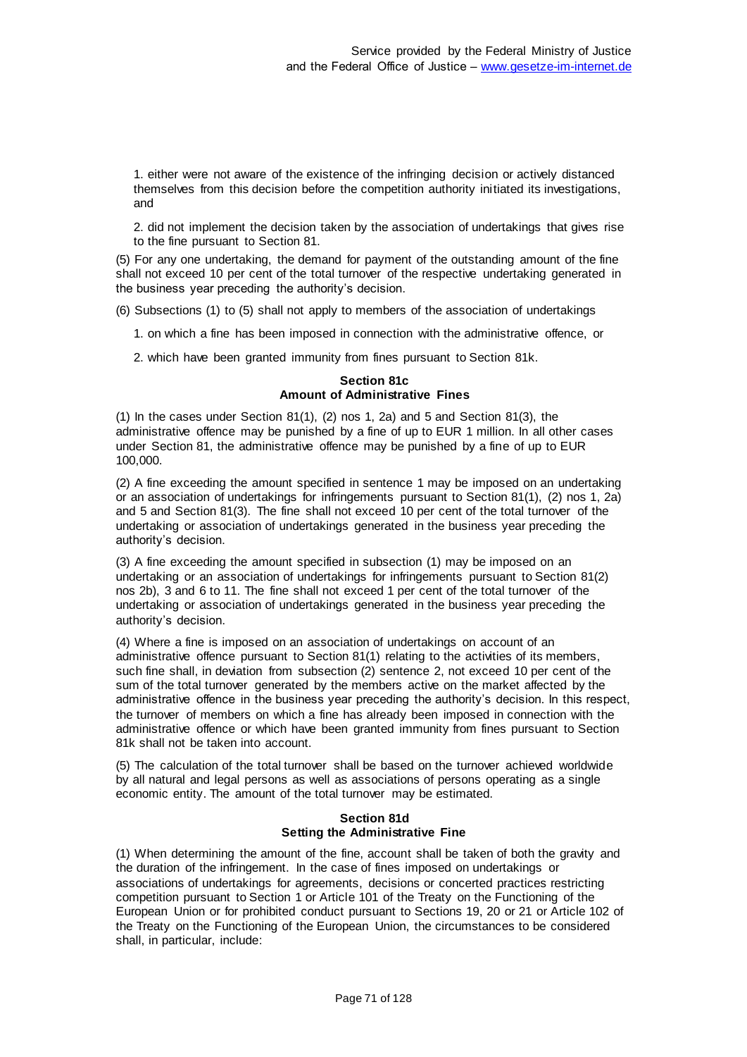1. either were not aware of the existence of the infringing decision or actively distanced themselves from this decision before the competition authority initiated its investigations, and

2. did not implement the decision taken by the association of undertakings that gives rise to the fine pursuant to Section 81.

(5) For any one undertaking, the demand for payment of the outstanding amount of the fine shall not exceed 10 per cent of the total turnover of the respective undertaking generated in the business year preceding the authority's decision.

(6) Subsections (1) to (5) shall not apply to members of the association of undertakings

1. on which a fine has been imposed in connection with the administrative offence, or

2. which have been granted immunity from fines pursuant to Section 81k.

### **Section 81c Amount of Administrative Fines**

 $(1)$  In the cases under Section 81 $(1)$ ,  $(2)$  nos 1, 2a) and 5 and Section 81 $(3)$ , the administrative offence may be punished by a fine of up to EUR 1 million. In all other cases under Section 81, the administrative offence may be punished by a fine of up to EUR 100,000.

(2) A fine exceeding the amount specified in sentence 1 may be imposed on an undertaking or an association of undertakings for infringements pursuant to Section 81(1), (2) nos 1, 2a) and 5 and Section 81(3). The fine shall not exceed 10 per cent of the total turnover of the undertaking or association of undertakings generated in the business year preceding the authority's decision.

(3) A fine exceeding the amount specified in subsection (1) may be imposed on an undertaking or an association of undertakings for infringements pursuant to Section 81(2) nos 2b), 3 and 6 to 11. The fine shall not exceed 1 per cent of the total turnover of the undertaking or association of undertakings generated in the business year preceding the authority's decision.

(4) Where a fine is imposed on an association of undertakings on account of an administrative offence pursuant to Section 81(1) relating to the activities of its members, such fine shall, in deviation from subsection (2) sentence 2, not exceed 10 per cent of the sum of the total turnover generated by the members active on the market affected by the administrative offence in the business year preceding the authority's decision. In this respect, the turnover of members on which a fine has already been imposed in connection with the administrative offence or which have been granted immunity from fines pursuant to Section 81k shall not be taken into account.

(5) The calculation of the total turnover shall be based on the turnover achieved worldwide by all natural and legal persons as well as associations of persons operating as a single economic entity. The amount of the total turnover may be estimated.

## **Section 81d Setting the Administrative Fine**

(1) When determining the amount of the fine, account shall be taken of both the gravity and the duration of the infringement. In the case of fines imposed on undertakings or associations of undertakings for agreements, decisions or concerted practices restricting competition pursuant to Section 1 or Article 101 of the Treaty on the Functioning of the European Union or for prohibited conduct pursuant to Sections 19, 20 or 21 or Article 102 of the Treaty on the Functioning of the European Union, the circumstances to be considered shall, in particular, include: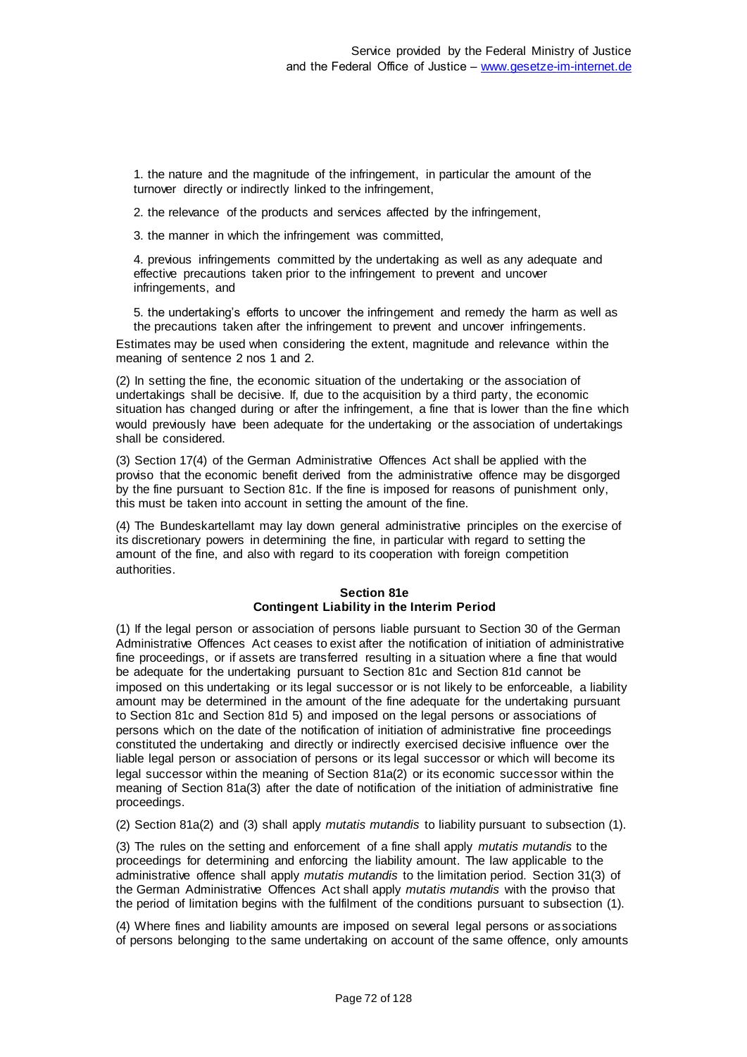1. the nature and the magnitude of the infringement, in particular the amount of the turnover directly or indirectly linked to the infringement,

2. the relevance of the products and services affected by the infringement,

3. the manner in which the infringement was committed,

4. previous infringements committed by the undertaking as well as any adequate and effective precautions taken prior to the infringement to prevent and uncover infringements, and

5. the undertaking's efforts to uncover the infringement and remedy the harm as well as the precautions taken after the infringement to prevent and uncover infringements.

Estimates may be used when considering the extent, magnitude and relevance within the meaning of sentence 2 nos 1 and 2.

(2) In setting the fine, the economic situation of the undertaking or the association of undertakings shall be decisive. If, due to the acquisition by a third party, the economic situation has changed during or after the infringement, a fine that is lower than the fine which would previously have been adequate for the undertaking or the association of undertakings shall be considered.

(3) Section 17(4) of the German Administrative Offences Act shall be applied with the proviso that the economic benefit derived from the administrative offence may be disgorged by the fine pursuant to Section 81c. If the fine is imposed for reasons of punishment only, this must be taken into account in setting the amount of the fine.

(4) The Bundeskartellamt may lay down general administrative principles on the exercise of its discretionary powers in determining the fine, in particular with regard to setting the amount of the fine, and also with regard to its cooperation with foreign competition authorities.

# **Section 81e Contingent Liability in the Interim Period**

(1) If the legal person or association of persons liable pursuant to Section 30 of the German Administrative Offences Act ceases to exist after the notification of initiation of administrative fine proceedings, or if assets are transferred resulting in a situation where a fine that would be adequate for the undertaking pursuant to Section 81c and Section 81d cannot be imposed on this undertaking or its legal successor or is not likely to be enforceable, a liability amount may be determined in the amount of the fine adequate for the undertaking pursuant to Section 81c and Section 81d 5) and imposed on the legal persons or associations of persons which on the date of the notification of initiation of administrative fine proceedings constituted the undertaking and directly or indirectly exercised decisive influence over the liable legal person or association of persons or its legal successor or which will become its legal successor within the meaning of Section 81a(2) or its economic successor within the meaning of Section 81a(3) after the date of notification of the initiation of administrative fine proceedings.

(2) Section 81a(2) and (3) shall apply *mutatis mutandis* to liability pursuant to subsection (1).

(3) The rules on the setting and enforcement of a fine shall apply *mutatis mutandis* to the proceedings for determining and enforcing the liability amount. The law applicable to the administrative offence shall apply *mutatis mutandis* to the limitation period. Section 31(3) of the German Administrative Offences Act shall apply *mutatis mutandis* with the proviso that the period of limitation begins with the fulfilment of the conditions pursuant to subsection (1).

(4) Where fines and liability amounts are imposed on several legal persons or associations of persons belonging to the same undertaking on account of the same offence, only amounts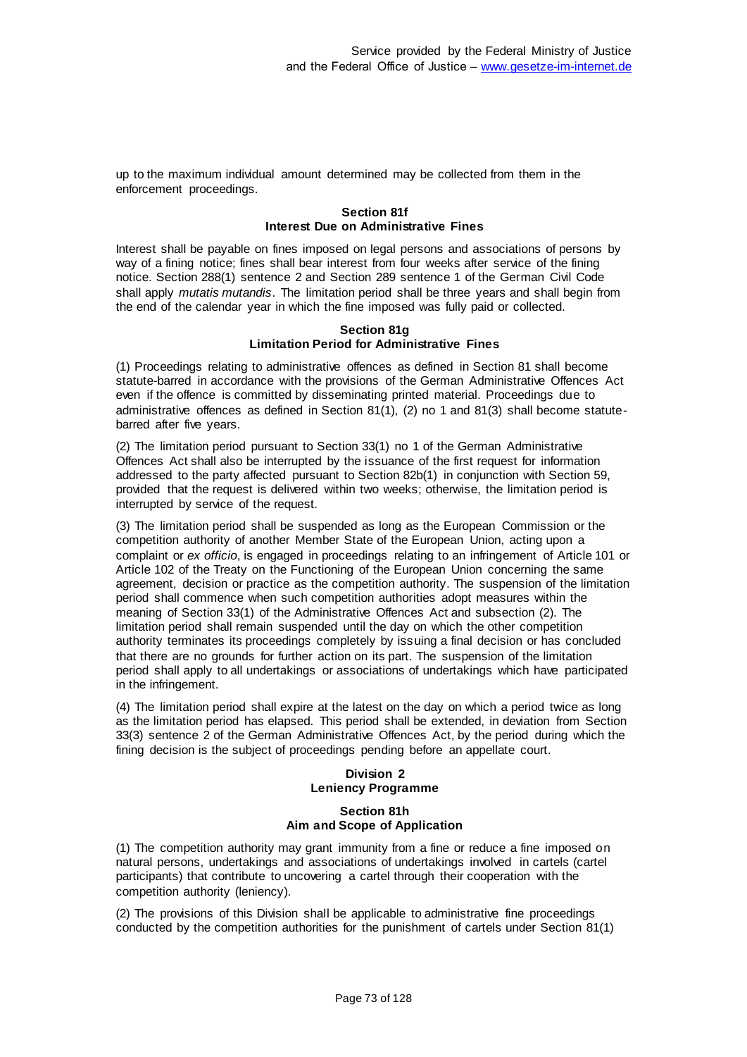up to the maximum individual amount determined may be collected from them in the enforcement proceedings.

## **Section 81f Interest Due on Administrative Fines**

Interest shall be payable on fines imposed on legal persons and associations of persons by way of a fining notice; fines shall bear interest from four weeks after service of the fining notice. Section 288(1) sentence 2 and Section 289 sentence 1 of the German Civil Code shall apply *mutatis mutandis*. The limitation period shall be three years and shall begin from the end of the calendar year in which the fine imposed was fully paid or collected.

## **Section 81g Limitation Period for Administrative Fines**

(1) Proceedings relating to administrative offences as defined in Section 81 shall become statute-barred in accordance with the provisions of the German Administrative Offences Act even if the offence is committed by disseminating printed material. Proceedings due to administrative offences as defined in Section 81(1), (2) no 1 and 81(3) shall become statutebarred after five years.

(2) The limitation period pursuant to Section 33(1) no 1 of the German Administrative Offences Act shall also be interrupted by the issuance of the first request for information addressed to the party affected pursuant to Section 82b(1) in conjunction with Section 59, provided that the request is delivered within two weeks; otherwise, the limitation period is interrupted by service of the request.

(3) The limitation period shall be suspended as long as the European Commission or the competition authority of another Member State of the European Union, acting upon a complaint or *ex officio*, is engaged in proceedings relating to an infringement of Article 101 or Article 102 of the Treaty on the Functioning of the European Union concerning the same agreement, decision or practice as the competition authority. The suspension of the limitation period shall commence when such competition authorities adopt measures within the meaning of Section 33(1) of the Administrative Offences Act and subsection (2). The limitation period shall remain suspended until the day on which the other competition authority terminates its proceedings completely by issuing a final decision or has concluded that there are no grounds for further action on its part. The suspension of the limitation period shall apply to all undertakings or associations of undertakings which have participated in the infringement.

(4) The limitation period shall expire at the latest on the day on which a period twice as long as the limitation period has elapsed. This period shall be extended, in deviation from Section 33(3) sentence 2 of the German Administrative Offences Act, by the period during which the fining decision is the subject of proceedings pending before an appellate court.

# **Division 2 Leniency Programme**

## **Section 81h Aim and Scope of Application**

(1) The competition authority may grant immunity from a fine or reduce a fine imposed on natural persons, undertakings and associations of undertakings involved in cartels (cartel participants) that contribute to uncovering a cartel through their cooperation with the competition authority (leniency).

(2) The provisions of this Division shall be applicable to administrative fine proceedings conducted by the competition authorities for the punishment of cartels under Section 81(1)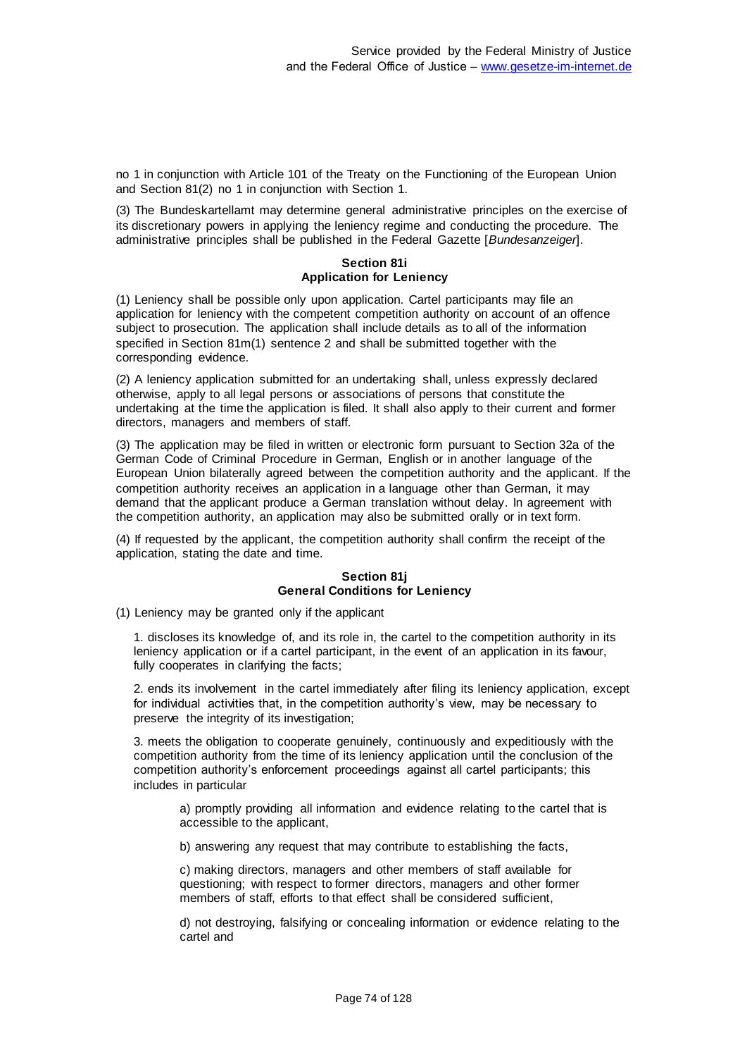no 1 in conjunction with Article 101 of the Treaty on the Functioning of the European Union and Section 81(2) no 1 in conjunction with Section 1.

(3) The Bundeskartellamt may determine general administrative principles on the exercise of its discretionary powers in applying the leniency regime and conducting the procedure. The administrative principles shall be published in the Federal Gazette [*Bundesanzeiger*].

#### **Section 81i Application for Leniency**

(1) Leniency shall be possible only upon application. Cartel participants may file an application for leniency with the competent competition authority on account of an offence subject to prosecution. The application shall include details as to all of the information specified in Section 81m(1) sentence 2 and shall be submitted together with the corresponding evidence.

(2) A leniency application submitted for an undertaking shall, unless expressly declared otherwise, apply to all legal persons or associations of persons that constitute the undertaking at the time the application is filed. It shall also apply to their current and former directors, managers and members of staff.

(3) The application may be filed in written or electronic form pursuant to Section 32a of the German Code of Criminal Procedure in German, English or in another language of the European Union bilaterally agreed between the competition authority and the applicant. If the competition authority receives an application in a language other than German, it may demand that the applicant produce a German translation without delay. In agreement with the competition authority, an application may also be submitted orally or in text form.

(4) If requested by the applicant, the competition authority shall confirm the receipt of the application, stating the date and time.

# **Section 81j General Conditions for Leniency**

(1) Leniency may be granted only if the applicant

1. discloses its knowledge of, and its role in, the cartel to the competition authority in its leniency application or if a cartel participant, in the event of an application in its favour, fully cooperates in clarifying the facts;

2. ends its involvement in the cartel immediately after filing its leniency application, except for individual activities that, in the competition authority's view, may be necessary to preserve the integrity of its investigation;

3. meets the obligation to cooperate genuinely, continuously and expeditiously with the competition authority from the time of its leniency application until the conclusion of the competition authority's enforcement proceedings against all cartel participants; this includes in particular

a) promptly providing all information and evidence relating to the cartel that is accessible to the applicant,

b) answering any request that may contribute to establishing the facts,

c) making directors, managers and other members of staff available for questioning; with respect to former directors, managers and other former members of staff, efforts to that effect shall be considered sufficient,

d) not destroying, falsifying or concealing information or evidence relating to the cartel and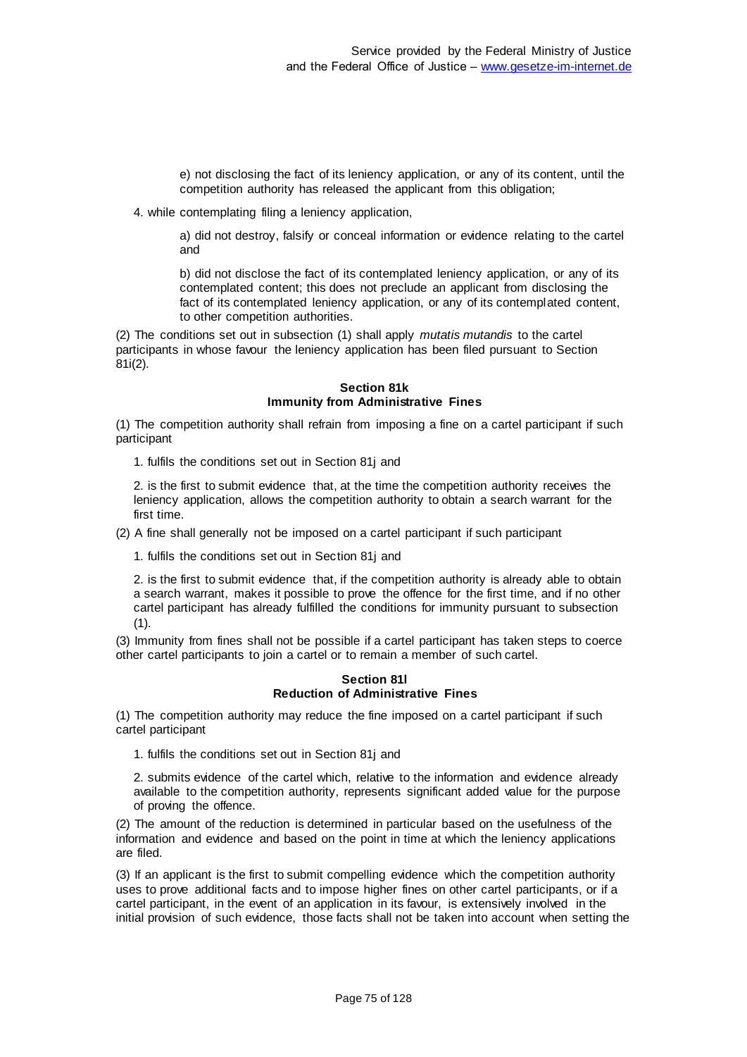e) not disclosing the fact of its leniency application, or any of its content, until the competition authority has released the applicant from this obligation;

4. while contemplating filing a leniency application,

a) did not destroy, falsify or conceal information or evidence relating to the cartel and

b) did not disclose the fact of its contemplated leniency application, or any of its contemplated content; this does not preclude an applicant from disclosing the fact of its contemplated leniency application, or any of its contemplated content, to other competition authorities.

(2) The conditions set out in subsection (1) shall apply *mutatis mutandis* to the cartel participants in whose favour the leniency application has been filed pursuant to Section 81i(2).

#### **Section 81k Immunity from Administrative Fines**

(1) The competition authority shall refrain from imposing a fine on a cartel participant if such participant

1. fulfils the conditions set out in Section 81j and

2. is the first to submit evidence that, at the time the competition authority receives the leniency application, allows the competition authority to obtain a search warrant for the first time.

(2) A fine shall generally not be imposed on a cartel participant if such participant

1. fulfils the conditions set out in Section 81j and

2. is the first to submit evidence that, if the competition authority is already able to obtain a search warrant, makes it possible to prove the offence for the first time, and if no other cartel participant has already fulfilled the conditions for immunity pursuant to subsection (1).

(3) Immunity from fines shall not be possible if a cartel participant has taken steps to coerce other cartel participants to join a cartel or to remain a member of such cartel.

#### **Section 81l Reduction of Administrative Fines**

(1) The competition authority may reduce the fine imposed on a cartel participant if such cartel participant

1. fulfils the conditions set out in Section 81j and

2. submits evidence of the cartel which, relative to the information and evidence already available to the competition authority, represents significant added value for the purpose of proving the offence.

(2) The amount of the reduction is determined in particular based on the usefulness of the information and evidence and based on the point in time at which the leniency applications are filed.

(3) If an applicant is the first to submit compelling evidence which the competition authority uses to prove additional facts and to impose higher fines on other cartel participants, or if a cartel participant, in the event of an application in its favour, is extensively involved in the initial provision of such evidence, those facts shall not be taken into account when setting the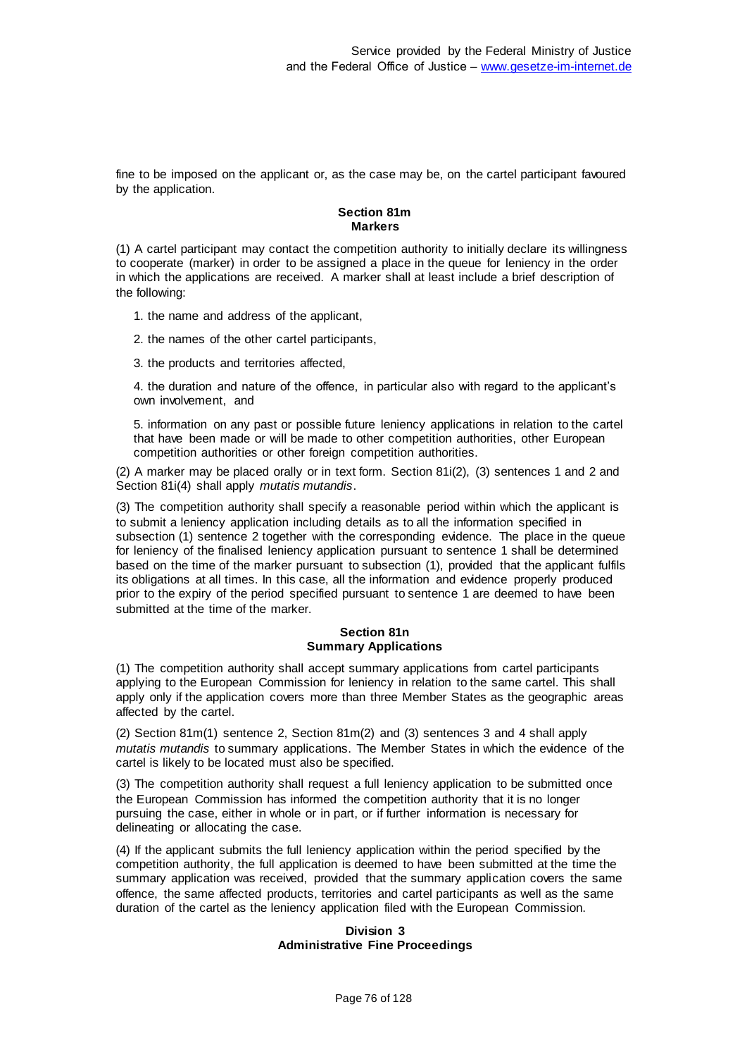fine to be imposed on the applicant or, as the case may be, on the cartel participant favoured by the application.

## **Section 81m Markers**

(1) A cartel participant may contact the competition authority to initially declare its willingness to cooperate (marker) in order to be assigned a place in the queue for leniency in the order in which the applications are received. A marker shall at least include a brief description of the following:

- 1. the name and address of the applicant,
- 2. the names of the other cartel participants,
- 3. the products and territories affected,

4. the duration and nature of the offence, in particular also with regard to the applicant's own involvement, and

5. information on any past or possible future leniency applications in relation to the cartel that have been made or will be made to other competition authorities, other European competition authorities or other foreign competition authorities.

(2) A marker may be placed orally or in text form. Section 81i(2), (3) sentences 1 and 2 and Section 81i(4) shall apply *mutatis mutandis*.

(3) The competition authority shall specify a reasonable period within which the applicant is to submit a leniency application including details as to all the information specified in subsection (1) sentence 2 together with the corresponding evidence. The place in the queue for leniency of the finalised leniency application pursuant to sentence 1 shall be determined based on the time of the marker pursuant to subsection (1), provided that the applicant fulfils its obligations at all times. In this case, all the information and evidence properly produced prior to the expiry of the period specified pursuant to sentence 1 are deemed to have been submitted at the time of the marker.

#### **Section 81n Summary Applications**

(1) The competition authority shall accept summary applications from cartel participants applying to the European Commission for leniency in relation to the same cartel. This shall apply only if the application covers more than three Member States as the geographic areas affected by the cartel.

(2) Section 81m(1) sentence 2, Section 81m(2) and (3) sentences 3 and 4 shall apply *mutatis mutandis* to summary applications. The Member States in which the evidence of the cartel is likely to be located must also be specified.

(3) The competition authority shall request a full leniency application to be submitted once the European Commission has informed the competition authority that it is no longer pursuing the case, either in whole or in part, or if further information is necessary for delineating or allocating the case.

(4) If the applicant submits the full leniency application within the period specified by the competition authority, the full application is deemed to have been submitted at the time the summary application was received, provided that the summary application covers the same offence, the same affected products, territories and cartel participants as well as the same duration of the cartel as the leniency application filed with the European Commission.

#### **Division 3 Administrative Fine Proceedings**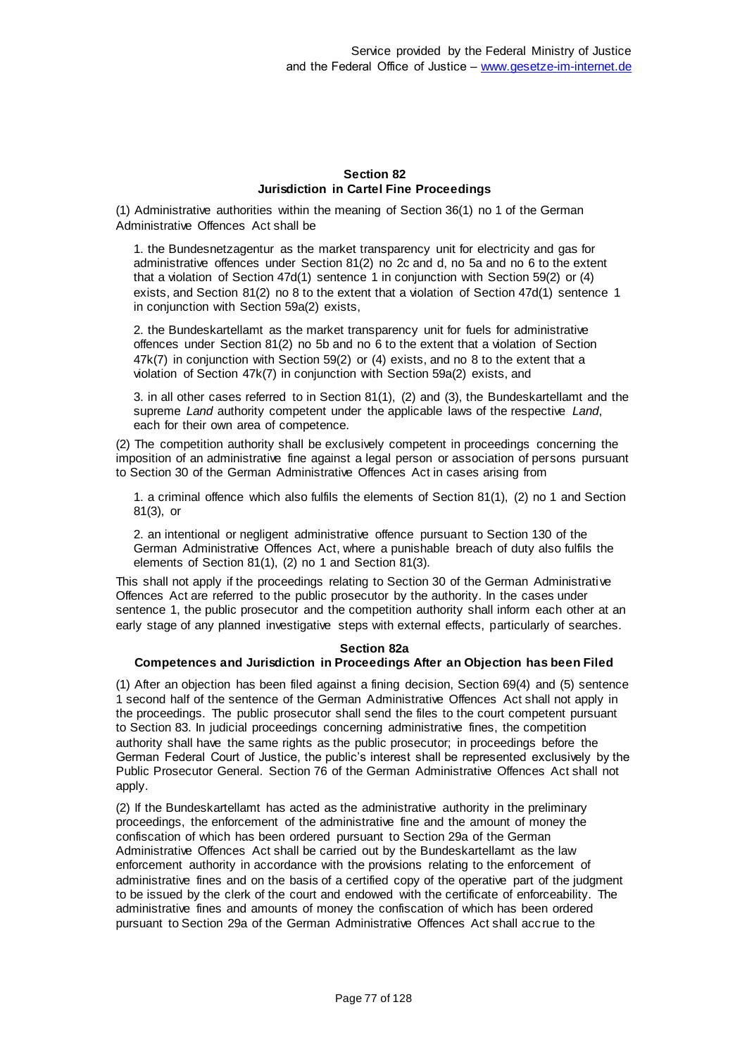## **Section 82 Jurisdiction in Cartel Fine Proceedings**

(1) Administrative authorities within the meaning of Section 36(1) no 1 of the German Administrative Offences Act shall be

1. the Bundesnetzagentur as the market transparency unit for electricity and gas for administrative offences under Section 81(2) no 2c and d, no 5a and no 6 to the extent that a violation of Section 47d(1) sentence 1 in conjunction with Section 59(2) or (4) exists, and Section 81(2) no 8 to the extent that a violation of Section 47d(1) sentence 1 in conjunction with Section 59a(2) exists,

2. the Bundeskartellamt as the market transparency unit for fuels for administrative offences under Section 81(2) no 5b and no 6 to the extent that a violation of Section 47k(7) in conjunction with Section 59(2) or (4) exists, and no 8 to the extent that a violation of Section 47k(7) in conjunction with Section 59a(2) exists, and

3. in all other cases referred to in Section 81(1), (2) and (3), the Bundeskartellamt and the supreme *Land* authority competent under the applicable laws of the respective *Land*, each for their own area of competence.

(2) The competition authority shall be exclusively competent in proceedings concerning the imposition of an administrative fine against a legal person or association of persons pursuant to Section 30 of the German Administrative Offences Act in cases arising from

1. a criminal offence which also fulfils the elements of Section 81(1), (2) no 1 and Section 81(3), or

2. an intentional or negligent administrative offence pursuant to Section 130 of the German Administrative Offences Act, where a punishable breach of duty also fulfils the elements of Section 81(1), (2) no 1 and Section 81(3).

This shall not apply if the proceedings relating to Section 30 of the German Administrative Offences Act are referred to the public prosecutor by the authority. In the cases under sentence 1, the public prosecutor and the competition authority shall inform each other at an early stage of any planned investigative steps with external effects, particularly of searches.

### **Section 82a**

### **Competences and Jurisdiction in Proceedings After an Objection has been Filed**

(1) After an objection has been filed against a fining decision, Section 69(4) and (5) sentence 1 second half of the sentence of the German Administrative Offences Act shall not apply in the proceedings. The public prosecutor shall send the files to the court competent pursuant to Section 83. In judicial proceedings concerning administrative fines, the competition authority shall have the same rights as the public prosecutor; in proceedings before the German Federal Court of Justice, the public's interest shall be represented exclusively by the Public Prosecutor General. Section 76 of the German Administrative Offences Act shall not apply.

(2) If the Bundeskartellamt has acted as the administrative authority in the preliminary proceedings, the enforcement of the administrative fine and the amount of money the confiscation of which has been ordered pursuant to Section 29a of the German Administrative Offences Act shall be carried out by the Bundeskartellamt as the law enforcement authority in accordance with the provisions relating to the enforcement of administrative fines and on the basis of a certified copy of the operative part of the judgment to be issued by the clerk of the court and endowed with the certificate of enforceability. The administrative fines and amounts of money the confiscation of which has been ordered pursuant to Section 29a of the German Administrative Offences Act shall acc rue to the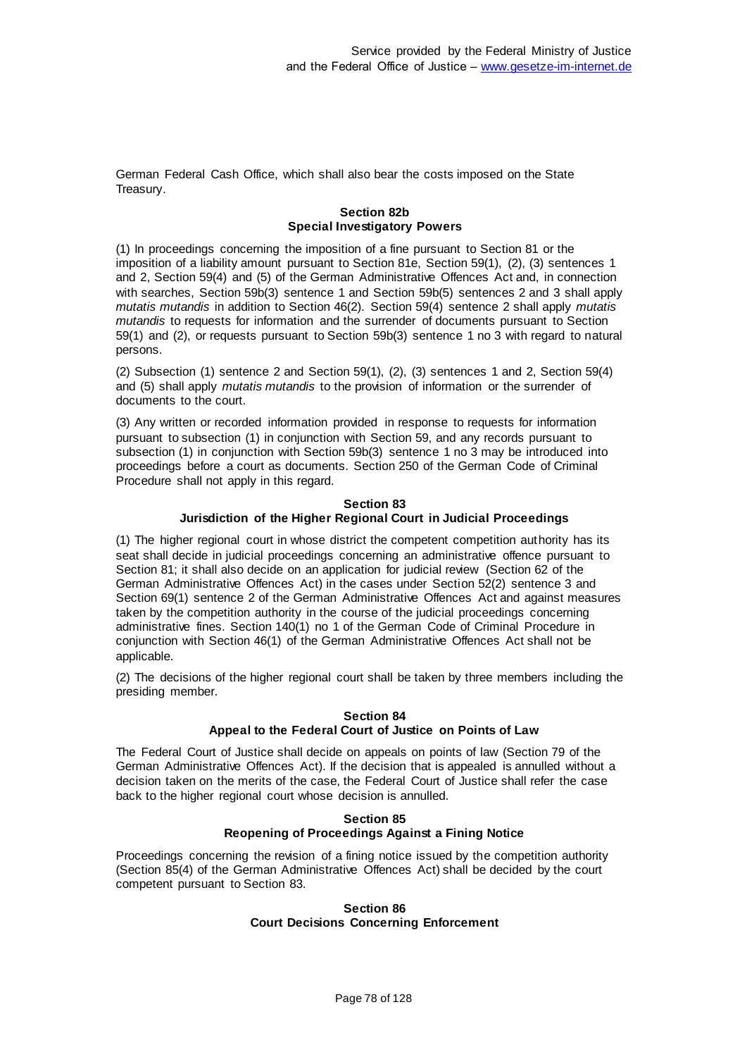German Federal Cash Office, which shall also bear the costs imposed on the State Treasury.

## **Section 82b Special Investigatory Powers**

(1) In proceedings concerning the imposition of a fine pursuant to Section 81 or the imposition of a liability amount pursuant to Section 81e, Section 59(1), (2), (3) sentences 1 and 2, Section 59(4) and (5) of the German Administrative Offences Act and, in connection with searches, Section 59b(3) sentence 1 and Section 59b(5) sentences 2 and 3 shall apply *mutatis mutandis* in addition to Section 46(2). Section 59(4) sentence 2 shall apply *mutatis mutandis* to requests for information and the surrender of documents pursuant to Section 59(1) and (2), or requests pursuant to Section 59b(3) sentence 1 no 3 with regard to natural persons.

(2) Subsection (1) sentence 2 and Section 59(1), (2), (3) sentences 1 and 2, Section 59(4) and (5) shall apply *mutatis mutandis* to the provision of information or the surrender of documents to the court.

(3) Any written or recorded information provided in response to requests for information pursuant to subsection (1) in conjunction with Section 59, and any records pursuant to subsection (1) in conjunction with Section 59b(3) sentence 1 no 3 may be introduced into proceedings before a court as documents. Section 250 of the German Code of Criminal Procedure shall not apply in this regard.

## **Section 83 Jurisdiction of the Higher Regional Court in Judicial Proceedings**

(1) The higher regional court in whose district the competent competition authority has its seat shall decide in judicial proceedings concerning an administrative offence pursuant to Section 81; it shall also decide on an application for judicial review (Section 62 of the German Administrative Offences Act) in the cases under Section 52(2) sentence 3 and Section 69(1) sentence 2 of the German Administrative Offences Act and against measures taken by the competition authority in the course of the judicial proceedings concerning administrative fines. Section 140(1) no 1 of the German Code of Criminal Procedure in conjunction with Section 46(1) of the German Administrative Offences Act shall not be applicable.

(2) The decisions of the higher regional court shall be taken by three members including the presiding member.

# **Section 84 Appeal to the Federal Court of Justice on Points of Law**

The Federal Court of Justice shall decide on appeals on points of law (Section 79 of the German Administrative Offences Act). If the decision that is appealed is annulled without a decision taken on the merits of the case, the Federal Court of Justice shall refer the case back to the higher regional court whose decision is annulled.

## **Section 85 Reopening of Proceedings Against a Fining Notice**

Proceedings concerning the revision of a fining notice issued by the competition authority (Section 85(4) of the German Administrative Offences Act) shall be decided by the court competent pursuant to Section 83.

#### **Section 86 Court Decisions Concerning Enforcement**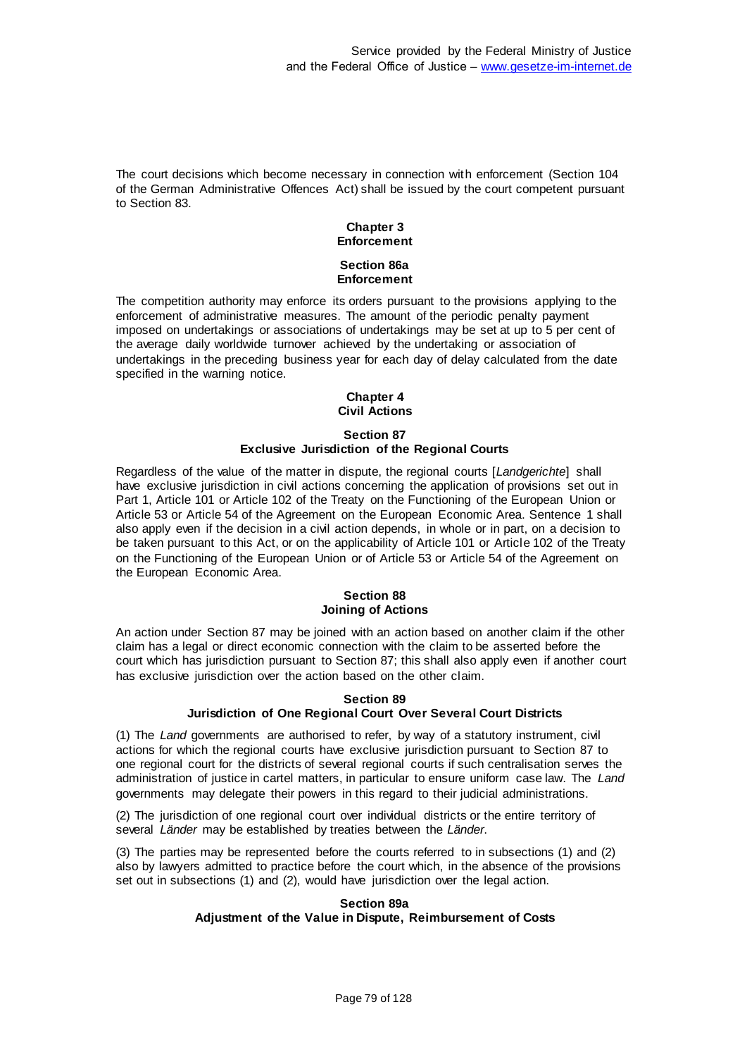The court decisions which become necessary in connection with enforcement (Section 104 of the German Administrative Offences Act) shall be issued by the court competent pursuant to Section 83.

# **Chapter 3 Enforcement Section 86a Enforcement**

The competition authority may enforce its orders pursuant to the provisions applying to the enforcement of administrative measures. The amount of the periodic penalty payment imposed on undertakings or associations of undertakings may be set at up to 5 per cent of the average daily worldwide turnover achieved by the undertaking or association of undertakings in the preceding business year for each day of delay calculated from the date specified in the warning notice.

#### **Chapter 4 Civil Actions**

### **Section 87 Exclusive Jurisdiction of the Regional Courts**

Regardless of the value of the matter in dispute, the regional courts [*Landgerichte*] shall have exclusive jurisdiction in civil actions concerning the application of provisions set out in Part 1, Article 101 or Article 102 of the Treaty on the Functioning of the European Union or Article 53 or Article 54 of the Agreement on the European Economic Area. Sentence 1 shall also apply even if the decision in a civil action depends, in whole or in part, on a decision to be taken pursuant to this Act, or on the applicability of Article 101 or Article 102 of the Treaty on the Functioning of the European Union or of Article 53 or Article 54 of the Agreement on the European Economic Area.

## **Section 88 Joining of Actions**

An action under Section 87 may be joined with an action based on another claim if the other claim has a legal or direct economic connection with the claim to be asserted before the court which has jurisdiction pursuant to Section 87; this shall also apply even if another court has exclusive jurisdiction over the action based on the other claim.

#### **Section 89 Jurisdiction of One Regional Court Over Several Court Districts**

(1) The *Land* governments are authorised to refer, by way of a statutory instrument, civil actions for which the regional courts have exclusive jurisdiction pursuant to Section 87 to one regional court for the districts of several regional courts if such centralisation serves the administration of justice in cartel matters, in particular to ensure uniform case law. The *Land* governments may delegate their powers in this regard to their judicial administrations.

(2) The jurisdiction of one regional court over individual districts or the entire territory of several *Länder* may be established by treaties between the *Länder*.

(3) The parties may be represented before the courts referred to in subsections (1) and (2) also by lawyers admitted to practice before the court which, in the absence of the provisions set out in subsections (1) and (2), would have jurisdiction over the legal action.

### **Section 89a Adjustment of the Value in Dispute, Reimbursement of Costs**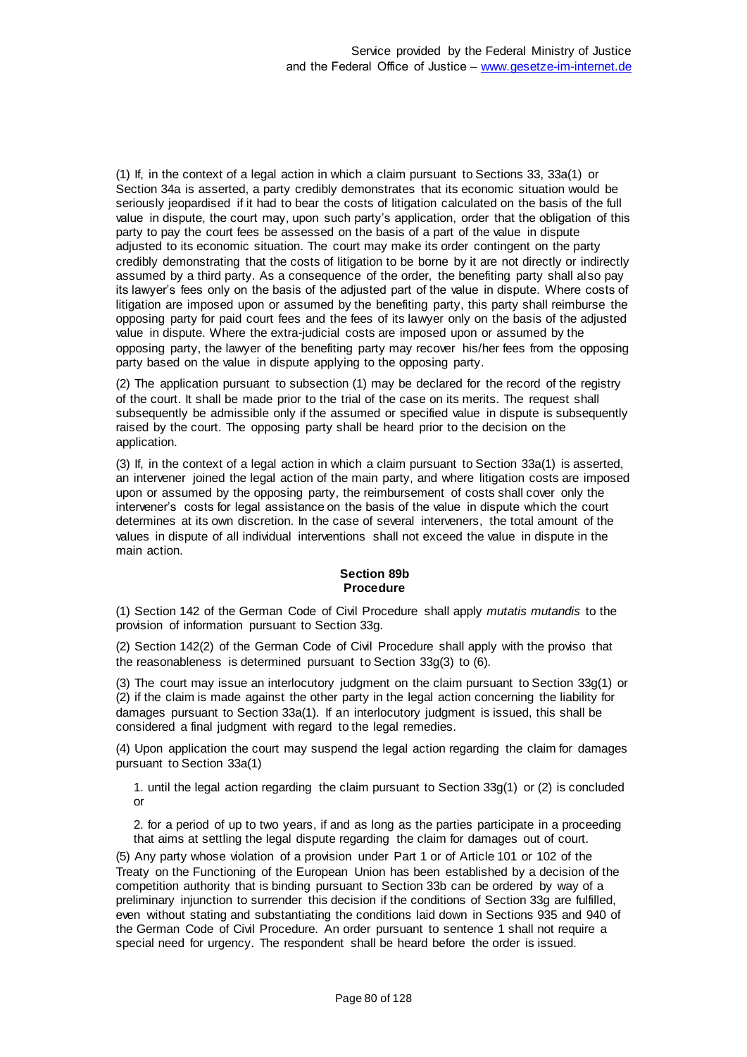(1) If, in the context of a legal action in which a claim pursuant to Sections 33, 33a(1) or Section 34a is asserted, a party credibly demonstrates that its economic situation would be seriously jeopardised if it had to bear the costs of litigation calculated on the basis of the full value in dispute, the court may, upon such party's application, order that the obligation of this party to pay the court fees be assessed on the basis of a part of the value in dispute adjusted to its economic situation. The court may make its order contingent on the party credibly demonstrating that the costs of litigation to be borne by it are not directly or indirectly assumed by a third party. As a consequence of the order, the benefiting party shall also pay its lawyer's fees only on the basis of the adjusted part of the value in dispute. Where costs of litigation are imposed upon or assumed by the benefiting party, this party shall reimburse the opposing party for paid court fees and the fees of its lawyer only on the basis of the adjusted value in dispute. Where the extra-judicial costs are imposed upon or assumed by the opposing party, the lawyer of the benefiting party may recover his/her fees from the opposing party based on the value in dispute applying to the opposing party.

(2) The application pursuant to subsection (1) may be declared for the record of the registry of the court. It shall be made prior to the trial of the case on its merits. The request shall subsequently be admissible only if the assumed or specified value in dispute is subsequently raised by the court. The opposing party shall be heard prior to the decision on the application.

(3) If, in the context of a legal action in which a claim pursuant to Section 33a(1) is asserted, an intervener joined the legal action of the main party, and where litigation costs are imposed upon or assumed by the opposing party, the reimbursement of costs shall cover only the intervener's costs for legal assistance on the basis of the value in dispute which the court determines at its own discretion. In the case of several interveners, the total amount of the values in dispute of all individual interventions shall not exceed the value in dispute in the main action.

# **Section 89b Procedure**

(1) Section 142 of the German Code of Civil Procedure shall apply *mutatis mutandis* to the provision of information pursuant to Section 33g.

(2) Section 142(2) of the German Code of Civil Procedure shall apply with the proviso that the reasonableness is determined pursuant to Section 33g(3) to (6).

(3) The court may issue an interlocutory judgment on the claim pursuant to Section 33g(1) or (2) if the claim is made against the other party in the legal action concerning the liability for damages pursuant to Section 33a(1). If an interlocutory judgment is issued, this shall be considered a final judgment with regard to the legal remedies.

(4) Upon application the court may suspend the legal action regarding the claim for damages pursuant to Section 33a(1)

1. until the legal action regarding the claim pursuant to Section 33g(1) or (2) is concluded or

2. for a period of up to two years, if and as long as the parties participate in a proceeding that aims at settling the legal dispute regarding the claim for damages out of court.

(5) Any party whose violation of a provision under Part 1 or of Article 101 or 102 of the Treaty on the Functioning of the European Union has been established by a decision of the competition authority that is binding pursuant to Section 33b can be ordered by way of a preliminary injunction to surrender this decision if the conditions of Section 33g are fulfilled, even without stating and substantiating the conditions laid down in Sections 935 and 940 of the German Code of Civil Procedure. An order pursuant to sentence 1 shall not require a special need for urgency. The respondent shall be heard before the order is issued.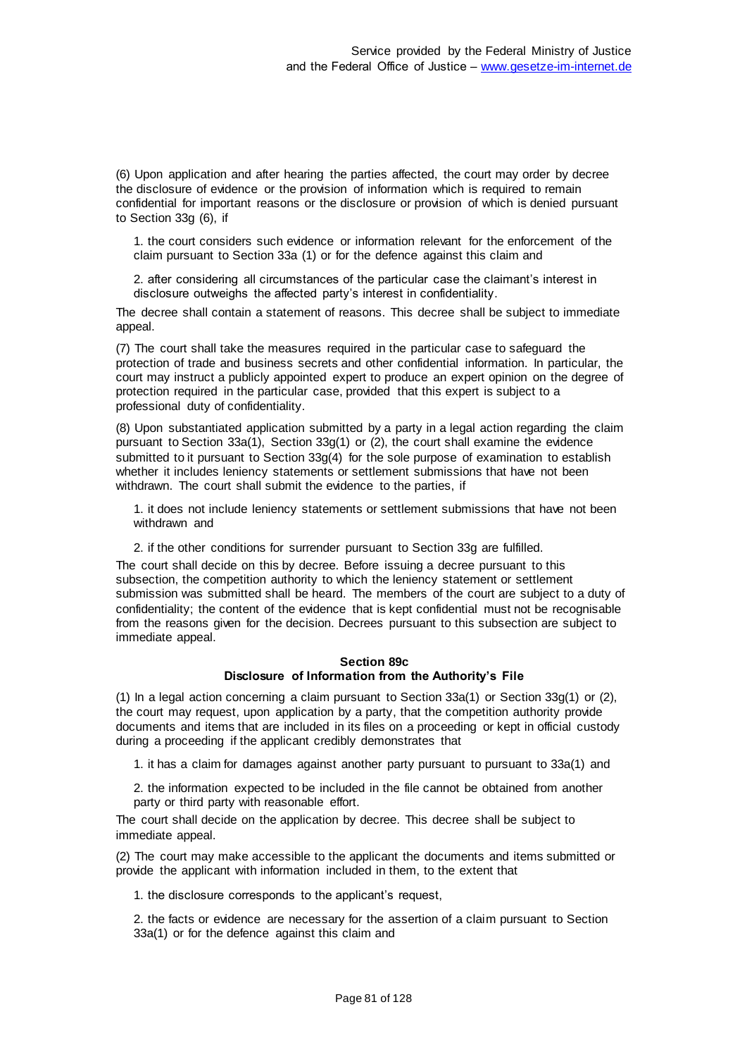(6) Upon application and after hearing the parties affected, the court may order by decree the disclosure of evidence or the provision of information which is required to remain confidential for important reasons or the disclosure or provision of which is denied pursuant to Section 33g (6), if

1. the court considers such evidence or information relevant for the enforcement of the claim pursuant to Section 33a (1) or for the defence against this claim and

2. after considering all circumstances of the particular case the claimant's interest in disclosure outweighs the affected party's interest in confidentiality.

The decree shall contain a statement of reasons. This decree shall be subject to immediate appeal.

(7) The court shall take the measures required in the particular case to safeguard the protection of trade and business secrets and other confidential information. In particular, the court may instruct a publicly appointed expert to produce an expert opinion on the degree of protection required in the particular case, provided that this expert is subject to a professional duty of confidentiality.

(8) Upon substantiated application submitted by a party in a legal action regarding the claim pursuant to Section 33a(1), Section 33g(1) or (2), the court shall examine the evidence submitted to it pursuant to Section 33g(4) for the sole purpose of examination to establish whether it includes leniency statements or settlement submissions that have not been withdrawn. The court shall submit the evidence to the parties, if

1. it does not include leniency statements or settlement submissions that have not been withdrawn and

2. if the other conditions for surrender pursuant to Section 33g are fulfilled.

The court shall decide on this by decree. Before issuing a decree pursuant to this subsection, the competition authority to which the leniency statement or settlement submission was submitted shall be heard. The members of the court are subject to a duty of confidentiality; the content of the evidence that is kept confidential must not be recognisable from the reasons given for the decision. Decrees pursuant to this subsection are subject to immediate appeal.

#### **Section 89c Disclosure of Information from the Authority's File**

(1) In a legal action concerning a claim pursuant to Section  $33a(1)$  or Section  $33g(1)$  or (2), the court may request, upon application by a party, that the competition authority provide documents and items that are included in its files on a proceeding or kept in official custody during a proceeding if the applicant credibly demonstrates that

1. it has a claim for damages against another party pursuant to pursuant to 33a(1) and

2. the information expected to be included in the file cannot be obtained from another party or third party with reasonable effort.

The court shall decide on the application by decree. This decree shall be subject to immediate appeal.

(2) The court may make accessible to the applicant the documents and items submitted or provide the applicant with information included in them, to the extent that

1. the disclosure corresponds to the applicant's request,

2. the facts or evidence are necessary for the assertion of a claim pursuant to Section 33a(1) or for the defence against this claim and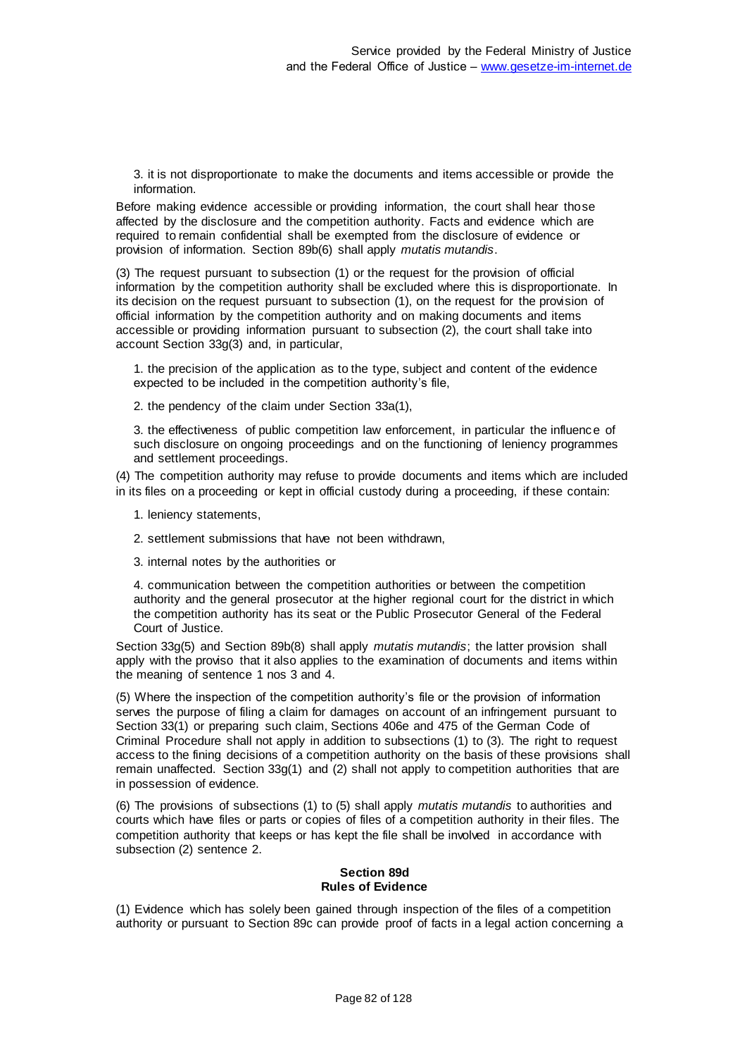3. it is not disproportionate to make the documents and items accessible or provide the information.

Before making evidence accessible or providing information, the court shall hear those affected by the disclosure and the competition authority. Facts and evidence which are required to remain confidential shall be exempted from the disclosure of evidence or provision of information. Section 89b(6) shall apply *mutatis mutandis*.

(3) The request pursuant to subsection (1) or the request for the provision of official information by the competition authority shall be excluded where this is disproportionate. In its decision on the request pursuant to subsection (1), on the request for the provision of official information by the competition authority and on making documents and items accessible or providing information pursuant to subsection (2), the court shall take into account Section 33g(3) and, in particular,

1. the precision of the application as to the type, subject and content of the evidence expected to be included in the competition authority's file,

2. the pendency of the claim under Section 33a(1),

3. the effectiveness of public competition law enforcement, in particular the influence of such disclosure on ongoing proceedings and on the functioning of leniency programmes and settlement proceedings.

(4) The competition authority may refuse to provide documents and items which are included in its files on a proceeding or kept in official custody during a proceeding, if these contain:

- 1. leniency statements,
- 2. settlement submissions that have not been withdrawn,
- 3. internal notes by the authorities or

4. communication between the competition authorities or between the competition authority and the general prosecutor at the higher regional court for the district in which the competition authority has its seat or the Public Prosecutor General of the Federal Court of Justice.

Section 33g(5) and Section 89b(8) shall apply *mutatis mutandis*; the latter provision shall apply with the proviso that it also applies to the examination of documents and items within the meaning of sentence 1 nos 3 and 4.

(5) Where the inspection of the competition authority's file or the provision of information serves the purpose of filing a claim for damages on account of an infringement pursuant to Section 33(1) or preparing such claim, Sections 406e and 475 of the German Code of Criminal Procedure shall not apply in addition to subsections (1) to (3). The right to request access to the fining decisions of a competition authority on the basis of these provisions shall remain unaffected. Section 33g(1) and (2) shall not apply to competition authorities that are in possession of evidence.

(6) The provisions of subsections (1) to (5) shall apply *mutatis mutandis* to authorities and courts which have files or parts or copies of files of a competition authority in their files. The competition authority that keeps or has kept the file shall be involved in accordance with subsection (2) sentence 2.

## **Section 89d Rules of Evidence**

(1) Evidence which has solely been gained through inspection of the files of a competition authority or pursuant to Section 89c can provide proof of facts in a legal action concerning a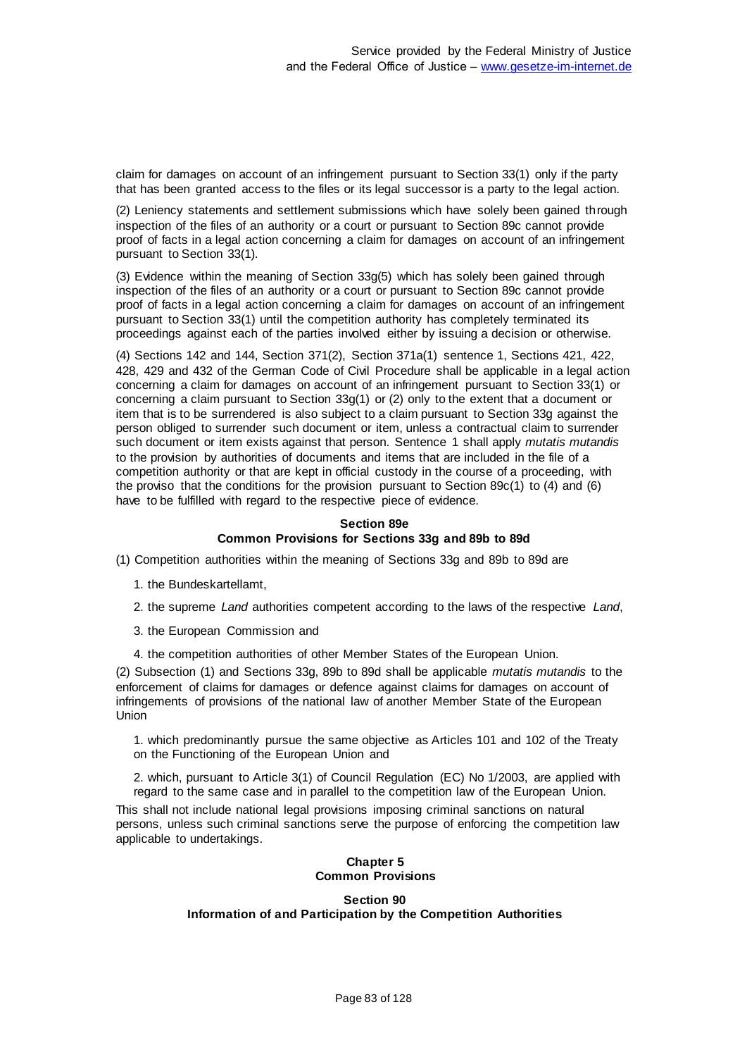claim for damages on account of an infringement pursuant to Section 33(1) only if the party that has been granted access to the files or its legal successor is a party to the legal action.

(2) Leniency statements and settlement submissions which have solely been gained through inspection of the files of an authority or a court or pursuant to Section 89c cannot provide proof of facts in a legal action concerning a claim for damages on account of an infringement pursuant to Section 33(1).

(3) Evidence within the meaning of Section 33g(5) which has solely been gained through inspection of the files of an authority or a court or pursuant to Section 89c cannot provide proof of facts in a legal action concerning a claim for damages on account of an infringement pursuant to Section 33(1) until the competition authority has completely terminated its proceedings against each of the parties involved either by issuing a decision or otherwise.

(4) Sections 142 and 144, Section 371(2), Section 371a(1) sentence 1, Sections 421, 422, 428, 429 and 432 of the German Code of Civil Procedure shall be applicable in a legal action concerning a claim for damages on account of an infringement pursuant to Section 33(1) or concerning a claim pursuant to Section 33g(1) or (2) only to the extent that a document or item that is to be surrendered is also subject to a claim pursuant to Section 33g against the person obliged to surrender such document or item, unless a contractual claim to surrender such document or item exists against that person. Sentence 1 shall apply *mutatis mutandis* to the provision by authorities of documents and items that are included in the file of a competition authority or that are kept in official custody in the course of a proceeding, with the proviso that the conditions for the provision pursuant to Section 89c(1) to (4) and (6) have to be fulfilled with regard to the respective piece of evidence.

#### **Section 89e Common Provisions for Sections 33g and 89b to 89d**

(1) Competition authorities within the meaning of Sections 33g and 89b to 89d are

- 1. the Bundeskartellamt,
- 2. the supreme *Land* authorities competent according to the laws of the respective *Land*,
- 3. the European Commission and
- 4. the competition authorities of other Member States of the European Union.

(2) Subsection (1) and Sections 33g, 89b to 89d shall be applicable *mutatis mutandis* to the enforcement of claims for damages or defence against claims for damages on account of infringements of provisions of the national law of another Member State of the European Union

1. which predominantly pursue the same objective as Articles 101 and 102 of the Treaty on the Functioning of the European Union and

2. which, pursuant to Article 3(1) of Council Regulation (EC) No 1/2003, are applied with regard to the same case and in parallel to the competition law of the European Union.

This shall not include national legal provisions imposing criminal sanctions on natural persons, unless such criminal sanctions serve the purpose of enforcing the competition law applicable to undertakings.

### **Chapter 5 Common Provisions**

### **Section 90 Information of and Participation by the Competition Authorities**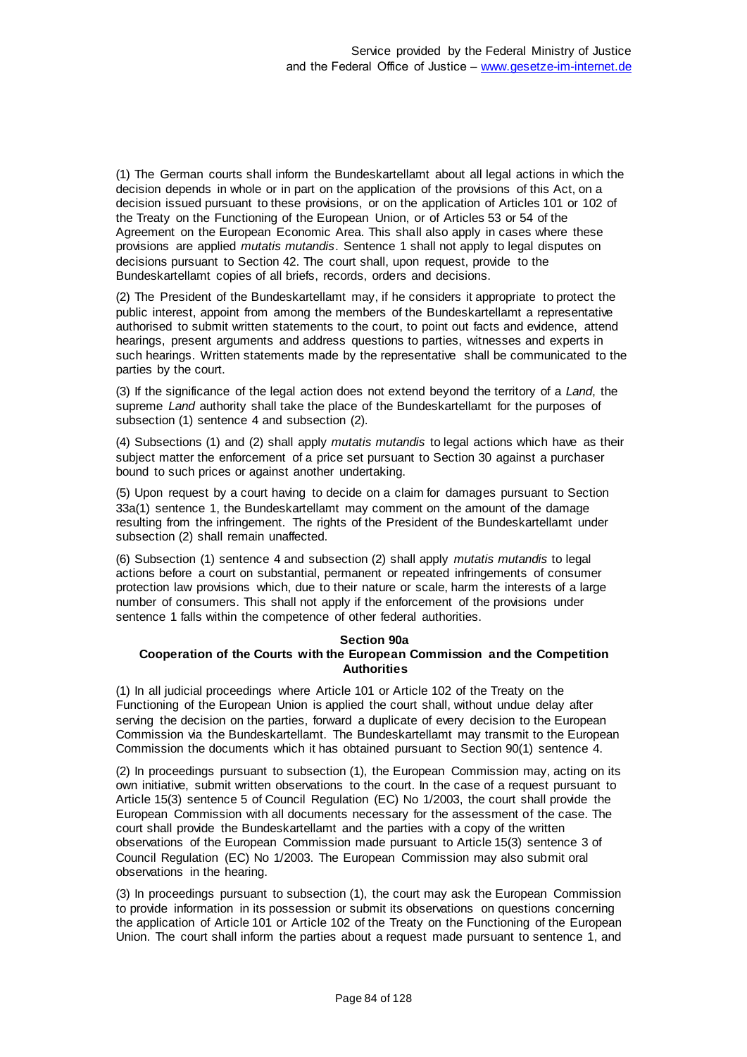(1) The German courts shall inform the Bundeskartellamt about all legal actions in which the decision depends in whole or in part on the application of the provisions of this Act, on a decision issued pursuant to these provisions, or on the application of Articles 101 or 102 of the Treaty on the Functioning of the European Union, or of Articles 53 or 54 of the Agreement on the European Economic Area. This shall also apply in cases where these provisions are applied *mutatis mutandis*. Sentence 1 shall not apply to legal disputes on decisions pursuant to Section 42. The court shall, upon request, provide to the Bundeskartellamt copies of all briefs, records, orders and decisions.

(2) The President of the Bundeskartellamt may, if he considers it appropriate to protect the public interest, appoint from among the members of the Bundeskartellamt a representative authorised to submit written statements to the court, to point out facts and evidence, attend hearings, present arguments and address questions to parties, witnesses and experts in such hearings. Written statements made by the representative shall be communicated to the parties by the court.

(3) If the significance of the legal action does not extend beyond the territory of a *Land*, the supreme *Land* authority shall take the place of the Bundeskartellamt for the purposes of subsection (1) sentence 4 and subsection (2).

(4) Subsections (1) and (2) shall apply *mutatis mutandis* to legal actions which have as their subject matter the enforcement of a price set pursuant to Section 30 against a purchaser bound to such prices or against another undertaking.

(5) Upon request by a court having to decide on a claim for damages pursuant to Section 33a(1) sentence 1, the Bundeskartellamt may comment on the amount of the damage resulting from the infringement. The rights of the President of the Bundeskartellamt under subsection (2) shall remain unaffected.

(6) Subsection (1) sentence 4 and subsection (2) shall apply *mutatis mutandis* to legal actions before a court on substantial, permanent or repeated infringements of consumer protection law provisions which, due to their nature or scale, harm the interests of a large number of consumers. This shall not apply if the enforcement of the provisions under sentence 1 falls within the competence of other federal authorities.

### **Section 90a Cooperation of the Courts with the European Commission and the Competition Authorities**

(1) In all judicial proceedings where Article 101 or Article 102 of the Treaty on the Functioning of the European Union is applied the court shall, without undue delay after serving the decision on the parties, forward a duplicate of every decision to the European Commission via the Bundeskartellamt. The Bundeskartellamt may transmit to the European Commission the documents which it has obtained pursuant to Section 90(1) sentence 4.

(2) In proceedings pursuant to subsection (1), the European Commission may, acting on its own initiative, submit written observations to the court. In the case of a request pursuant to Article 15(3) sentence 5 of Council Regulation (EC) No 1/2003, the court shall provide the European Commission with all documents necessary for the assessment of the case. The court shall provide the Bundeskartellamt and the parties with a copy of the written observations of the European Commission made pursuant to Article 15(3) sentence 3 of Council Regulation (EC) No 1/2003. The European Commission may also submit oral observations in the hearing.

(3) In proceedings pursuant to subsection (1), the court may ask the European Commission to provide information in its possession or submit its observations on questions concerning the application of Article 101 or Article 102 of the Treaty on the Functioning of the European Union. The court shall inform the parties about a request made pursuant to sentence 1, and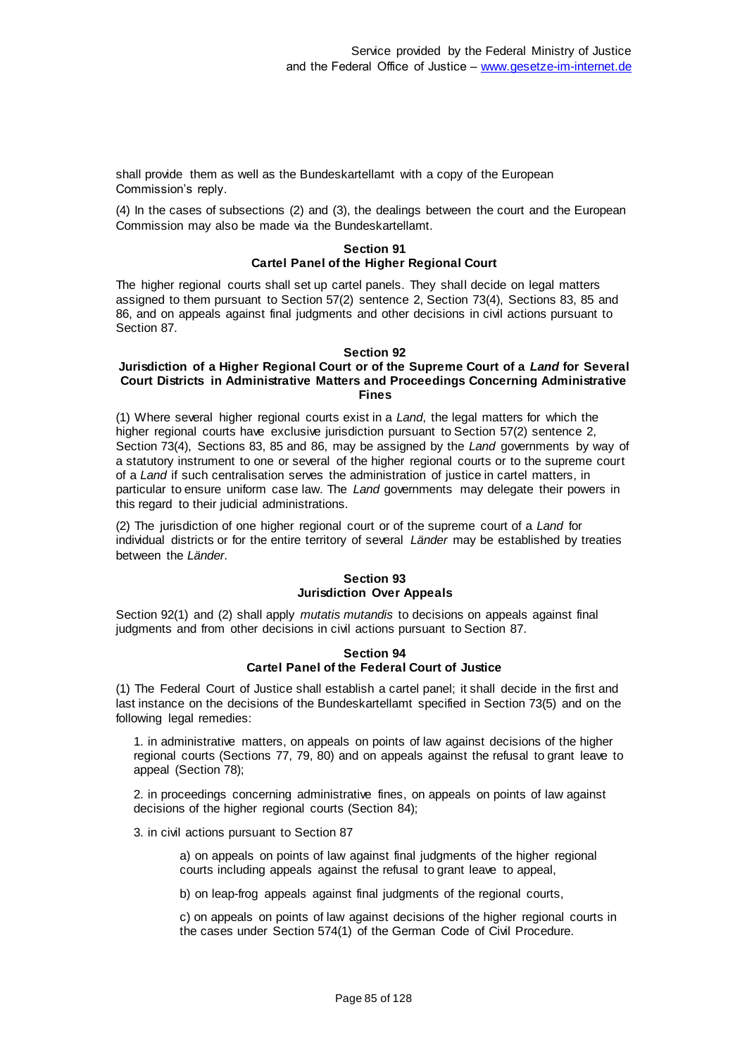shall provide them as well as the Bundeskartellamt with a copy of the European Commission's reply.

(4) In the cases of subsections (2) and (3), the dealings between the court and the European Commission may also be made via the Bundeskartellamt.

## **Section 91 Cartel Panel of the Higher Regional Court**

The higher regional courts shall set up cartel panels. They shall decide on legal matters assigned to them pursuant to Section 57(2) sentence 2, Section 73(4), Sections 83, 85 and 86, and on appeals against final judgments and other decisions in civil actions pursuant to Section 87.

#### **Section 92**

#### **Jurisdiction of a Higher Regional Court or of the Supreme Court of a** *Land* **for Several Court Districts in Administrative Matters and Proceedings Concerning Administrative Fines**

(1) Where several higher regional courts exist in a *Land*, the legal matters for which the higher regional courts have exclusive jurisdiction pursuant to Section 57(2) sentence 2, Section 73(4), Sections 83, 85 and 86, may be assigned by the *Land* governments by way of a statutory instrument to one or several of the higher regional courts or to the supreme court of a *Land* if such centralisation serves the administration of justice in cartel matters, in particular to ensure uniform case law. The *Land* governments may delegate their powers in this regard to their judicial administrations.

(2) The jurisdiction of one higher regional court or of the supreme court of a *Land* for individual districts or for the entire territory of several *Länder* may be established by treaties between the *Länder*.

#### **Section 93 Jurisdiction Over Appeals**

Section 92(1) and (2) shall apply *mutatis mutandis* to decisions on appeals against final judgments and from other decisions in civil actions pursuant to Section 87.

#### **Section 94 Cartel Panel of the Federal Court of Justice**

(1) The Federal Court of Justice shall establish a cartel panel; it shall decide in the first and last instance on the decisions of the Bundeskartellamt specified in Section 73(5) and on the following legal remedies:

1. in administrative matters, on appeals on points of law against decisions of the higher regional courts (Sections 77, 79, 80) and on appeals against the refusal to grant leave to appeal (Section 78);

2. in proceedings concerning administrative fines, on appeals on points of law against decisions of the higher regional courts (Section 84);

3. in civil actions pursuant to Section 87

a) on appeals on points of law against final judgments of the higher regional courts including appeals against the refusal to grant leave to appeal,

b) on leap-frog appeals against final judgments of the regional courts,

c) on appeals on points of law against decisions of the higher regional courts in the cases under Section 574(1) of the German Code of Civil Procedure.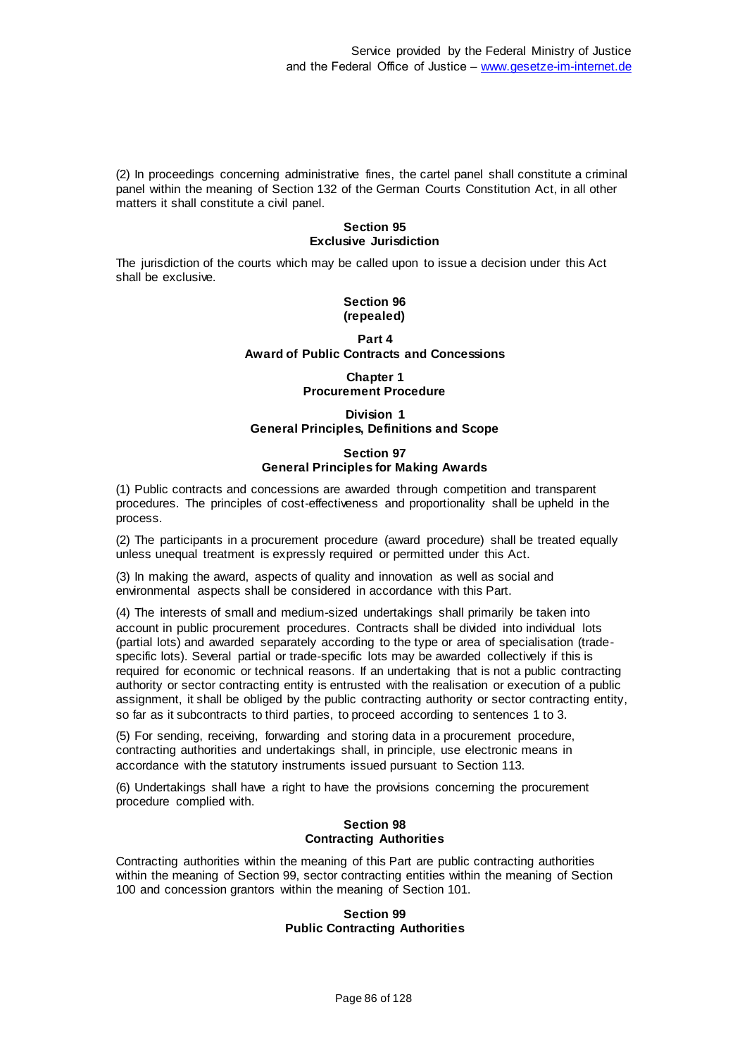(2) In proceedings concerning administrative fines, the cartel panel shall constitute a criminal panel within the meaning of Section 132 of the German Courts Constitution Act, in all other matters it shall constitute a civil panel.

### **Section 95 Exclusive Jurisdiction**

The jurisdiction of the courts which may be called upon to issue a decision under this Act shall be exclusive.

#### **Section 96 (repealed)**

## **Part 4 Award of Public Contracts and Concessions**

# **Chapter 1 Procurement Procedure**

## **Division 1 General Principles, Definitions and Scope**

## **Section 97 General Principles for Making Awards**

(1) Public contracts and concessions are awarded through competition and transparent procedures. The principles of cost-effectiveness and proportionality shall be upheld in the process.

(2) The participants in a procurement procedure (award procedure) shall be treated equally unless unequal treatment is expressly required or permitted under this Act.

(3) In making the award, aspects of quality and innovation as well as social and environmental aspects shall be considered in accordance with this Part.

(4) The interests of small and medium-sized undertakings shall primarily be taken into account in public procurement procedures. Contracts shall be divided into individual lots (partial lots) and awarded separately according to the type or area of specialisation (tradespecific lots). Several partial or trade-specific lots may be awarded collectively if this is required for economic or technical reasons. If an undertaking that is not a public contracting authority or sector contracting entity is entrusted with the realisation or execution of a public assignment, it shall be obliged by the public contracting authority or sector contracting entity, so far as it subcontracts to third parties, to proceed according to sentences 1 to 3.

(5) For sending, receiving, forwarding and storing data in a procurement procedure, contracting authorities and undertakings shall, in principle, use electronic means in accordance with the statutory instruments issued pursuant to Section 113.

(6) Undertakings shall have a right to have the provisions concerning the procurement procedure complied with.

#### **Section 98 Contracting Authorities**

Contracting authorities within the meaning of this Part are public contracting authorities within the meaning of Section 99, sector contracting entities within the meaning of Section 100 and concession grantors within the meaning of Section 101.

### **Section 99 Public Contracting Authorities**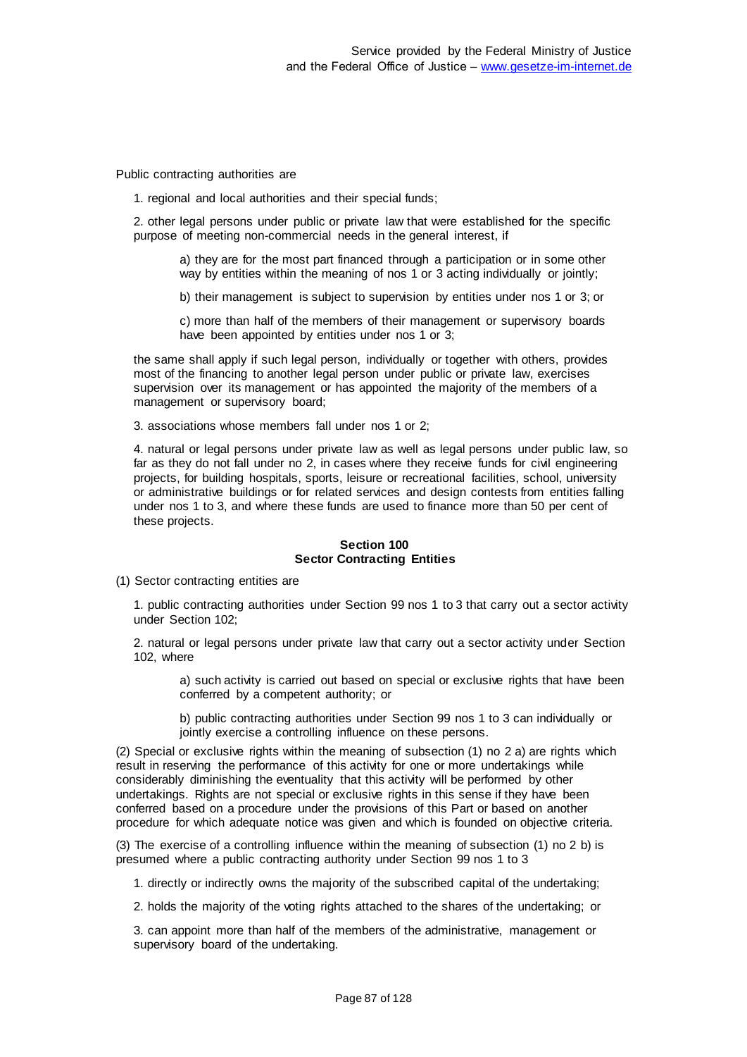Public contracting authorities are

1. regional and local authorities and their special funds;

2. other legal persons under public or private law that were established for the specific purpose of meeting non-commercial needs in the general interest, if

a) they are for the most part financed through a participation or in some other way by entities within the meaning of nos 1 or 3 acting individually or jointly;

b) their management is subject to supervision by entities under nos 1 or 3; or

c) more than half of the members of their management or supervisory boards have been appointed by entities under nos 1 or 3;

the same shall apply if such legal person, individually or together with others, provides most of the financing to another legal person under public or private law, exercises supervision over its management or has appointed the majority of the members of a management or supervisory board;

3. associations whose members fall under nos 1 or 2;

4. natural or legal persons under private law as well as legal persons under public law, so far as they do not fall under no 2, in cases where they receive funds for civil engineering projects, for building hospitals, sports, leisure or recreational facilities, school, university or administrative buildings or for related services and design contests from entities falling under nos 1 to 3, and where these funds are used to finance more than 50 per cent of these projects.

### **Section 100 Sector Contracting Entities**

(1) Sector contracting entities are

1. public contracting authorities under Section 99 nos 1 to 3 that carry out a sector activity under Section 102;

2. natural or legal persons under private law that carry out a sector activity under Section 102, where

a) such activity is carried out based on special or exclusive rights that have been conferred by a competent authority; or

b) public contracting authorities under Section 99 nos 1 to 3 can individually or jointly exercise a controlling influence on these persons.

(2) Special or exclusive rights within the meaning of subsection (1) no 2 a) are rights which result in reserving the performance of this activity for one or more undertakings while considerably diminishing the eventuality that this activity will be performed by other undertakings. Rights are not special or exclusive rights in this sense if they have been conferred based on a procedure under the provisions of this Part or based on another procedure for which adequate notice was given and which is founded on objective criteria.

(3) The exercise of a controlling influence within the meaning of subsection (1) no 2 b) is presumed where a public contracting authority under Section 99 nos 1 to 3

1. directly or indirectly owns the majority of the subscribed capital of the undertaking;

2. holds the majority of the voting rights attached to the shares of the undertaking; or

3. can appoint more than half of the members of the administrative, management or supervisory board of the undertaking.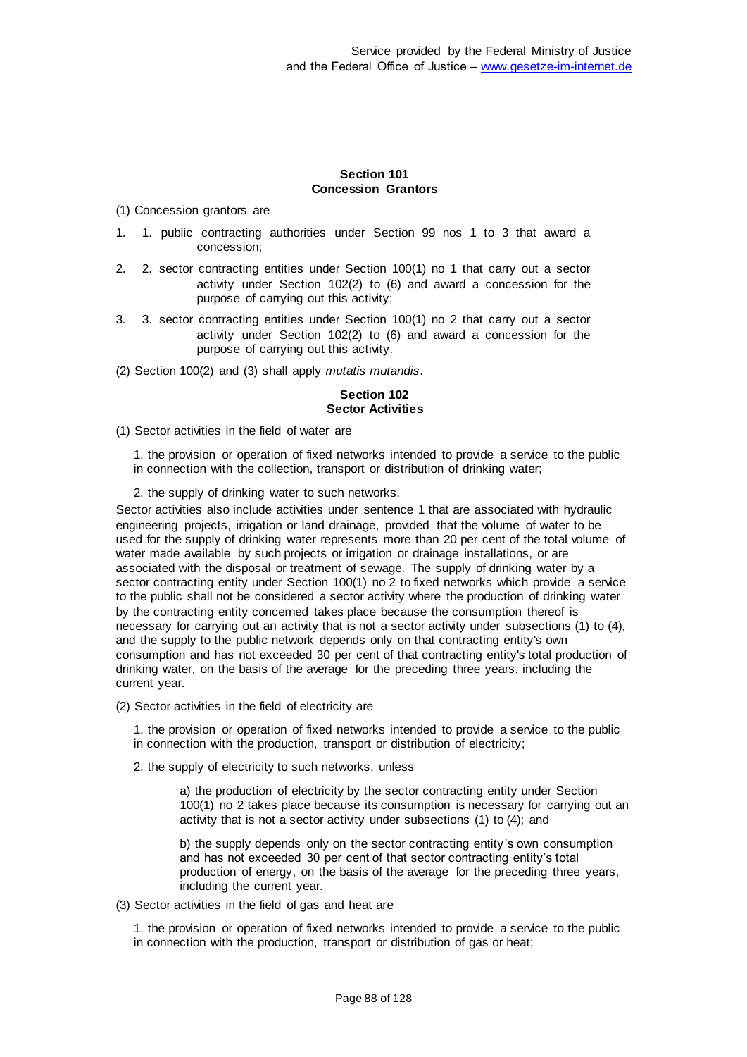## **Section 101 Concession Grantors**

(1) Concession grantors are

- 1. 1. public contracting authorities under Section 99 nos 1 to 3 that award a concession;
- 2. 2. sector contracting entities under Section 100(1) no 1 that carry out a sector activity under Section 102(2) to (6) and award a concession for the purpose of carrying out this activity;
- 3. 3. sector contracting entities under Section 100(1) no 2 that carry out a sector activity under Section 102(2) to (6) and award a concession for the purpose of carrying out this activity.
- (2) Section 100(2) and (3) shall apply *mutatis mutandis*.

## **Section 102 Sector Activities**

- (1) Sector activities in the field of water are
	- 1. the provision or operation of fixed networks intended to provide a service to the public in connection with the collection, transport or distribution of drinking water;
	- 2. the supply of drinking water to such networks.

Sector activities also include activities under sentence 1 that are associated with hydraulic engineering projects, irrigation or land drainage, provided that the volume of water to be used for the supply of drinking water represents more than 20 per cent of the total volume of water made available by such projects or irrigation or drainage installations, or are associated with the disposal or treatment of sewage. The supply of drinking water by a sector contracting entity under Section 100(1) no 2 to fixed networks which provide a service to the public shall not be considered a sector activity where the production of drinking water by the contracting entity concerned takes place because the consumption thereof is necessary for carrying out an activity that is not a sector activity under subsections (1) to (4), and the supply to the public network depends only on that contracting entity's own consumption and has not exceeded 30 per cent of that contracting entity's total production of drinking water, on the basis of the average for the preceding three years, including the current year.

(2) Sector activities in the field of electricity are

1. the provision or operation of fixed networks intended to provide a service to the public in connection with the production, transport or distribution of electricity;

2. the supply of electricity to such networks, unless

a) the production of electricity by the sector contracting entity under Section 100(1) no 2 takes place because its consumption is necessary for carrying out an activity that is not a sector activity under subsections (1) to (4); and

b) the supply depends only on the sector contracting entity's own consumption and has not exceeded 30 per cent of that sector contracting entity's total production of energy, on the basis of the average for the preceding three years, including the current year.

(3) Sector activities in the field of gas and heat are

1. the provision or operation of fixed networks intended to provide a service to the public in connection with the production, transport or distribution of gas or heat;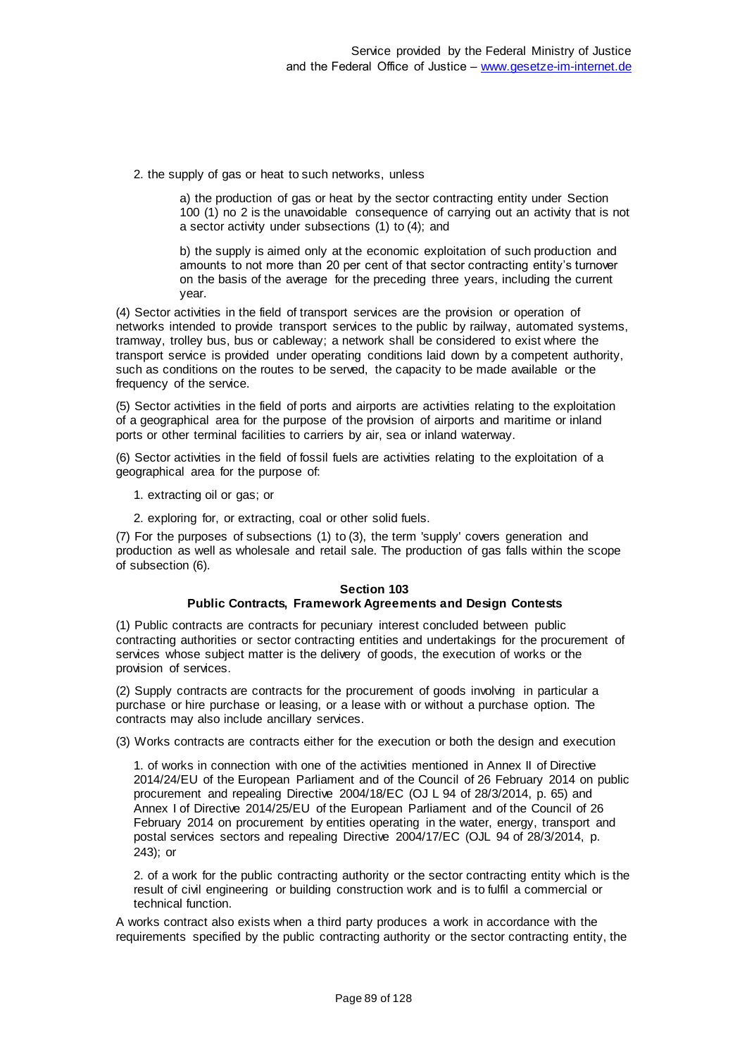2. the supply of gas or heat to such networks, unless

a) the production of gas or heat by the sector contracting entity under Section 100 (1) no 2 is the unavoidable consequence of carrying out an activity that is not a sector activity under subsections (1) to (4); and

b) the supply is aimed only at the economic exploitation of such production and amounts to not more than 20 per cent of that sector contracting entity's turnover on the basis of the average for the preceding three years, including the current year.

(4) Sector activities in the field of transport services are the provision or operation of networks intended to provide transport services to the public by railway, automated systems, tramway, trolley bus, bus or cableway; a network shall be considered to exist where the transport service is provided under operating conditions laid down by a competent authority, such as conditions on the routes to be served, the capacity to be made available or the frequency of the service.

(5) Sector activities in the field of ports and airports are activities relating to the exploitation of a geographical area for the purpose of the provision of airports and maritime or inland ports or other terminal facilities to carriers by air, sea or inland waterway.

(6) Sector activities in the field of fossil fuels are activities relating to the exploitation of a geographical area for the purpose of:

1. extracting oil or gas; or

2. exploring for, or extracting, coal or other solid fuels.

(7) For the purposes of subsections (1) to (3), the term 'supply' covers generation and production as well as wholesale and retail sale. The production of gas falls within the scope of subsection (6).

### **Section 103 Public Contracts, Framework Agreements and Design Contests**

(1) Public contracts are contracts for pecuniary interest concluded between public contracting authorities or sector contracting entities and undertakings for the procurement of services whose subject matter is the delivery of goods, the execution of works or the provision of services.

(2) Supply contracts are contracts for the procurement of goods involving in particular a purchase or hire purchase or leasing, or a lease with or without a purchase option. The contracts may also include ancillary services.

(3) Works contracts are contracts either for the execution or both the design and execution

1. of works in connection with one of the activities mentioned in Annex II of Directive 2014/24/EU of the European Parliament and of the Council of 26 February 2014 on public procurement and repealing Directive 2004/18/EC (OJ L 94 of 28/3/2014, p. 65) and Annex I of Directive 2014/25/EU of the European Parliament and of the Council of 26 February 2014 on procurement by entities operating in the water, energy, transport and postal services sectors and repealing Directive 2004/17/EC (OJL 94 of 28/3/2014, p. 243); or

2. of a work for the public contracting authority or the sector contracting entity which is the result of civil engineering or building construction work and is to fulfil a commercial or technical function.

A works contract also exists when a third party produces a work in accordance with the requirements specified by the public contracting authority or the sector contracting entity, the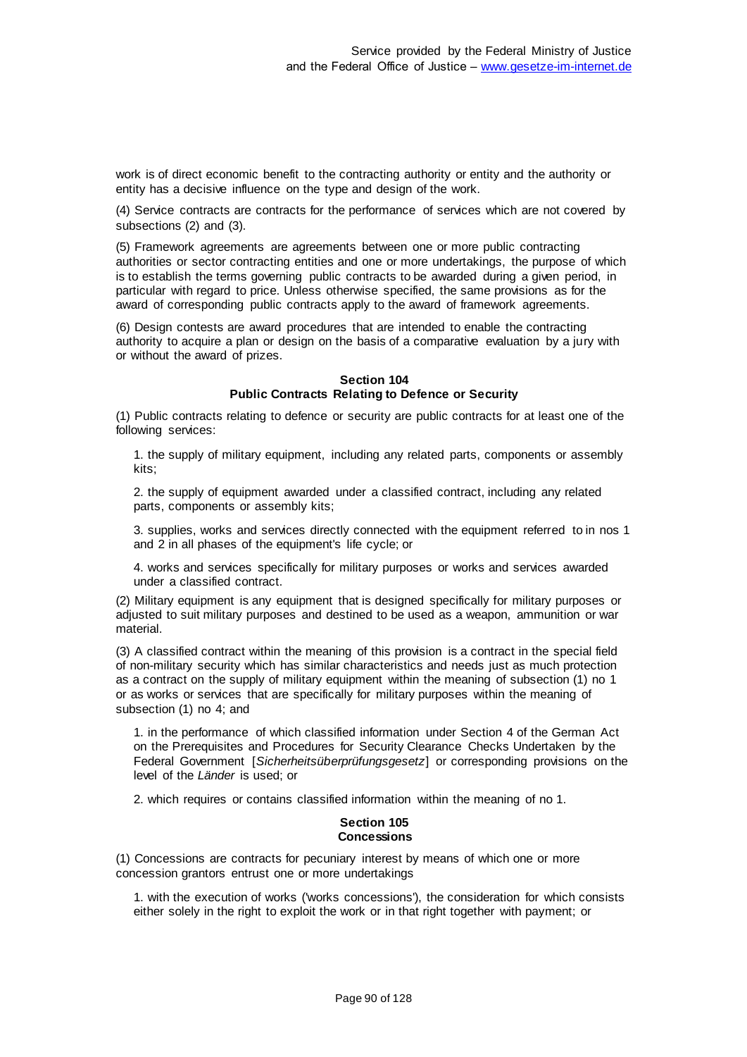work is of direct economic benefit to the contracting authority or entity and the authority or entity has a decisive influence on the type and design of the work.

(4) Service contracts are contracts for the performance of services which are not covered by subsections (2) and (3).

(5) Framework agreements are agreements between one or more public contracting authorities or sector contracting entities and one or more undertakings, the purpose of which is to establish the terms governing public contracts to be awarded during a given period, in particular with regard to price. Unless otherwise specified, the same provisions as for the award of corresponding public contracts apply to the award of framework agreements.

(6) Design contests are award procedures that are intended to enable the contracting authority to acquire a plan or design on the basis of a comparative evaluation by a jury with or without the award of prizes.

#### **Section 104 Public Contracts Relating to Defence or Security**

(1) Public contracts relating to defence or security are public contracts for at least one of the following services:

1. the supply of military equipment, including any related parts, components or assembly kits:

2. the supply of equipment awarded under a classified contract, including any related parts, components or assembly kits;

3. supplies, works and services directly connected with the equipment referred to in nos 1 and 2 in all phases of the equipment's life cycle; or

4. works and services specifically for military purposes or works and services awarded under a classified contract.

(2) Military equipment is any equipment that is designed specifically for military purposes or adjusted to suit military purposes and destined to be used as a weapon, ammunition or war material.

(3) A classified contract within the meaning of this provision is a contract in the special field of non-military security which has similar characteristics and needs just as much protection as a contract on the supply of military equipment within the meaning of subsection (1) no 1 or as works or services that are specifically for military purposes within the meaning of subsection (1) no 4; and

1. in the performance of which classified information under Section 4 of the German Act on the Prerequisites and Procedures for Security Clearance Checks Undertaken by the Federal Government [*Sicherheitsüberprüfungsgesetz*] or corresponding provisions on the level of the *Länder* is used; or

2. which requires or contains classified information within the meaning of no 1.

#### **Section 105 Concessions**

(1) Concessions are contracts for pecuniary interest by means of which one or more concession grantors entrust one or more undertakings

1. with the execution of works ('works concessions'), the consideration for which consists either solely in the right to exploit the work or in that right together with payment; or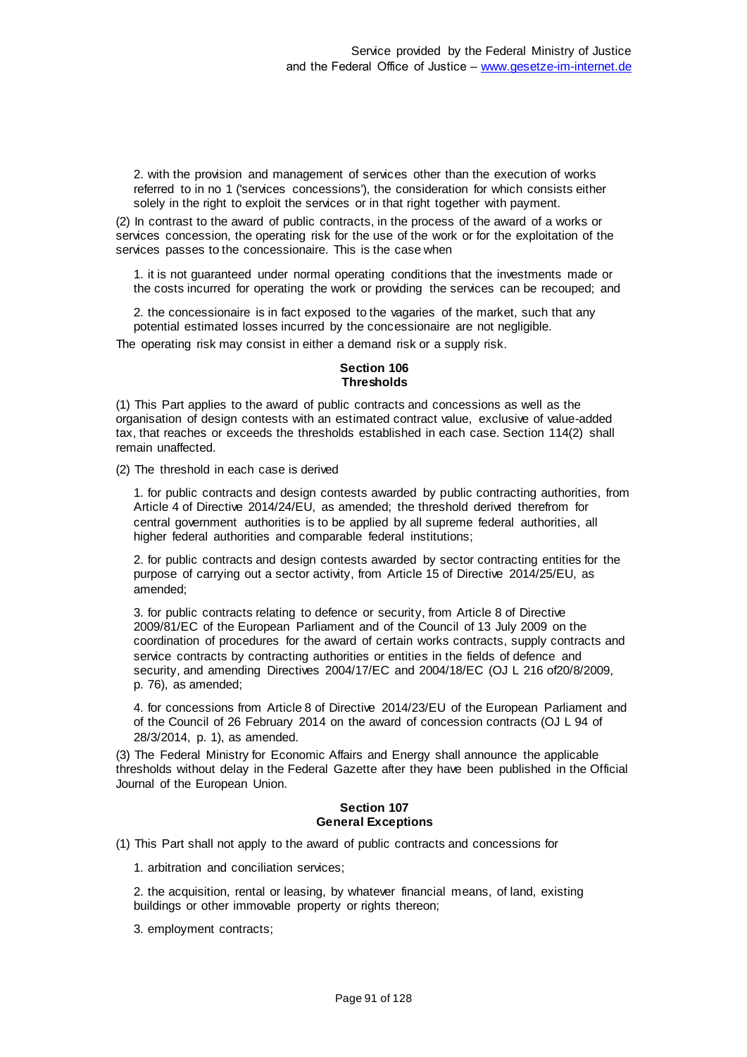2. with the provision and management of services other than the execution of works referred to in no 1 ('services concessions'), the consideration for which consists either solely in the right to exploit the services or in that right together with payment.

(2) In contrast to the award of public contracts, in the process of the award of a works or services concession, the operating risk for the use of the work or for the exploitation of the services passes to the concessionaire. This is the case when

1. it is not guaranteed under normal operating conditions that the investments made or the costs incurred for operating the work or providing the services can be recouped; and

2. the concessionaire is in fact exposed to the vagaries of the market, such that any potential estimated losses incurred by the concessionaire are not negligible.

The operating risk may consist in either a demand risk or a supply risk.

#### **Section 106 Thresholds**

(1) This Part applies to the award of public contracts and concessions as well as the organisation of design contests with an estimated contract value, exclusive of value-added tax, that reaches or exceeds the thresholds established in each case. Section 114(2) shall remain unaffected.

(2) The threshold in each case is derived

1. for public contracts and design contests awarded by public contracting authorities, from Article 4 of Directive 2014/24/EU, as amended; the threshold derived therefrom for central government authorities is to be applied by all supreme federal authorities, all higher federal authorities and comparable federal institutions;

2. for public contracts and design contests awarded by sector contracting entities for the purpose of carrying out a sector activity, from Article 15 of Directive 2014/25/EU, as amended;

3. for public contracts relating to defence or security, from Article 8 of Directive 2009/81/EC of the European Parliament and of the Council of 13 July 2009 on the coordination of procedures for the award of certain works contracts, supply contracts and service contracts by contracting authorities or entities in the fields of defence and security, and amending Directives 2004/17/EC and 2004/18/EC (OJ L 216 of20/8/2009, p. 76), as amended;

4. for concessions from Article 8 of Directive 2014/23/EU of the European Parliament and of the Council of 26 February 2014 on the award of concession contracts (OJ L 94 of 28/3/2014, p. 1), as amended.

(3) The Federal Ministry for Economic Affairs and Energy shall announce the applicable thresholds without delay in the Federal Gazette after they have been published in the Official Journal of the European Union.

#### **Section 107 General Exceptions**

(1) This Part shall not apply to the award of public contracts and concessions for

1. arbitration and conciliation services;

2. the acquisition, rental or leasing, by whatever financial means, of land, existing buildings or other immovable property or rights thereon;

3. employment contracts;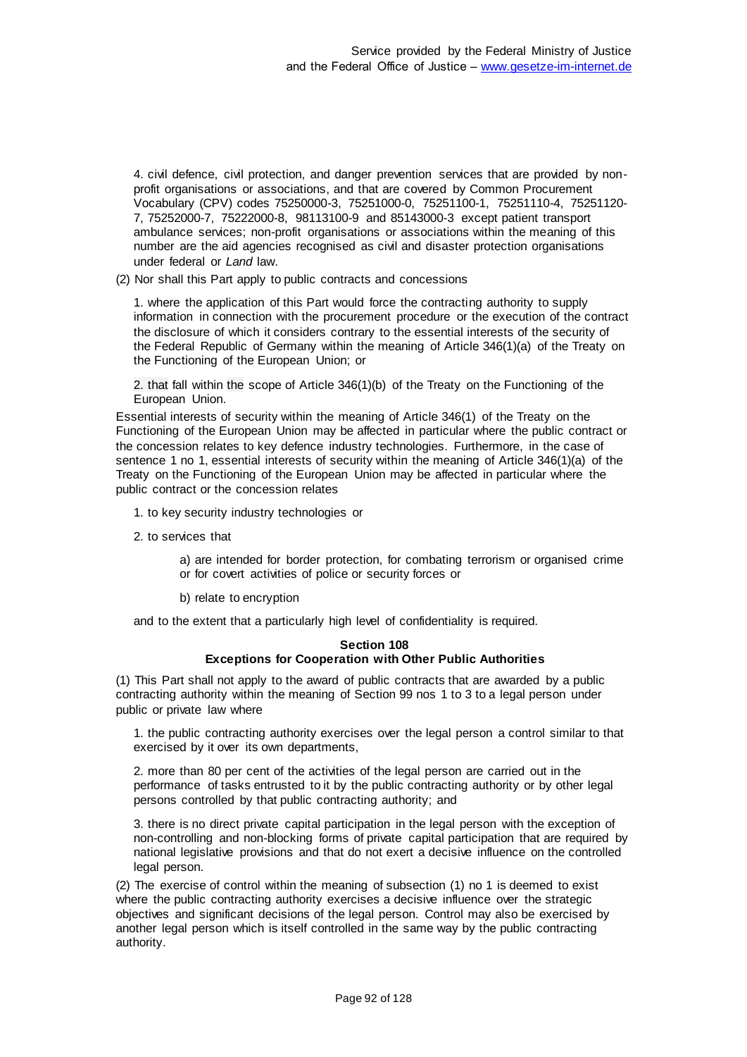4. civil defence, civil protection, and danger prevention services that are provided by nonprofit organisations or associations, and that are covered by Common Procurement Vocabulary (CPV) codes 75250000-3, 75251000-0, 75251100-1, 75251110-4, 75251120- 7, 75252000-7, 75222000-8, 98113100-9 and 85143000-3 except patient transport ambulance services; non-profit organisations or associations within the meaning of this number are the aid agencies recognised as civil and disaster protection organisations under federal or *Land* law.

(2) Nor shall this Part apply to public contracts and concessions

1. where the application of this Part would force the contracting authority to supply information in connection with the procurement procedure or the execution of the contract the disclosure of which it considers contrary to the essential interests of the security of the Federal Republic of Germany within the meaning of Article 346(1)(a) of the Treaty on the Functioning of the European Union; or

2. that fall within the scope of Article 346(1)(b) of the Treaty on the Functioning of the European Union.

Essential interests of security within the meaning of Article 346(1) of the Treaty on the Functioning of the European Union may be affected in particular where the public contract or the concession relates to key defence industry technologies. Furthermore, in the case of sentence 1 no 1, essential interests of security within the meaning of Article 346(1)(a) of the Treaty on the Functioning of the European Union may be affected in particular where the public contract or the concession relates

1. to key security industry technologies or

2. to services that

a) are intended for border protection, for combating terrorism or organised crime or for covert activities of police or security forces or

b) relate to encryption

and to the extent that a particularly high level of confidentiality is required.

#### **Section 108 Exceptions for Cooperation with Other Public Authorities**

(1) This Part shall not apply to the award of public contracts that are awarded by a public contracting authority within the meaning of Section 99 nos 1 to 3 to a legal person under public or private law where

1. the public contracting authority exercises over the legal person a control similar to that exercised by it over its own departments,

2. more than 80 per cent of the activities of the legal person are carried out in the performance of tasks entrusted to it by the public contracting authority or by other legal persons controlled by that public contracting authority; and

3. there is no direct private capital participation in the legal person with the exception of non-controlling and non-blocking forms of private capital participation that are required by national legislative provisions and that do not exert a decisive influence on the controlled legal person.

(2) The exercise of control within the meaning of subsection (1) no 1 is deemed to exist where the public contracting authority exercises a decisive influence over the strategic objectives and significant decisions of the legal person. Control may also be exercised by another legal person which is itself controlled in the same way by the public contracting authority.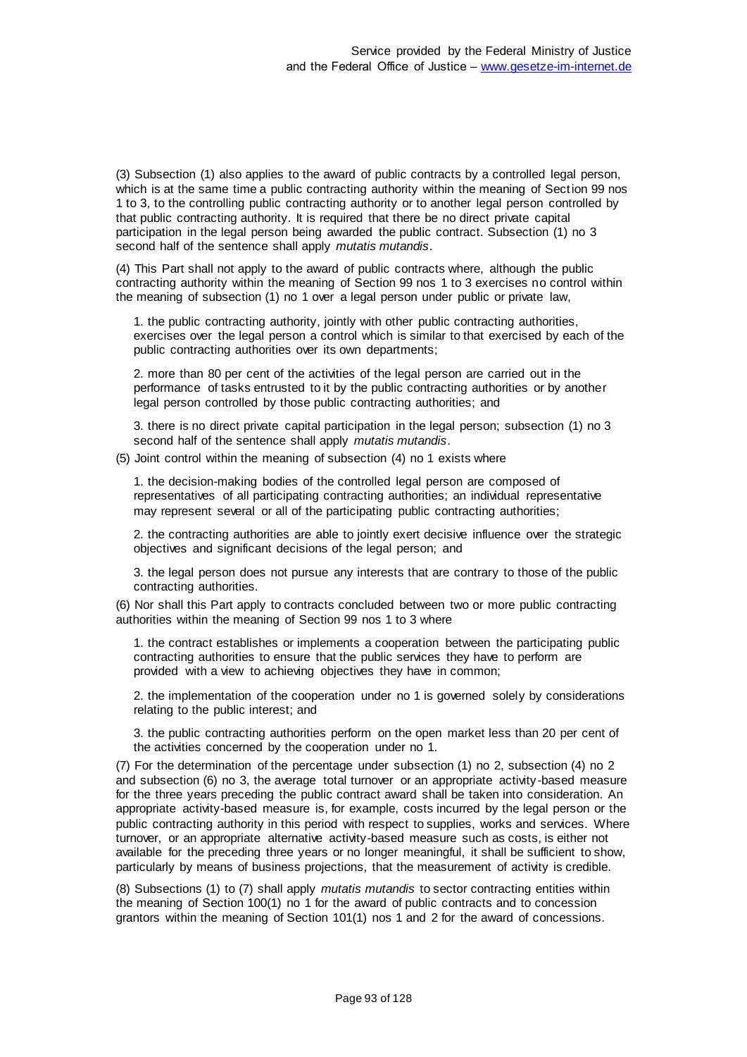(3) Subsection (1) also applies to the award of public contracts by a controlled legal person, which is at the same time a public contracting authority within the meaning of Section 99 nos 1 to 3, to the controlling public contracting authority or to another legal person controlled by that public contracting authority. It is required that there be no direct private capital participation in the legal person being awarded the public contract. Subsection (1) no 3 second half of the sentence shall apply *mutatis mutandis*.

(4) This Part shall not apply to the award of public contracts where, although the public contracting authority within the meaning of Section 99 nos 1 to 3 exercises no control within the meaning of subsection (1) no 1 over a legal person under public or private law,

1. the public contracting authority, jointly with other public contracting authorities, exercises over the legal person a control which is similar to that exercised by each of the public contracting authorities over its own departments;

2. more than 80 per cent of the activities of the legal person are carried out in the performance of tasks entrusted to it by the public contracting authorities or by another legal person controlled by those public contracting authorities; and

3. there is no direct private capital participation in the legal person; subsection (1) no 3 second half of the sentence shall apply *mutatis mutandis*.

(5) Joint control within the meaning of subsection (4) no 1 exists where

1. the decision-making bodies of the controlled legal person are composed of representatives of all participating contracting authorities; an individual representative may represent several or all of the participating public contracting authorities;

2. the contracting authorities are able to jointly exert decisive influence over the strategic objectives and significant decisions of the legal person; and

3. the legal person does not pursue any interests that are contrary to those of the public contracting authorities.

(6) Nor shall this Part apply to contracts concluded between two or more public contracting authorities within the meaning of Section 99 nos 1 to 3 where

1. the contract establishes or implements a cooperation between the participating public contracting authorities to ensure that the public services they have to perform are provided with a view to achieving objectives they have in common;

2. the implementation of the cooperation under no 1 is governed solely by considerations relating to the public interest; and

3. the public contracting authorities perform on the open market less than 20 per cent of the activities concerned by the cooperation under no 1.

(7) For the determination of the percentage under subsection (1) no 2, subsection (4) no 2 and subsection (6) no 3, the average total turnover or an appropriate activity-based measure for the three years preceding the public contract award shall be taken into consideration. An appropriate activity-based measure is, for example, costs incurred by the legal person or the public contracting authority in this period with respect to supplies, works and services. Where turnover, or an appropriate alternative activity-based measure such as costs, is either not available for the preceding three years or no longer meaningful, it shall be sufficient to show, particularly by means of business projections, that the measurement of activity is credible.

(8) Subsections (1) to (7) shall apply *mutatis mutandis* to sector contracting entities within the meaning of Section 100(1) no 1 for the award of public contracts and to concession grantors within the meaning of Section 101(1) nos 1 and 2 for the award of concessions.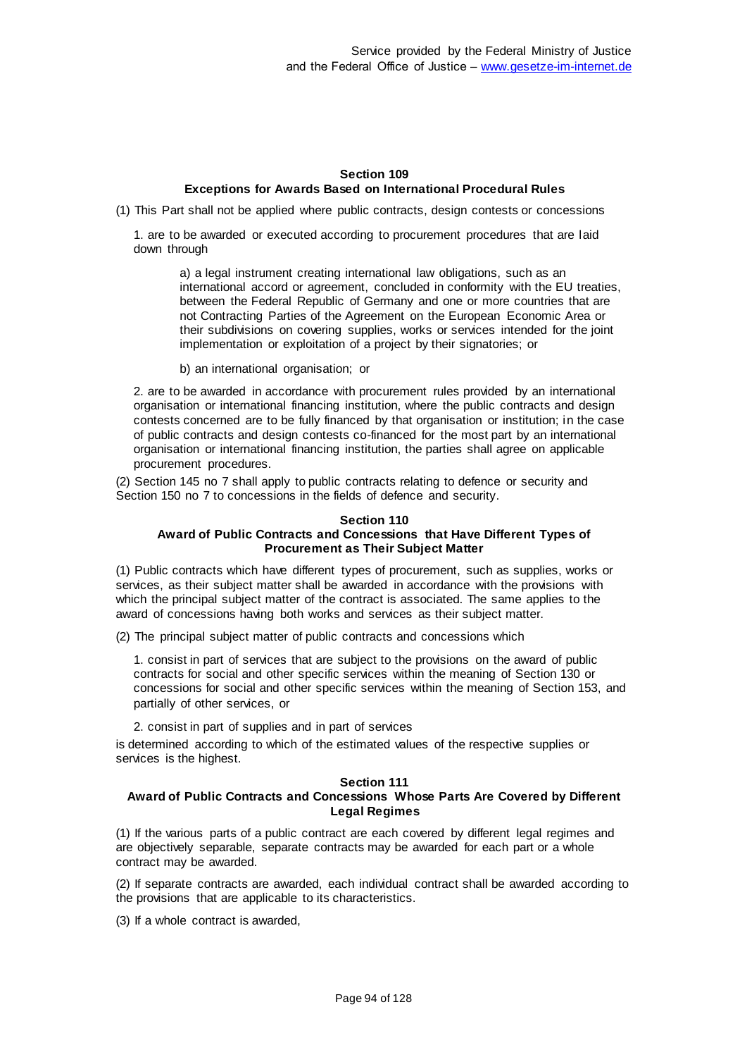## **Section 109 Exceptions for Awards Based on International Procedural Rules**

(1) This Part shall not be applied where public contracts, design contests or concessions

1. are to be awarded or executed according to procurement procedures that are laid down through

a) a legal instrument creating international law obligations, such as an international accord or agreement, concluded in conformity with the EU treaties, between the Federal Republic of Germany and one or more countries that are not Contracting Parties of the Agreement on the European Economic Area or their subdivisions on covering supplies, works or services intended for the joint implementation or exploitation of a project by their signatories; or

b) an international organisation; or

2. are to be awarded in accordance with procurement rules provided by an international organisation or international financing institution, where the public contracts and design contests concerned are to be fully financed by that organisation or institution; in the case of public contracts and design contests co-financed for the most part by an international organisation or international financing institution, the parties shall agree on applicable procurement procedures.

(2) Section 145 no 7 shall apply to public contracts relating to defence or security and Section 150 no 7 to concessions in the fields of defence and security.

#### **Section 110 Award of Public Contracts and Concessions that Have Different Types of Procurement as Their Subject Matter**

(1) Public contracts which have different types of procurement, such as supplies, works or services, as their subject matter shall be awarded in accordance with the provisions with which the principal subject matter of the contract is associated. The same applies to the award of concessions having both works and services as their subject matter.

(2) The principal subject matter of public contracts and concessions which

1. consist in part of services that are subject to the provisions on the award of public contracts for social and other specific services within the meaning of Section 130 or concessions for social and other specific services within the meaning of Section 153, and partially of other services, or

2. consist in part of supplies and in part of services

is determined according to which of the estimated values of the respective supplies or services is the highest.

#### **Section 111**

# **Award of Public Contracts and Concessions Whose Parts Are Covered by Different Legal Regimes**

(1) If the various parts of a public contract are each covered by different legal regimes and are objectively separable, separate contracts may be awarded for each part or a whole contract may be awarded.

(2) If separate contracts are awarded, each individual contract shall be awarded according to the provisions that are applicable to its characteristics.

(3) If a whole contract is awarded,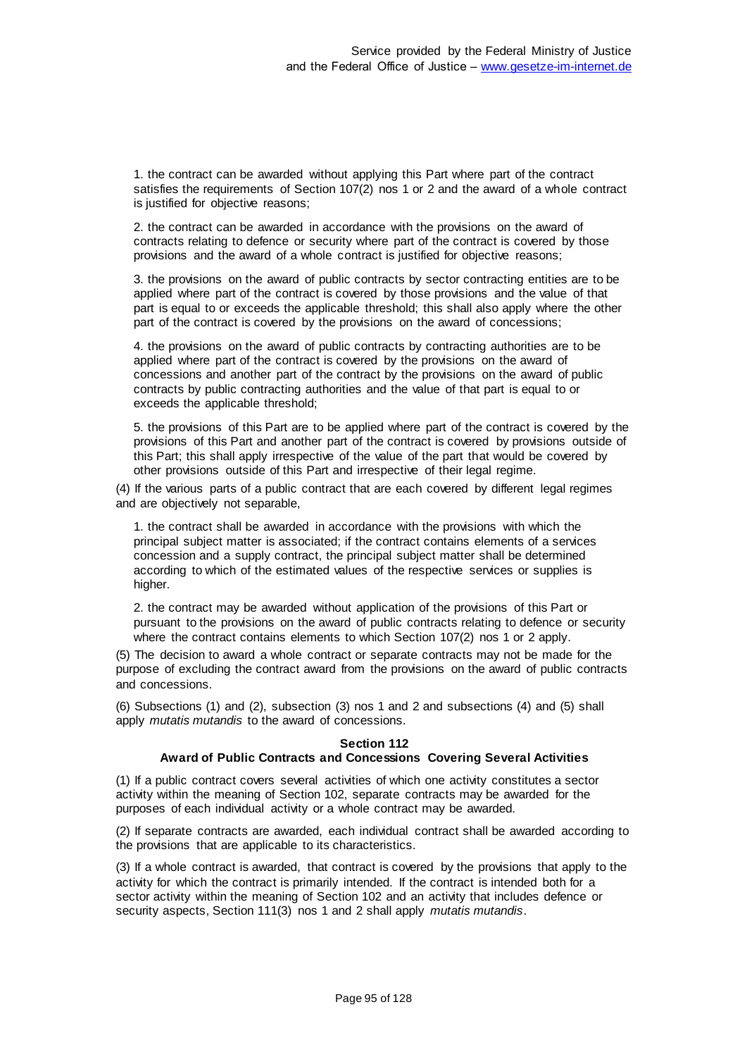1. the contract can be awarded without applying this Part where part of the contract satisfies the requirements of Section 107(2) nos 1 or 2 and the award of a whole contract is justified for objective reasons;

2. the contract can be awarded in accordance with the provisions on the award of contracts relating to defence or security where part of the contract is covered by those provisions and the award of a whole contract is justified for objective reasons;

3. the provisions on the award of public contracts by sector contracting entities are to be applied where part of the contract is covered by those provisions and the value of that part is equal to or exceeds the applicable threshold; this shall also apply where the other part of the contract is covered by the provisions on the award of concessions;

4. the provisions on the award of public contracts by contracting authorities are to be applied where part of the contract is covered by the provisions on the award of concessions and another part of the contract by the provisions on the award of public contracts by public contracting authorities and the value of that part is equal to or exceeds the applicable threshold;

5. the provisions of this Part are to be applied where part of the contract is covered by the provisions of this Part and another part of the contract is covered by provisions outside of this Part; this shall apply irrespective of the value of the part that would be covered by other provisions outside of this Part and irrespective of their legal regime.

(4) If the various parts of a public contract that are each covered by different legal regimes and are objectively not separable,

1. the contract shall be awarded in accordance with the provisions with which the principal subject matter is associated; if the contract contains elements of a services concession and a supply contract, the principal subject matter shall be determined according to which of the estimated values of the respective services or supplies is higher.

2. the contract may be awarded without application of the provisions of this Part or pursuant to the provisions on the award of public contracts relating to defence or security where the contract contains elements to which Section 107(2) nos 1 or 2 apply.

(5) The decision to award a whole contract or separate contracts may not be made for the purpose of excluding the contract award from the provisions on the award of public contracts and concessions.

(6) Subsections (1) and (2), subsection (3) nos 1 and 2 and subsections (4) and (5) shall apply *mutatis mutandis* to the award of concessions.

### **Section 112**

# **Award of Public Contracts and Concessions Covering Several Activities**

(1) If a public contract covers several activities of which one activity constitutes a sector activity within the meaning of Section 102, separate contracts may be awarded for the purposes of each individual activity or a whole contract may be awarded.

(2) If separate contracts are awarded, each individual contract shall be awarded according to the provisions that are applicable to its characteristics.

(3) If a whole contract is awarded, that contract is covered by the provisions that apply to the activity for which the contract is primarily intended. If the contract is intended both for a sector activity within the meaning of Section 102 and an activity that includes defence or security aspects, Section 111(3) nos 1 and 2 shall apply *mutatis mutandis*.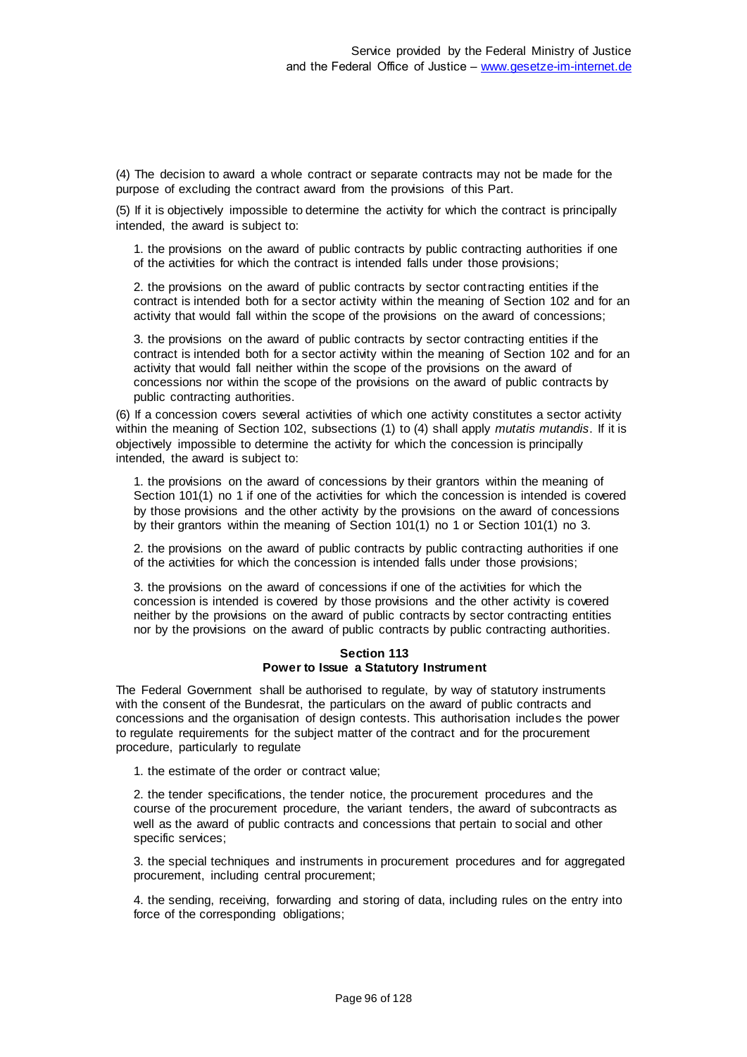(4) The decision to award a whole contract or separate contracts may not be made for the purpose of excluding the contract award from the provisions of this Part.

(5) If it is objectively impossible to determine the activity for which the contract is principally intended, the award is subject to:

1. the provisions on the award of public contracts by public contracting authorities if one of the activities for which the contract is intended falls under those provisions;

2. the provisions on the award of public contracts by sector contracting entities if the contract is intended both for a sector activity within the meaning of Section 102 and for an activity that would fall within the scope of the provisions on the award of concessions;

3. the provisions on the award of public contracts by sector contracting entities if the contract is intended both for a sector activity within the meaning of Section 102 and for an activity that would fall neither within the scope of the provisions on the award of concessions nor within the scope of the provisions on the award of public contracts by public contracting authorities.

(6) If a concession covers several activities of which one activity constitutes a sector activity within the meaning of Section 102, subsections (1) to (4) shall apply *mutatis mutandis*. If it is objectively impossible to determine the activity for which the concession is principally intended, the award is subject to:

1. the provisions on the award of concessions by their grantors within the meaning of Section 101(1) no 1 if one of the activities for which the concession is intended is covered by those provisions and the other activity by the provisions on the award of concessions by their grantors within the meaning of Section 101(1) no 1 or Section 101(1) no 3.

2. the provisions on the award of public contracts by public contracting authorities if one of the activities for which the concession is intended falls under those provisions;

3. the provisions on the award of concessions if one of the activities for which the concession is intended is covered by those provisions and the other activity is covered neither by the provisions on the award of public contracts by sector contracting entities nor by the provisions on the award of public contracts by public contracting authorities.

#### **Section 113 Power to Issue a Statutory Instrument**

The Federal Government shall be authorised to regulate, by way of statutory instruments with the consent of the Bundesrat, the particulars on the award of public contracts and concessions and the organisation of design contests. This authorisation includes the power to regulate requirements for the subject matter of the contract and for the procurement procedure, particularly to regulate

1. the estimate of the order or contract value;

2. the tender specifications, the tender notice, the procurement procedures and the course of the procurement procedure, the variant tenders, the award of subcontracts as well as the award of public contracts and concessions that pertain to social and other specific services;

3. the special techniques and instruments in procurement procedures and for aggregated procurement, including central procurement;

4. the sending, receiving, forwarding and storing of data, including rules on the entry into force of the corresponding obligations;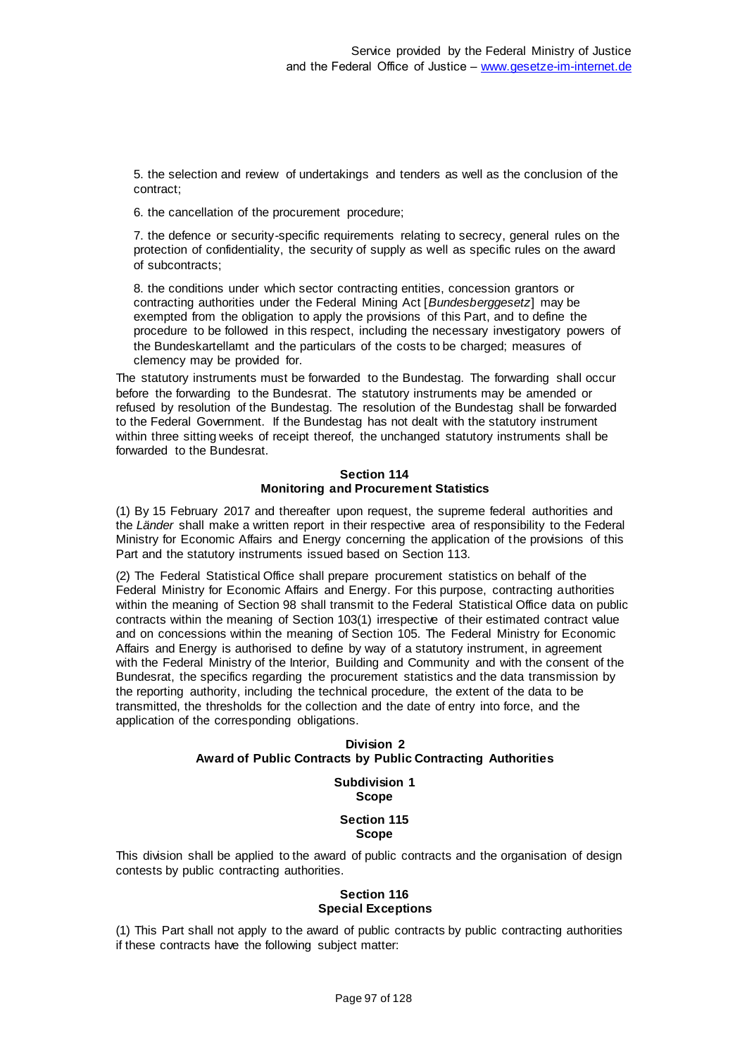5. the selection and review of undertakings and tenders as well as the conclusion of the contract;

6. the cancellation of the procurement procedure;

7. the defence or security-specific requirements relating to secrecy, general rules on the protection of confidentiality, the security of supply as well as specific rules on the award of subcontracts;

8. the conditions under which sector contracting entities, concession grantors or contracting authorities under the Federal Mining Act [*Bundesberggesetz*] may be exempted from the obligation to apply the provisions of this Part, and to define the procedure to be followed in this respect, including the necessary investigatory powers of the Bundeskartellamt and the particulars of the costs to be charged; measures of clemency may be provided for.

The statutory instruments must be forwarded to the Bundestag. The forwarding shall occur before the forwarding to the Bundesrat. The statutory instruments may be amended or refused by resolution of the Bundestag. The resolution of the Bundestag shall be forwarded to the Federal Government. If the Bundestag has not dealt with the statutory instrument within three sitting weeks of receipt thereof, the unchanged statutory instruments shall be forwarded to the Bundesrat.

### **Section 114 Monitoring and Procurement Statistics**

(1) By 15 February 2017 and thereafter upon request, the supreme federal authorities and the *Länder* shall make a written report in their respective area of responsibility to the Federal Ministry for Economic Affairs and Energy concerning the application of the provisions of this Part and the statutory instruments issued based on Section 113.

(2) The Federal Statistical Office shall prepare procurement statistics on behalf of the Federal Ministry for Economic Affairs and Energy. For this purpose, contracting authorities within the meaning of Section 98 shall transmit to the Federal Statistical Office data on public contracts within the meaning of Section 103(1) irrespective of their estimated contract value and on concessions within the meaning of Section 105. The Federal Ministry for Economic Affairs and Energy is authorised to define by way of a statutory instrument, in agreement with the Federal Ministry of the Interior, Building and Community and with the consent of the Bundesrat, the specifics regarding the procurement statistics and the data transmission by the reporting authority, including the technical procedure, the extent of the data to be transmitted, the thresholds for the collection and the date of entry into force, and the application of the corresponding obligations.

### **Division 2 Award of Public Contracts by Public Contracting Authorities**

**Subdivision 1 Scope**

### **Section 115 Scope**

This division shall be applied to the award of public contracts and the organisation of design contests by public contracting authorities.

### **Section 116 Special Exceptions**

(1) This Part shall not apply to the award of public contracts by public contracting authorities if these contracts have the following subject matter: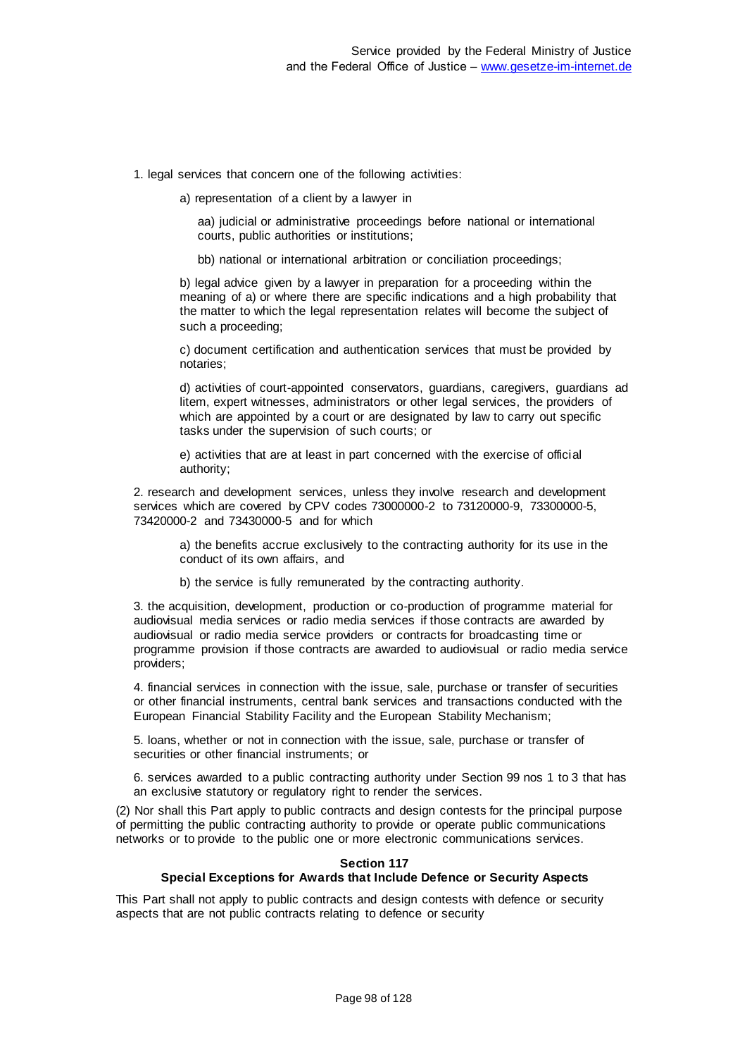1. legal services that concern one of the following activities:

a) representation of a client by a lawyer in

aa) judicial or administrative proceedings before national or international courts, public authorities or institutions;

bb) national or international arbitration or conciliation proceedings;

b) legal advice given by a lawyer in preparation for a proceeding within the meaning of a) or where there are specific indications and a high probability that the matter to which the legal representation relates will become the subject of such a proceeding;

c) document certification and authentication services that must be provided by notaries;

d) activities of court-appointed conservators, guardians, caregivers, guardians ad litem, expert witnesses, administrators or other legal services, the providers of which are appointed by a court or are designated by law to carry out specific tasks under the supervision of such courts; or

e) activities that are at least in part concerned with the exercise of official authority;

2. research and development services, unless they involve research and development services which are covered by CPV codes 73000000-2 to 73120000-9, 73300000-5, 73420000-2 and 73430000-5 and for which

a) the benefits accrue exclusively to the contracting authority for its use in the conduct of its own affairs, and

b) the service is fully remunerated by the contracting authority.

3. the acquisition, development, production or co-production of programme material for audiovisual media services or radio media services if those contracts are awarded by audiovisual or radio media service providers or contracts for broadcasting time or programme provision if those contracts are awarded to audiovisual or radio media service providers;

4. financial services in connection with the issue, sale, purchase or transfer of securities or other financial instruments, central bank services and transactions conducted with the European Financial Stability Facility and the European Stability Mechanism;

5. loans, whether or not in connection with the issue, sale, purchase or transfer of securities or other financial instruments; or

6. services awarded to a public contracting authority under Section 99 nos 1 to 3 that has an exclusive statutory or regulatory right to render the services.

(2) Nor shall this Part apply to public contracts and design contests for the principal purpose of permitting the public contracting authority to provide or operate public communications networks or to provide to the public one or more electronic communications services.

### **Section 117 Special Exceptions for Awards that Include Defence or Security Aspects**

This Part shall not apply to public contracts and design contests with defence or security aspects that are not public contracts relating to defence or security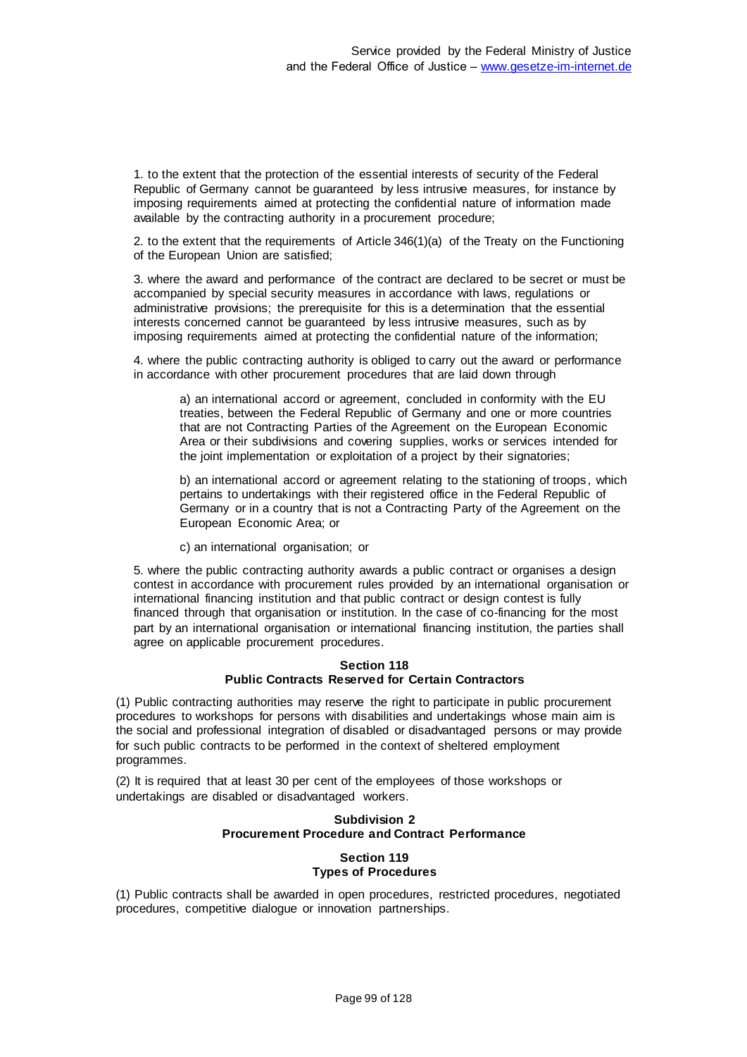1. to the extent that the protection of the essential interests of security of the Federal Republic of Germany cannot be guaranteed by less intrusive measures, for instance by imposing requirements aimed at protecting the confidential nature of information made available by the contracting authority in a procurement procedure;

2. to the extent that the requirements of Article 346(1)(a) of the Treaty on the Functioning of the European Union are satisfied;

3. where the award and performance of the contract are declared to be secret or must be accompanied by special security measures in accordance with laws, regulations or administrative provisions; the prerequisite for this is a determination that the essential interests concerned cannot be guaranteed by less intrusive measures, such as by imposing requirements aimed at protecting the confidential nature of the information;

4. where the public contracting authority is obliged to carry out the award or performance in accordance with other procurement procedures that are laid down through

a) an international accord or agreement, concluded in conformity with the EU treaties, between the Federal Republic of Germany and one or more countries that are not Contracting Parties of the Agreement on the European Economic Area or their subdivisions and covering supplies, works or services intended for the joint implementation or exploitation of a project by their signatories;

b) an international accord or agreement relating to the stationing of troops, which pertains to undertakings with their registered office in the Federal Republic of Germany or in a country that is not a Contracting Party of the Agreement on the European Economic Area; or

c) an international organisation; or

5. where the public contracting authority awards a public contract or organises a design contest in accordance with procurement rules provided by an international organisation or international financing institution and that public contract or design contest is fully financed through that organisation or institution. In the case of co-financing for the most part by an international organisation or international financing institution, the parties shall agree on applicable procurement procedures.

#### **Section 118 Public Contracts Reserved for Certain Contractors**

(1) Public contracting authorities may reserve the right to participate in public procurement procedures to workshops for persons with disabilities and undertakings whose main aim is the social and professional integration of disabled or disadvantaged persons or may provide for such public contracts to be performed in the context of sheltered employment programmes.

(2) It is required that at least 30 per cent of the employees of those workshops or undertakings are disabled or disadvantaged workers.

## **Subdivision 2 Procurement Procedure and Contract Performance**

## **Section 119 Types of Procedures**

(1) Public contracts shall be awarded in open procedures, restricted procedures, negotiated procedures, competitive dialogue or innovation partnerships.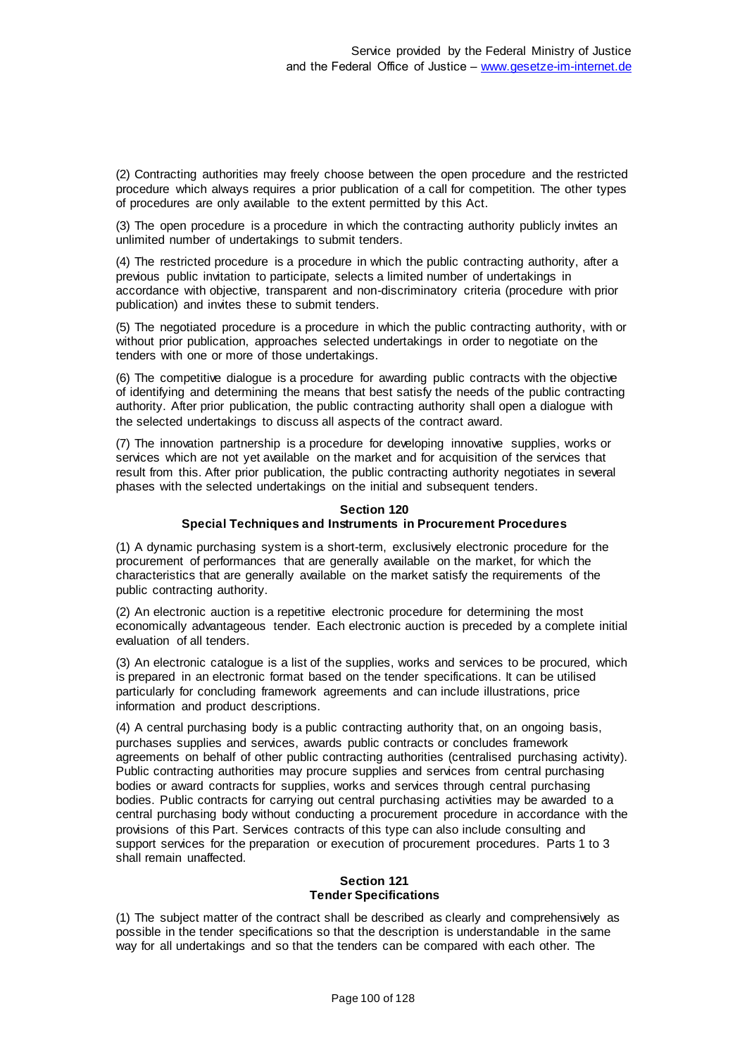(2) Contracting authorities may freely choose between the open procedure and the restricted procedure which always requires a prior publication of a call for competition. The other types of procedures are only available to the extent permitted by this Act.

(3) The open procedure is a procedure in which the contracting authority publicly invites an unlimited number of undertakings to submit tenders.

(4) The restricted procedure is a procedure in which the public contracting authority, after a previous public invitation to participate, selects a limited number of undertakings in accordance with objective, transparent and non-discriminatory criteria (procedure with prior publication) and invites these to submit tenders.

(5) The negotiated procedure is a procedure in which the public contracting authority, with or without prior publication, approaches selected undertakings in order to negotiate on the tenders with one or more of those undertakings.

(6) The competitive dialogue is a procedure for awarding public contracts with the objective of identifying and determining the means that best satisfy the needs of the public contracting authority. After prior publication, the public contracting authority shall open a dialogue with the selected undertakings to discuss all aspects of the contract award.

(7) The innovation partnership is a procedure for developing innovative supplies, works or services which are not yet available on the market and for acquisition of the services that result from this. After prior publication, the public contracting authority negotiates in several phases with the selected undertakings on the initial and subsequent tenders.

## **Section 120 Special Techniques and Instruments in Procurement Procedures**

(1) A dynamic purchasing system is a short-term, exclusively electronic procedure for the procurement of performances that are generally available on the market, for which the characteristics that are generally available on the market satisfy the requirements of the public contracting authority.

(2) An electronic auction is a repetitive electronic procedure for determining the most economically advantageous tender. Each electronic auction is preceded by a complete initial evaluation of all tenders.

(3) An electronic catalogue is a list of the supplies, works and services to be procured, which is prepared in an electronic format based on the tender specifications. It can be utilised particularly for concluding framework agreements and can include illustrations, price information and product descriptions.

(4) A central purchasing body is a public contracting authority that, on an ongoing basis, purchases supplies and services, awards public contracts or concludes framework agreements on behalf of other public contracting authorities (centralised purchasing activity). Public contracting authorities may procure supplies and services from central purchasing bodies or award contracts for supplies, works and services through central purchasing bodies. Public contracts for carrying out central purchasing activities may be awarded to a central purchasing body without conducting a procurement procedure in accordance with the provisions of this Part. Services contracts of this type can also include consulting and support services for the preparation or execution of procurement procedures. Parts 1 to 3 shall remain unaffected.

## **Section 121 Tender Specifications**

(1) The subject matter of the contract shall be described as clearly and comprehensively as possible in the tender specifications so that the description is understandable in the same way for all undertakings and so that the tenders can be compared with each other. The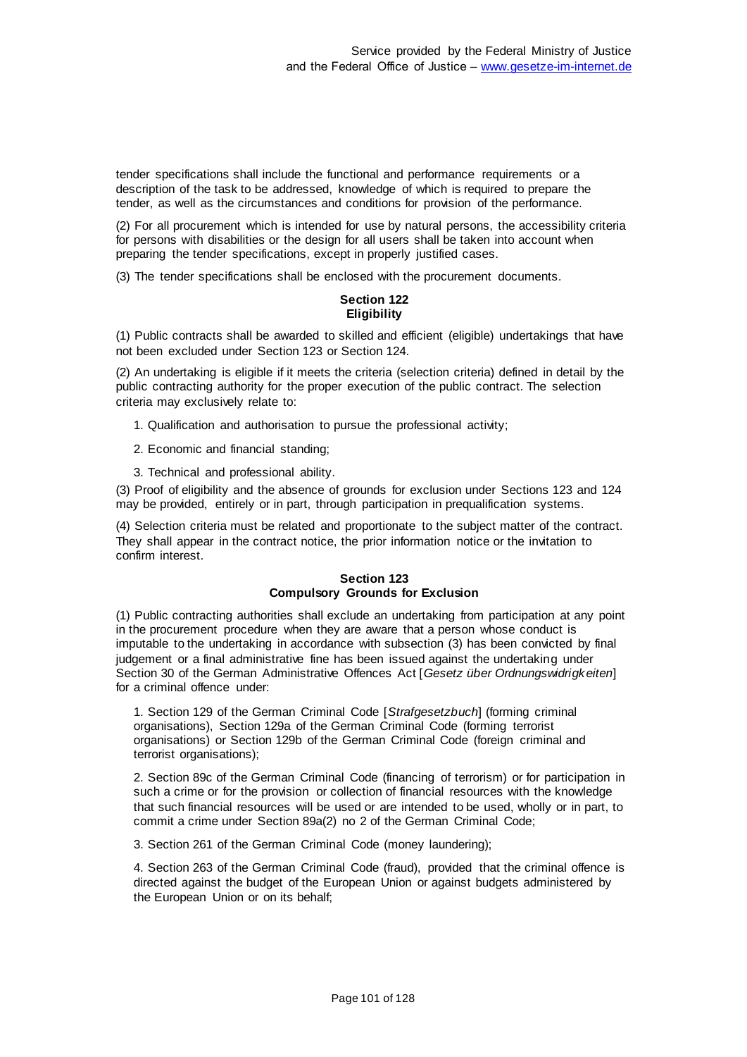tender specifications shall include the functional and performance requirements or a description of the task to be addressed, knowledge of which is required to prepare the tender, as well as the circumstances and conditions for provision of the performance.

(2) For all procurement which is intended for use by natural persons, the accessibility criteria for persons with disabilities or the design for all users shall be taken into account when preparing the tender specifications, except in properly justified cases.

(3) The tender specifications shall be enclosed with the procurement documents.

### **Section 122 Eligibility**

(1) Public contracts shall be awarded to skilled and efficient (eligible) undertakings that have not been excluded under Section 123 or Section 124.

(2) An undertaking is eligible if it meets the criteria (selection criteria) defined in detail by the public contracting authority for the proper execution of the public contract. The selection criteria may exclusively relate to:

- 1. Qualification and authorisation to pursue the professional activity;
- 2. Economic and financial standing;
- 3. Technical and professional ability.

(3) Proof of eligibility and the absence of grounds for exclusion under Sections 123 and 124 may be provided, entirely or in part, through participation in prequalification systems.

(4) Selection criteria must be related and proportionate to the subject matter of the contract. They shall appear in the contract notice, the prior information notice or the invitation to confirm interest.

#### **Section 123 Compulsory Grounds for Exclusion**

(1) Public contracting authorities shall exclude an undertaking from participation at any point in the procurement procedure when they are aware that a person whose conduct is imputable to the undertaking in accordance with subsection (3) has been convicted by final judgement or a final administrative fine has been issued against the undertaking under Section 30 of the German Administrative Offences Act [*Gesetz über Ordnungswidrigkeiten*] for a criminal offence under:

1. Section 129 of the German Criminal Code [*Strafgesetzbuch*] (forming criminal organisations), Section 129a of the German Criminal Code (forming terrorist organisations) or Section 129b of the German Criminal Code (foreign criminal and terrorist organisations);

2. Section 89c of the German Criminal Code (financing of terrorism) or for participation in such a crime or for the provision or collection of financial resources with the knowledge that such financial resources will be used or are intended to be used, wholly or in part, to commit a crime under Section 89a(2) no 2 of the German Criminal Code;

3. Section 261 of the German Criminal Code (money laundering);

4. Section 263 of the German Criminal Code (fraud), provided that the criminal offence is directed against the budget of the European Union or against budgets administered by the European Union or on its behalf;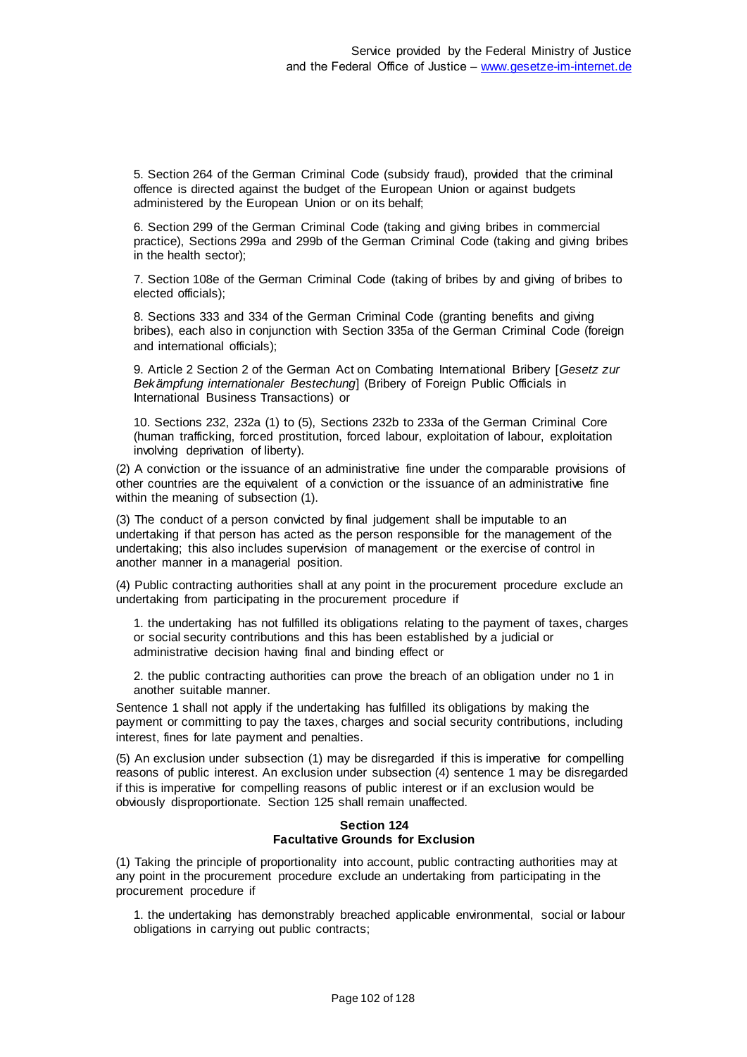5. Section 264 of the German Criminal Code (subsidy fraud), provided that the criminal offence is directed against the budget of the European Union or against budgets administered by the European Union or on its behalf;

6. Section 299 of the German Criminal Code (taking and giving bribes in commercial practice), Sections 299a and 299b of the German Criminal Code (taking and giving bribes in the health sector);

7. Section 108e of the German Criminal Code (taking of bribes by and giving of bribes to elected officials);

8. Sections 333 and 334 of the German Criminal Code (granting benefits and giving bribes), each also in conjunction with Section 335a of the German Criminal Code (foreign and international officials);

9. Article 2 Section 2 of the German Act on Combating International Bribery [*Gesetz zur Bekämpfung internationaler Bestechung*] (Bribery of Foreign Public Officials in International Business Transactions) or

10. Sections 232, 232a (1) to (5), Sections 232b to 233a of the German Criminal Core (human trafficking, forced prostitution, forced labour, exploitation of labour, exploitation involving deprivation of liberty).

(2) A conviction or the issuance of an administrative fine under the comparable provisions of other countries are the equivalent of a conviction or the issuance of an administrative fine within the meaning of subsection (1).

(3) The conduct of a person convicted by final judgement shall be imputable to an undertaking if that person has acted as the person responsible for the management of the undertaking; this also includes supervision of management or the exercise of control in another manner in a managerial position.

(4) Public contracting authorities shall at any point in the procurement procedure exclude an undertaking from participating in the procurement procedure if

1. the undertaking has not fulfilled its obligations relating to the payment of taxes, charges or social security contributions and this has been established by a judicial or administrative decision having final and binding effect or

2. the public contracting authorities can prove the breach of an obligation under no 1 in another suitable manner.

Sentence 1 shall not apply if the undertaking has fulfilled its obligations by making the payment or committing to pay the taxes, charges and social security contributions, including interest, fines for late payment and penalties.

(5) An exclusion under subsection (1) may be disregarded if this is imperative for compelling reasons of public interest. An exclusion under subsection (4) sentence 1 may be disregarded if this is imperative for compelling reasons of public interest or if an exclusion would be obviously disproportionate. Section 125 shall remain unaffected.

## **Section 124 Facultative Grounds for Exclusion**

(1) Taking the principle of proportionality into account, public contracting authorities may at any point in the procurement procedure exclude an undertaking from participating in the procurement procedure if

1. the undertaking has demonstrably breached applicable environmental, social or labour obligations in carrying out public contracts;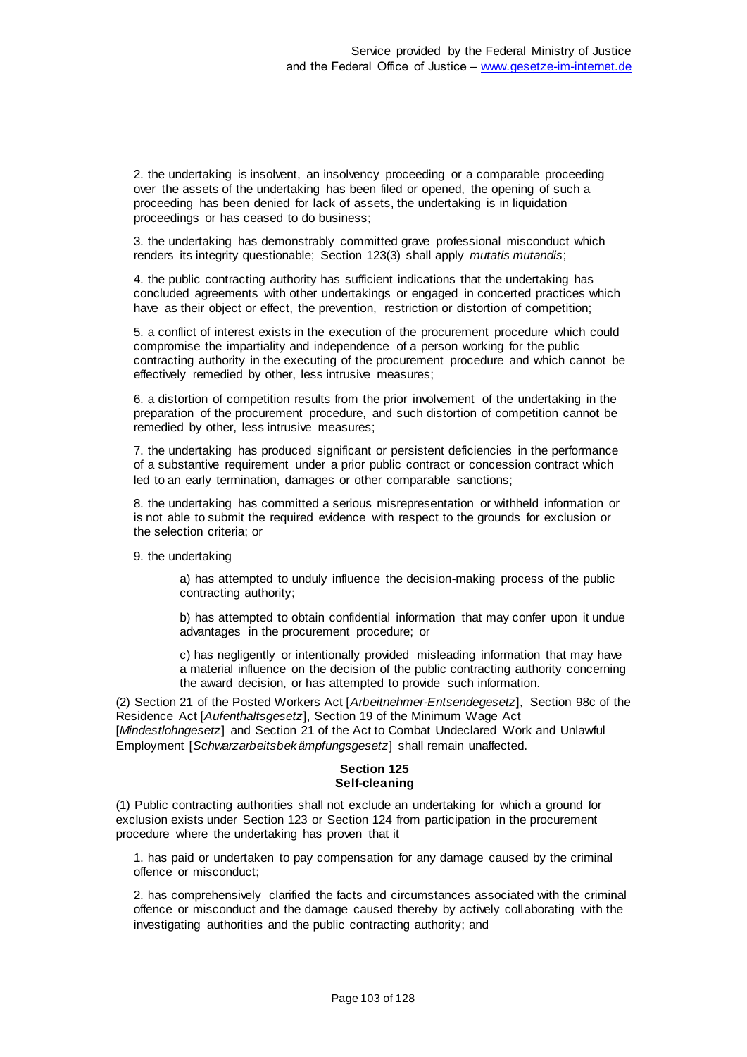2. the undertaking is insolvent, an insolvency proceeding or a comparable proceeding over the assets of the undertaking has been filed or opened, the opening of such a proceeding has been denied for lack of assets, the undertaking is in liquidation proceedings or has ceased to do business;

3. the undertaking has demonstrably committed grave professional misconduct which renders its integrity questionable; Section 123(3) shall apply *mutatis mutandis*;

4. the public contracting authority has sufficient indications that the undertaking has concluded agreements with other undertakings or engaged in concerted practices which have as their object or effect, the prevention, restriction or distortion of competition;

5. a conflict of interest exists in the execution of the procurement procedure which could compromise the impartiality and independence of a person working for the public contracting authority in the executing of the procurement procedure and which cannot be effectively remedied by other, less intrusive measures;

6. a distortion of competition results from the prior involvement of the undertaking in the preparation of the procurement procedure, and such distortion of competition cannot be remedied by other, less intrusive measures;

7. the undertaking has produced significant or persistent deficiencies in the performance of a substantive requirement under a prior public contract or concession contract which led to an early termination, damages or other comparable sanctions;

8. the undertaking has committed a serious misrepresentation or withheld information or is not able to submit the required evidence with respect to the grounds for exclusion or the selection criteria; or

9. the undertaking

a) has attempted to unduly influence the decision-making process of the public contracting authority;

b) has attempted to obtain confidential information that may confer upon it undue advantages in the procurement procedure; or

c) has negligently or intentionally provided misleading information that may have a material influence on the decision of the public contracting authority concerning the award decision, or has attempted to provide such information.

(2) Section 21 of the Posted Workers Act [*Arbeitnehmer-Entsendegesetz*], Section 98c of the Residence Act [*Aufenthaltsgesetz*], Section 19 of the Minimum Wage Act [*Mindestlohngesetz*] and Section 21 of the Act to Combat Undeclared Work and Unlawful Employment [*Schwarzarbeitsbekämpfungsgesetz*] shall remain unaffected.

## **Section 125 Self-cleaning**

(1) Public contracting authorities shall not exclude an undertaking for which a ground for exclusion exists under Section 123 or Section 124 from participation in the procurement procedure where the undertaking has proven that it

1. has paid or undertaken to pay compensation for any damage caused by the criminal offence or misconduct;

2. has comprehensively clarified the facts and circumstances associated with the criminal offence or misconduct and the damage caused thereby by actively collaborating with the investigating authorities and the public contracting authority; and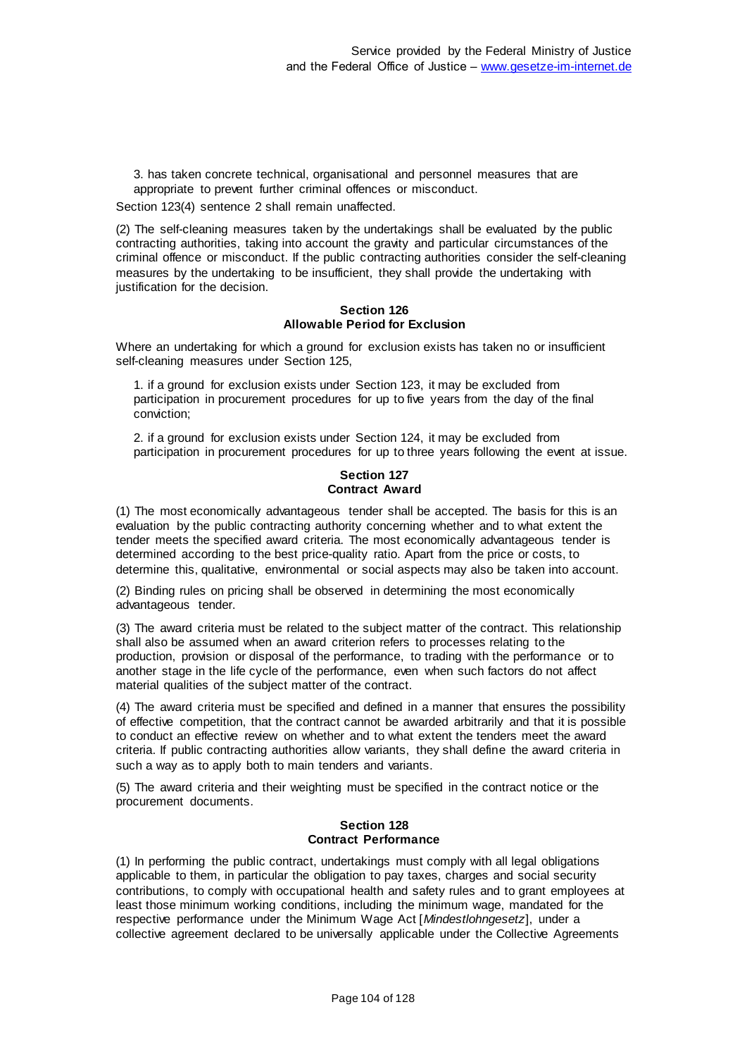3. has taken concrete technical, organisational and personnel measures that are appropriate to prevent further criminal offences or misconduct.

Section 123(4) sentence 2 shall remain unaffected.

(2) The self-cleaning measures taken by the undertakings shall be evaluated by the public contracting authorities, taking into account the gravity and particular circumstances of the criminal offence or misconduct. If the public contracting authorities consider the self-cleaning measures by the undertaking to be insufficient, they shall provide the undertaking with justification for the decision.

#### **Section 126 Allowable Period for Exclusion**

Where an undertaking for which a ground for exclusion exists has taken no or insufficient self-cleaning measures under Section 125,

1. if a ground for exclusion exists under Section 123, it may be excluded from participation in procurement procedures for up to five years from the day of the final conviction;

2. if a ground for exclusion exists under Section 124, it may be excluded from participation in procurement procedures for up to three years following the event at issue.

#### **Section 127 Contract Award**

(1) The most economically advantageous tender shall be accepted. The basis for this is an evaluation by the public contracting authority concerning whether and to what extent the tender meets the specified award criteria. The most economically advantageous tender is determined according to the best price-quality ratio. Apart from the price or costs, to determine this, qualitative, environmental or social aspects may also be taken into account.

(2) Binding rules on pricing shall be observed in determining the most economically advantageous tender.

(3) The award criteria must be related to the subject matter of the contract. This relationship shall also be assumed when an award criterion refers to processes relating to the production, provision or disposal of the performance, to trading with the performance or to another stage in the life cycle of the performance, even when such factors do not affect material qualities of the subject matter of the contract.

(4) The award criteria must be specified and defined in a manner that ensures the possibility of effective competition, that the contract cannot be awarded arbitrarily and that it is possible to conduct an effective review on whether and to what extent the tenders meet the award criteria. If public contracting authorities allow variants, they shall define the award criteria in such a way as to apply both to main tenders and variants.

(5) The award criteria and their weighting must be specified in the contract notice or the procurement documents.

### **Section 128 Contract Performance**

(1) In performing the public contract, undertakings must comply with all legal obligations applicable to them, in particular the obligation to pay taxes, charges and social security contributions, to comply with occupational health and safety rules and to grant employees at least those minimum working conditions, including the minimum wage, mandated for the respective performance under the Minimum Wage Act [*Mindestlohngesetz*], under a collective agreement declared to be universally applicable under the Collective Agreements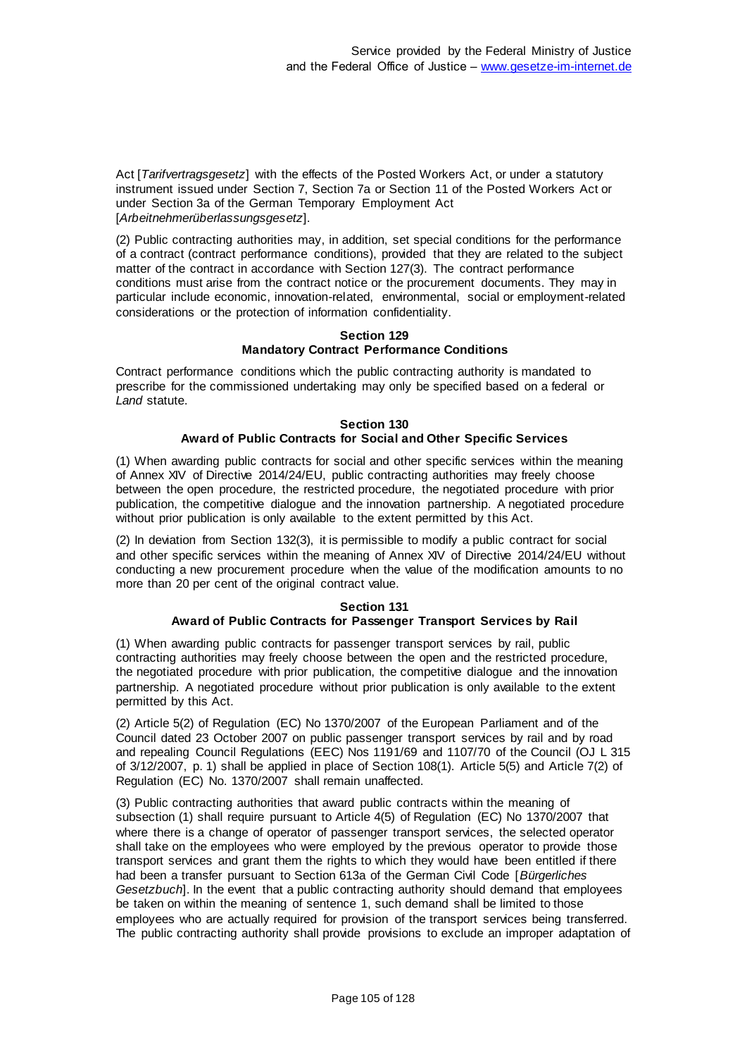Act [*Tarifvertragsgesetz*] with the effects of the Posted Workers Act, or under a statutory instrument issued under Section 7, Section 7a or Section 11 of the Posted Workers Act or under Section 3a of the German Temporary Employment Act [*Arbeitnehmerüberlassungsgesetz*].

(2) Public contracting authorities may, in addition, set special conditions for the performance of a contract (contract performance conditions), provided that they are related to the subject matter of the contract in accordance with Section 127(3). The contract performance conditions must arise from the contract notice or the procurement documents. They may in particular include economic, innovation-related, environmental, social or employment-related considerations or the protection of information confidentiality.

#### **Section 129 Mandatory Contract Performance Conditions**

Contract performance conditions which the public contracting authority is mandated to prescribe for the commissioned undertaking may only be specified based on a federal or *Land* statute.

#### **Section 130 Award of Public Contracts for Social and Other Specific Services**

(1) When awarding public contracts for social and other specific services within the meaning of Annex XIV of Directive 2014/24/EU, public contracting authorities may freely choose between the open procedure, the restricted procedure, the negotiated procedure with prior publication, the competitive dialogue and the innovation partnership. A negotiated procedure without prior publication is only available to the extent permitted by this Act.

(2) In deviation from Section 132(3), it is permissible to modify a public contract for social and other specific services within the meaning of Annex XIV of Directive 2014/24/EU without conducting a new procurement procedure when the value of the modification amounts to no more than 20 per cent of the original contract value.

# **Section 131**

# **Award of Public Contracts for Passenger Transport Services by Rail**

(1) When awarding public contracts for passenger transport services by rail, public contracting authorities may freely choose between the open and the restricted procedure, the negotiated procedure with prior publication, the competitive dialogue and the innovation partnership. A negotiated procedure without prior publication is only available to the extent permitted by this Act.

(2) Article 5(2) of Regulation (EC) No 1370/2007 of the European Parliament and of the Council dated 23 October 2007 on public passenger transport services by rail and by road and repealing Council Regulations (EEC) Nos 1191/69 and 1107/70 of the Council (OJ L 315 of 3/12/2007, p. 1) shall be applied in place of Section 108(1). Article 5(5) and Article 7(2) of Regulation (EC) No. 1370/2007 shall remain unaffected.

(3) Public contracting authorities that award public contracts within the meaning of subsection (1) shall require pursuant to Article 4(5) of Regulation (EC) No 1370/2007 that where there is a change of operator of passenger transport services, the selected operator shall take on the employees who were employed by the previous operator to provide those transport services and grant them the rights to which they would have been entitled if there had been a transfer pursuant to Section 613a of the German Civil Code [*Bürgerliches Gesetzbuch*]. In the event that a public contracting authority should demand that employees be taken on within the meaning of sentence 1, such demand shall be limited to those employees who are actually required for provision of the transport services being transferred. The public contracting authority shall provide provisions to exclude an improper adaptation of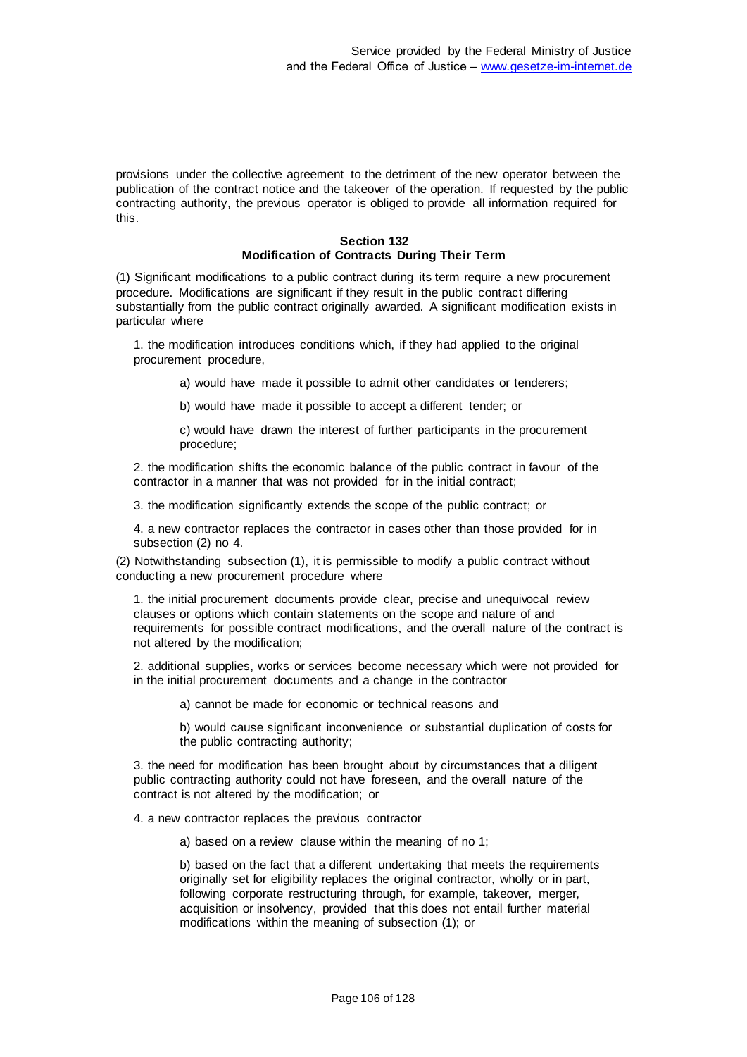provisions under the collective agreement to the detriment of the new operator between the publication of the contract notice and the takeover of the operation. If requested by the public contracting authority, the previous operator is obliged to provide all information required for this.

## **Section 132 Modification of Contracts During Their Term**

(1) Significant modifications to a public contract during its term require a new procurement procedure. Modifications are significant if they result in the public contract differing substantially from the public contract originally awarded. A significant modification exists in particular where

1. the modification introduces conditions which, if they had applied to the original procurement procedure,

a) would have made it possible to admit other candidates or tenderers;

b) would have made it possible to accept a different tender; or

c) would have drawn the interest of further participants in the procurement procedure;

2. the modification shifts the economic balance of the public contract in favour of the contractor in a manner that was not provided for in the initial contract;

3. the modification significantly extends the scope of the public contract; or

4. a new contractor replaces the contractor in cases other than those provided for in subsection (2) no 4.

(2) Notwithstanding subsection (1), it is permissible to modify a public contract without conducting a new procurement procedure where

1. the initial procurement documents provide clear, precise and unequivocal review clauses or options which contain statements on the scope and nature of and requirements for possible contract modifications, and the overall nature of the contract is not altered by the modification;

2. additional supplies, works or services become necessary which were not provided for in the initial procurement documents and a change in the contractor

a) cannot be made for economic or technical reasons and

b) would cause significant inconvenience or substantial duplication of costs for the public contracting authority;

3. the need for modification has been brought about by circumstances that a diligent public contracting authority could not have foreseen, and the overall nature of the contract is not altered by the modification; or

4. a new contractor replaces the previous contractor

a) based on a review clause within the meaning of no 1;

b) based on the fact that a different undertaking that meets the requirements originally set for eligibility replaces the original contractor, wholly or in part, following corporate restructuring through, for example, takeover, merger, acquisition or insolvency, provided that this does not entail further material modifications within the meaning of subsection (1); or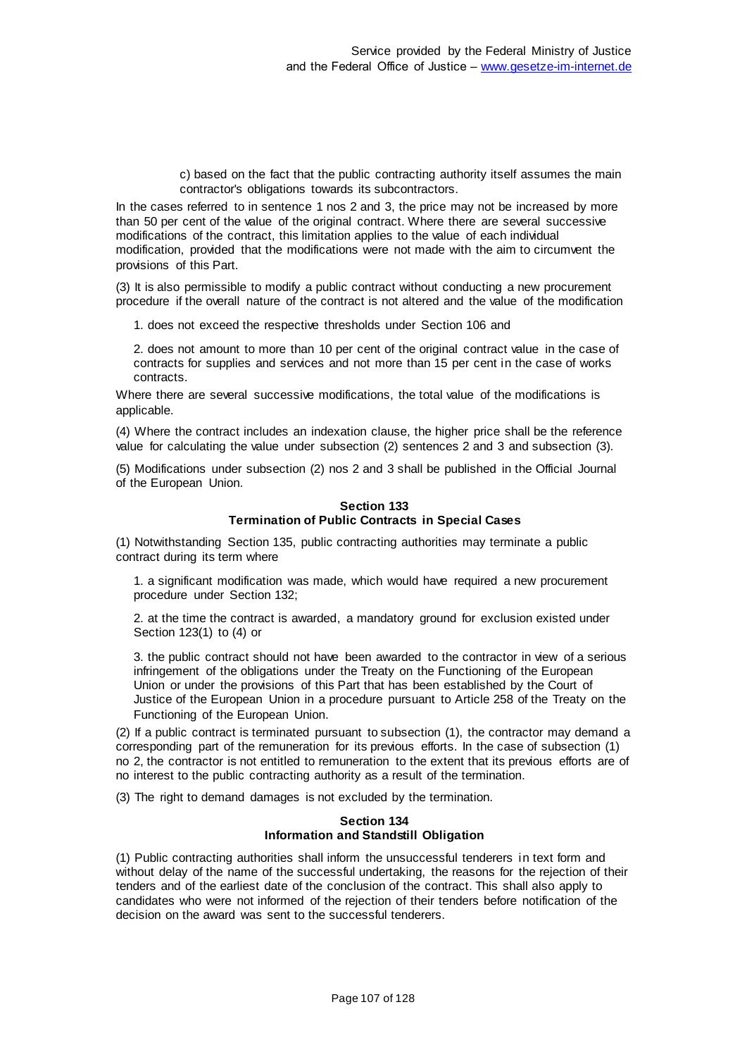c) based on the fact that the public contracting authority itself assumes the main contractor's obligations towards its subcontractors.

In the cases referred to in sentence 1 nos 2 and 3, the price may not be increased by more than 50 per cent of the value of the original contract. Where there are several successive modifications of the contract, this limitation applies to the value of each individual modification, provided that the modifications were not made with the aim to circumvent the provisions of this Part.

(3) It is also permissible to modify a public contract without conducting a new procurement procedure if the overall nature of the contract is not altered and the value of the modification

1. does not exceed the respective thresholds under Section 106 and

2. does not amount to more than 10 per cent of the original contract value in the case of contracts for supplies and services and not more than 15 per cent in the case of works contracts.

Where there are several successive modifications, the total value of the modifications is applicable.

(4) Where the contract includes an indexation clause, the higher price shall be the reference value for calculating the value under subsection (2) sentences 2 and 3 and subsection (3).

(5) Modifications under subsection (2) nos 2 and 3 shall be published in the Official Journal of the European Union.

#### **Section 133 Termination of Public Contracts in Special Cases**

(1) Notwithstanding Section 135, public contracting authorities may terminate a public contract during its term where

1. a significant modification was made, which would have required a new procurement procedure under Section 132;

2. at the time the contract is awarded, a mandatory ground for exclusion existed under Section 123(1) to (4) or

3. the public contract should not have been awarded to the contractor in view of a serious infringement of the obligations under the Treaty on the Functioning of the European Union or under the provisions of this Part that has been established by the Court of Justice of the European Union in a procedure pursuant to Article 258 of the Treaty on the Functioning of the European Union.

(2) If a public contract is terminated pursuant to subsection (1), the contractor may demand a corresponding part of the remuneration for its previous efforts. In the case of subsection (1) no 2, the contractor is not entitled to remuneration to the extent that its previous efforts are of no interest to the public contracting authority as a result of the termination.

(3) The right to demand damages is not excluded by the termination.

### **Section 134 Information and Standstill Obligation**

(1) Public contracting authorities shall inform the unsuccessful tenderers in text form and without delay of the name of the successful undertaking, the reasons for the rejection of their tenders and of the earliest date of the conclusion of the contract. This shall also apply to candidates who were not informed of the rejection of their tenders before notification of the decision on the award was sent to the successful tenderers.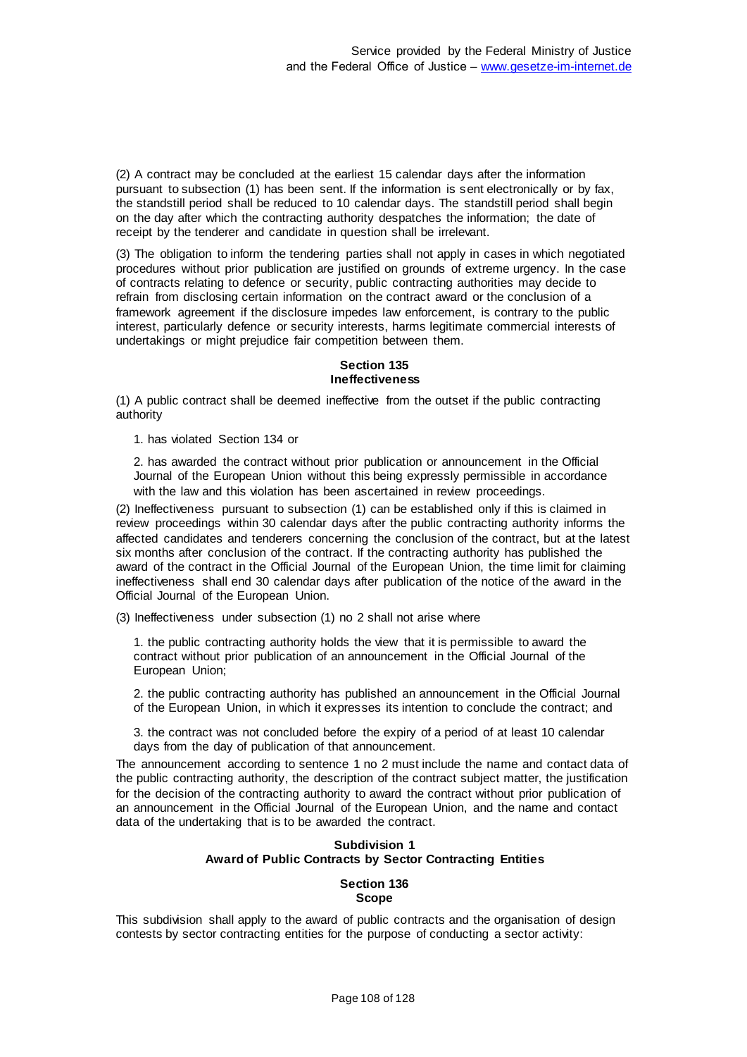(2) A contract may be concluded at the earliest 15 calendar days after the information pursuant to subsection (1) has been sent. If the information is sent electronically or by fax, the standstill period shall be reduced to 10 calendar days. The standstill period shall begin on the day after which the contracting authority despatches the information; the date of receipt by the tenderer and candidate in question shall be irrelevant.

(3) The obligation to inform the tendering parties shall not apply in cases in which negotiated procedures without prior publication are justified on grounds of extreme urgency. In the case of contracts relating to defence or security, public contracting authorities may decide to refrain from disclosing certain information on the contract award or the conclusion of a framework agreement if the disclosure impedes law enforcement, is contrary to the public interest, particularly defence or security interests, harms legitimate commercial interests of undertakings or might prejudice fair competition between them.

### **Section 135 Ineffectiveness**

(1) A public contract shall be deemed ineffective from the outset if the public contracting authority

1. has violated Section 134 or

2. has awarded the contract without prior publication or announcement in the Official Journal of the European Union without this being expressly permissible in accordance with the law and this violation has been ascertained in review proceedings.

(2) Ineffectiveness pursuant to subsection (1) can be established only if this is claimed in review proceedings within 30 calendar days after the public contracting authority informs the affected candidates and tenderers concerning the conclusion of the contract, but at the latest six months after conclusion of the contract. If the contracting authority has published the award of the contract in the Official Journal of the European Union, the time limit for claiming ineffectiveness shall end 30 calendar days after publication of the notice of the award in the Official Journal of the European Union.

(3) Ineffectiveness under subsection (1) no 2 shall not arise where

1. the public contracting authority holds the view that it is permissible to award the contract without prior publication of an announcement in the Official Journal of the European Union;

2. the public contracting authority has published an announcement in the Official Journal of the European Union, in which it expresses its intention to conclude the contract; and

3. the contract was not concluded before the expiry of a period of at least 10 calendar days from the day of publication of that announcement.

The announcement according to sentence 1 no 2 must include the name and contact data of the public contracting authority, the description of the contract subject matter, the justification for the decision of the contracting authority to award the contract without prior publication of an announcement in the Official Journal of the European Union, and the name and contact data of the undertaking that is to be awarded the contract.

## **Subdivision 1 Award of Public Contracts by Sector Contracting Entities**

#### **Section 136 Scope**

This subdivision shall apply to the award of public contracts and the organisation of design contests by sector contracting entities for the purpose of conducting a sector activity: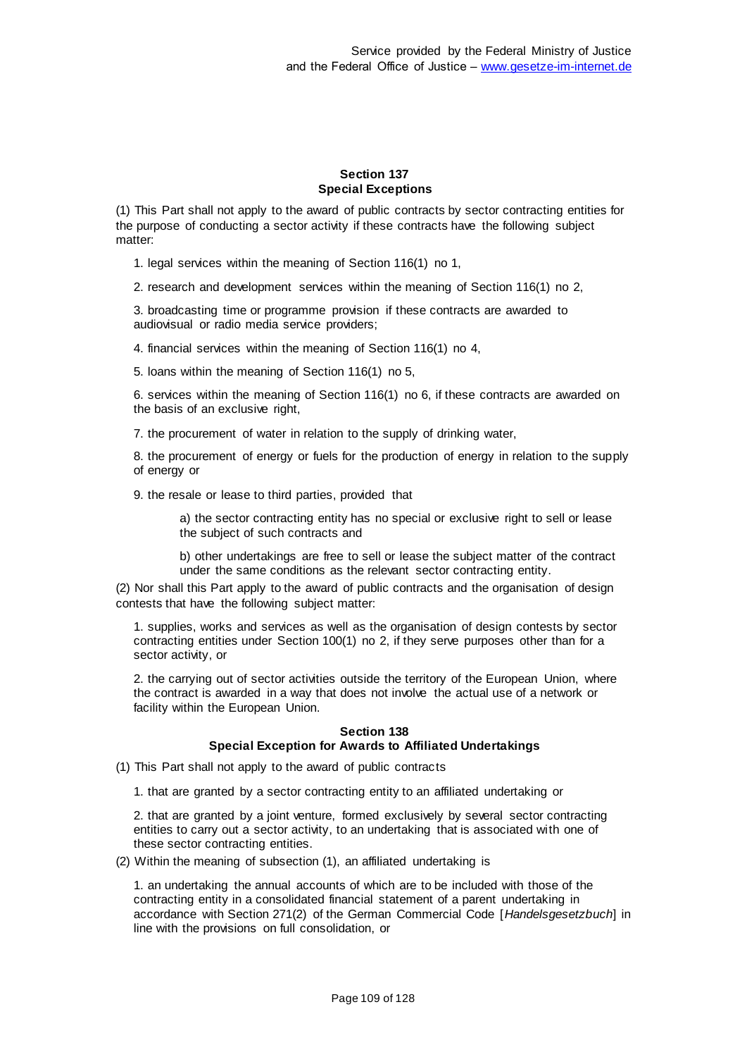#### **Section 137 Special Exceptions**

(1) This Part shall not apply to the award of public contracts by sector contracting entities for the purpose of conducting a sector activity if these contracts have the following subject matter:

1. legal services within the meaning of Section 116(1) no 1,

2. research and development services within the meaning of Section 116(1) no 2,

3. broadcasting time or programme provision if these contracts are awarded to audiovisual or radio media service providers;

4. financial services within the meaning of Section 116(1) no 4,

5. loans within the meaning of Section 116(1) no 5,

6. services within the meaning of Section 116(1) no 6, if these contracts are awarded on the basis of an exclusive right,

7. the procurement of water in relation to the supply of drinking water,

8. the procurement of energy or fuels for the production of energy in relation to the supply of energy or

9. the resale or lease to third parties, provided that

a) the sector contracting entity has no special or exclusive right to sell or lease the subject of such contracts and

b) other undertakings are free to sell or lease the subject matter of the contract under the same conditions as the relevant sector contracting entity.

(2) Nor shall this Part apply to the award of public contracts and the organisation of design contests that have the following subject matter:

1. supplies, works and services as well as the organisation of design contests by sector contracting entities under Section 100(1) no 2, if they serve purposes other than for a sector activity, or

2. the carrying out of sector activities outside the territory of the European Union, where the contract is awarded in a way that does not involve the actual use of a network or facility within the European Union.

#### **Section 138 Special Exception for Awards to Affiliated Undertakings**

(1) This Part shall not apply to the award of public contracts

1. that are granted by a sector contracting entity to an affiliated undertaking or

2. that are granted by a joint venture, formed exclusively by several sector contracting entities to carry out a sector activity, to an undertaking that is associated with one of these sector contracting entities.

(2) Within the meaning of subsection (1), an affiliated undertaking is

1. an undertaking the annual accounts of which are to be included with those of the contracting entity in a consolidated financial statement of a parent undertaking in accordance with Section 271(2) of the German Commercial Code [*Handelsgesetzbuch*] in line with the provisions on full consolidation, or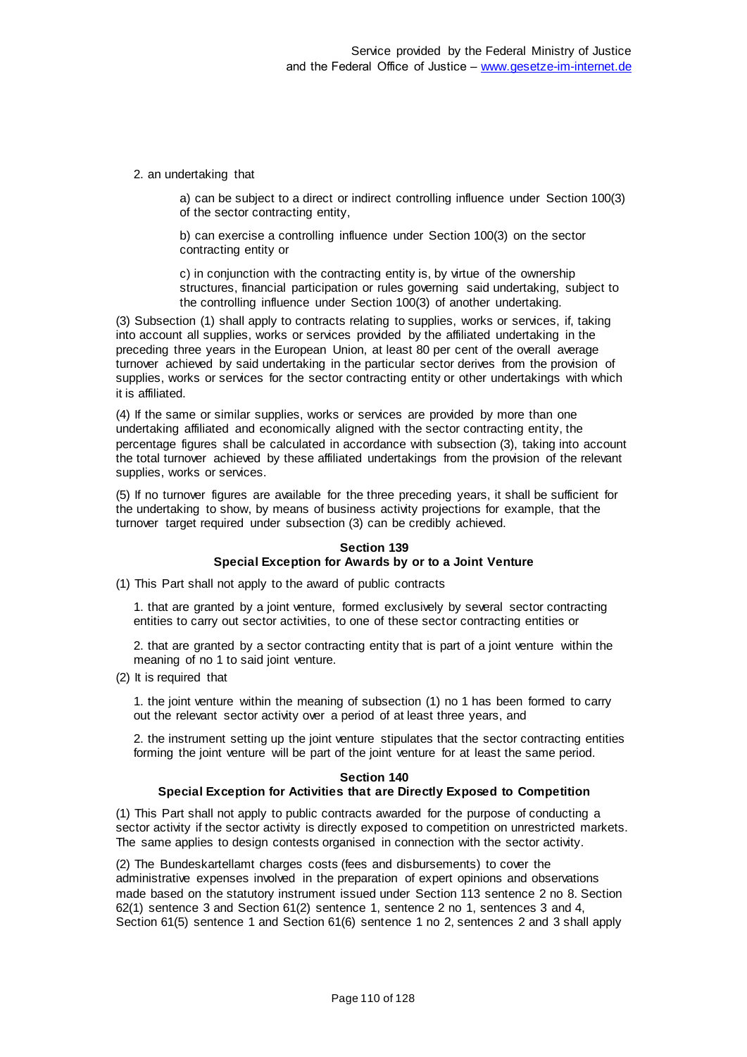2. an undertaking that

a) can be subject to a direct or indirect controlling influence under Section 100(3) of the sector contracting entity,

b) can exercise a controlling influence under Section 100(3) on the sector contracting entity or

c) in conjunction with the contracting entity is, by virtue of the ownership structures, financial participation or rules governing said undertaking, subject to the controlling influence under Section 100(3) of another undertaking.

(3) Subsection (1) shall apply to contracts relating to supplies, works or services, if, taking into account all supplies, works or services provided by the affiliated undertaking in the preceding three years in the European Union, at least 80 per cent of the overall average turnover achieved by said undertaking in the particular sector derives from the provision of supplies, works or services for the sector contracting entity or other undertakings with which it is affiliated.

(4) If the same or similar supplies, works or services are provided by more than one undertaking affiliated and economically aligned with the sector contracting entity, the percentage figures shall be calculated in accordance with subsection (3), taking into account the total turnover achieved by these affiliated undertakings from the provision of the relevant supplies, works or services.

(5) If no turnover figures are available for the three preceding years, it shall be sufficient for the undertaking to show, by means of business activity projections for example, that the turnover target required under subsection (3) can be credibly achieved.

## **Section 139 Special Exception for Awards by or to a Joint Venture**

(1) This Part shall not apply to the award of public contracts

1. that are granted by a joint venture, formed exclusively by several sector contracting entities to carry out sector activities, to one of these sector contracting entities or

2. that are granted by a sector contracting entity that is part of a joint venture within the meaning of no 1 to said joint venture.

(2) It is required that

1. the joint venture within the meaning of subsection (1) no 1 has been formed to carry out the relevant sector activity over a period of at least three years, and

2. the instrument setting up the joint venture stipulates that the sector contracting entities forming the joint venture will be part of the joint venture for at least the same period.

#### **Section 140**

## **Special Exception for Activities that are Directly Exposed to Competition**

(1) This Part shall not apply to public contracts awarded for the purpose of conducting a sector activity if the sector activity is directly exposed to competition on unrestricted markets. The same applies to design contests organised in connection with the sector activity.

(2) The Bundeskartellamt charges costs (fees and disbursements) to cover the administrative expenses involved in the preparation of expert opinions and observations made based on the statutory instrument issued under Section 113 sentence 2 no 8. Section 62(1) sentence 3 and Section 61(2) sentence 1, sentence 2 no 1, sentences 3 and 4, Section 61(5) sentence 1 and Section 61(6) sentence 1 no 2, sentences 2 and 3 shall apply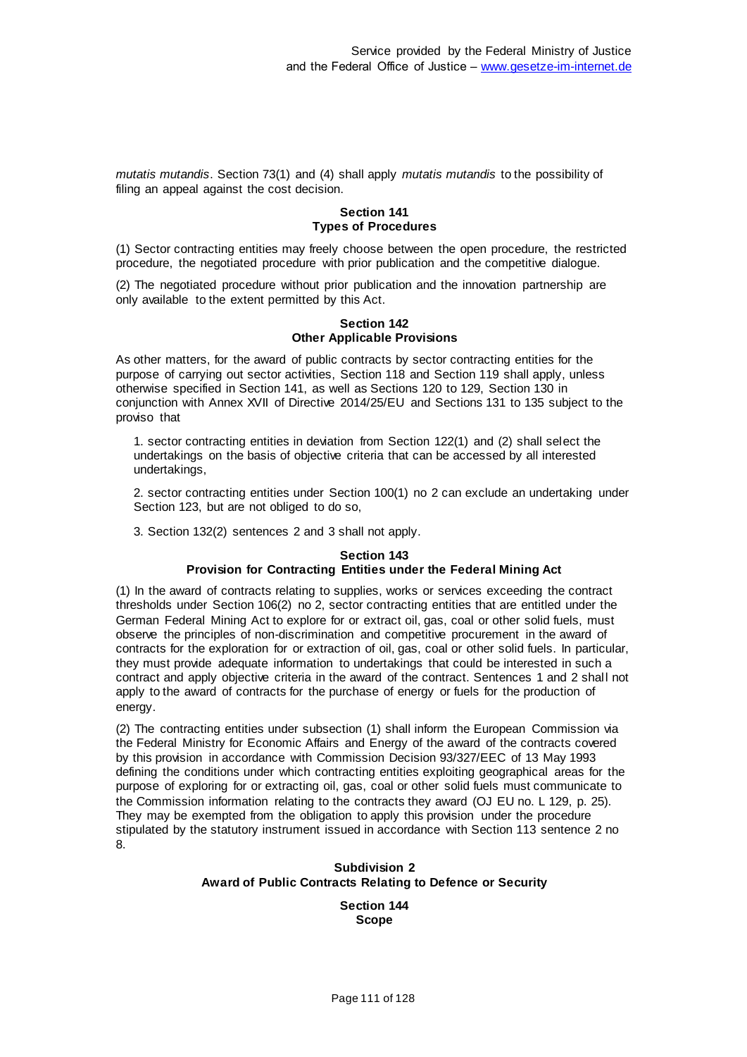*mutatis mutandis*. Section 73(1) and (4) shall apply *mutatis mutandis* to the possibility of filing an appeal against the cost decision.

#### **Section 141 Types of Procedures**

(1) Sector contracting entities may freely choose between the open procedure, the restricted procedure, the negotiated procedure with prior publication and the competitive dialogue.

(2) The negotiated procedure without prior publication and the innovation partnership are only available to the extent permitted by this Act.

#### **Section 142 Other Applicable Provisions**

As other matters, for the award of public contracts by sector contracting entities for the purpose of carrying out sector activities, Section 118 and Section 119 shall apply, unless otherwise specified in Section 141, as well as Sections 120 to 129, Section 130 in conjunction with Annex XVII of Directive 2014/25/EU and Sections 131 to 135 subject to the proviso that

1. sector contracting entities in deviation from Section 122(1) and (2) shall select the undertakings on the basis of objective criteria that can be accessed by all interested undertakings,

2. sector contracting entities under Section 100(1) no 2 can exclude an undertaking under Section 123, but are not obliged to do so,

3. Section 132(2) sentences 2 and 3 shall not apply.

#### **Section 143 Provision for Contracting Entities under the Federal Mining Act**

(1) In the award of contracts relating to supplies, works or services exceeding the contract thresholds under Section 106(2) no 2, sector contracting entities that are entitled under the German Federal Mining Act to explore for or extract oil, gas, coal or other solid fuels, must observe the principles of non-discrimination and competitive procurement in the award of contracts for the exploration for or extraction of oil, gas, coal or other solid fuels. In particular, they must provide adequate information to undertakings that could be interested in such a contract and apply objective criteria in the award of the contract. Sentences 1 and 2 shall not apply to the award of contracts for the purchase of energy or fuels for the production of energy.

(2) The contracting entities under subsection (1) shall inform the European Commission via the Federal Ministry for Economic Affairs and Energy of the award of the contracts covered by this provision in accordance with Commission Decision 93/327/EEC of 13 May 1993 defining the conditions under which contracting entities exploiting geographical areas for the purpose of exploring for or extracting oil, gas, coal or other solid fuels must communicate to the Commission information relating to the contracts they award (OJ EU no. L 129, p. 25). They may be exempted from the obligation to apply this provision under the procedure stipulated by the statutory instrument issued in accordance with Section 113 sentence 2 no 8.

# **Subdivision 2 Award of Public Contracts Relating to Defence or Security**

**Section 144 Scope**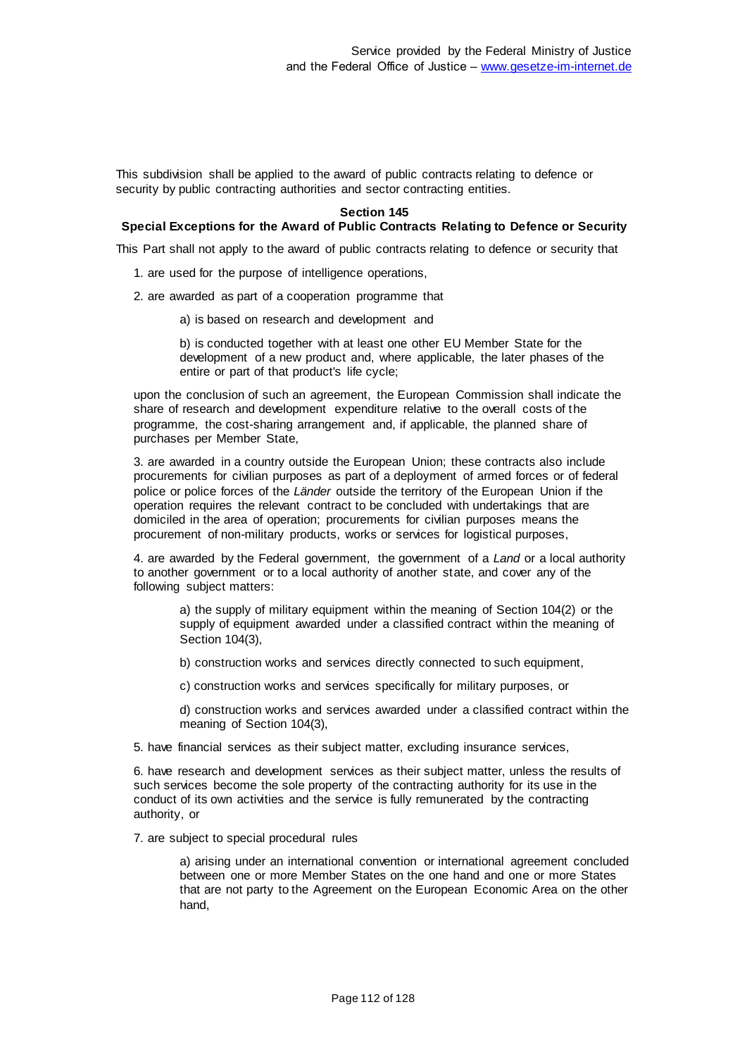This subdivision shall be applied to the award of public contracts relating to defence or security by public contracting authorities and sector contracting entities.

#### **Section 145**

# **Special Exceptions for the Award of Public Contracts Relating to Defence or Security**

This Part shall not apply to the award of public contracts relating to defence or security that

- 1. are used for the purpose of intelligence operations,
- 2. are awarded as part of a cooperation programme that
	- a) is based on research and development and

b) is conducted together with at least one other EU Member State for the development of a new product and, where applicable, the later phases of the entire or part of that product's life cycle;

upon the conclusion of such an agreement, the European Commission shall indicate the share of research and development expenditure relative to the overall costs of the programme, the cost-sharing arrangement and, if applicable, the planned share of purchases per Member State,

3. are awarded in a country outside the European Union; these contracts also include procurements for civilian purposes as part of a deployment of armed forces or of federal police or police forces of the *Länder* outside the territory of the European Union if the operation requires the relevant contract to be concluded with undertakings that are domiciled in the area of operation; procurements for civilian purposes means the procurement of non-military products, works or services for logistical purposes,

4. are awarded by the Federal government, the government of a *Land* or a local authority to another government or to a local authority of another state, and cover any of the following subject matters:

a) the supply of military equipment within the meaning of Section 104(2) or the supply of equipment awarded under a classified contract within the meaning of Section 104(3),

b) construction works and services directly connected to such equipment,

c) construction works and services specifically for military purposes, or

d) construction works and services awarded under a classified contract within the meaning of Section 104(3),

5. have financial services as their subject matter, excluding insurance services,

6. have research and development services as their subject matter, unless the results of such services become the sole property of the contracting authority for its use in the conduct of its own activities and the service is fully remunerated by the contracting authority, or

7. are subject to special procedural rules

a) arising under an international convention or international agreement concluded between one or more Member States on the one hand and one or more States that are not party to the Agreement on the European Economic Area on the other hand,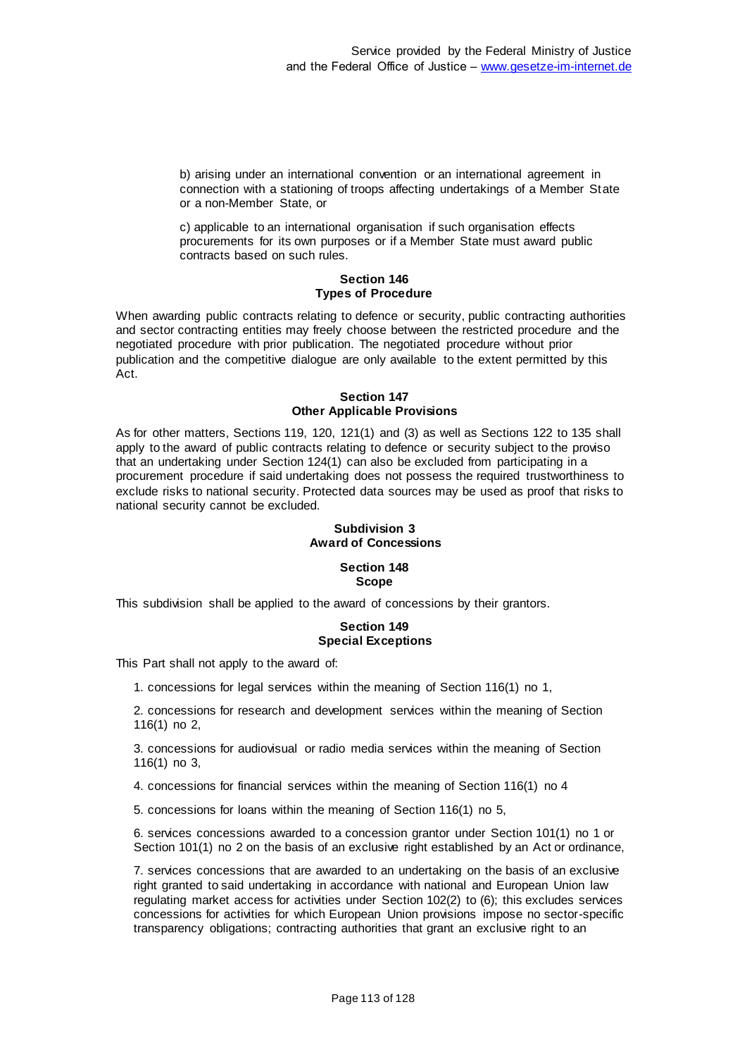b) arising under an international convention or an international agreement in connection with a stationing of troops affecting undertakings of a Member State or a non-Member State, or

c) applicable to an international organisation if such organisation effects procurements for its own purposes or if a Member State must award public contracts based on such rules.

#### **Section 146 Types of Procedure**

When awarding public contracts relating to defence or security, public contracting authorities and sector contracting entities may freely choose between the restricted procedure and the negotiated procedure with prior publication. The negotiated procedure without prior publication and the competitive dialogue are only available to the extent permitted by this Act.

## **Section 147 Other Applicable Provisions**

As for other matters, Sections 119, 120, 121(1) and (3) as well as Sections 122 to 135 shall apply to the award of public contracts relating to defence or security subject to the proviso that an undertaking under Section 124(1) can also be excluded from participating in a procurement procedure if said undertaking does not possess the required trustworthiness to exclude risks to national security. Protected data sources may be used as proof that risks to national security cannot be excluded.

# **Subdivision 3 Award of Concessions**

#### **Section 148 Scope**

This subdivision shall be applied to the award of concessions by their grantors.

# **Section 149 Special Exceptions**

This Part shall not apply to the award of:

1. concessions for legal services within the meaning of Section 116(1) no 1,

2. concessions for research and development services within the meaning of Section 116(1) no 2,

3. concessions for audiovisual or radio media services within the meaning of Section 116(1) no 3,

4. concessions for financial services within the meaning of Section 116(1) no 4

5. concessions for loans within the meaning of Section 116(1) no 5,

6. services concessions awarded to a concession grantor under Section 101(1) no 1 or Section 101(1) no 2 on the basis of an exclusive right established by an Act or ordinance,

7. services concessions that are awarded to an undertaking on the basis of an exclusive right granted to said undertaking in accordance with national and European Union law regulating market access for activities under Section 102(2) to (6); this excludes services concessions for activities for which European Union provisions impose no sector-specific transparency obligations; contracting authorities that grant an exclusive right to an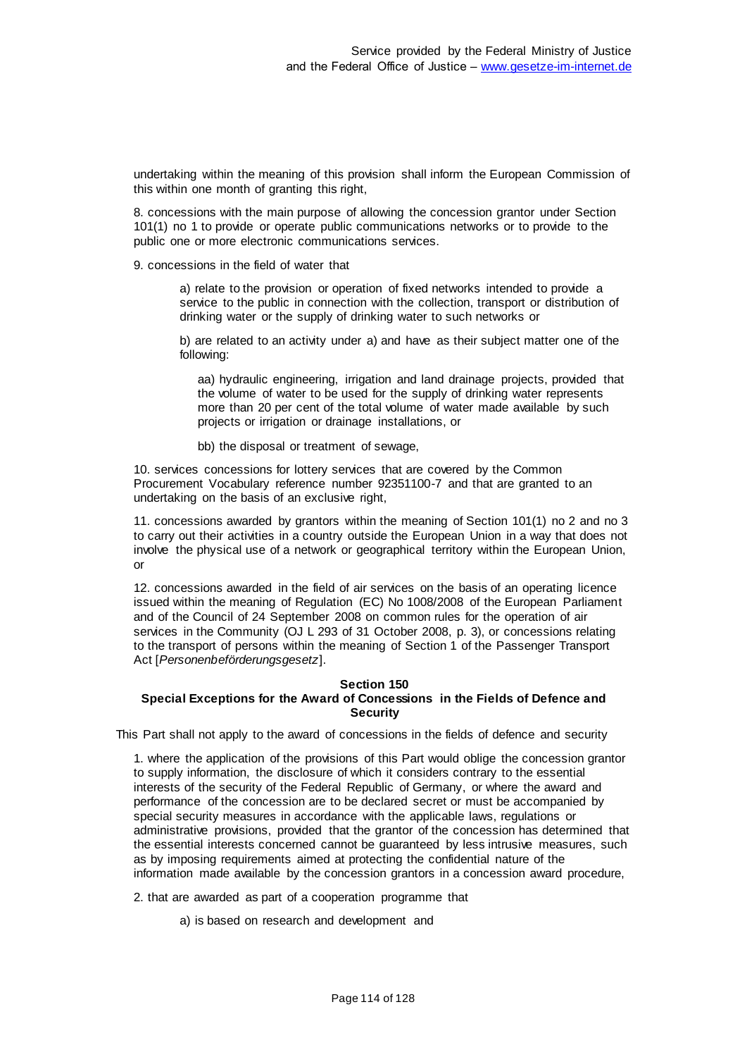undertaking within the meaning of this provision shall inform the European Commission of this within one month of granting this right,

8. concessions with the main purpose of allowing the concession grantor under Section 101(1) no 1 to provide or operate public communications networks or to provide to the public one or more electronic communications services.

9. concessions in the field of water that

a) relate to the provision or operation of fixed networks intended to provide a service to the public in connection with the collection, transport or distribution of drinking water or the supply of drinking water to such networks or

b) are related to an activity under a) and have as their subject matter one of the following:

aa) hydraulic engineering, irrigation and land drainage projects, provided that the volume of water to be used for the supply of drinking water represents more than 20 per cent of the total volume of water made available by such projects or irrigation or drainage installations, or

bb) the disposal or treatment of sewage,

10. services concessions for lottery services that are covered by the Common Procurement Vocabulary reference number 92351100-7 and that are granted to an undertaking on the basis of an exclusive right,

11. concessions awarded by grantors within the meaning of Section 101(1) no 2 and no 3 to carry out their activities in a country outside the European Union in a way that does not involve the physical use of a network or geographical territory within the European Union, or

12. concessions awarded in the field of air services on the basis of an operating licence issued within the meaning of Regulation (EC) No 1008/2008 of the European Parliament and of the Council of 24 September 2008 on common rules for the operation of air services in the Community (OJ L 293 of 31 October 2008, p. 3), or concessions relating to the transport of persons within the meaning of Section 1 of the Passenger Transport Act [*Personenbeförderungsgesetz*].

## **Section 150 Special Exceptions for the Award of Concessions in the Fields of Defence and Security**

This Part shall not apply to the award of concessions in the fields of defence and security

1. where the application of the provisions of this Part would oblige the concession grantor to supply information, the disclosure of which it considers contrary to the essential interests of the security of the Federal Republic of Germany, or where the award and performance of the concession are to be declared secret or must be accompanied by special security measures in accordance with the applicable laws, regulations or administrative provisions, provided that the grantor of the concession has determined that the essential interests concerned cannot be guaranteed by less intrusive measures, such as by imposing requirements aimed at protecting the confidential nature of the information made available by the concession grantors in a concession award procedure,

2. that are awarded as part of a cooperation programme that

a) is based on research and development and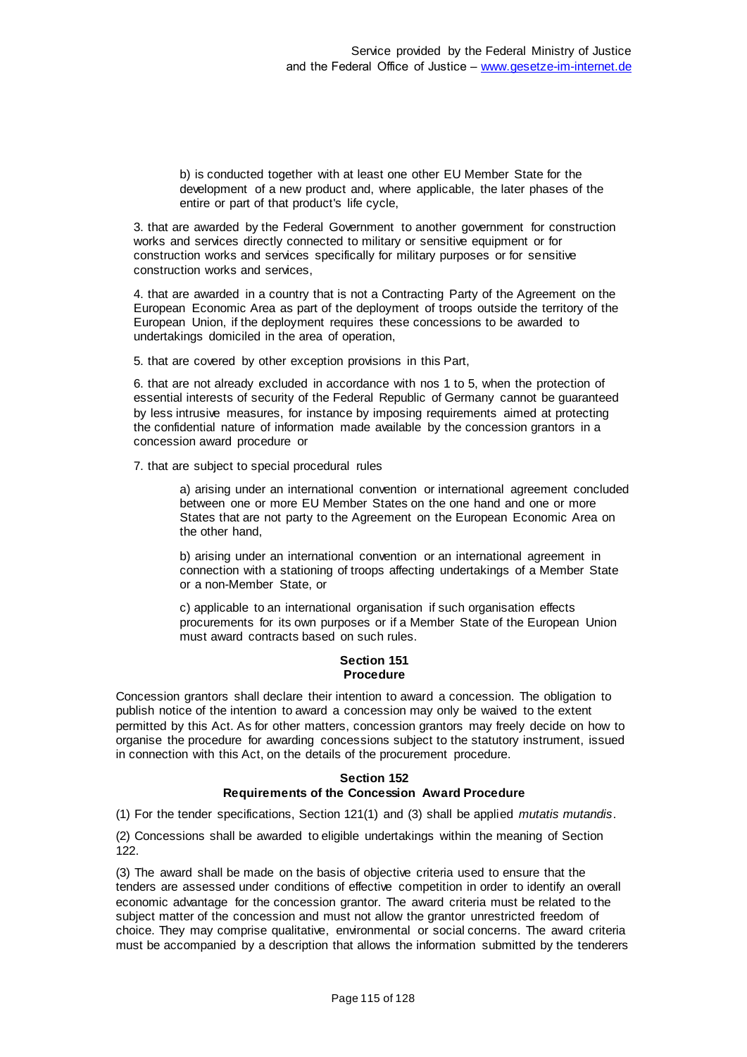b) is conducted together with at least one other EU Member State for the development of a new product and, where applicable, the later phases of the entire or part of that product's life cycle,

3. that are awarded by the Federal Government to another government for construction works and services directly connected to military or sensitive equipment or for construction works and services specifically for military purposes or for sensitive construction works and services,

4. that are awarded in a country that is not a Contracting Party of the Agreement on the European Economic Area as part of the deployment of troops outside the territory of the European Union, if the deployment requires these concessions to be awarded to undertakings domiciled in the area of operation,

5. that are covered by other exception provisions in this Part,

6. that are not already excluded in accordance with nos 1 to 5, when the protection of essential interests of security of the Federal Republic of Germany cannot be guaranteed by less intrusive measures, for instance by imposing requirements aimed at protecting the confidential nature of information made available by the concession grantors in a concession award procedure or

7. that are subject to special procedural rules

a) arising under an international convention or international agreement concluded between one or more EU Member States on the one hand and one or more States that are not party to the Agreement on the European Economic Area on the other hand,

b) arising under an international convention or an international agreement in connection with a stationing of troops affecting undertakings of a Member State or a non-Member State, or

c) applicable to an international organisation if such organisation effects procurements for its own purposes or if a Member State of the European Union must award contracts based on such rules.

# **Section 151 Procedure**

Concession grantors shall declare their intention to award a concession. The obligation to publish notice of the intention to award a concession may only be waived to the extent permitted by this Act. As for other matters, concession grantors may freely decide on how to organise the procedure for awarding concessions subject to the statutory instrument, issued in connection with this Act, on the details of the procurement procedure.

## **Section 152 Requirements of the Concession Award Procedure**

(1) For the tender specifications, Section 121(1) and (3) shall be applied *mutatis mutandis*.

(2) Concessions shall be awarded to eligible undertakings within the meaning of Section 122.

(3) The award shall be made on the basis of objective criteria used to ensure that the tenders are assessed under conditions of effective competition in order to identify an overall economic advantage for the concession grantor. The award criteria must be related to the subject matter of the concession and must not allow the grantor unrestricted freedom of choice. They may comprise qualitative, environmental or social concerns. The award criteria must be accompanied by a description that allows the information submitted by the tenderers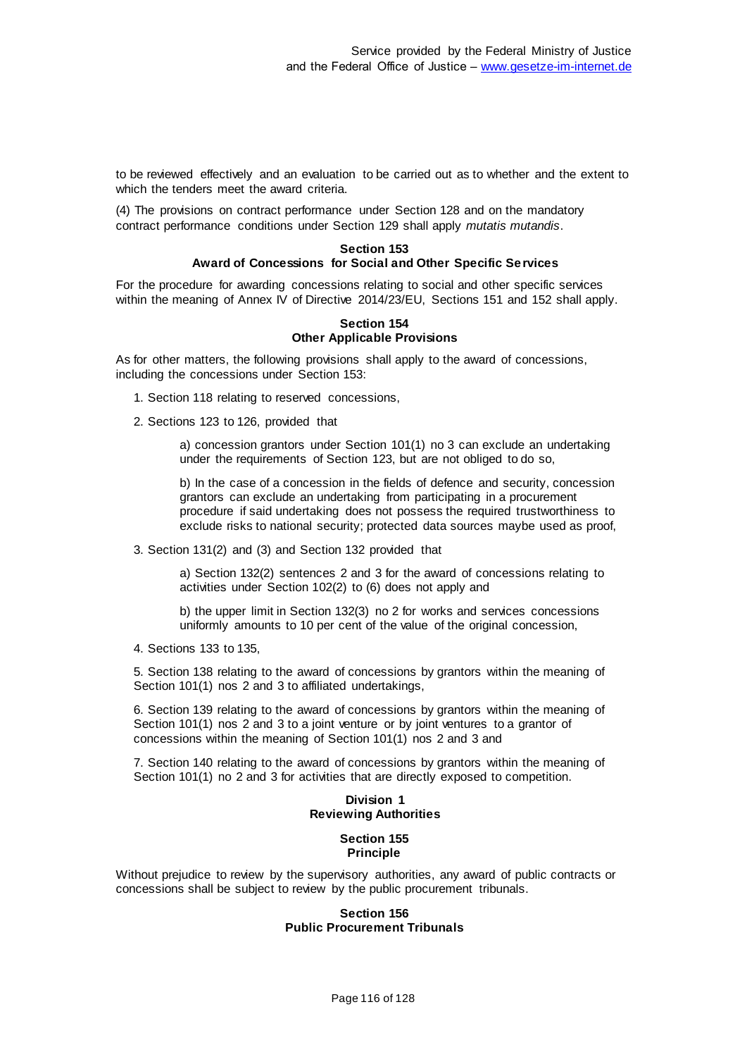to be reviewed effectively and an evaluation to be carried out as to whether and the extent to which the tenders meet the award criteria.

(4) The provisions on contract performance under Section 128 and on the mandatory contract performance conditions under Section 129 shall apply *mutatis mutandis*.

#### **Section 153 Award of Concessions for Social and Other Specific Services**

For the procedure for awarding concessions relating to social and other specific services within the meaning of Annex IV of Directive 2014/23/EU, Sections 151 and 152 shall apply.

#### **Section 154 Other Applicable Provisions**

As for other matters, the following provisions shall apply to the award of concessions, including the concessions under Section 153:

- 1. Section 118 relating to reserved concessions,
- 2. Sections 123 to 126, provided that

a) concession grantors under Section 101(1) no 3 can exclude an undertaking under the requirements of Section 123, but are not obliged to do so,

b) In the case of a concession in the fields of defence and security, concession grantors can exclude an undertaking from participating in a procurement procedure if said undertaking does not possess the required trustworthiness to exclude risks to national security; protected data sources maybe used as proof,

3. Section 131(2) and (3) and Section 132 provided that

a) Section 132(2) sentences 2 and 3 for the award of concessions relating to activities under Section 102(2) to (6) does not apply and

b) the upper limit in Section 132(3) no 2 for works and services concessions uniformly amounts to 10 per cent of the value of the original concession,

4. Sections 133 to 135,

5. Section 138 relating to the award of concessions by grantors within the meaning of Section 101(1) nos 2 and 3 to affiliated undertakings,

6. Section 139 relating to the award of concessions by grantors within the meaning of Section 101(1) nos 2 and 3 to a joint venture or by joint ventures to a grantor of concessions within the meaning of Section 101(1) nos 2 and 3 and

7. Section 140 relating to the award of concessions by grantors within the meaning of Section 101(1) no 2 and 3 for activities that are directly exposed to competition.

# **Division 1 Reviewing Authorities**

# **Section 155 Principle**

Without prejudice to review by the supervisory authorities, any award of public contracts or concessions shall be subject to review by the public procurement tribunals.

#### **Section 156 Public Procurement Tribunals**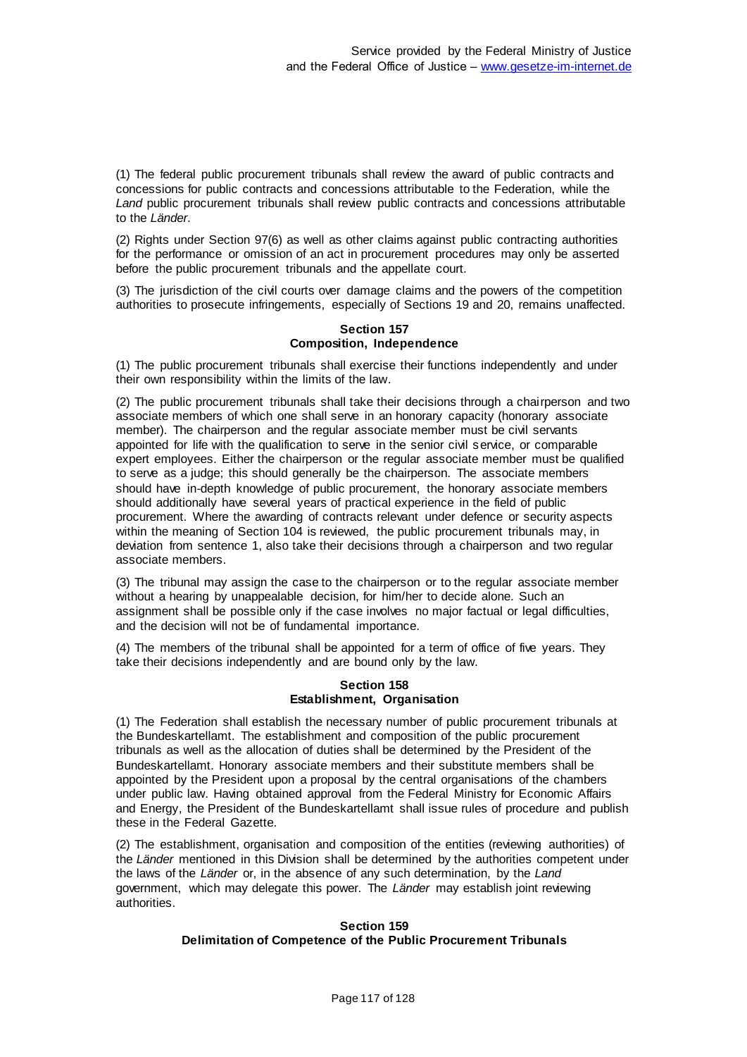(1) The federal public procurement tribunals shall review the award of public contracts and concessions for public contracts and concessions attributable to the Federation, while the Land public procurement tribunals shall review public contracts and concessions attributable to the *Länder*.

(2) Rights under Section 97(6) as well as other claims against public contracting authorities for the performance or omission of an act in procurement procedures may only be asserted before the public procurement tribunals and the appellate court.

(3) The jurisdiction of the civil courts over damage claims and the powers of the competition authorities to prosecute infringements, especially of Sections 19 and 20, remains unaffected.

# **Section 157 Composition, Independence**

(1) The public procurement tribunals shall exercise their functions independently and under their own responsibility within the limits of the law.

(2) The public procurement tribunals shall take their decisions through a chairperson and two associate members of which one shall serve in an honorary capacity (honorary associate member). The chairperson and the regular associate member must be civil servants appointed for life with the qualification to serve in the senior civil service, or comparable expert employees. Either the chairperson or the regular associate member must be qualified to serve as a judge; this should generally be the chairperson. The associate members should have in-depth knowledge of public procurement, the honorary associate members should additionally have several years of practical experience in the field of public procurement. Where the awarding of contracts relevant under defence or security aspects within the meaning of Section 104 is reviewed, the public procurement tribunals may, in deviation from sentence 1, also take their decisions through a chairperson and two regular associate members.

(3) The tribunal may assign the case to the chairperson or to the regular associate member without a hearing by unappealable decision, for him/her to decide alone. Such an assignment shall be possible only if the case involves no major factual or legal difficulties, and the decision will not be of fundamental importance.

(4) The members of the tribunal shall be appointed for a term of office of five years. They take their decisions independently and are bound only by the law.

# **Section 158 Establishment, Organisation**

(1) The Federation shall establish the necessary number of public procurement tribunals at the Bundeskartellamt. The establishment and composition of the public procurement tribunals as well as the allocation of duties shall be determined by the President of the Bundeskartellamt. Honorary associate members and their substitute members shall be appointed by the President upon a proposal by the central organisations of the chambers under public law. Having obtained approval from the Federal Ministry for Economic Affairs and Energy, the President of the Bundeskartellamt shall issue rules of procedure and publish these in the Federal Gazette.

(2) The establishment, organisation and composition of the entities (reviewing authorities) of the *Länder* mentioned in this Division shall be determined by the authorities competent under the laws of the *Länder* or, in the absence of any such determination, by the *Land* government, which may delegate this power. The *Länder* may establish joint reviewing authorities.

# **Section 159 Delimitation of Competence of the Public Procurement Tribunals**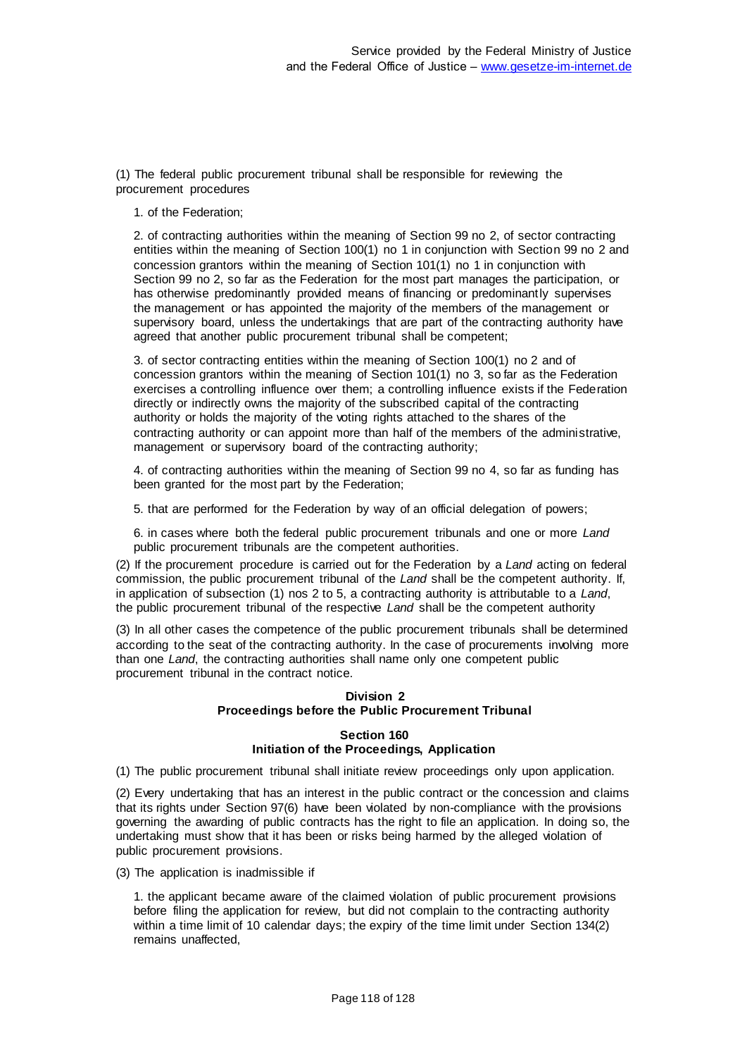(1) The federal public procurement tribunal shall be responsible for reviewing the procurement procedures

1. of the Federation;

2. of contracting authorities within the meaning of Section 99 no 2, of sector contracting entities within the meaning of Section 100(1) no 1 in conjunction with Section 99 no 2 and concession grantors within the meaning of Section 101(1) no 1 in conjunction with Section 99 no 2, so far as the Federation for the most part manages the participation, or has otherwise predominantly provided means of financing or predominantly supervises the management or has appointed the majority of the members of the management or supervisory board, unless the undertakings that are part of the contracting authority have agreed that another public procurement tribunal shall be competent;

3. of sector contracting entities within the meaning of Section 100(1) no 2 and of concession grantors within the meaning of Section 101(1) no 3, so far as the Federation exercises a controlling influence over them; a controlling influence exists if the Federation directly or indirectly owns the majority of the subscribed capital of the contracting authority or holds the majority of the voting rights attached to the shares of the contracting authority or can appoint more than half of the members of the administrative, management or supervisory board of the contracting authority;

4. of contracting authorities within the meaning of Section 99 no 4, so far as funding has been granted for the most part by the Federation;

5. that are performed for the Federation by way of an official delegation of powers;

6. in cases where both the federal public procurement tribunals and one or more *Land* public procurement tribunals are the competent authorities.

(2) If the procurement procedure is carried out for the Federation by a *Land* acting on federal commission, the public procurement tribunal of the *Land* shall be the competent authority. If, in application of subsection (1) nos 2 to 5, a contracting authority is attributable to a *Land*, the public procurement tribunal of the respective *Land* shall be the competent authority

(3) In all other cases the competence of the public procurement tribunals shall be determined according to the seat of the contracting authority. In the case of procurements involving more than one *Land*, the contracting authorities shall name only one competent public procurement tribunal in the contract notice.

## **Division 2 Proceedings before the Public Procurement Tribunal**

#### **Section 160 Initiation of the Proceedings, Application**

(1) The public procurement tribunal shall initiate review proceedings only upon application.

(2) Every undertaking that has an interest in the public contract or the concession and claims that its rights under Section 97(6) have been violated by non-compliance with the provisions governing the awarding of public contracts has the right to file an application. In doing so, the undertaking must show that it has been or risks being harmed by the alleged violation of public procurement provisions.

(3) The application is inadmissible if

1. the applicant became aware of the claimed violation of public procurement provisions before filing the application for review, but did not complain to the contracting authority within a time limit of 10 calendar days; the expiry of the time limit under Section 134(2) remains unaffected,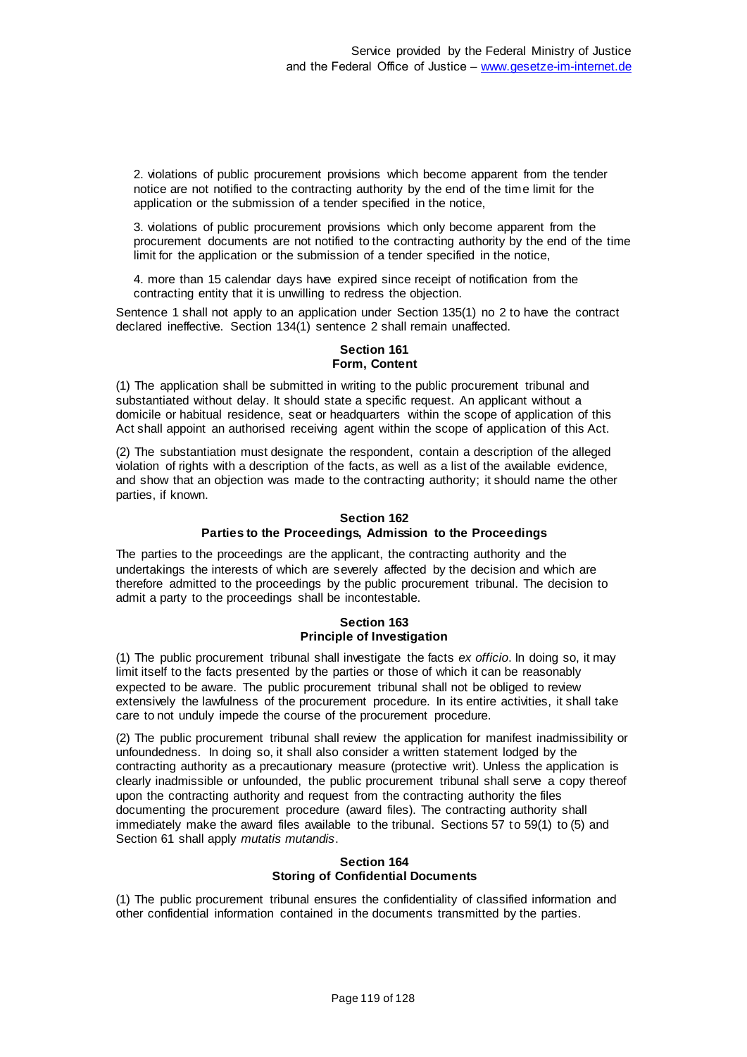2. violations of public procurement provisions which become apparent from the tender notice are not notified to the contracting authority by the end of the time limit for the application or the submission of a tender specified in the notice,

3. violations of public procurement provisions which only become apparent from the procurement documents are not notified to the contracting authority by the end of the time limit for the application or the submission of a tender specified in the notice,

4. more than 15 calendar days have expired since receipt of notification from the contracting entity that it is unwilling to redress the objection.

Sentence 1 shall not apply to an application under Section 135(1) no 2 to have the contract declared ineffective. Section 134(1) sentence 2 shall remain unaffected.

#### **Section 161 Form, Content**

(1) The application shall be submitted in writing to the public procurement tribunal and substantiated without delay. It should state a specific request. An applicant without a domicile or habitual residence, seat or headquarters within the scope of application of this Act shall appoint an authorised receiving agent within the scope of application of this Act.

(2) The substantiation must designate the respondent, contain a description of the alleged violation of rights with a description of the facts, as well as a list of the available evidence, and show that an objection was made to the contracting authority; it should name the other parties, if known.

#### **Section 162 Parties to the Proceedings, Admission to the Proceedings**

The parties to the proceedings are the applicant, the contracting authority and the undertakings the interests of which are severely affected by the decision and which are therefore admitted to the proceedings by the public procurement tribunal. The decision to admit a party to the proceedings shall be incontestable.

# **Section 163 Principle of Investigation**

(1) The public procurement tribunal shall investigate the facts *ex officio*. In doing so, it may limit itself to the facts presented by the parties or those of which it can be reasonably expected to be aware. The public procurement tribunal shall not be obliged to review extensively the lawfulness of the procurement procedure. In its entire activities, it shall take care to not unduly impede the course of the procurement procedure.

(2) The public procurement tribunal shall review the application for manifest inadmissibility or unfoundedness. In doing so, it shall also consider a written statement lodged by the contracting authority as a precautionary measure (protective writ). Unless the application is clearly inadmissible or unfounded, the public procurement tribunal shall serve a copy thereof upon the contracting authority and request from the contracting authority the files documenting the procurement procedure (award files). The contracting authority shall immediately make the award files available to the tribunal. Sections 57 to 59(1) to (5) and Section 61 shall apply *mutatis mutandis*.

## **Section 164 Storing of Confidential Documents**

(1) The public procurement tribunal ensures the confidentiality of classified information and other confidential information contained in the documents transmitted by the parties.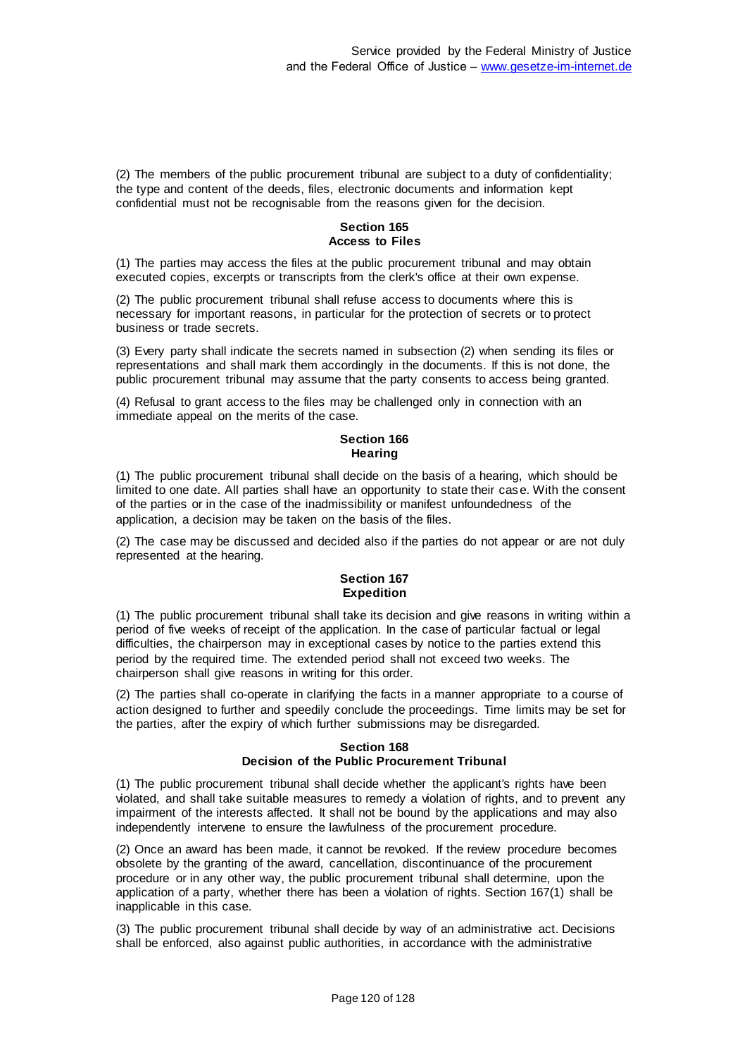(2) The members of the public procurement tribunal are subject to a duty of confidentiality; the type and content of the deeds, files, electronic documents and information kept confidential must not be recognisable from the reasons given for the decision.

## **Section 165 Access to Files**

(1) The parties may access the files at the public procurement tribunal and may obtain executed copies, excerpts or transcripts from the clerk's office at their own expense.

(2) The public procurement tribunal shall refuse access to documents where this is necessary for important reasons, in particular for the protection of secrets or to protect business or trade secrets.

(3) Every party shall indicate the secrets named in subsection (2) when sending its files or representations and shall mark them accordingly in the documents. If this is not done, the public procurement tribunal may assume that the party consents to access being granted.

(4) Refusal to grant access to the files may be challenged only in connection with an immediate appeal on the merits of the case.

# **Section 166 Hearing**

(1) The public procurement tribunal shall decide on the basis of a hearing, which should be limited to one date. All parties shall have an opportunity to state their case. With the consent of the parties or in the case of the inadmissibility or manifest unfoundedness of the application, a decision may be taken on the basis of the files.

(2) The case may be discussed and decided also if the parties do not appear or are not duly represented at the hearing.

# **Section 167 Expedition**

(1) The public procurement tribunal shall take its decision and give reasons in writing within a period of five weeks of receipt of the application. In the case of particular factual or legal difficulties, the chairperson may in exceptional cases by notice to the parties extend this period by the required time. The extended period shall not exceed two weeks. The chairperson shall give reasons in writing for this order.

(2) The parties shall co-operate in clarifying the facts in a manner appropriate to a course of action designed to further and speedily conclude the proceedings. Time limits may be set for the parties, after the expiry of which further submissions may be disregarded.

# **Section 168 Decision of the Public Procurement Tribunal**

(1) The public procurement tribunal shall decide whether the applicant's rights have been violated, and shall take suitable measures to remedy a violation of rights, and to prevent any impairment of the interests affected. It shall not be bound by the applications and may also independently intervene to ensure the lawfulness of the procurement procedure.

(2) Once an award has been made, it cannot be revoked. If the review procedure becomes obsolete by the granting of the award, cancellation, discontinuance of the procurement procedure or in any other way, the public procurement tribunal shall determine, upon the application of a party, whether there has been a violation of rights. Section 167(1) shall be inapplicable in this case.

(3) The public procurement tribunal shall decide by way of an administrative act. Decisions shall be enforced, also against public authorities, in accordance with the administrative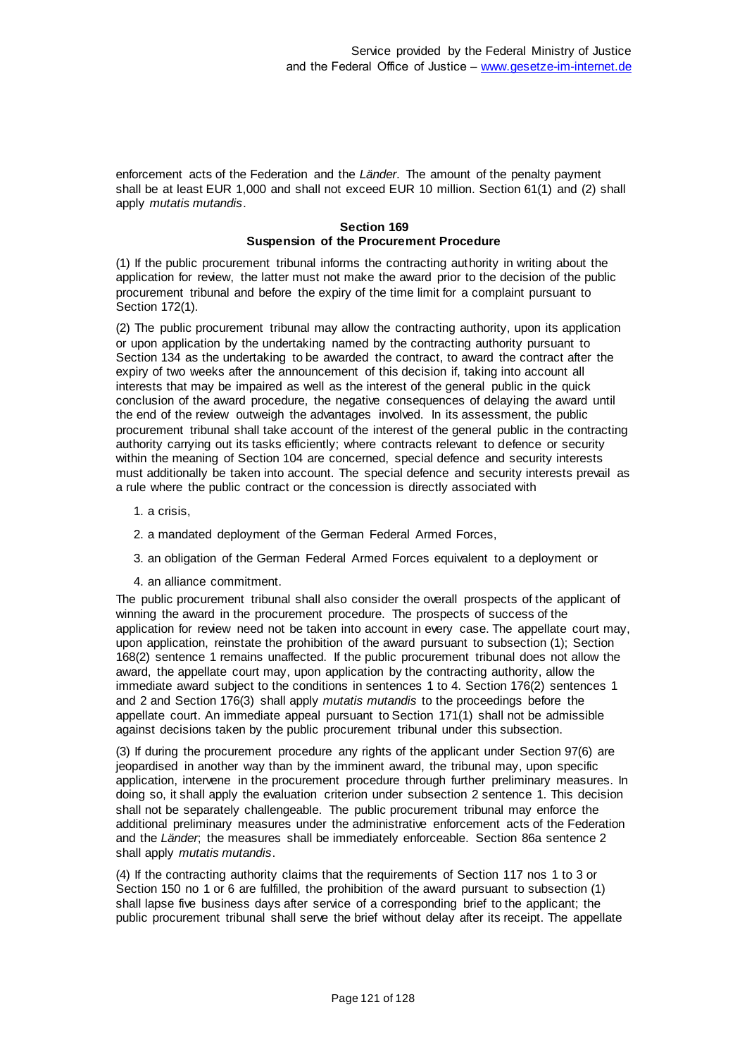enforcement acts of the Federation and the *Länder*. The amount of the penalty payment shall be at least EUR 1,000 and shall not exceed EUR 10 million. Section 61(1) and (2) shall apply *mutatis mutandis*.

#### **Section 169 Suspension of the Procurement Procedure**

(1) If the public procurement tribunal informs the contracting authority in writing about the application for review, the latter must not make the award prior to the decision of the public procurement tribunal and before the expiry of the time limit for a complaint pursuant to Section 172(1).

(2) The public procurement tribunal may allow the contracting authority, upon its application or upon application by the undertaking named by the contracting authority pursuant to Section 134 as the undertaking to be awarded the contract, to award the contract after the expiry of two weeks after the announcement of this decision if, taking into account all interests that may be impaired as well as the interest of the general public in the quick conclusion of the award procedure, the negative consequences of delaying the award until the end of the review outweigh the advantages involved. In its assessment, the public procurement tribunal shall take account of the interest of the general public in the contracting authority carrying out its tasks efficiently; where contracts relevant to defence or security within the meaning of Section 104 are concerned, special defence and security interests must additionally be taken into account. The special defence and security interests prevail as a rule where the public contract or the concession is directly associated with

- 1. a crisis,
- 2. a mandated deployment of the German Federal Armed Forces,
- 3. an obligation of the German Federal Armed Forces equivalent to a deployment or
- 4. an alliance commitment.

The public procurement tribunal shall also consider the overall prospects of the applicant of winning the award in the procurement procedure. The prospects of success of the application for review need not be taken into account in every case. The appellate court may, upon application, reinstate the prohibition of the award pursuant to subsection (1); Section 168(2) sentence 1 remains unaffected. If the public procurement tribunal does not allow the award, the appellate court may, upon application by the contracting authority, allow the immediate award subject to the conditions in sentences 1 to 4. Section 176(2) sentences 1 and 2 and Section 176(3) shall apply *mutatis mutandis* to the proceedings before the appellate court. An immediate appeal pursuant to Section 171(1) shall not be admissible against decisions taken by the public procurement tribunal under this subsection.

(3) If during the procurement procedure any rights of the applicant under Section 97(6) are jeopardised in another way than by the imminent award, the tribunal may, upon specific application, intervene in the procurement procedure through further preliminary measures. In doing so, it shall apply the evaluation criterion under subsection 2 sentence 1. This decision shall not be separately challengeable. The public procurement tribunal may enforce the additional preliminary measures under the administrative enforcement acts of the Federation and the *Länder*; the measures shall be immediately enforceable. Section 86a sentence 2 shall apply *mutatis mutandis*.

(4) If the contracting authority claims that the requirements of Section 117 nos 1 to 3 or Section 150 no 1 or 6 are fulfilled, the prohibition of the award pursuant to subsection (1) shall lapse five business days after service of a corresponding brief to the applicant; the public procurement tribunal shall serve the brief without delay after its receipt. The appellate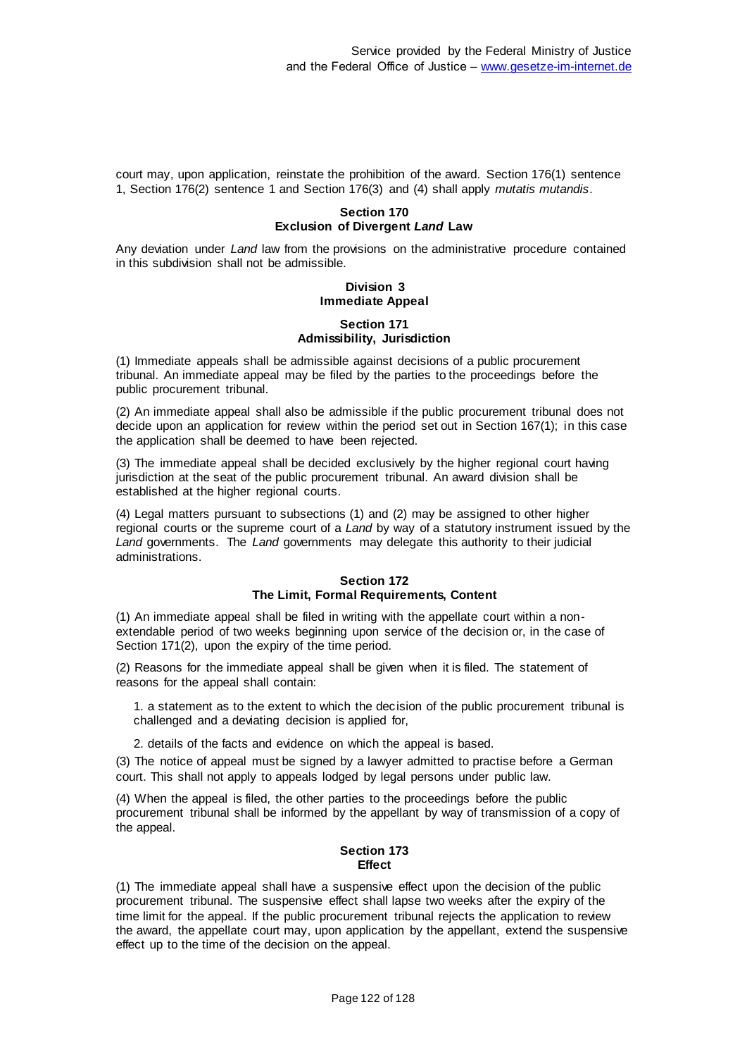court may, upon application, reinstate the prohibition of the award. Section 176(1) sentence 1, Section 176(2) sentence 1 and Section 176(3) and (4) shall apply *mutatis mutandis*.

## **Section 170 Exclusion of Divergent** *Land* **Law**

Any deviation under *Land* law from the provisions on the administrative procedure contained in this subdivision shall not be admissible.

## **Division 3 Immediate Appeal**

#### **Section 171 Admissibility, Jurisdiction**

(1) Immediate appeals shall be admissible against decisions of a public procurement tribunal. An immediate appeal may be filed by the parties to the proceedings before the public procurement tribunal.

(2) An immediate appeal shall also be admissible if the public procurement tribunal does not decide upon an application for review within the period set out in Section 167(1); in this case the application shall be deemed to have been rejected.

(3) The immediate appeal shall be decided exclusively by the higher regional court having jurisdiction at the seat of the public procurement tribunal. An award division shall be established at the higher regional courts.

(4) Legal matters pursuant to subsections (1) and (2) may be assigned to other higher regional courts or the supreme court of a *Land* by way of a statutory instrument issued by the *Land* governments. The *Land* governments may delegate this authority to their judicial administrations.

## **Section 172 The Limit, Formal Requirements, Content**

(1) An immediate appeal shall be filed in writing with the appellate court within a nonextendable period of two weeks beginning upon service of the decision or, in the case of Section 171(2), upon the expiry of the time period.

(2) Reasons for the immediate appeal shall be given when it is filed. The statement of reasons for the appeal shall contain:

1. a statement as to the extent to which the decision of the public procurement tribunal is challenged and a deviating decision is applied for,

2. details of the facts and evidence on which the appeal is based.

(3) The notice of appeal must be signed by a lawyer admitted to practise before a German court. This shall not apply to appeals lodged by legal persons under public law.

(4) When the appeal is filed, the other parties to the proceedings before the public procurement tribunal shall be informed by the appellant by way of transmission of a copy of the appeal.

## **Section 173 Effect**

(1) The immediate appeal shall have a suspensive effect upon the decision of the public procurement tribunal. The suspensive effect shall lapse two weeks after the expiry of the time limit for the appeal. If the public procurement tribunal rejects the application to review the award, the appellate court may, upon application by the appellant, extend the suspensive effect up to the time of the decision on the appeal.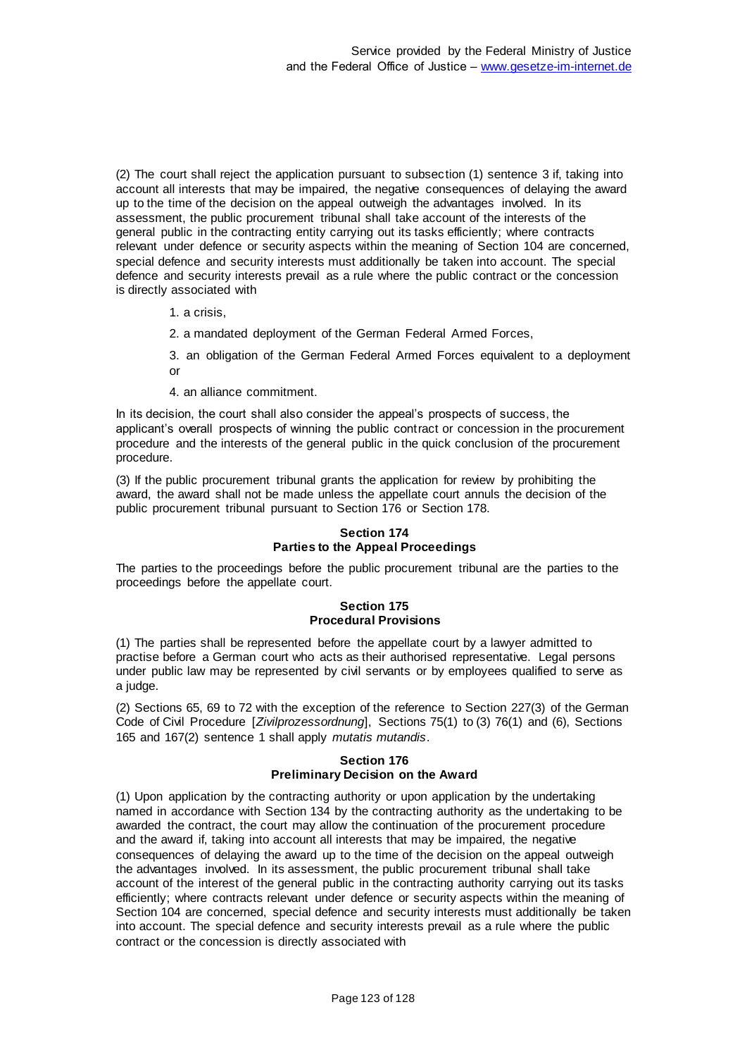(2) The court shall reject the application pursuant to subsection (1) sentence 3 if, taking into account all interests that may be impaired, the negative consequences of delaying the award up to the time of the decision on the appeal outweigh the advantages involved. In its assessment, the public procurement tribunal shall take account of the interests of the general public in the contracting entity carrying out its tasks efficiently; where contracts relevant under defence or security aspects within the meaning of Section 104 are concerned, special defence and security interests must additionally be taken into account. The special defence and security interests prevail as a rule where the public contract or the concession is directly associated with

1. a crisis,

2. a mandated deployment of the German Federal Armed Forces,

3. an obligation of the German Federal Armed Forces equivalent to a deployment or

4. an alliance commitment.

In its decision, the court shall also consider the appeal's prospects of success, the applicant's overall prospects of winning the public contract or concession in the procurement procedure and the interests of the general public in the quick conclusion of the procurement procedure.

(3) If the public procurement tribunal grants the application for review by prohibiting the award, the award shall not be made unless the appellate court annuls the decision of the public procurement tribunal pursuant to Section 176 or Section 178.

# **Section 174 Parties to the Appeal Proceedings**

The parties to the proceedings before the public procurement tribunal are the parties to the proceedings before the appellate court.

#### **Section 175 Procedural Provisions**

(1) The parties shall be represented before the appellate court by a lawyer admitted to practise before a German court who acts as their authorised representative. Legal persons under public law may be represented by civil servants or by employees qualified to serve as a judge.

(2) Sections 65, 69 to 72 with the exception of the reference to Section 227(3) of the German Code of Civil Procedure [*Zivilprozessordnung*], Sections 75(1) to (3) 76(1) and (6), Sections 165 and 167(2) sentence 1 shall apply *mutatis mutandis*.

#### **Section 176 Preliminary Decision on the Award**

(1) Upon application by the contracting authority or upon application by the undertaking named in accordance with Section 134 by the contracting authority as the undertaking to be awarded the contract, the court may allow the continuation of the procurement procedure and the award if, taking into account all interests that may be impaired, the negative consequences of delaying the award up to the time of the decision on the appeal outweigh the advantages involved. In its assessment, the public procurement tribunal shall take account of the interest of the general public in the contracting authority carrying out its tasks efficiently; where contracts relevant under defence or security aspects within the meaning of Section 104 are concerned, special defence and security interests must additionally be taken into account. The special defence and security interests prevail as a rule where the public contract or the concession is directly associated with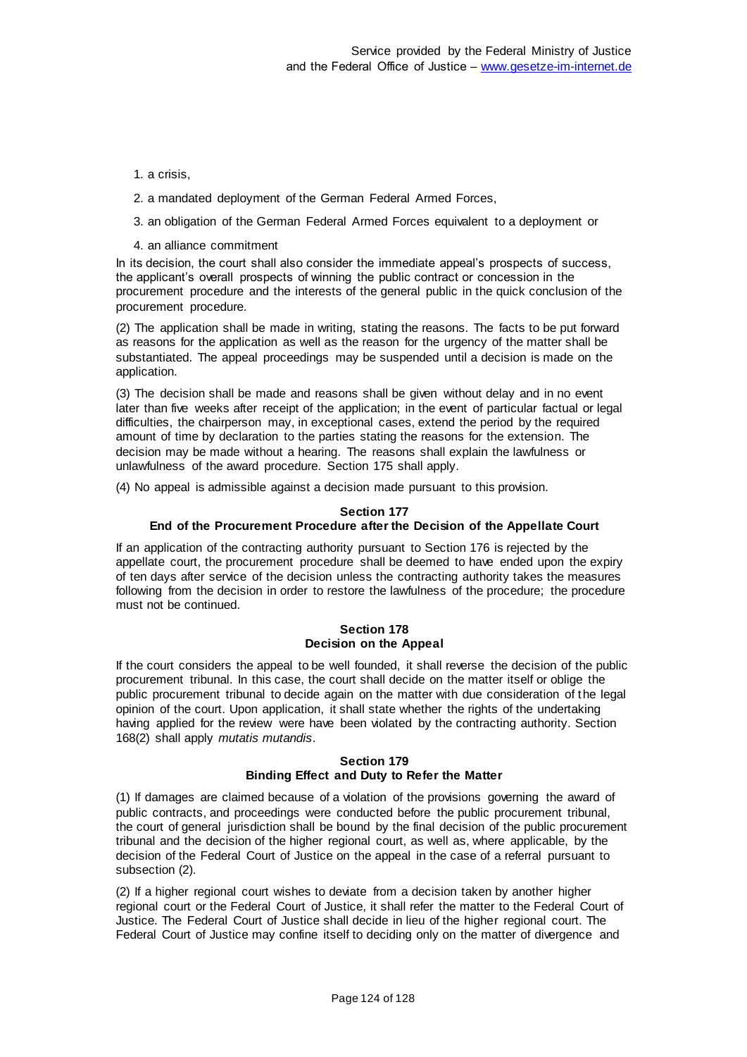## 1. a crisis,

- 2. a mandated deployment of the German Federal Armed Forces,
- 3. an obligation of the German Federal Armed Forces equivalent to a deployment or
- 4. an alliance commitment

In its decision, the court shall also consider the immediate appeal's prospects of success, the applicant's overall prospects of winning the public contract or concession in the procurement procedure and the interests of the general public in the quick conclusion of the procurement procedure.

(2) The application shall be made in writing, stating the reasons. The facts to be put forward as reasons for the application as well as the reason for the urgency of the matter shall be substantiated. The appeal proceedings may be suspended until a decision is made on the application.

(3) The decision shall be made and reasons shall be given without delay and in no event later than five weeks after receipt of the application; in the event of particular factual or legal difficulties, the chairperson may, in exceptional cases, extend the period by the required amount of time by declaration to the parties stating the reasons for the extension. The decision may be made without a hearing. The reasons shall explain the lawfulness or unlawfulness of the award procedure. Section 175 shall apply.

(4) No appeal is admissible against a decision made pursuant to this provision.

#### **Section 177 End of the Procurement Procedure after the Decision of the Appellate Court**

If an application of the contracting authority pursuant to Section 176 is rejected by the appellate court, the procurement procedure shall be deemed to have ended upon the expiry of ten days after service of the decision unless the contracting authority takes the measures following from the decision in order to restore the lawfulness of the procedure; the procedure must not be continued.

## **Section 178 Decision on the Appeal**

If the court considers the appeal to be well founded, it shall reverse the decision of the public procurement tribunal. In this case, the court shall decide on the matter itself or oblige the public procurement tribunal to decide again on the matter with due consideration of the legal opinion of the court. Upon application, it shall state whether the rights of the undertaking having applied for the review were have been violated by the contracting authority. Section 168(2) shall apply *mutatis mutandis*.

## **Section 179 Binding Effect and Duty to Refer the Matter**

(1) If damages are claimed because of a violation of the provisions governing the award of public contracts, and proceedings were conducted before the public procurement tribunal, the court of general jurisdiction shall be bound by the final decision of the public procurement tribunal and the decision of the higher regional court, as well as, where applicable, by the decision of the Federal Court of Justice on the appeal in the case of a referral pursuant to subsection (2).

(2) If a higher regional court wishes to deviate from a decision taken by another higher regional court or the Federal Court of Justice, it shall refer the matter to the Federal Court of Justice. The Federal Court of Justice shall decide in lieu of the higher regional court. The Federal Court of Justice may confine itself to deciding only on the matter of divergence and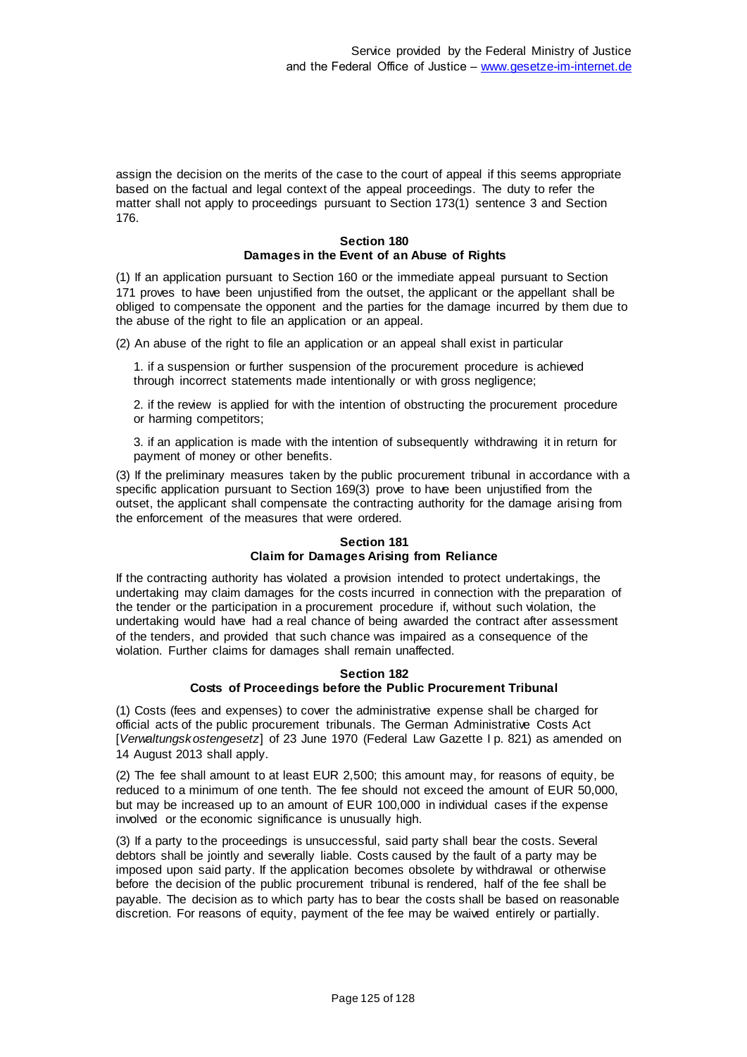assign the decision on the merits of the case to the court of appeal if this seems appropriate based on the factual and legal context of the appeal proceedings. The duty to refer the matter shall not apply to proceedings pursuant to Section 173(1) sentence 3 and Section 176.

# **Section 180 Damages in the Event of an Abuse of Rights**

(1) If an application pursuant to Section 160 or the immediate appeal pursuant to Section 171 proves to have been unjustified from the outset, the applicant or the appellant shall be obliged to compensate the opponent and the parties for the damage incurred by them due to the abuse of the right to file an application or an appeal.

(2) An abuse of the right to file an application or an appeal shall exist in particular

1. if a suspension or further suspension of the procurement procedure is achieved through incorrect statements made intentionally or with gross negligence;

2. if the review is applied for with the intention of obstructing the procurement procedure or harming competitors;

3. if an application is made with the intention of subsequently withdrawing it in return for payment of money or other benefits.

(3) If the preliminary measures taken by the public procurement tribunal in accordance with a specific application pursuant to Section 169(3) prove to have been unjustified from the outset, the applicant shall compensate the contracting authority for the damage arising from the enforcement of the measures that were ordered.

## **Section 181 Claim for Damages Arising from Reliance**

If the contracting authority has violated a provision intended to protect undertakings, the undertaking may claim damages for the costs incurred in connection with the preparation of the tender or the participation in a procurement procedure if, without such violation, the undertaking would have had a real chance of being awarded the contract after assessment of the tenders, and provided that such chance was impaired as a consequence of the violation. Further claims for damages shall remain unaffected.

## **Section 182 Costs of Proceedings before the Public Procurement Tribunal**

(1) Costs (fees and expenses) to cover the administrative expense shall be charged for official acts of the public procurement tribunals. The German Administrative Costs Act [*Verwaltungskostengesetz*] of 23 June 1970 (Federal Law Gazette I p. 821) as amended on 14 August 2013 shall apply.

(2) The fee shall amount to at least EUR 2,500; this amount may, for reasons of equity, be reduced to a minimum of one tenth. The fee should not exceed the amount of EUR 50,000, but may be increased up to an amount of EUR 100,000 in individual cases if the expense involved or the economic significance is unusually high.

(3) If a party to the proceedings is unsuccessful, said party shall bear the costs. Several debtors shall be jointly and severally liable. Costs caused by the fault of a party may be imposed upon said party. If the application becomes obsolete by withdrawal or otherwise before the decision of the public procurement tribunal is rendered, half of the fee shall be payable. The decision as to which party has to bear the costs shall be based on reasonable discretion. For reasons of equity, payment of the fee may be waived entirely or partially.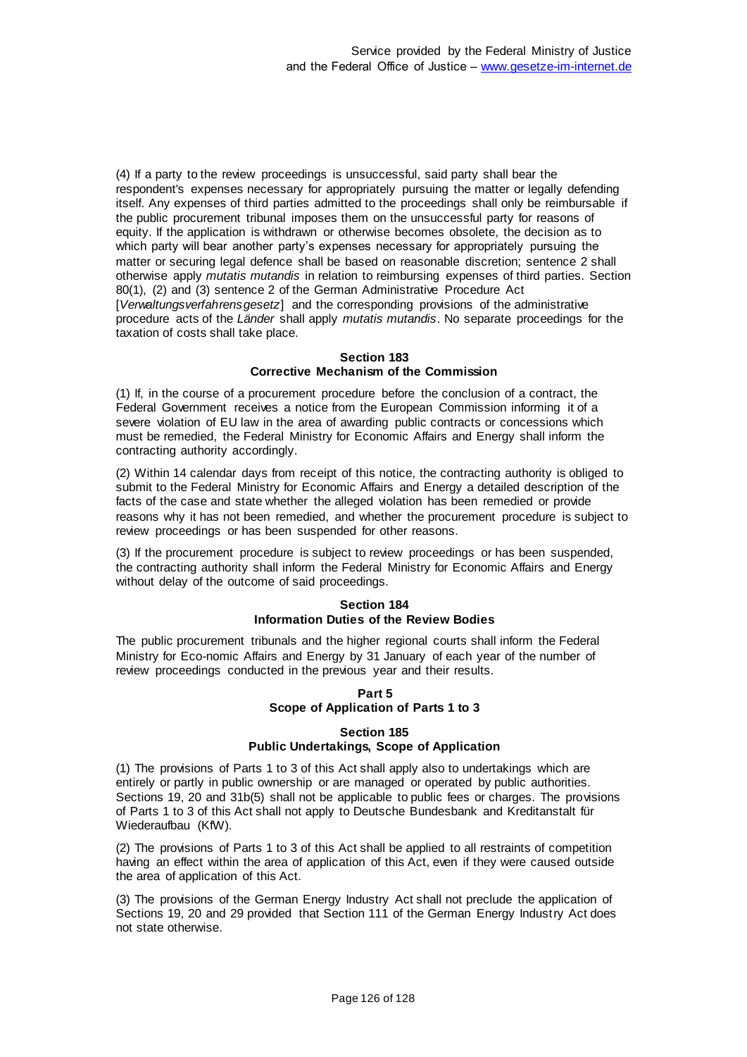(4) If a party to the review proceedings is unsuccessful, said party shall bear the respondent's expenses necessary for appropriately pursuing the matter or legally defending itself. Any expenses of third parties admitted to the proceedings shall only be reimbursable if the public procurement tribunal imposes them on the unsuccessful party for reasons of equity. If the application is withdrawn or otherwise becomes obsolete, the decision as to which party will bear another party's expenses necessary for appropriately pursuing the matter or securing legal defence shall be based on reasonable discretion; sentence 2 shall otherwise apply *mutatis mutandis* in relation to reimbursing expenses of third parties. Section 80(1), (2) and (3) sentence 2 of the German Administrative Procedure Act [*Verwaltungsverfahrensgesetz*] and the corresponding provisions of the administrative procedure acts of the *Länder* shall apply *mutatis mutandis*. No separate proceedings for the taxation of costs shall take place.

#### **Section 183 Corrective Mechanism of the Commission**

(1) If, in the course of a procurement procedure before the conclusion of a contract, the Federal Government receives a notice from the European Commission informing it of a severe violation of EU law in the area of awarding public contracts or concessions which must be remedied, the Federal Ministry for Economic Affairs and Energy shall inform the contracting authority accordingly.

(2) Within 14 calendar days from receipt of this notice, the contracting authority is obliged to submit to the Federal Ministry for Economic Affairs and Energy a detailed description of the facts of the case and state whether the alleged violation has been remedied or provide reasons why it has not been remedied, and whether the procurement procedure is subject to review proceedings or has been suspended for other reasons.

(3) If the procurement procedure is subject to review proceedings or has been suspended, the contracting authority shall inform the Federal Ministry for Economic Affairs and Energy without delay of the outcome of said proceedings.

#### **Section 184 Information Duties of the Review Bodies**

The public procurement tribunals and the higher regional courts shall inform the Federal Ministry for Eco-nomic Affairs and Energy by 31 January of each year of the number of review proceedings conducted in the previous year and their results.

## **Part 5 Scope of Application of Parts 1 to 3**

# **Section 185 Public Undertakings, Scope of Application**

(1) The provisions of Parts 1 to 3 of this Act shall apply also to undertakings which are entirely or partly in public ownership or are managed or operated by public authorities. Sections 19, 20 and 31b(5) shall not be applicable to public fees or charges. The provisions of Parts 1 to 3 of this Act shall not apply to Deutsche Bundesbank and Kreditanstalt für Wiederaufbau (KfW).

(2) The provisions of Parts 1 to 3 of this Act shall be applied to all restraints of competition having an effect within the area of application of this Act, even if they were caused outside the area of application of this Act.

(3) The provisions of the German Energy Industry Act shall not preclude the application of Sections 19, 20 and 29 provided that Section 111 of the German Energy Industry Act does not state otherwise.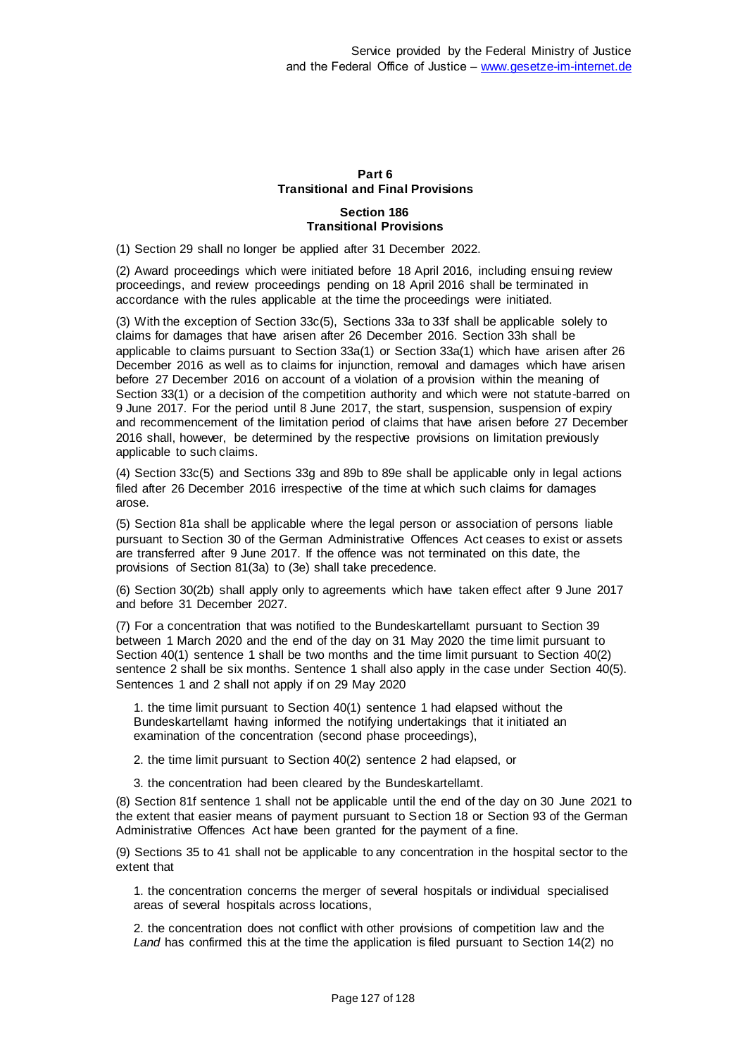# **Part 6 Transitional and Final Provisions**

## **Section 186 Transitional Provisions**

(1) Section 29 shall no longer be applied after 31 December 2022.

(2) Award proceedings which were initiated before 18 April 2016, including ensuing review proceedings, and review proceedings pending on 18 April 2016 shall be terminated in accordance with the rules applicable at the time the proceedings were initiated.

(3) With the exception of Section 33c(5), Sections 33a to 33f shall be applicable solely to claims for damages that have arisen after 26 December 2016. Section 33h shall be applicable to claims pursuant to Section 33a(1) or Section 33a(1) which have arisen after 26 December 2016 as well as to claims for injunction, removal and damages which have arisen before 27 December 2016 on account of a violation of a provision within the meaning of Section 33(1) or a decision of the competition authority and which were not statute-barred on 9 June 2017. For the period until 8 June 2017, the start, suspension, suspension of expiry and recommencement of the limitation period of claims that have arisen before 27 December 2016 shall, however, be determined by the respective provisions on limitation previously applicable to such claims.

(4) Section 33c(5) and Sections 33g and 89b to 89e shall be applicable only in legal actions filed after 26 December 2016 irrespective of the time at which such claims for damages arose.

(5) Section 81a shall be applicable where the legal person or association of persons liable pursuant to Section 30 of the German Administrative Offences Act ceases to exist or assets are transferred after 9 June 2017. If the offence was not terminated on this date, the provisions of Section 81(3a) to (3e) shall take precedence.

(6) Section 30(2b) shall apply only to agreements which have taken effect after 9 June 2017 and before 31 December 2027.

(7) For a concentration that was notified to the Bundeskartellamt pursuant to Section 39 between 1 March 2020 and the end of the day on 31 May 2020 the time limit pursuant to Section 40(1) sentence 1 shall be two months and the time limit pursuant to Section 40(2) sentence 2 shall be six months. Sentence 1 shall also apply in the case under Section 40(5). Sentences 1 and 2 shall not apply if on 29 May 2020

1. the time limit pursuant to Section 40(1) sentence 1 had elapsed without the Bundeskartellamt having informed the notifying undertakings that it initiated an examination of the concentration (second phase proceedings),

2. the time limit pursuant to Section 40(2) sentence 2 had elapsed, or

3. the concentration had been cleared by the Bundeskartellamt.

(8) Section 81f sentence 1 shall not be applicable until the end of the day on 30 June 2021 to the extent that easier means of payment pursuant to Section 18 or Section 93 of the German Administrative Offences Act have been granted for the payment of a fine.

(9) Sections 35 to 41 shall not be applicable to any concentration in the hospital sector to the extent that

1. the concentration concerns the merger of several hospitals or individual specialised areas of several hospitals across locations,

2. the concentration does not conflict with other provisions of competition law and the *Land* has confirmed this at the time the application is filed pursuant to Section 14(2) no